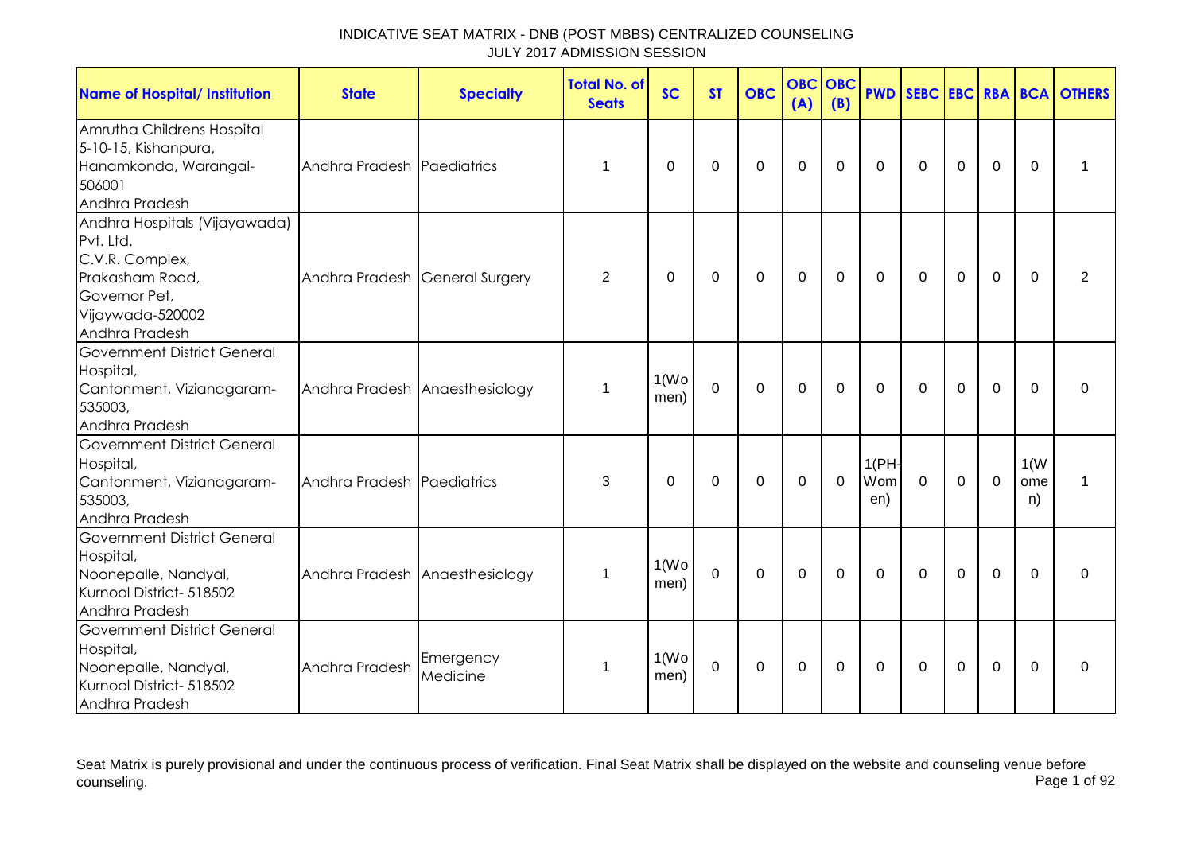| <b>Name of Hospital/ Institution</b>                                                                                                    | <b>State</b>                   | <b>Specialty</b>               | <b>Total No. of</b><br><b>Seats</b> | <b>SC</b>                  | <b>ST</b>   | <b>OBC</b>  | <b>OBC</b><br>(A) | <b>OBC</b><br>(B) | <b>PWD</b>          |              |             |                |                   | <b>SEBC EBC RBA BCA OTHERS</b> |
|-----------------------------------------------------------------------------------------------------------------------------------------|--------------------------------|--------------------------------|-------------------------------------|----------------------------|-------------|-------------|-------------------|-------------------|---------------------|--------------|-------------|----------------|-------------------|--------------------------------|
| Amrutha Childrens Hospital<br>5-10-15, Kishanpura,<br>Hanamkonda, Warangal-<br>506001<br>Andhra Pradesh                                 | Andhra Pradesh Paediatrics     |                                | 1                                   | $\Omega$                   | 0           | 0           | 0                 | 0                 | $\Omega$            | $\mathbf{0}$ | 0           | $\Omega$       | $\Omega$          | 1                              |
| Andhra Hospitals (Vijayawada)<br>Pvt. Ltd.<br>C.V.R. Complex,<br>Prakasham Road,<br>Governor Pet,<br>Vijaywada-520002<br>Andhra Pradesh | Andhra Pradesh General Surgery |                                | 2                                   | 0                          | 0           | 0           | 0                 | 0                 | $\Omega$            | $\mathbf{0}$ | 0           | $\mathbf 0$    | $\Omega$          | 2                              |
| <b>Government District General</b><br>Hospital,<br>Cantonment, Vizianagaram-<br>535003,<br>Andhra Pradesh                               |                                | Andhra Pradesh Anaesthesiology | 1                                   | 1(W <sub>O</sub> )<br>men) | $\mathbf 0$ | $\mathbf 0$ | $\mathbf 0$       | 0                 | $\Omega$            | $\Omega$     | $\mathbf 0$ | $\mathbf 0$    | $\Omega$          | $\Omega$                       |
| <b>Government District General</b><br>Hospital,<br>Cantonment, Vizianagaram-<br>535003,<br>Andhra Pradesh                               | Andhra Pradesh Paediatrics     |                                | 3                                   | 0                          | 0           | $\mathbf 0$ | $\mathbf 0$       | $\mathbf 0$       | 1(PH)<br>Wom<br>en) | $\mathbf 0$  | $\mathbf 0$ | $\mathbf 0$    | 1(W)<br>ome<br>n) | 1                              |
| <b>Government District General</b><br>Hospital,<br>Noonepalle, Nandyal,<br>Kurnool District- 518502<br>Andhra Pradesh                   |                                | Andhra Pradesh Anaesthesiology | 1                                   | 1(W <sub>O</sub> )<br>men) | $\mathbf 0$ | $\Omega$    | $\mathbf 0$       | $\Omega$          | $\Omega$            | $\Omega$     | $\Omega$    | $\overline{0}$ | $\Omega$          | $\Omega$                       |
| Government District General<br>Hospital,<br>Noonepalle, Nandyal,<br>Kurnool District- 518502<br>Andhra Pradesh                          | Andhra Pradesh                 | Emergency<br>Medicine          | 1                                   | 1(W <sub>O</sub> )<br>men) | $\mathbf 0$ | 0           | $\mathbf 0$       | 0                 | 0                   | 0            | 0           | 0              | $\Omega$          | 0                              |

Seat Matrix is purely provisional and under the continuous process of verification. Final Seat Matrix shall be displayed on the website and counseling venue before<br>Page 1 of 92 counseling. Page 1 of 92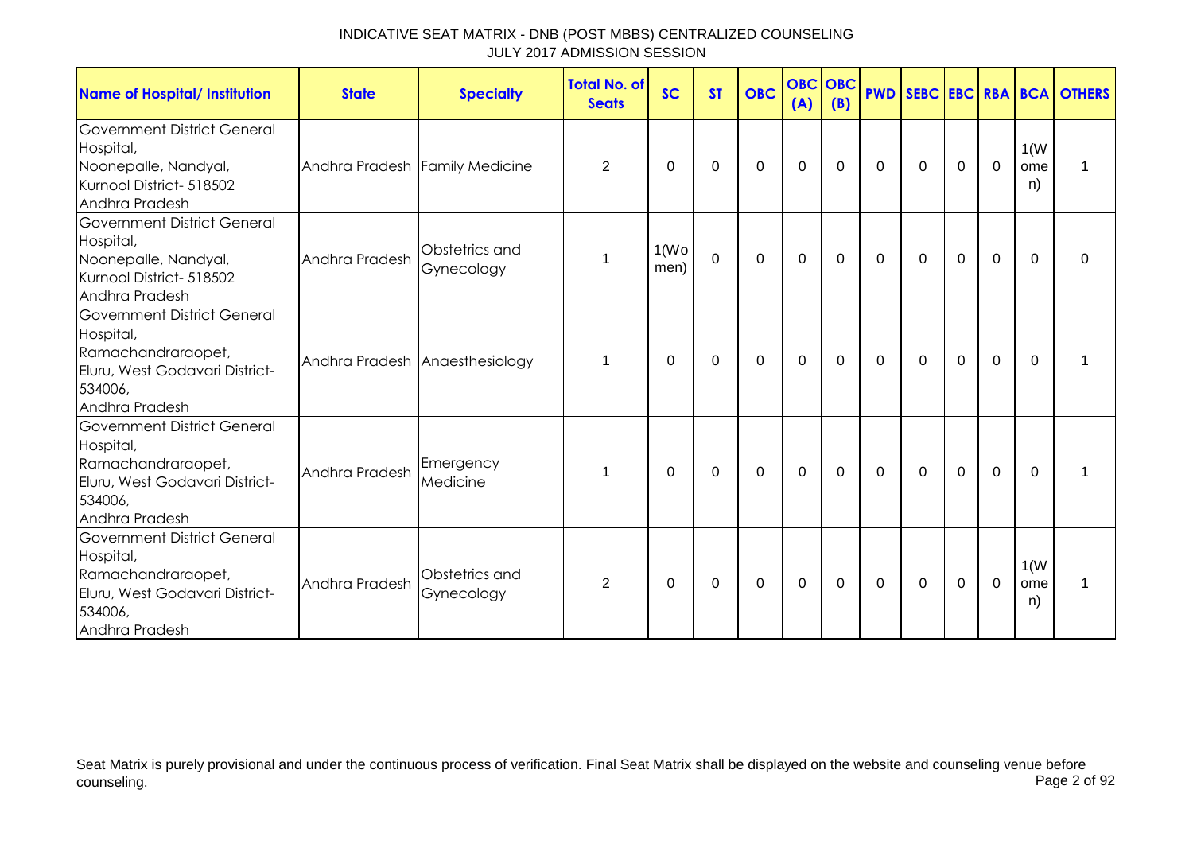| <b>Name of Hospital/ Institution</b>                                                                                                 | <b>State</b>                   | <b>Specialty</b>               | <b>Total No. of</b><br><b>Seats</b> | <b>SC</b>                  | <b>ST</b>   | <b>OBC</b>     | <b>OBC</b><br>(A) | <b>OBC</b><br>(B) | <b>PWD</b>   |              |             |             |                   | <b>SEBC EBC RBA BCA OTHERS</b> |
|--------------------------------------------------------------------------------------------------------------------------------------|--------------------------------|--------------------------------|-------------------------------------|----------------------------|-------------|----------------|-------------------|-------------------|--------------|--------------|-------------|-------------|-------------------|--------------------------------|
| <b>Government District General</b><br>Hospital,<br>Noonepalle, Nandyal,<br>Kurnool District- 518502<br>Andhra Pradesh                | Andhra Pradesh Family Medicine |                                | $\overline{2}$                      | 0                          | 0           | 0              | 0                 | 0                 | $\Omega$     | $\mathbf{0}$ | 0           | $\mathbf 0$ | 1(W)<br>ome<br>n) | 1                              |
| <b>Government District General</b><br>Hospital,<br>Noonepalle, Nandyal,<br>Kurnool District- 518502<br>Andhra Pradesh                | Andhra Pradesh                 | Obstetrics and<br>Gynecology   | 1                                   | 1(W <sub>O</sub> )<br>men) | $\mathbf 0$ | $\overline{0}$ | $\mathbf{0}$      | $\Omega$          | $\Omega$     | $\mathbf{0}$ | $\Omega$    | 0           | $\Omega$          | $\Omega$                       |
| <b>Government District General</b><br>Hospital,<br>Ramachandraraopet,<br>Eluru, West Godavari District-<br>534006,<br>Andhra Pradesh |                                | Andhra Pradesh Anaesthesiology | 1                                   | 0                          | 0           | 0              | $\mathbf 0$       | 0                 | 0            | $\mathbf{0}$ | $\mathbf 0$ | $\mathbf 0$ | $\Omega$          |                                |
| <b>Government District General</b><br>Hospital,<br>Ramachandraraopet,<br>Eluru, West Godavari District-<br>534006,<br>Andhra Pradesh | Andhra Pradesh                 | Emergency<br>Medicine          | 1                                   | $\Omega$                   | 0           | $\mathbf 0$    | $\mathbf 0$       | 0                 | $\mathbf{0}$ | $\mathbf{0}$ | $\mathbf 0$ | $\mathbf 0$ | $\Omega$          |                                |
| <b>Government District General</b><br>Hospital,<br>Ramachandraraopet,<br>Eluru, West Godavari District-<br>534006,<br>Andhra Pradesh | Andhra Pradesh                 | Obstetrics and<br>Gynecology   | 2                                   | $\Omega$                   | 0           | $\mathbf 0$    | 0                 | 0                 | 0            | $\mathbf{0}$ | $\mathbf 0$ | $\mathbf 0$ | 1(W)<br>ome<br>n) | 1                              |

Seat Matrix is purely provisional and under the continuous process of verification. Final Seat Matrix shall be displayed on the website and counseling venue before<br>Page 2 of 92 counseling. Page 2 of 92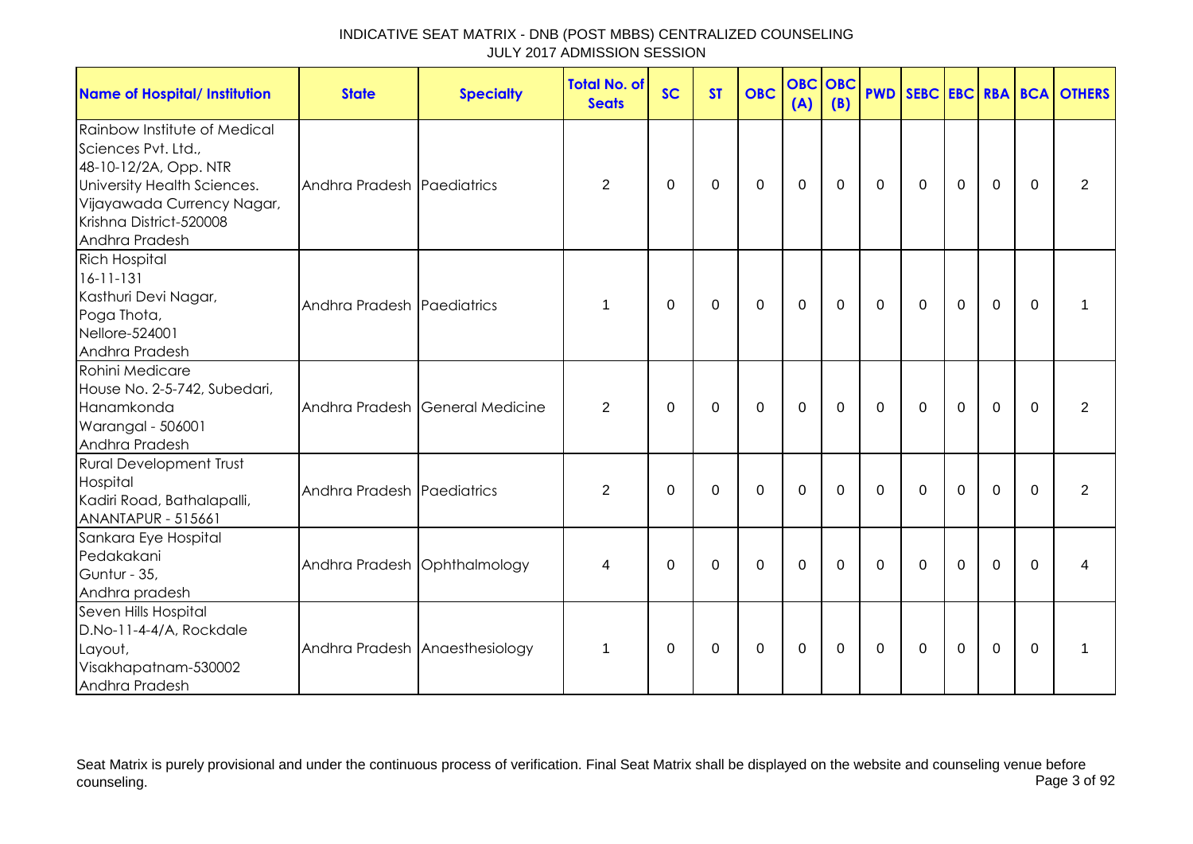| <b>Name of Hospital/ Institution</b>                                                                                                                                                   | <b>State</b>                 | <b>Specialty</b>                | <b>Total No. of</b><br><b>Seats</b> | <b>SC</b> | <b>ST</b>   | <b>OBC</b>  | <b>OBC</b><br>(A) | OBC<br>(B) |              |              |                |                |          | <b>PWD SEBC EBC RBA BCA OTHERS</b> |
|----------------------------------------------------------------------------------------------------------------------------------------------------------------------------------------|------------------------------|---------------------------------|-------------------------------------|-----------|-------------|-------------|-------------------|------------|--------------|--------------|----------------|----------------|----------|------------------------------------|
| Rainbow Institute of Medical<br>Sciences Pvt. Ltd.,<br>48-10-12/2A, Opp. NTR<br>University Health Sciences.<br>Vijayawada Currency Nagar,<br>Krishna District-520008<br>Andhra Pradesh | Andhra Pradesh Paediatrics   |                                 | $\overline{2}$                      | $\Omega$  | $\Omega$    | $\Omega$    | $\mathbf{0}$      | $\Omega$   | $\Omega$     | $\mathbf{0}$ | $\Omega$       | $\Omega$       | $\Omega$ | 2                                  |
| <b>Rich Hospital</b><br>$16 - 11 - 131$<br>Kasthuri Devi Nagar,<br>Poga Thota,<br>Nellore-524001<br>Andhra Pradesh                                                                     | Andhra Pradesh Paediatrics   |                                 | 1                                   | $\Omega$  | $\mathbf 0$ | $\mathbf 0$ | $\mathbf 0$       | 0          | $\mathbf 0$  | $\mathbf 0$  | $\mathbf 0$    | $\mathbf{0}$   | $\Omega$ | 1                                  |
| Rohini Medicare<br>House No. 2-5-742, Subedari,<br>Hanamkonda<br>Warangal - 506001<br>Andhra Pradesh                                                                                   |                              | Andhra Pradesh General Medicine | 2                                   | $\Omega$  | $\Omega$    | $\Omega$    | $\Omega$          | $\Omega$   | $\mathbf{0}$ | $\Omega$     | $\Omega$       | $\Omega$       | $\Omega$ | 2                                  |
| <b>Rural Development Trust</b><br>Hospital<br>Kadiri Road, Bathalapalli,<br><b>ANANTAPUR - 515661</b>                                                                                  | Andhra Pradesh Paediatrics   |                                 | $\overline{2}$                      | $\Omega$  | $\mathbf 0$ | $\mathbf 0$ | $\mathbf 0$       | $\Omega$   | $\mathbf 0$  | $\Omega$     | $\mathbf 0$    | $\mathbf 0$    | $\Omega$ | 2                                  |
| Sankara Eye Hospital<br>Pedakakani<br>Guntur - 35,<br>Andhra pradesh                                                                                                                   | Andhra Pradesh Ophthalmology |                                 | 4                                   | $\Omega$  | 0           | 0           | $\mathbf 0$       | $\Omega$   | $\mathbf{0}$ | $\Omega$     | $\Omega$       | $\overline{0}$ | $\Omega$ | 4                                  |
| Seven Hills Hospital<br>D.No-11-4-4/A, Rockdale<br>Layout,<br>Visakhapatnam-530002<br>Andhra Pradesh                                                                                   |                              | Andhra Pradesh Anaesthesiology  | 1                                   | $\Omega$  | $\Omega$    | $\mathbf 0$ | $\mathbf 0$       | $\Omega$   | $\mathbf{0}$ | $\mathbf{0}$ | $\overline{0}$ | $\mathbf 0$    | $\Omega$ |                                    |

Seat Matrix is purely provisional and under the continuous process of verification. Final Seat Matrix shall be displayed on the website and counseling venue before<br>Page 3 of 92 counseling. Page 3 of 92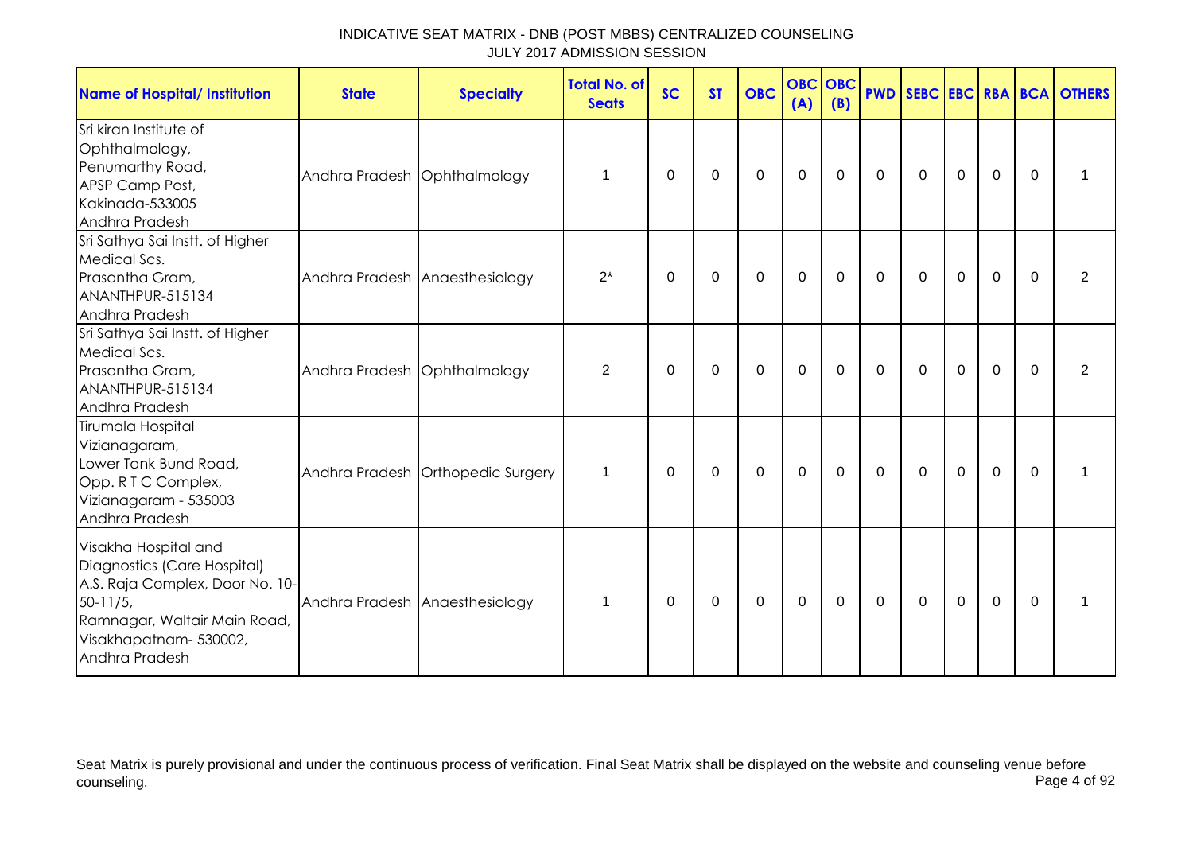| <b>Name of Hospital/ Institution</b>                                                                                                                                              | <b>State</b>                   | <b>Specialty</b>                  | <b>Total No. of</b><br><b>Seats</b> | <b>SC</b>   | <b>ST</b> | <b>OBC</b>   | <b>OBC OBC</b><br>(A) | (B)         |                  |             |                |             |          | <b>PWD SEBC EBC RBA BCA OTHERS</b> |
|-----------------------------------------------------------------------------------------------------------------------------------------------------------------------------------|--------------------------------|-----------------------------------|-------------------------------------|-------------|-----------|--------------|-----------------------|-------------|------------------|-------------|----------------|-------------|----------|------------------------------------|
| Sri kiran Institute of<br>Ophthalmology,<br>Penumarthy Road,<br>APSP Camp Post,<br>Kakinada-533005<br>Andhra Pradesh                                                              | Andhra Pradesh Ophthalmology   |                                   | 1                                   | 0           | 0         | $\mathbf{0}$ | $\mathbf 0$           | $\Omega$    | 0                | $\mathbf 0$ | 0              | $\mathbf 0$ | $\Omega$ |                                    |
| Sri Sathya Sai Instt. of Higher<br>Medical Scs.<br>Prasantha Gram,<br>ANANTHPUR-515134<br>Andhra Pradesh                                                                          | Andhra Pradesh Anaesthesiology |                                   | $2^*$                               | 0           | 0         | $\mathbf 0$  | $\mathbf{0}$          | $\mathbf 0$ | $\mathbf 0$      | $\mathbf 0$ | $\mathbf 0$    | $\mathbf 0$ | $\Omega$ | $\overline{2}$                     |
| Sri Sathya Sai Instt. of Higher<br>Medical Scs.<br>Prasantha Gram,<br>ANANTHPUR-515134<br>Andhra Pradesh                                                                          | Andhra Pradesh Ophthalmology   |                                   | 2                                   | 0           | 0         | $\mathbf{0}$ | $\mathbf 0$           | $\Omega$    | $\mathbf{0}$     | $\Omega$    | $\mathbf{0}$   | $\mathbf 0$ | $\Omega$ | 2                                  |
| Tirumala Hospital<br>Vizianagaram,<br>Lower Tank Bund Road,<br>Opp. R T C Complex,<br>Vizianagaram - 535003<br>Andhra Pradesh                                                     |                                | Andhra Pradesh Orthopedic Surgery | $\mathbf 1$                         | $\mathbf 0$ | 0         | $\mathbf 0$  | $\mathbf 0$           | $\mathbf 0$ | $\boldsymbol{0}$ | $\mathbf 0$ | $\overline{0}$ | $\mathbf 0$ | $\Omega$ | 1                                  |
| Visakha Hospital and<br>Diagnostics (Care Hospital)<br>A.S. Raja Complex, Door No. 10-<br>$50 - 11/5$<br>Ramnagar, Waltair Main Road,<br>Visakhapatnam- 530002,<br>Andhra Pradesh |                                | Andhra Pradesh Anaesthesiology    | $\mathbf 1$                         | $\Omega$    | 0         | $\Omega$     | $\mathbf 0$           | $\mathbf 0$ | 0                | $\Omega$    | $\mathbf 0$    | $\mathbf 0$ | $\Omega$ |                                    |

Seat Matrix is purely provisional and under the continuous process of verification. Final Seat Matrix shall be displayed on the website and counseling venue before<br>Page 4 of 92 counseling. Page 4 of 92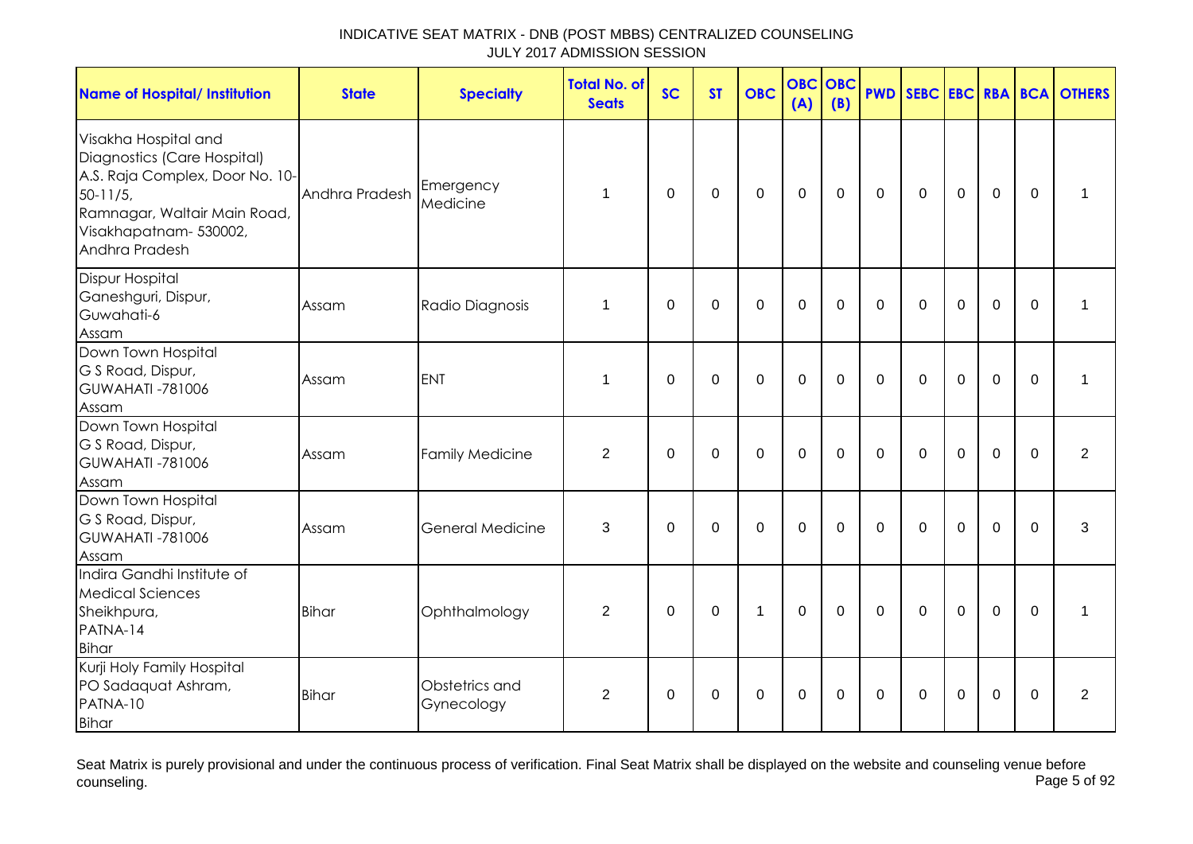| <b>Name of Hospital/ Institution</b>                                                                                                                                              | <b>State</b>   | <b>Specialty</b>             | <b>Total No. of</b><br><b>Seats</b> | <b>SC</b>    | <b>ST</b>   | <b>OBC</b>   | <b>OBC</b><br>(A) | <b>OBC</b><br>(B) |              |              |                |                |          | <b>PWD SEBC EBC RBA BCA OTHERS</b> |
|-----------------------------------------------------------------------------------------------------------------------------------------------------------------------------------|----------------|------------------------------|-------------------------------------|--------------|-------------|--------------|-------------------|-------------------|--------------|--------------|----------------|----------------|----------|------------------------------------|
| Visakha Hospital and<br>Diagnostics (Care Hospital)<br>A.S. Raja Complex, Door No. 10-<br>$50-11/5$ ,<br>Ramnagar, Waltair Main Road,<br>Visakhapatnam- 530002,<br>Andhra Pradesh | Andhra Pradesh | Emergency<br>Medicine        | $\mathbf 1$                         | $\mathbf{0}$ | $\mathbf 0$ | $\mathbf 0$  | $\mathbf 0$       | $\mathbf 0$       | $\mathbf{0}$ | $\mathbf 0$  | $\mathbf 0$    | $\overline{0}$ | $\Omega$ |                                    |
| <b>Dispur Hospital</b><br>Ganeshguri, Dispur,<br>Guwahati-6<br>Assam                                                                                                              | Assam          | Radio Diagnosis              | 1                                   | $\mathbf{0}$ | $\mathbf 0$ | $\mathbf 0$  | $\mathbf 0$       | $\Omega$          | $\mathbf{0}$ | $\mathbf{0}$ | $\mathbf 0$    | $\overline{0}$ | $\Omega$ | $\mathbf{1}$                       |
| Down Town Hospital<br>G S Road, Dispur,<br><b>GUWAHATI -781006</b><br>Assam                                                                                                       | Assam          | <b>ENT</b>                   | $\mathbf 1$                         | $\mathbf 0$  | $\mathbf 0$ | $\mathbf{0}$ | $\mathbf 0$       | $\overline{0}$    | $\Omega$     | $\Omega$     | $\overline{0}$ | $\overline{0}$ | $\Omega$ | $\mathbf 1$                        |
| Down Town Hospital<br>G S Road, Dispur,<br><b>GUWAHATI -781006</b><br>Assam                                                                                                       | Assam          | <b>Family Medicine</b>       | $\overline{2}$                      | $\mathbf 0$  | $\mathbf 0$ | $\mathbf 0$  | $\mathbf 0$       | 0                 | $\mathbf{0}$ | $\Omega$     | $\mathbf 0$    | $\mathbf 0$    | $\Omega$ | 2                                  |
| Down Town Hospital<br>G S Road, Dispur,<br><b>GUWAHATI -781006</b><br>Assam                                                                                                       | Assam          | <b>General Medicine</b>      | 3                                   | $\mathbf 0$  | $\mathbf 0$ | $\mathbf{0}$ | $\overline{0}$    | $\mathbf 0$       | $\mathbf 0$  | $\mathbf 0$  | $\mathbf 0$    | $\overline{0}$ | $\Omega$ | 3                                  |
| Indira Gandhi Institute of<br><b>Medical Sciences</b><br>Sheikhpura,<br>PATNA-14<br>Bihar                                                                                         | <b>Bihar</b>   | Ophthalmology                | 2                                   | $\mathbf 0$  | $\mathbf 0$ | $\mathbf{1}$ | $\mathbf 0$       | $\Omega$          | $\Omega$     | $\Omega$     | $\overline{0}$ | $\Omega$       | $\Omega$ | 1                                  |
| Kurji Holy Family Hospital<br>PO Sadaquat Ashram,<br>PATNA-10<br>Bihar                                                                                                            | <b>Bihar</b>   | Obstetrics and<br>Gynecology | 2                                   | 0            | 0           | $\mathbf 0$  | $\mathbf 0$       | 0                 | $\mathbf 0$  | $\Omega$     | $\Omega$       | $\mathbf 0$    | $\Omega$ | $\overline{2}$                     |

Seat Matrix is purely provisional and under the continuous process of verification. Final Seat Matrix shall be displayed on the website and counseling venue before<br>Page 5 of 92 counseling. Page 5 of 92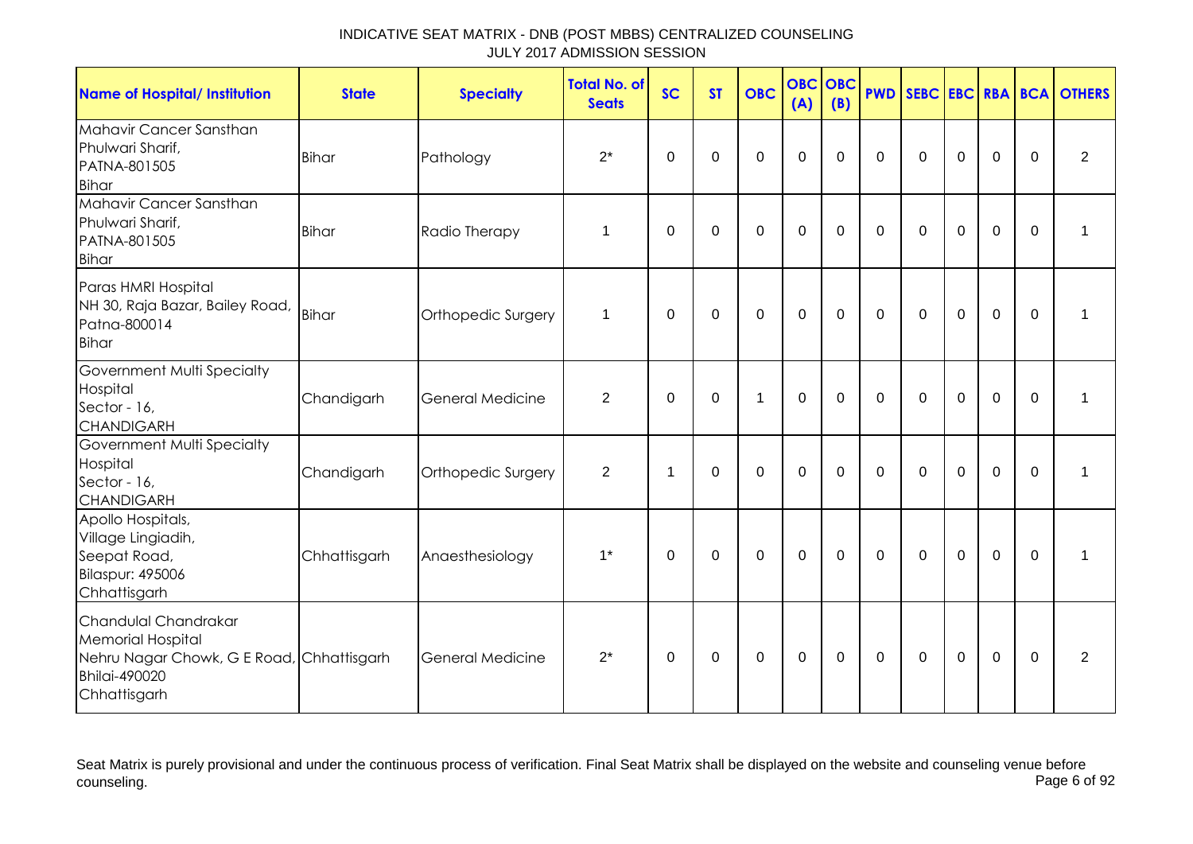| <b>Name of Hospital/ Institution</b>                                                                                                  | <b>State</b> | <b>Specialty</b>   | <b>Total No. of</b><br><b>Seats</b> | <b>SC</b> | <b>ST</b>   | <b>OBC</b>   | <b>OBC</b><br>(A) | OBC<br>(B)   | <b>PWD</b>   | SEBC EBC RBA BCA |             |             |             | <b>OTHERS</b>  |
|---------------------------------------------------------------------------------------------------------------------------------------|--------------|--------------------|-------------------------------------|-----------|-------------|--------------|-------------------|--------------|--------------|------------------|-------------|-------------|-------------|----------------|
| Mahavir Cancer Sansthan<br>Phulwari Sharif,<br>PATNA-801505<br><b>Bihar</b>                                                           | <b>Bihar</b> | Pathology          | $2^*$                               | 0         | 0           | $\Omega$     | $\mathbf 0$       | $\Omega$     | $\Omega$     | $\mathbf{0}$     | $\Omega$    | 0           | 0           | $\overline{2}$ |
| Mahavir Cancer Sansthan<br>Phulwari Sharif,<br>PATNA-801505<br><b>Bihar</b>                                                           | <b>Bihar</b> | Radio Therapy      | 1                                   | $\Omega$  | $\Omega$    | $\Omega$     | $\overline{0}$    | $\Omega$     | $\Omega$     | $\Omega$         | $\Omega$    | 0           | $\Omega$    | 1              |
| Paras HMRI Hospital<br>NH 30, Raja Bazar, Bailey Road, Bihar<br>Patna-800014<br><b>Bihar</b>                                          |              | Orthopedic Surgery | 1                                   | 0         | $\pmb{0}$   | $\mathbf 0$  | $\mathbf 0$       | $\Omega$     | $\mathbf 0$  | $\mathbf{0}$     | $\mathbf 0$ | $\mathbf 0$ | $\mathbf 0$ | 1              |
| Government Multi Specialty<br>Hospital<br>Sector - 16,<br><b>CHANDIGARH</b>                                                           | Chandigarh   | General Medicine   | $\overline{2}$                      | 0         | $\mathbf 0$ | $\mathbf{1}$ | $\mathbf 0$       | $\mathbf{0}$ | $\Omega$     | $\Omega$         | $\mathbf 0$ | $\mathbf 0$ | 0           | 1              |
| Government Multi Specialty<br>Hospital<br>Sector - 16,<br><b>CHANDIGARH</b>                                                           | Chandigarh   | Orthopedic Surgery | $\overline{2}$                      | 1         | $\Omega$    | $\Omega$     | $\mathbf 0$       | $\Omega$     | $\Omega$     | $\mathbf{0}$     | $\Omega$    | 0           | $\Omega$    | 1              |
| Apollo Hospitals,<br>Village Lingiadih,<br>Seepat Road,<br><b>Bilaspur: 495006</b><br>Chhattisgarh                                    | Chhattisgarh | Anaesthesiology    | $1^*$                               | 0         | $\mathbf 0$ | $\Omega$     | $\mathbf 0$       | $\Omega$     | $\Omega$     | $\Omega$         | $\mathbf 0$ | $\mathbf 0$ | $\Omega$    | 1              |
| Chandulal Chandrakar<br><b>Memorial Hospital</b><br>Nehru Nagar Chowk, G E Road, Chhattisgarh<br><b>Bhilai-490020</b><br>Chhattisgarh |              | General Medicine   | $2^*$                               | 0         | 0           | $\Omega$     | 0                 | $\Omega$     | $\mathbf{0}$ | $\mathbf{0}$     | $\Omega$    | 0           | $\Omega$    | $\overline{2}$ |

Seat Matrix is purely provisional and under the continuous process of verification. Final Seat Matrix shall be displayed on the website and counseling venue before<br>Page 6 of 92 counseling. Page 6 of 92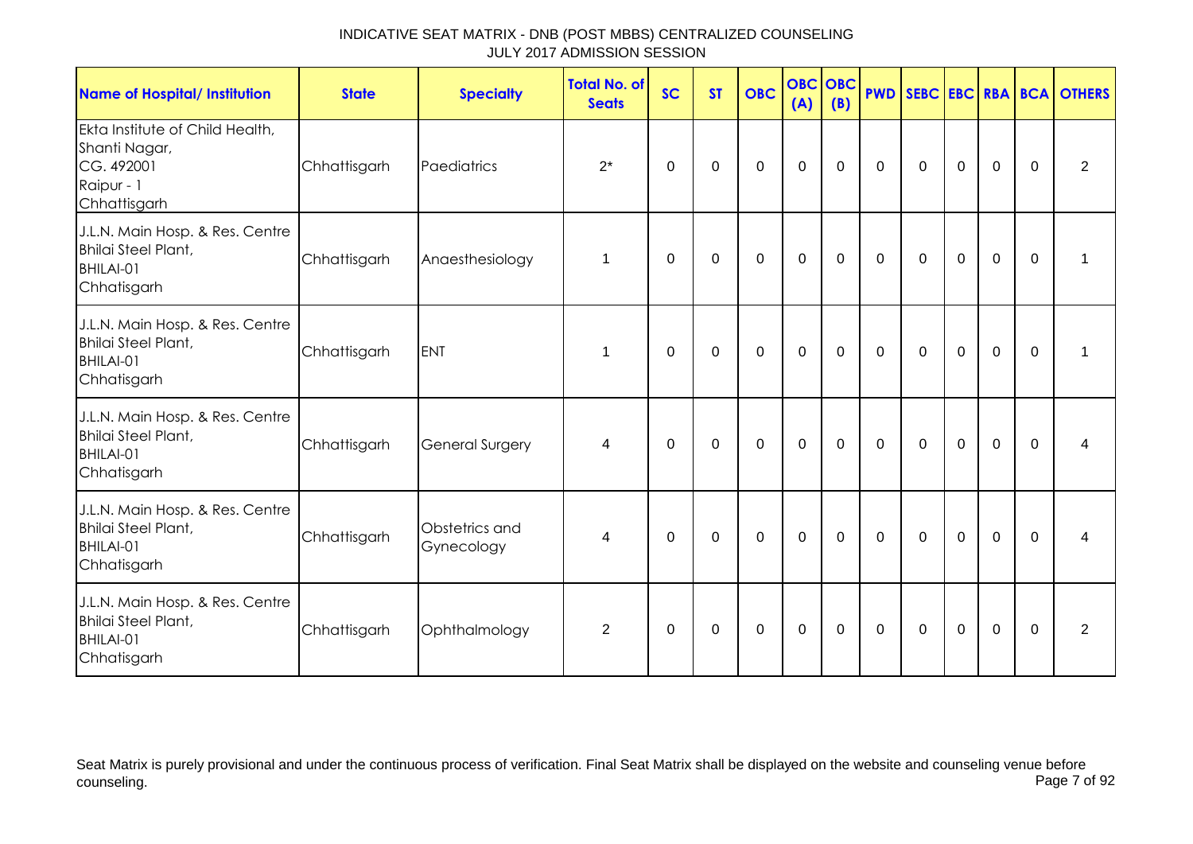| INDICATIVE SEAT MATRIX - DNB (POST MBBS) CENTRALIZED COUNSELING |  |
|-----------------------------------------------------------------|--|
| JULY 2017 ADMISSION SESSION                                     |  |

| <b>Name of Hospital/ Institution</b>                                                         | <b>State</b> | <b>Specialty</b>             | <b>Total No. of</b><br><b>Seats</b> | <b>SC</b>    | <b>ST</b>   | <b>OBC</b>  | <b>OBC</b> OBC<br>(A) | (B)         | <b>PWD</b>     |             |             |             |                | SEBC EBC RBA BCA OTHERS |
|----------------------------------------------------------------------------------------------|--------------|------------------------------|-------------------------------------|--------------|-------------|-------------|-----------------------|-------------|----------------|-------------|-------------|-------------|----------------|-------------------------|
| Ekta Institute of Child Health,<br>Shanti Nagar,<br>CG. 492001<br>Raipur - 1<br>Chhattisgarh | Chhattisgarh | Paediatrics                  | $2^*$                               | $\mathbf 0$  | $\mathbf 0$ | $\mathbf 0$ | $\mathbf 0$           | $\mathbf 0$ | $\overline{0}$ | $\mathbf 0$ | $\mathbf 0$ | $\mathbf 0$ | $\mathbf 0$    | $\overline{2}$          |
| J.L.N. Main Hosp. & Res. Centre<br><b>Bhilai Steel Plant,</b><br>BHILAI-01<br>Chhatisgarh    | Chhattisgarh | Anaesthesiology              | $\mathbf 1$                         | 0            | 0           | $\mathbf 0$ | $\mathbf 0$           | $\mathbf 0$ | $\mathbf 0$    | $\mathbf 0$ | $\mathbf 0$ | $\mathbf 0$ | $\mathbf 0$    | 1                       |
| J.L.N. Main Hosp. & Res. Centre<br><b>Bhilai Steel Plant,</b><br>BHILAI-01<br>Chhatisgarh    | Chhattisgarh | <b>ENT</b>                   | 1                                   | $\mathbf 0$  | 0           | $\mathbf 0$ | $\mathbf 0$           | $\mathbf 0$ | $\mathbf 0$    | $\mathbf 0$ | $\mathbf 0$ | $\mathbf 0$ | $\overline{0}$ | 1                       |
| J.L.N. Main Hosp. & Res. Centre<br><b>Bhilai Steel Plant,</b><br>BHILAI-01<br>Chhatisgarh    | Chhattisgarh | <b>General Surgery</b>       | 4                                   | $\Omega$     | $\Omega$    | $\Omega$    | $\mathbf 0$           | $\mathbf 0$ | $\mathbf{0}$   | $\Omega$    | $\Omega$    | $\Omega$    | $\Omega$       | 4                       |
| J.L.N. Main Hosp. & Res. Centre<br><b>Bhilai Steel Plant,</b><br>BHILAI-01<br>Chhatisgarh    | Chhattisgarh | Obstetrics and<br>Gynecology | $\overline{4}$                      | $\mathbf{0}$ | 0           | $\mathbf 0$ | $\mathbf 0$           | $\mathbf 0$ | $\Omega$       | $\mathbf 0$ | $\mathbf 0$ | $\Omega$    | $\Omega$       | 4                       |
| J.L.N. Main Hosp. & Res. Centre<br><b>Bhilai Steel Plant,</b><br>BHILAI-01<br>Chhatisgarh    | Chhattisgarh | Ophthalmology                | 2                                   | $\mathbf{0}$ | 0           | $\Omega$    | $\mathbf 0$           | $\mathbf 0$ | $\mathbf 0$    | $\mathbf 0$ | $\mathbf 0$ | $\Omega$    | $\mathbf 0$    | 2                       |

Seat Matrix is purely provisional and under the continuous process of verification. Final Seat Matrix shall be displayed on the website and counseling venue before counseling. Page 7 of 92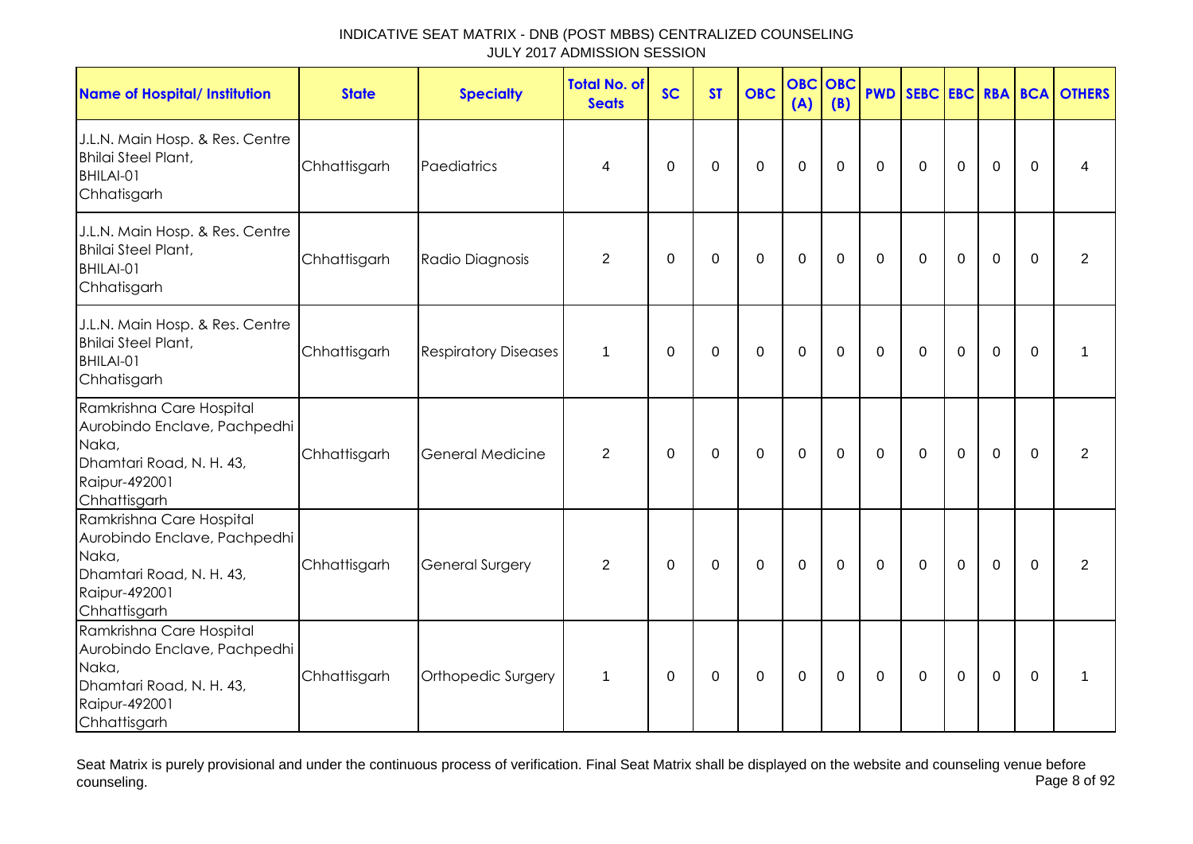| <b>Name of Hospital/ Institution</b>                                                                                           | <b>State</b> | <b>Specialty</b>            | <b>Total No. of</b><br><b>Seats</b> | <b>SC</b>    | <b>ST</b>   | <b>OBC</b>  | <b>OBC</b><br>(A) | <b>OBC</b><br>(B) |              |              |                |                |             | <b>PWD SEBC EBC RBA BCA OTHERS</b> |
|--------------------------------------------------------------------------------------------------------------------------------|--------------|-----------------------------|-------------------------------------|--------------|-------------|-------------|-------------------|-------------------|--------------|--------------|----------------|----------------|-------------|------------------------------------|
| J.L.N. Main Hosp. & Res. Centre<br><b>Bhilai Steel Plant,</b><br>BHILAI-01<br>Chhatisgarh                                      | Chhattisgarh | Paediatrics                 | 4                                   | $\Omega$     | $\mathbf 0$ | $\mathbf 0$ | $\mathbf 0$       | $\overline{0}$    | $\mathbf 0$  | $\mathbf 0$  | $\mathbf 0$    | $\overline{0}$ | $\Omega$    | 4                                  |
| J.L.N. Main Hosp. & Res. Centre<br><b>Bhilai Steel Plant,</b><br>BHILAI-01<br>Chhatisgarh                                      | Chhattisgarh | Radio Diagnosis             | $\overline{2}$                      | 0            | 0           | $\mathbf 0$ | $\mathbf 0$       | 0                 | $\mathbf 0$  | $\mathbf{0}$ | $\mathbf 0$    | $\overline{0}$ | $\Omega$    | $\overline{2}$                     |
| J.L.N. Main Hosp. & Res. Centre<br><b>Bhilai Steel Plant,</b><br>BHILAI-01<br>Chhatisgarh                                      | Chhattisgarh | <b>Respiratory Diseases</b> | $\mathbf 1$                         | 0            | 0           | $\mathbf 0$ | $\mathbf 0$       | $\mathbf 0$       | $\mathbf 0$  | $\mathbf 0$  | $\mathbf 0$    | $\mathbf 0$    | 0           | 1                                  |
| Ramkrishna Care Hospital<br>Aurobindo Enclave, Pachpedhi<br>Naka,<br>Dhamtari Road, N. H. 43,<br>Raipur-492001<br>Chhattisgarh | Chhattisgarh | <b>General Medicine</b>     | $\overline{2}$                      | $\mathbf 0$  | $\mathbf 0$ | $\mathsf 0$ | $\mathbf 0$       | $\mathbf 0$       | $\mathbf 0$  | $\mathbf 0$  | $\mathbf 0$    | $\mathbf 0$    | $\mathbf 0$ | 2                                  |
| Ramkrishna Care Hospital<br>Aurobindo Enclave, Pachpedhi<br>Naka,<br>Dhamtari Road, N. H. 43,<br>Raipur-492001<br>Chhattisgarh | Chhattisgarh | <b>General Surgery</b>      | $\overline{2}$                      | $\mathbf{0}$ | $\mathbf 0$ | $\mathbf 0$ | $\mathbf 0$       | $\mathbf 0$       | $\mathbf{0}$ | $\mathbf 0$  | $\overline{0}$ | $\mathbf 0$    | $\mathbf 0$ | $\overline{2}$                     |
| Ramkrishna Care Hospital<br>Aurobindo Enclave, Pachpedhi<br>Naka,<br>Dhamtari Road, N. H. 43,<br>Raipur-492001<br>Chhattisgarh | Chhattisgarh | Orthopedic Surgery          | $\mathbf 1$                         | 0            | 0           | $\mathbf 0$ | $\mathbf 0$       | 0                 | 0            | 0            | 0              | $\mathbf 0$    | $\Omega$    | 1                                  |

Seat Matrix is purely provisional and under the continuous process of verification. Final Seat Matrix shall be displayed on the website and counseling venue before<br>Page 8 of 92 counseling. Page 8 of 92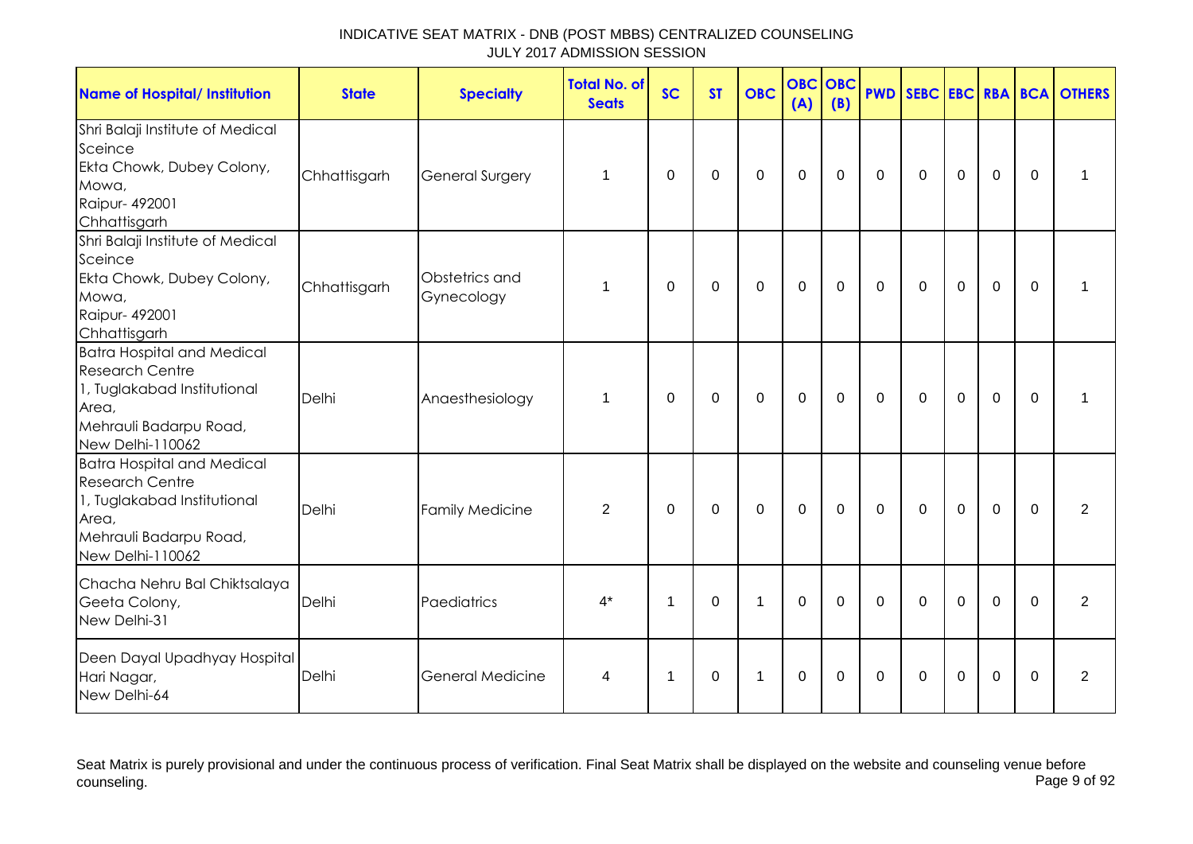| <b>Name of Hospital/ Institution</b>                                                                                                              | <b>State</b> | <b>Specialty</b>             | <b>Total No. of</b><br><b>Seats</b> | <b>SC</b>   | <b>ST</b>   | <b>OBC</b>   | <b>OBC</b><br>(A) | <b>OBC</b><br>(B) |             |             |             |             |              | <b>PWD SEBC EBC RBA BCA OTHERS</b> |
|---------------------------------------------------------------------------------------------------------------------------------------------------|--------------|------------------------------|-------------------------------------|-------------|-------------|--------------|-------------------|-------------------|-------------|-------------|-------------|-------------|--------------|------------------------------------|
| Shri Balaji Institute of Medical<br>Sceince<br>Ekta Chowk, Dubey Colony,<br>Mowa,<br>Raipur- 492001<br>Chhattisgarh                               | Chhattisgarh | <b>General Surgery</b>       | 1                                   | $\Omega$    | 0           | $\mathbf 0$  | $\mathbf 0$       | $\mathbf 0$       | $\mathbf 0$ | $\mathbf 0$ | $\mathbf 0$ | $\mathbf 0$ | $\Omega$     | $\mathbf 1$                        |
| Shri Balaji Institute of Medical<br>Sceince<br>Ekta Chowk, Dubey Colony,<br>Mowa,<br>Raipur- 492001<br>Chhattisgarh                               | Chhattisgarh | Obstetrics and<br>Gynecology | $\mathbf 1$                         | $\mathbf 0$ | $\mathbf 0$ | $\mathbf 0$  | $\mathbf 0$       | $\mathbf 0$       | $\mathbf 0$ | $\mathbf 0$ | $\mathbf 0$ | $\mathbf 0$ | $\mathbf 0$  | 1                                  |
| <b>Batra Hospital and Medical</b><br><b>Research Centre</b><br>1, Tuglakabad Institutional<br>Area,<br>Mehrauli Badarpu Road,<br>New Delhi-110062 | Delhi        | Anaesthesiology              | 1                                   | 0           | 0           | $\mathbf 0$  | $\mathbf 0$       | 0                 | $\mathbf 0$ | $\mathbf 0$ | $\mathbf 0$ | $\mathbf 0$ | $\mathbf{0}$ | 1                                  |
| <b>Batra Hospital and Medical</b><br><b>Research Centre</b><br>1, Tuglakabad Institutional<br>Area,<br>Mehrauli Badarpu Road,<br>New Delhi-110062 | Delhi        | <b>Family Medicine</b>       | $\overline{2}$                      | $\Omega$    | $\mathbf 0$ | $\mathbf 0$  | $\mathbf{0}$      | $\mathbf 0$       | $\mathbf 0$ | $\mathbf 0$ | $\mathbf 0$ | $\mathbf 0$ | $\Omega$     | 2                                  |
| Chacha Nehru Bal Chiktsalaya<br>Geeta Colony,<br>New Delhi-31                                                                                     | Delhi        | Paediatrics                  | $4^*$                               | -1          | $\Omega$    | $\mathbf{1}$ | $\mathbf 0$       | $\mathbf 0$       | $\Omega$    | $\Omega$    | $\Omega$    | $\mathbf 0$ | $\Omega$     | 2                                  |
| Deen Dayal Upadhyay Hospital<br>Hari Nagar,<br>New Delhi-64                                                                                       | Delhi        | <b>General Medicine</b>      | 4                                   | $\mathbf 1$ | 0           | $\mathbf{1}$ | $\mathbf 0$       | $\Omega$          | 0           | $\Omega$    | $\mathbf 0$ | $\mathbf 0$ | $\Omega$     | $\overline{2}$                     |

Seat Matrix is purely provisional and under the continuous process of verification. Final Seat Matrix shall be displayed on the website and counseling venue before<br>Page 9 of 92 counseling. Page 9 of 92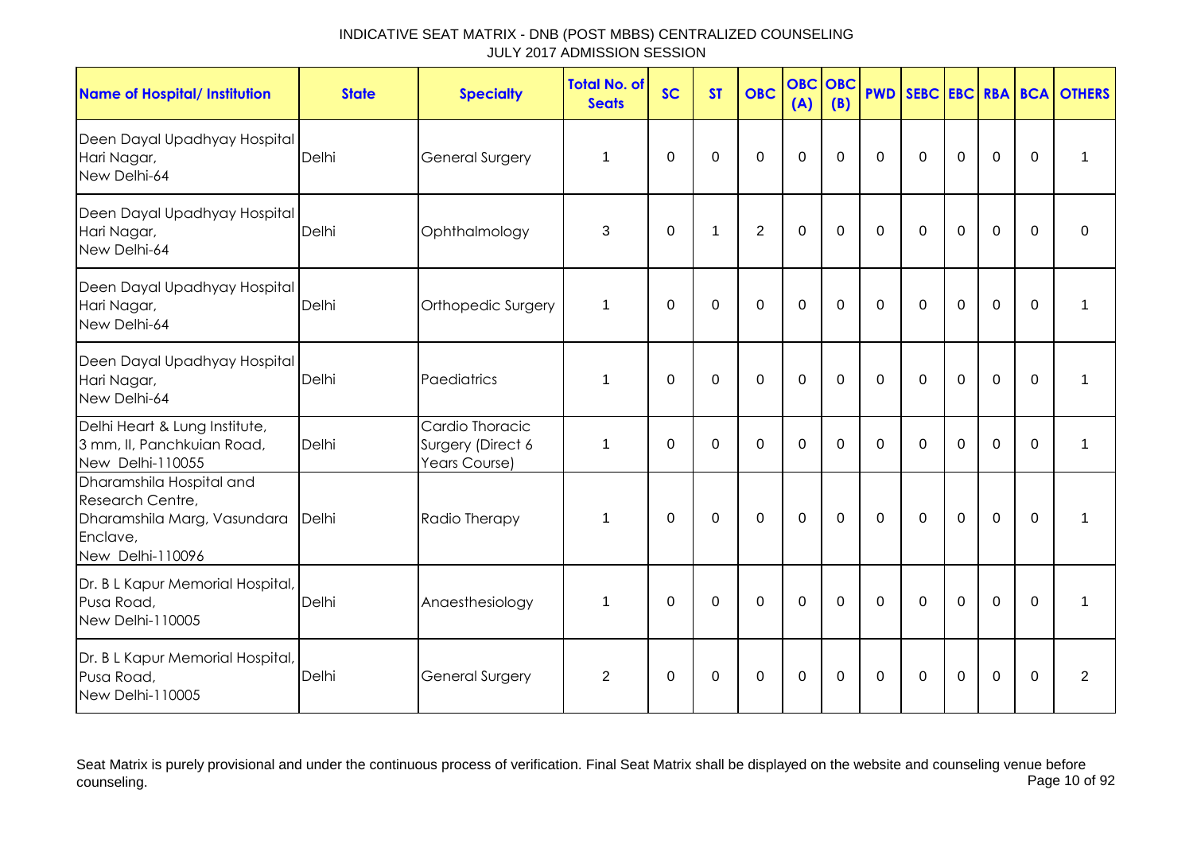| <b>Name of Hospital/ Institution</b>                                                                        | <b>State</b> | <b>Specialty</b>                                      | <b>Total No. of</b><br><b>Seats</b> | <b>SC</b>   | <b>ST</b>    | <b>OBC</b>     | <b>OBC</b><br>(A) | OBC<br>(B)   | <b>PWD</b>  |             |             |             |             | SEBC EBC RBA BCA OTHERS |
|-------------------------------------------------------------------------------------------------------------|--------------|-------------------------------------------------------|-------------------------------------|-------------|--------------|----------------|-------------------|--------------|-------------|-------------|-------------|-------------|-------------|-------------------------|
| Deen Dayal Upadhyay Hospital<br>Hari Nagar,<br>New Delhi-64                                                 | Delhi        | <b>General Surgery</b>                                | 1                                   | $\mathbf 0$ | 0            | $\mathbf 0$    | $\overline{0}$    | $\Omega$     | $\mathbf 0$ | $\mathbf 0$ | $\mathbf 0$ | $\mathbf 0$ | 0           | 1                       |
| Deen Dayal Upadhyay Hospital<br>Hari Nagar,<br>New Delhi-64                                                 | Delhi        | Ophthalmology                                         | 3                                   | $\mathbf 0$ | $\mathbf{1}$ | $\overline{2}$ | $\overline{0}$    | $\Omega$     | $\mathbf 0$ | $\mathbf 0$ | $\Omega$    | $\mathbf 0$ | $\Omega$    | $\Omega$                |
| Deen Dayal Upadhyay Hospital<br>Hari Nagar,<br>New Delhi-64                                                 | Delhi        | Orthopedic Surgery                                    | 1                                   | $\mathbf 0$ | $\mathbf 0$  | $\mathbf 0$    | $\mathbf 0$       | $\mathbf 0$  | $\mathbf 0$ | $\mathbf 0$ | $\mathbf 0$ | $\mathbf 0$ | $\mathbf 0$ | 1                       |
| Deen Dayal Upadhyay Hospital<br>Hari Nagar,<br>New Delhi-64                                                 | Delhi        | Paediatrics                                           | 1                                   | 0           | $\mathbf 0$  | $\mathbf 0$    | $\mathbf 0$       | $\Omega$     | $\mathbf 0$ | $\Omega$    | $\Omega$    | $\mathbf 0$ | $\Omega$    | 1                       |
| Delhi Heart & Lung Institute,<br>3 mm, II, Panchkuian Road,<br>New Delhi-110055                             | Delhi        | Cardio Thoracic<br>Surgery (Direct 6<br>Years Course) | 1                                   | $\mathbf 0$ | $\mathbf 0$  | $\overline{0}$ | $\mathbf 0$       | $\mathbf 0$  | $\mathbf 0$ | $\mathbf 0$ | $\mathbf 0$ | $\mathbf 0$ | $\Omega$    | 1                       |
| Dharamshila Hospital and<br>Research Centre,<br>Dharamshila Marg, Vasundara<br>Enclave,<br>New Delhi-110096 | Delhi        | Radio Therapy                                         | 1                                   | 0           | $\mathbf 0$  | $\Omega$       | $\mathbf 0$       | $\mathbf{0}$ | $\Omega$    | $\Omega$    | $\mathbf 0$ | $\mathbf 0$ | $\mathbf 0$ | 1                       |
| Dr. B L Kapur Memorial Hospital,<br>Pusa Road,<br>New Delhi-110005                                          | Delhi        | Anaesthesiology                                       | 1                                   | $\Omega$    | $\mathbf 0$  | $\Omega$       | $\Omega$          | $\Omega$     | $\Omega$    | $\Omega$    | $\Omega$    | $\mathbf 0$ | $\mathbf 0$ | 1                       |
| Dr. B L Kapur Memorial Hospital,<br>Pusa Road,<br>New Delhi-110005                                          | Delhi        | General Surgery                                       | $\overline{2}$                      | $\mathbf 0$ | $\mathbf 0$  | $\Omega$       | $\mathbf 0$       | $\Omega$     | $\mathbf 0$ | $\mathbf 0$ | $\mathbf 0$ | $\mathbf 0$ | $\mathbf 0$ | $\overline{2}$          |

Seat Matrix is purely provisional and under the continuous process of verification. Final Seat Matrix shall be displayed on the website and counseling venue before<br>Page 10 of 92 counseling. Page 10 of 92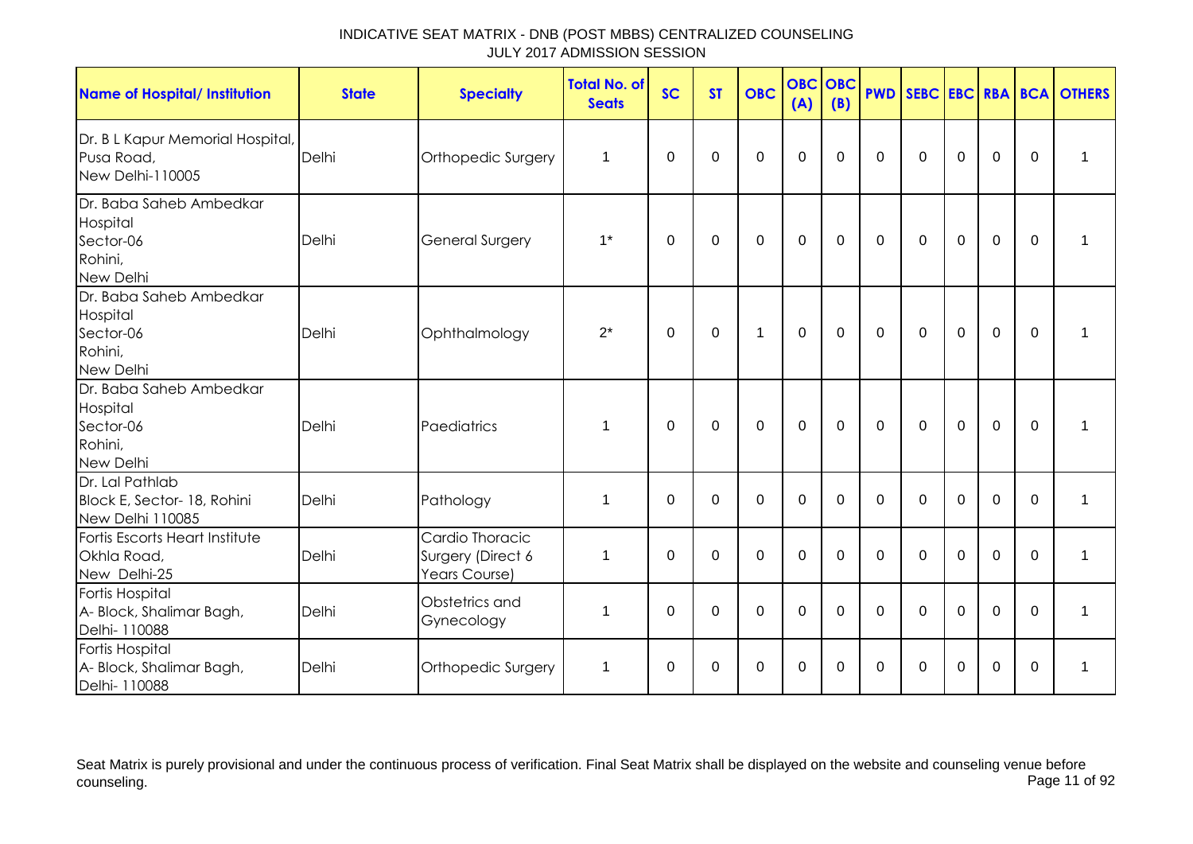| <b>Name of Hospital/ Institution</b>                                     | <b>State</b> | <b>Specialty</b>                                      | <b>Total No. of</b><br><b>Seats</b> | <b>SC</b>   | <b>ST</b> | <b>OBC</b>   | <b>OBC OBC</b><br>(A) | (B)         | <b>PWD</b> |             |             |             |              | SEBC EBC RBA BCA OTHERS |
|--------------------------------------------------------------------------|--------------|-------------------------------------------------------|-------------------------------------|-------------|-----------|--------------|-----------------------|-------------|------------|-------------|-------------|-------------|--------------|-------------------------|
| Dr. B L Kapur Memorial Hospital,<br>Pusa Road,<br>New Delhi-110005       | Delhi        | Orthopedic Surgery                                    | 1                                   | $\Omega$    | $\Omega$  | $\mathbf 0$  | $\mathbf 0$           | $\Omega$    | $\Omega$   | $\Omega$    | $\Omega$    | $\mathbf 0$ | $\Omega$     | $\mathbf 1$             |
| Dr. Baba Saheb Ambedkar<br>Hospital<br>Sector-06<br>Rohini,<br>New Delhi | Delhi        | General Surgery                                       | $1^*$                               | $\Omega$    | 0         | $\mathbf 0$  | $\mathbf 0$           | $\mathbf 0$ | $\Omega$   | $\mathbf 0$ | $\mathbf 0$ | $\mathbf 0$ | $\mathbf 0$  | $\mathbf 1$             |
| Dr. Baba Saheb Ambedkar<br>Hospital<br>Sector-06<br>Rohini,<br>New Delhi | Delhi        | Ophthalmology                                         | $2^*$                               | 0           | 0         | $\mathbf{1}$ | $\mathbf 0$           | $\Omega$    | $\Omega$   | 0           | 0           | $\mathbf 0$ | $\mathbf{0}$ | $\mathbf 1$             |
| Dr. Baba Saheb Ambedkar<br>Hospital<br>Sector-06<br>Rohini,<br>New Delhi | Delhi        | Paediatrics                                           | 1                                   | 0           | 0         | $\mathbf 0$  | $\mathbf 0$           | $\mathbf 0$ | $\Omega$   | $\mathbf 0$ | $\mathbf 0$ | $\mathbf 0$ | $\mathbf 0$  | 1                       |
| Dr. Lal Pathlab<br>Block E, Sector- 18, Rohini<br>New Delhi 110085       | Delhi        | Pathology                                             | $\mathbf 1$                         | $\mathbf 0$ | $\Omega$  | $\mathbf 0$  | $\mathbf 0$           | $\Omega$    | $\Omega$   | $\mathbf 0$ | $\mathbf 0$ | $\mathbf 0$ | $\Omega$     | $\mathbf 1$             |
| Fortis Escorts Heart Institute<br>Okhla Road,<br>New Delhi-25            | Delhi        | Cardio Thoracic<br>Surgery (Direct 6<br>Years Course) | $\mathbf 1$                         | $\Omega$    | $\Omega$  | $\mathbf 0$  | $\mathbf 0$           | $\Omega$    | $\Omega$   | $\Omega$    | $\Omega$    | 0           | $\Omega$     | 1                       |
| <b>Fortis Hospital</b><br>A- Block, Shalimar Bagh,<br>Delhi- 110088      | Delhi        | Obstetrics and<br>Gynecology                          | 1                                   | $\Omega$    | 0         | $\mathbf 0$  | $\mathbf 0$           | $\Omega$    | $\Omega$   | $\Omega$    | $\Omega$    | $\Omega$    | $\Omega$     | 1                       |
| <b>Fortis Hospital</b><br>A- Block, Shalimar Bagh,<br>Delhi- 110088      | Delhi        | Orthopedic Surgery                                    | 1                                   | 0           | 0         | 0            | 0                     | 0           | $\Omega$   | 0           | 0           | 0           | 0            | 1                       |

Seat Matrix is purely provisional and under the continuous process of verification. Final Seat Matrix shall be displayed on the website and counseling venue before<br>Page 11 of 92 counseling. Page 11 of 92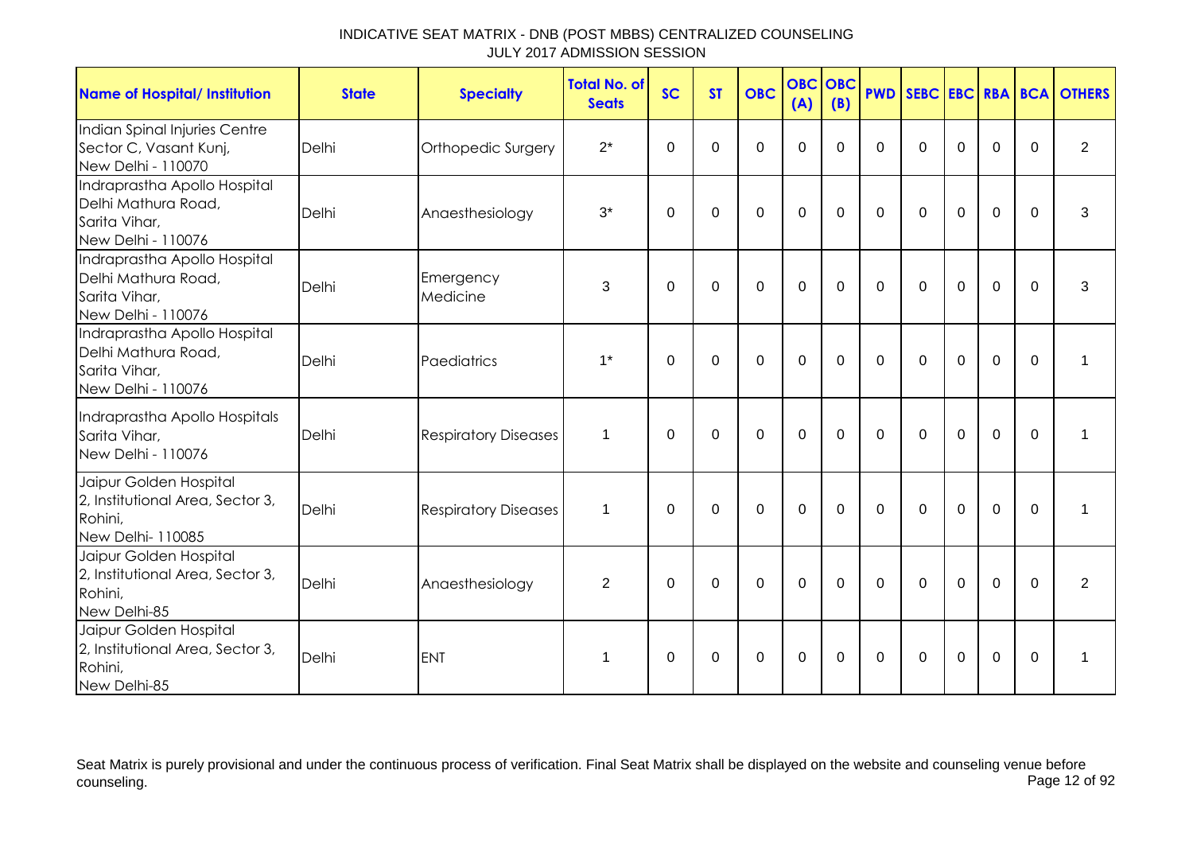| <b>Name of Hospital/ Institution</b>                                                       | <b>State</b> | <b>Specialty</b>            | <b>Total No. of</b><br><b>Seats</b> | <b>SC</b>   | <b>ST</b>   | <b>OBC</b>  | <b>OBC</b><br>(A) | OBC<br>(B)     | <b>PWD</b>  |             |                |                |          | SEBC EBC RBA BCA OTHERS |
|--------------------------------------------------------------------------------------------|--------------|-----------------------------|-------------------------------------|-------------|-------------|-------------|-------------------|----------------|-------------|-------------|----------------|----------------|----------|-------------------------|
| Indian Spinal Injuries Centre<br>Sector C, Vasant Kunj,<br>New Delhi - 110070              | Delhi        | Orthopedic Surgery          | $2^*$                               | $\mathbf 0$ | $\Omega$    | 0           | $\mathbf 0$       | $\Omega$       | $\Omega$    | $\Omega$    | $\Omega$       | $\overline{0}$ | $\Omega$ | $\overline{2}$          |
| Indraprastha Apollo Hospital<br>Delhi Mathura Road,<br>Sarita Vihar,<br>New Delhi - 110076 | Delhi        | Anaesthesiology             | $3^*$                               | 0           | $\Omega$    | $\mathbf 0$ | $\mathbf 0$       | $\Omega$       | $\Omega$    | $\Omega$    | $\mathbf 0$    | $\overline{0}$ | $\Omega$ | 3                       |
| Indraprastha Apollo Hospital<br>Delhi Mathura Road,<br>Sarita Vihar,<br>New Delhi - 110076 | Delhi        | Emergency<br>Medicine       | 3                                   | $\Omega$    | $\mathbf 0$ | $\mathbf 0$ | $\mathbf 0$       | $\mathbf 0$    | $\Omega$    | $\mathbf 0$ | $\overline{0}$ | $\overline{0}$ | $\Omega$ | 3                       |
| Indraprastha Apollo Hospital<br>Delhi Mathura Road,<br>Sarita Vihar,<br>New Delhi - 110076 | Delhi        | Paediatrics                 | $1^*$                               | $\Omega$    | $\mathbf 0$ | $\mathbf 0$ | $\mathbf 0$       | $\overline{0}$ | $\Omega$    | $\Omega$    | $\Omega$       | $\overline{0}$ | $\Omega$ |                         |
| Indraprastha Apollo Hospitals<br>Sarita Vihar,<br>New Delhi - 110076                       | Delhi        | <b>Respiratory Diseases</b> | $\mathbf 1$                         | $\Omega$    | $\Omega$    | $\mathbf 0$ | $\mathbf 0$       | $\Omega$       | $\Omega$    | $\Omega$    | $\Omega$       | $\mathbf 0$    | $\Omega$ | 1                       |
| Jaipur Golden Hospital<br>2, Institutional Area, Sector 3,<br>Rohini,<br>New Delhi- 110085 | Delhi        | <b>Respiratory Diseases</b> | $\mathbf 1$                         | $\Omega$    | $\mathbf 0$ | $\mathbf 0$ | $\mathbf 0$       | $\Omega$       | $\Omega$    | $\Omega$    | $\Omega$       | $\Omega$       | $\Omega$ | $\mathbf 1$             |
| Jaipur Golden Hospital<br>2, Institutional Area, Sector 3,<br>Rohini,<br>New Delhi-85      | Delhi        | Anaesthesiology             | $\overline{2}$                      | 0           | 0           | $\mathbf 0$ | $\mathbf 0$       | 0              | $\mathbf 0$ | 0           | $\mathbf 0$    | $\mathbf 0$    | $\Omega$ | $\overline{2}$          |
| Jaipur Golden Hospital<br>2, Institutional Area, Sector 3,<br>Rohini,<br>New Delhi-85      | Delhi        | <b>ENT</b>                  | 1                                   | $\Omega$    | $\mathbf 0$ | $\mathbf 0$ | $\mathbf 0$       | $\Omega$       | $\Omega$    | $\Omega$    | $\mathbf 0$    | $\overline{0}$ | $\Omega$ | 1                       |

Seat Matrix is purely provisional and under the continuous process of verification. Final Seat Matrix shall be displayed on the website and counseling venue before<br>Page 12 of 92 counseling. Page 12 of 92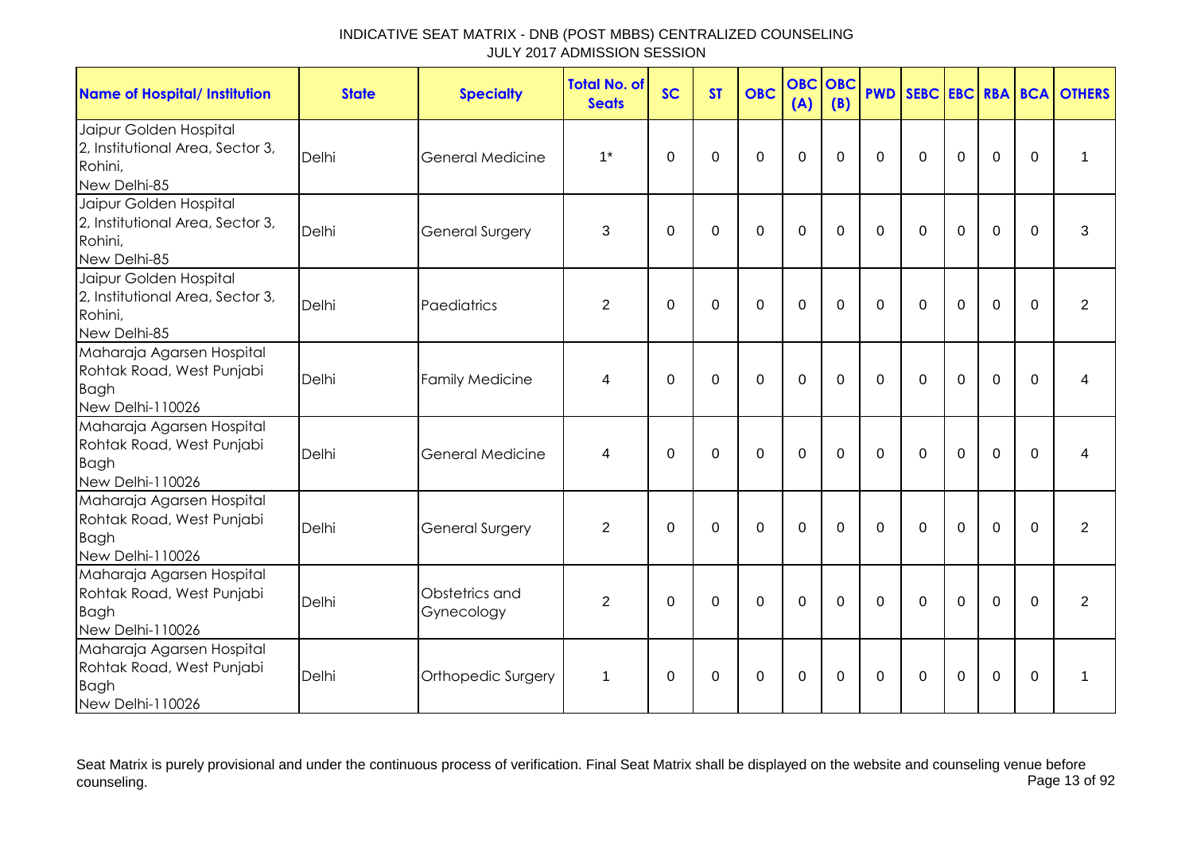| <b>Name of Hospital/ Institution</b>                                                      | <b>State</b> | <b>Specialty</b>             | <b>Total No. of</b><br><b>Seats</b> | <b>SC</b>      | <b>ST</b>   | <b>OBC</b>  | <b>OBC</b><br>(A) | <b>OBC</b><br>(B) | <b>PWD</b>   | SEBC EBC RBA BCA |             |             |             | <b>OTHERS</b>  |
|-------------------------------------------------------------------------------------------|--------------|------------------------------|-------------------------------------|----------------|-------------|-------------|-------------------|-------------------|--------------|------------------|-------------|-------------|-------------|----------------|
| Jaipur Golden Hospital<br>2, Institutional Area, Sector 3,<br>Rohini,<br>New Delhi-85     | Delhi        | General Medicine             | $1*$                                | $\mathbf 0$    | 0           | $\mathbf 0$ | $\mathbf 0$       | $\Omega$          | $\Omega$     | $\mathbf 0$      | $\mathbf 0$ | $\mathbf 0$ | 0           | 1              |
| Jaipur Golden Hospital<br>2, Institutional Area, Sector 3,<br>Rohini,<br>New Delhi-85     | Delhi        | <b>General Surgery</b>       | 3                                   | $\mathbf 0$    | $\mathbf 0$ | $\mathbf 0$ | $\mathbf 0$       | $\Omega$          | $\Omega$     | $\Omega$         | $\mathbf 0$ | $\mathbf 0$ | $\mathbf 0$ | 3              |
| Jaipur Golden Hospital<br>2, Institutional Area, Sector 3,<br>Rohini,<br>New Delhi-85     | Delhi        | Paediatrics                  | $\overline{2}$                      | $\overline{0}$ | $\mathbf 0$ | $\mathbf 0$ | $\mathbf 0$       | $\Omega$          | $\Omega$     | $\mathbf 0$      | $\mathbf 0$ | $\mathbf 0$ | $\Omega$    | $\overline{2}$ |
| Maharaja Agarsen Hospital<br>Rohtak Road, West Punjabi<br><b>Bagh</b><br>New Delhi-110026 | Delhi        | <b>Family Medicine</b>       | 4                                   | $\Omega$       | $\Omega$    | $\mathbf 0$ | $\mathbf 0$       | $\Omega$          | $\Omega$     | $\Omega$         | $\Omega$    | $\mathbf 0$ | $\Omega$    | 4              |
| Maharaja Agarsen Hospital<br>Rohtak Road, West Punjabi<br><b>Bagh</b><br>New Delhi-110026 | Delhi        | General Medicine             | 4                                   | 0              | $\mathbf 0$ | $\mathbf 0$ | $\overline{0}$    | $\Omega$          | $\Omega$     | $\Omega$         | $\mathbf 0$ | $\mathbf 0$ | $\Omega$    | 4              |
| Maharaja Agarsen Hospital<br>Rohtak Road, West Punjabi<br><b>Bagh</b><br>New Delhi-110026 | Delhi        | <b>General Surgery</b>       | $\overline{2}$                      | 0              | $\Omega$    | $\mathbf 0$ | $\mathbf 0$       | $\Omega$          | $\Omega$     | $\Omega$         | $\Omega$    | $\mathbf 0$ | $\Omega$    | $\overline{2}$ |
| Maharaja Agarsen Hospital<br>Rohtak Road, West Punjabi<br><b>Bagh</b><br>New Delhi-110026 | Delhi        | Obstetrics and<br>Gynecology | $\overline{2}$                      | $\mathbf 0$    | $\mathbf 0$ | $\mathbf 0$ | $\overline{0}$    | $\Omega$          | $\Omega$     | $\Omega$         | $\Omega$    | $\mathbf 0$ | $\Omega$    | $\overline{2}$ |
| Maharaja Agarsen Hospital<br>Rohtak Road, West Punjabi<br><b>Bagh</b><br>New Delhi-110026 | Delhi        | Orthopedic Surgery           | 1                                   | 0              | 0           | $\Omega$    | $\mathbf 0$       | $\Omega$          | $\mathbf{0}$ | $\Omega$         | $\Omega$    | 0           | 0           | 1              |

Seat Matrix is purely provisional and under the continuous process of verification. Final Seat Matrix shall be displayed on the website and counseling venue before<br>Page 13 of 92 counseling. Page 13 of 92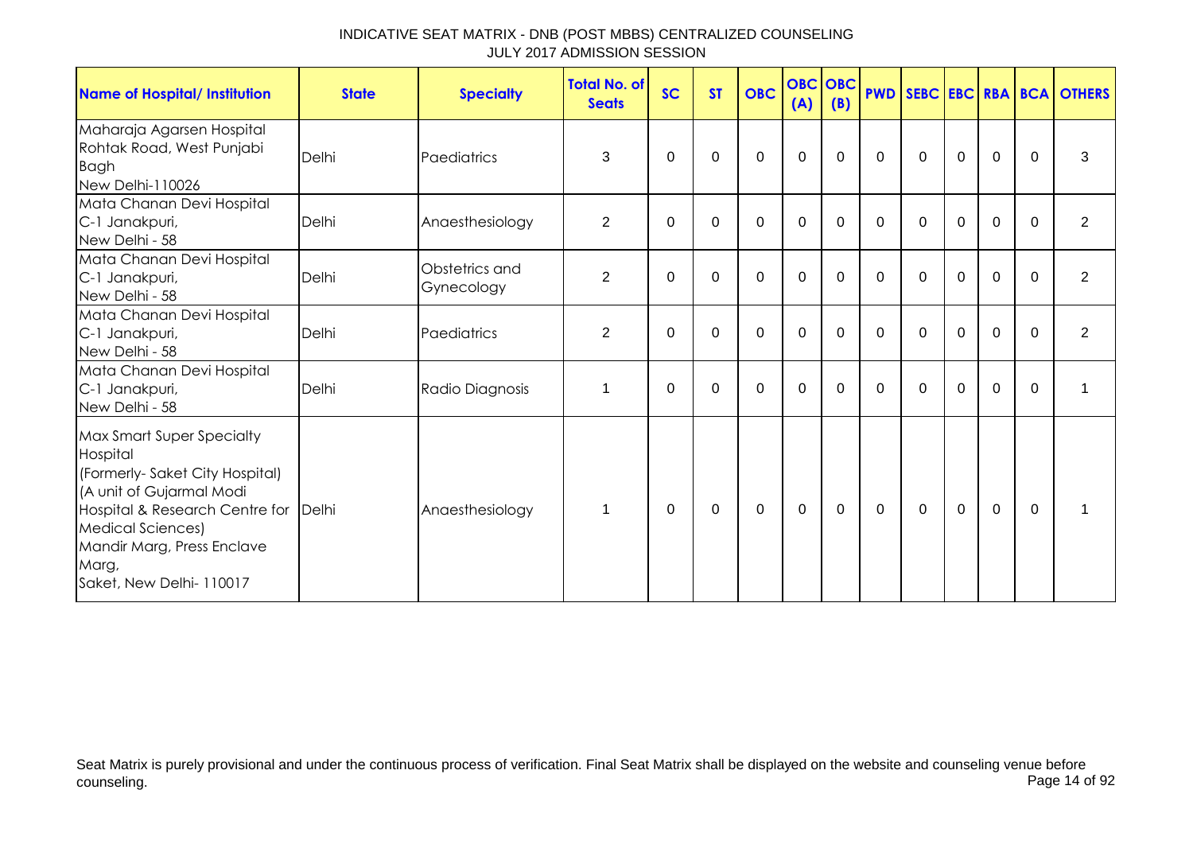| <b>Name of Hospital/ Institution</b>                                                                                                                                                                                                             | <b>State</b> | <b>Specialty</b>             | <b>Total No. of</b><br><b>Seats</b> | <b>SC</b> | <b>ST</b> | <b>OBC</b> | <b>OBC OBC</b><br>(A) | (B)      |          |              |             |                |              | <b>PWD SEBC EBC RBA BCA OTHERS</b> |
|--------------------------------------------------------------------------------------------------------------------------------------------------------------------------------------------------------------------------------------------------|--------------|------------------------------|-------------------------------------|-----------|-----------|------------|-----------------------|----------|----------|--------------|-------------|----------------|--------------|------------------------------------|
| Maharaja Agarsen Hospital<br>Rohtak Road, West Punjabi<br><b>Bagh</b><br>New Delhi-110026                                                                                                                                                        | Delhi        | Paediatrics                  | 3                                   | $\Omega$  | 0         | $\Omega$   | 0                     | $\Omega$ | $\Omega$ | $\Omega$     | $\Omega$    | $\Omega$       | $\mathbf{0}$ | 3                                  |
| Mata Chanan Devi Hospital<br>C-1 Janakpuri,<br>New Delhi - 58                                                                                                                                                                                    | Delhi        | Anaesthesiology              | $\overline{2}$                      | $\Omega$  | $\Omega$  | $\Omega$   | 0                     | $\Omega$ | $\Omega$ | $\Omega$     | $\Omega$    | $\Omega$       | $\Omega$     | 2                                  |
| Mata Chanan Devi Hospital<br>C-1 Janakpuri,<br>New Delhi - 58                                                                                                                                                                                    | Delhi        | Obstetrics and<br>Gynecology | $\overline{2}$                      | $\Omega$  | $\Omega$  | $\Omega$   | $\Omega$              | 0        | $\Omega$ | $\Omega$     | $\Omega$    | $\Omega$       | $\Omega$     | $\overline{2}$                     |
| Mata Chanan Devi Hospital<br>C-1 Janakpuri,<br>New Delhi - 58                                                                                                                                                                                    | Delhi        | Paediatrics                  | $\overline{2}$                      | $\Omega$  | 0         | $\Omega$   | $\mathbf 0$           | $\Omega$ | $\Omega$ | $\Omega$     | $\Omega$    | $\mathbf 0$    | $\Omega$     | $\overline{2}$                     |
| Mata Chanan Devi Hospital<br>C-1 Janakpuri,<br>New Delhi - 58                                                                                                                                                                                    | Delhi        | Radio Diagnosis              | 1                                   | $\Omega$  | 0         | $\Omega$   | $\mathbf 0$           | $\Omega$ | $\Omega$ | $\Omega$     | $\Omega$    | $\overline{0}$ | $\Omega$     | 1                                  |
| <b>Max Smart Super Specialty</b><br>Hospital<br>(Formerly-Saket City Hospital)<br>(A unit of Gujarmal Modi<br>Hospital & Research Centre for Delhi<br><b>Medical Sciences)</b><br>Mandir Marg, Press Enclave<br>Marg,<br>Saket, New Delhi-110017 |              | Anaesthesiology              | 1                                   | $\Omega$  | $\Omega$  | $\Omega$   | $\Omega$              | $\Omega$ | 0        | $\mathbf{0}$ | $\mathbf 0$ | $\mathbf 0$    | $\Omega$     |                                    |

Seat Matrix is purely provisional and under the continuous process of verification. Final Seat Matrix shall be displayed on the website and counseling venue before<br>Page 14 of 92 counseling. Page 14 of 92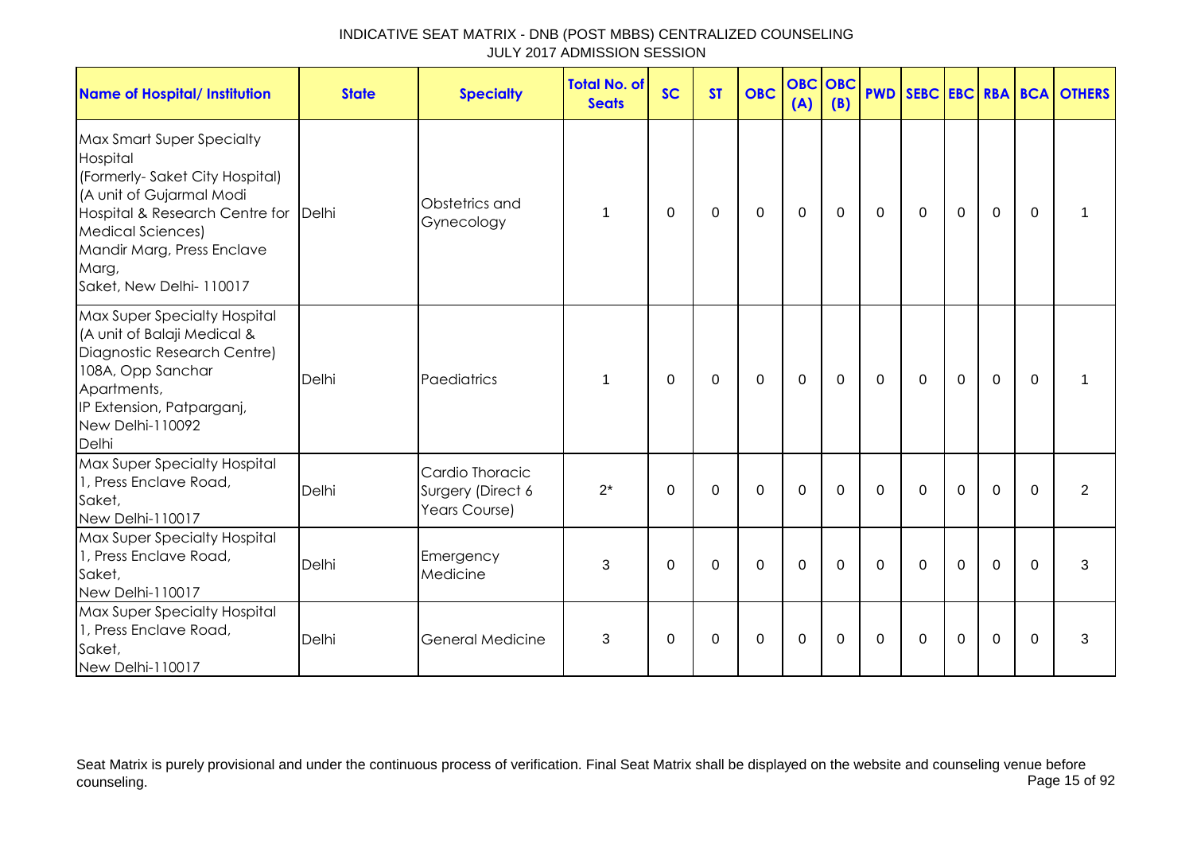| INDICATIVE SEAT MATRIX - DNB (POST MBBS) CENTRALIZED COUNSELING |
|-----------------------------------------------------------------|
| JULY 2017 ADMISSION SESSION                                     |

| <b>Name of Hospital/ Institution</b>                                                                                                                                                                                                      | <b>State</b> | <b>Specialty</b>                                      | <b>Total No. of</b><br><b>Seats</b> | <b>SC</b>   | <b>ST</b>   | <b>OBC</b>   | <b>OBC OBC</b><br>(A) | (B)         |             |             |             |                |             | <b>PWD SEBC EBC RBA BCA OTHERS</b> |
|-------------------------------------------------------------------------------------------------------------------------------------------------------------------------------------------------------------------------------------------|--------------|-------------------------------------------------------|-------------------------------------|-------------|-------------|--------------|-----------------------|-------------|-------------|-------------|-------------|----------------|-------------|------------------------------------|
| Max Smart Super Specialty<br>Hospital<br>(Formerly-Saket City Hospital)<br>(A unit of Gujarmal Modi<br>Hospital & Research Centre for Delhi<br><b>Medical Sciences)</b><br>Mandir Marg, Press Enclave<br>Marg,<br>Saket, New Delhi-110017 |              | Obstetrics and<br>Gynecology                          | 1                                   | $\Omega$    | 0           | $\mathbf 0$  | $\mathbf 0$           | 0           | $\mathbf 0$ | $\mathbf 0$ | $\mathbf 0$ | $\mathbf 0$    | $\Omega$    |                                    |
| Max Super Specialty Hospital<br>(A unit of Balaji Medical &<br>Diagnostic Research Centre)<br>108A, Opp Sanchar<br>Apartments,<br>IP Extension, Patparganj,<br>New Delhi-110092<br>Delhi                                                  | Delhi        | Paediatrics                                           | 1                                   | $\Omega$    | $\mathbf 0$ | $\mathbf{0}$ | $\mathbf{0}$          | $\mathbf 0$ | $\Omega$    | $\Omega$    | $\mathbf 0$ | $\overline{0}$ | $\Omega$    |                                    |
| Max Super Specialty Hospital<br>1, Press Enclave Road,<br>Saket,<br>New Delhi-110017                                                                                                                                                      | Delhi        | Cardio Thoracic<br>Surgery (Direct 6<br>Years Course) | $2^*$                               | $\mathbf 0$ | $\mathbf 0$ | $\mathbf 0$  | $\mathbf{0}$          | $\mathbf 0$ | $\mathbf 0$ | $\mathbf 0$ | $\mathbf 0$ | $\mathbf 0$    | $\mathbf 0$ | $\overline{2}$                     |
| Max Super Specialty Hospital<br>1, Press Enclave Road,<br>Saket,<br>New Delhi-110017                                                                                                                                                      | Delhi        | Emergency<br>Medicine                                 | 3                                   | $\Omega$    | $\Omega$    | $\Omega$     | $\Omega$              | $\Omega$    | $\Omega$    | $\Omega$    | $\Omega$    | $\Omega$       | $\Omega$    | 3                                  |
| Max Super Specialty Hospital<br>1, Press Enclave Road,<br>Saket,<br>New Delhi-110017                                                                                                                                                      | Delhi        | <b>General Medicine</b>                               | 3                                   | $\Omega$    | $\Omega$    | $\mathbf 0$  | $\mathbf 0$           | $\Omega$    | $\Omega$    | $\Omega$    | $\Omega$    | $\overline{0}$ | $\Omega$    | 3                                  |

Seat Matrix is purely provisional and under the continuous process of verification. Final Seat Matrix shall be displayed on the website and counseling venue before counseling. Page 15 of 92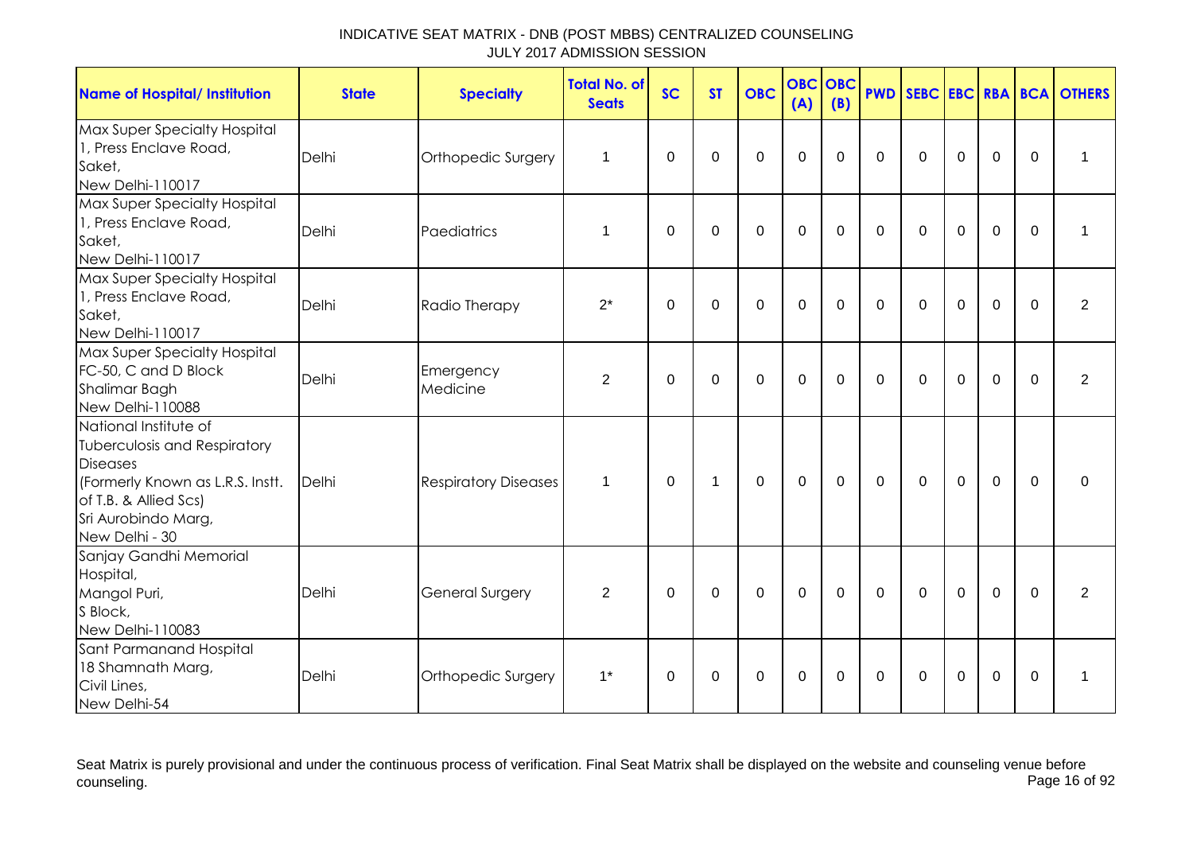| <b>Name of Hospital/ Institution</b>                                                                                                                                                  | <b>State</b> | <b>Specialty</b>            | <b>Total No. of</b><br><b>Seats</b> | <b>SC</b>   | <b>ST</b>    | <b>OBC</b>     | <b>OBC OBC</b><br>(A) | (B)         | <b>PWD</b>  |              |             |                |             | SEBC EBC RBA BCA OTHERS |
|---------------------------------------------------------------------------------------------------------------------------------------------------------------------------------------|--------------|-----------------------------|-------------------------------------|-------------|--------------|----------------|-----------------------|-------------|-------------|--------------|-------------|----------------|-------------|-------------------------|
| Max Super Specialty Hospital<br>1, Press Enclave Road,<br>Saket,<br>New Delhi-110017                                                                                                  | Delhi        | Orthopedic Surgery          | $\mathbf 1$                         | $\mathbf 0$ | $\mathbf 0$  | $\mathbf 0$    | $\mathbf 0$           | $\Omega$    | $\Omega$    | $\mathbf 0$  | $\mathbf 0$ | $\mathbf 0$    | $\mathbf 0$ | 1                       |
| Max Super Specialty Hospital<br>1, Press Enclave Road,<br>Saket,<br>New Delhi-110017                                                                                                  | Delhi        | Paediatrics                 | $\mathbf 1$                         | $\mathbf 0$ | $\mathbf 0$  | $\mathbf 0$    | $\mathbf 0$           | $\mathbf 0$ | $\Omega$    | $\mathbf 0$  | $\mathbf 0$ | $\mathbf 0$    | $\Omega$    | 1                       |
| Max Super Specialty Hospital<br>1, Press Enclave Road,<br>Saket,<br>New Delhi-110017                                                                                                  | Delhi        | Radio Therapy               | $2^*$                               | $\mathbf 0$ | $\Omega$     | $\mathbf 0$    | $\mathbf 0$           | $\mathbf 0$ | $\Omega$    | $\mathbf 0$  | $\mathbf 0$ | $\mathbf 0$    | $\Omega$    | $\overline{2}$          |
| Max Super Specialty Hospital<br>FC-50, C and D Block<br>Shalimar Bagh<br>New Delhi-110088                                                                                             | Delhi        | Emergency<br>Medicine       | $\overline{2}$                      | $\Omega$    | $\mathbf 0$  | $\overline{0}$ | $\mathbf 0$           | $\Omega$    | $\Omega$    | $\Omega$     | $\mathbf 0$ | $\overline{0}$ | $\Omega$    | $\overline{2}$          |
| National Institute of<br><b>Tuberculosis and Respiratory</b><br><b>Diseases</b><br>(Formerly Known as L.R.S. Instt.<br>of T.B. & Allied Scs)<br>Sri Aurobindo Marg,<br>New Delhi - 30 | Delhi        | <b>Respiratory Diseases</b> | 1                                   | $\Omega$    | $\mathbf{1}$ | $\mathbf 0$    | $\mathbf 0$           | $\mathbf 0$ | $\mathbf 0$ | $\mathbf 0$  | $\mathbf 0$ | $\mathbf 0$    | $\mathbf 0$ | 0                       |
| Sanjay Gandhi Memorial<br>Hospital,<br>Mangol Puri,<br>S Block,<br>New Delhi-110083                                                                                                   | Delhi        | <b>General Surgery</b>      | $\overline{2}$                      | $\Omega$    | $\mathbf 0$  | $\mathbf 0$    | $\mathbf 0$           | $\Omega$    | $\Omega$    | $\Omega$     | $\mathbf 0$ | $\Omega$       | $\Omega$    | $\overline{2}$          |
| Sant Parmanand Hospital<br>18 Shamnath Marg,<br>Civil Lines,<br>New Delhi-54                                                                                                          | Delhi        | Orthopedic Surgery          | $1^*$                               | $\Omega$    | 0            | $\Omega$       | $\mathbf 0$           | $\Omega$    | $\Omega$    | $\mathbf{0}$ | $\mathbf 0$ | 0              | $\Omega$    | $\mathbf 1$             |

Seat Matrix is purely provisional and under the continuous process of verification. Final Seat Matrix shall be displayed on the website and counseling venue before<br>Page 16 of 92 counseling. Page 16 of 92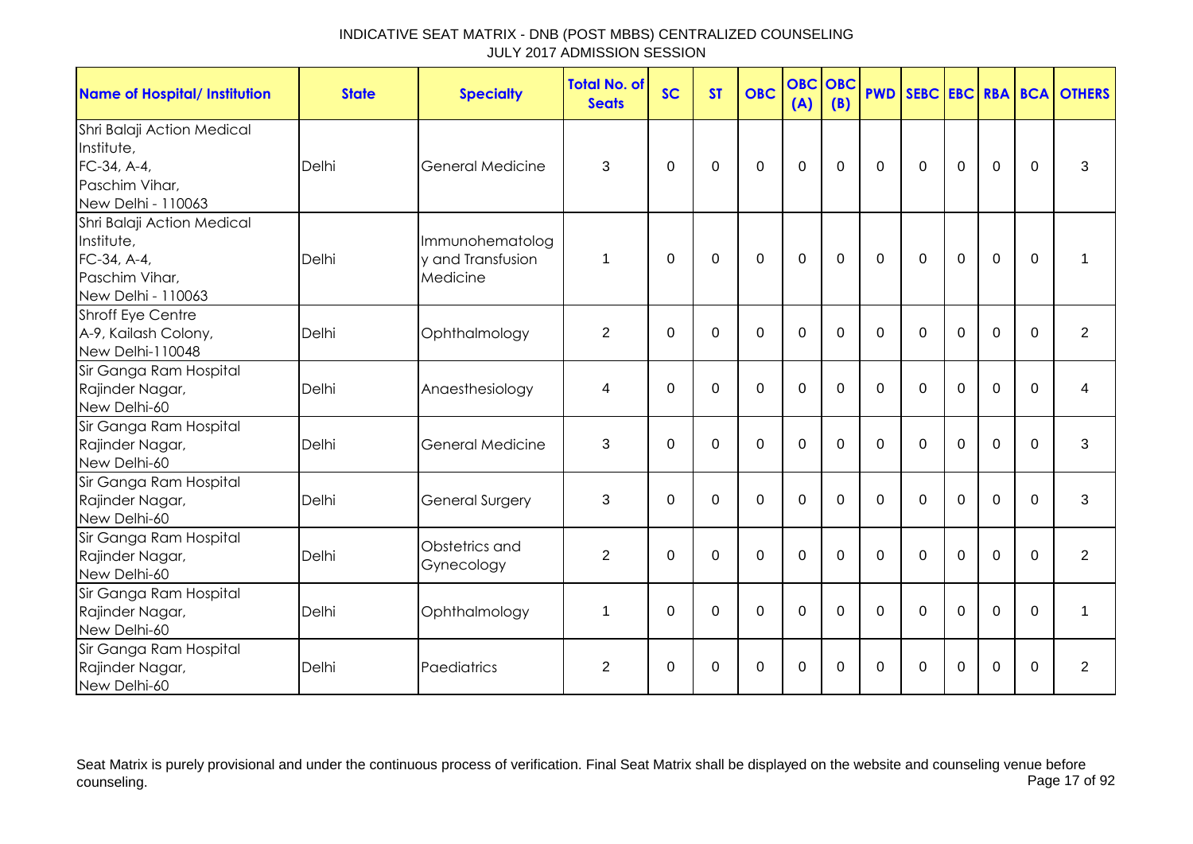| <b>Name of Hospital/ Institution</b>                                                            | <b>State</b> | <b>Specialty</b>                                 | Total No. of<br><b>Seats</b> | <b>SC</b>   | <b>ST</b>   | <b>OBC</b>     | <b>OBC</b><br>(A) | <b>OBC</b><br>(B) | <b>PWD</b>   |              |             |                |             | <b>SEBC EBC RBA BCA OTHERS</b> |
|-------------------------------------------------------------------------------------------------|--------------|--------------------------------------------------|------------------------------|-------------|-------------|----------------|-------------------|-------------------|--------------|--------------|-------------|----------------|-------------|--------------------------------|
| Shri Balaji Action Medical<br>Institute,<br>FC-34, A-4,<br>Paschim Vihar,<br>New Delhi - 110063 | Delhi        | General Medicine                                 | 3                            | $\Omega$    | $\Omega$    | $\Omega$       | $\mathbf{0}$      | $\Omega$          | $\mathbf{0}$ | $\mathbf{0}$ | $\Omega$    | $\mathbf 0$    | $\Omega$    | 3                              |
| Shri Balaji Action Medical<br>Institute,<br>FC-34, A-4,<br>Paschim Vihar.<br>New Delhi - 110063 | Delhi        | Immunohematolog<br>y and Transfusion<br>Medicine | 1                            | $\Omega$    | 0           | $\mathbf 0$    | $\mathbf 0$       | $\mathbf 0$       | $\mathbf 0$  | $\mathbf 0$  | $\mathbf 0$ | 0              | $\mathbf 0$ | 1                              |
| Shroff Eye Centre<br>A-9, Kailash Colony,<br>New Delhi-110048                                   | Delhi        | Ophthalmology                                    | $\overline{2}$               | $\mathbf 0$ | $\mathbf 0$ | $\mathbf 0$    | $\mathbf 0$       | $\mathbf 0$       | $\mathbf 0$  | $\mathbf 0$  | $\mathbf 0$ | $\mathbf 0$    | $\Omega$    | $\overline{2}$                 |
| Sir Ganga Ram Hospital<br>Rajinder Nagar,<br>New Delhi-60                                       | Delhi        | Anaesthesiology                                  | 4                            | $\Omega$    | $\Omega$    | $\mathbf 0$    | $\mathbf 0$       | $\Omega$          | $\mathbf 0$  | $\Omega$     | $\mathbf 0$ | 0              | $\Omega$    | 4                              |
| Sir Ganga Ram Hospital<br>Rajinder Nagar,<br>New Delhi-60                                       | Delhi        | <b>General Medicine</b>                          | 3                            | $\Omega$    | $\Omega$    | $\mathbf 0$    | $\mathbf 0$       | $\Omega$          | $\Omega$     | $\Omega$     | $\Omega$    | $\Omega$       | $\Omega$    | 3                              |
| Sir Ganga Ram Hospital<br>Rajinder Nagar,<br>New Delhi-60                                       | Delhi        | <b>General Surgery</b>                           | 3                            | $\mathbf 0$ | $\mathbf 0$ | $\mathbf 0$    | $\mathbf 0$       | $\mathbf 0$       | $\mathbf 0$  | $\mathbf 0$  | $\mathbf 0$ | $\overline{0}$ | $\mathbf 0$ | 3                              |
| Sir Ganga Ram Hospital<br>Rajinder Nagar,<br>New Delhi-60                                       | Delhi        | Obstetrics and<br>Gynecology                     | $\overline{2}$               | $\Omega$    | $\mathbf 0$ | $\overline{0}$ | $\overline{0}$    | $\Omega$          | $\mathbf 0$  | $\Omega$     | $\mathbf 0$ | 0              | $\Omega$    | $\overline{2}$                 |
| Sir Ganga Ram Hospital<br>Rajinder Nagar,<br>New Delhi-60                                       | Delhi        | Ophthalmology                                    | 1                            | $\Omega$    | $\mathbf 0$ | $\mathbf 0$    | $\mathbf 0$       | $\Omega$          | $\Omega$     | $\mathbf{0}$ | $\mathbf 0$ | $\mathbf 0$    | $\Omega$    | 1                              |
| Sir Ganga Ram Hospital<br>Rajinder Nagar,<br>New Delhi-60                                       | Delhi        | Paediatrics                                      | 2                            | 0           | 0           | 0              | 0                 | 0                 | 0            | 0            | 0           | 0              | $\Omega$    | $\overline{2}$                 |

Seat Matrix is purely provisional and under the continuous process of verification. Final Seat Matrix shall be displayed on the website and counseling venue before<br>Page 17 of 92 counseling. Page 17 of 92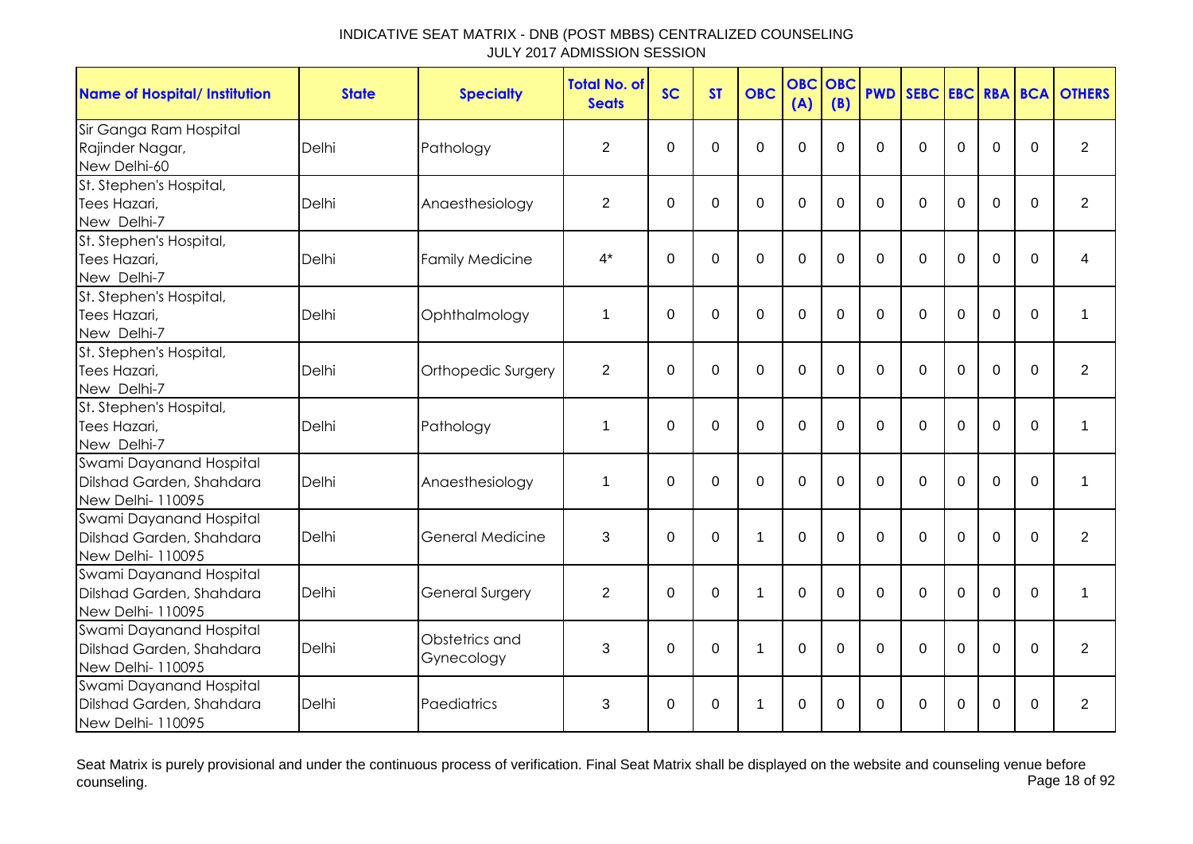| <b>Name of Hospital/ Institution</b>                                     | <b>State</b> | <b>Specialty</b>             | <b>Total No. of</b><br><b>Seats</b> | <b>SC</b>   | <b>ST</b>      | <b>OBC</b>     | OBC<br>(A)  | <b>OBC</b><br>(B) | <b>PWD</b>   |             |             |                |          | <b>SEBC EBC RBA BCA OTHERS</b> |
|--------------------------------------------------------------------------|--------------|------------------------------|-------------------------------------|-------------|----------------|----------------|-------------|-------------------|--------------|-------------|-------------|----------------|----------|--------------------------------|
| Sir Ganga Ram Hospital<br>Rajinder Nagar,<br>New Delhi-60                | <b>Delhi</b> | Pathology                    | $\overline{2}$                      | $\mathbf 0$ | $\mathbf 0$    | $\mathbf 0$    | $\mathbf 0$ | $\Omega$          | $\mathbf 0$  | $\Omega$    | $\Omega$    | $\overline{0}$ | $\Omega$ | $\overline{2}$                 |
| St. Stephen's Hospital,<br>Tees Hazari,<br>New Delhi-7                   | Delhi        | Anaesthesiology              | $\overline{2}$                      | $\mathbf 0$ | $\Omega$       | 0              | $\mathbf 0$ | $\Omega$          | $\Omega$     | $\Omega$    | $\Omega$    | $\overline{0}$ | $\Omega$ | $\overline{2}$                 |
| St. Stephen's Hospital,<br>Tees Hazari,<br>New Delhi-7                   | Delhi        | <b>Family Medicine</b>       | $4^*$                               | $\mathbf 0$ | 0              | $\mathbf 0$    | $\mathbf 0$ | $\Omega$          | $\Omega$     | $\Omega$    | $\Omega$    | $\overline{0}$ | $\Omega$ | 4                              |
| St. Stephen's Hospital,<br>Tees Hazari,<br>New Delhi-7                   | Delhi        | Ophthalmology                | 1                                   | 0           | 0              | 0              | $\mathbf 0$ | $\mathbf 0$       | $\mathbf{0}$ | 0           | $\mathbf 0$ | $\mathbf 0$    | $\Omega$ | 1                              |
| St. Stephen's Hospital,<br>Tees Hazari,<br>New Delhi-7                   | Delhi        | Orthopedic Surgery           | $\overline{2}$                      | $\Omega$    | $\Omega$       | $\mathbf 0$    | $\Omega$    | $\Omega$          | $\Omega$     | $\Omega$    | $\Omega$    | $\Omega$       | $\Omega$ | $\overline{2}$                 |
| St. Stephen's Hospital,<br>Tees Hazari,<br>New Delhi-7                   | Delhi        | Pathology                    | 1                                   | $\mathbf 0$ | $\overline{0}$ | $\overline{0}$ | $\mathbf 0$ | 0                 | $\Omega$     | $\mathbf 0$ | $\mathbf 0$ | $\overline{0}$ | $\Omega$ | 1                              |
| Swami Dayanand Hospital<br>Dilshad Garden, Shahdara<br>New Delhi- 110095 | Delhi        | Anaesthesiology              | 1                                   | $\Omega$    | $\Omega$       | $\mathbf 0$    | $\mathbf 0$ | $\Omega$          | $\Omega$     | $\Omega$    | $\Omega$    | $\mathbf 0$    | $\Omega$ | 1                              |
| Swami Dayanand Hospital<br>Dilshad Garden, Shahdara<br>New Delhi- 110095 | Delhi        | General Medicine             | 3                                   | 0           | $\mathbf 0$    | 1              | $\mathbf 0$ | $\mathbf 0$       | $\mathbf{0}$ | $\Omega$    | $\mathbf 0$ | $\mathbf 0$    | $\Omega$ | $\overline{2}$                 |
| Swami Dayanand Hospital<br>Dilshad Garden, Shahdara<br>New Delhi- 110095 | Delhi        | <b>General Surgery</b>       | $\overline{2}$                      | 0           | 0              | $\mathbf 1$    | 0           | $\Omega$          | $\Omega$     | $\Omega$    | $\Omega$    | $\overline{0}$ | $\Omega$ | 1                              |
| Swami Dayanand Hospital<br>Dilshad Garden, Shahdara<br>New Delhi-110095  | Delhi        | Obstetrics and<br>Gynecology | 3                                   | 0           | 0              | 1              | $\mathbf 0$ | 0                 | 0            | 0           | 0           | $\mathbf 0$    | $\Omega$ | $\overline{2}$                 |
| Swami Dayanand Hospital<br>Dilshad Garden, Shahdara<br>New Delhi- 110095 | Delhi        | Paediatrics                  | 3                                   | 0           | 0              | 1              | 0           | 0                 | $\Omega$     | 0           | $\Omega$    | 0              | $\Omega$ | 2                              |

Seat Matrix is purely provisional and under the continuous process of verification. Final Seat Matrix shall be displayed on the website and counseling venue before<br>Page 18 of 92 counseling. Page 18 of 92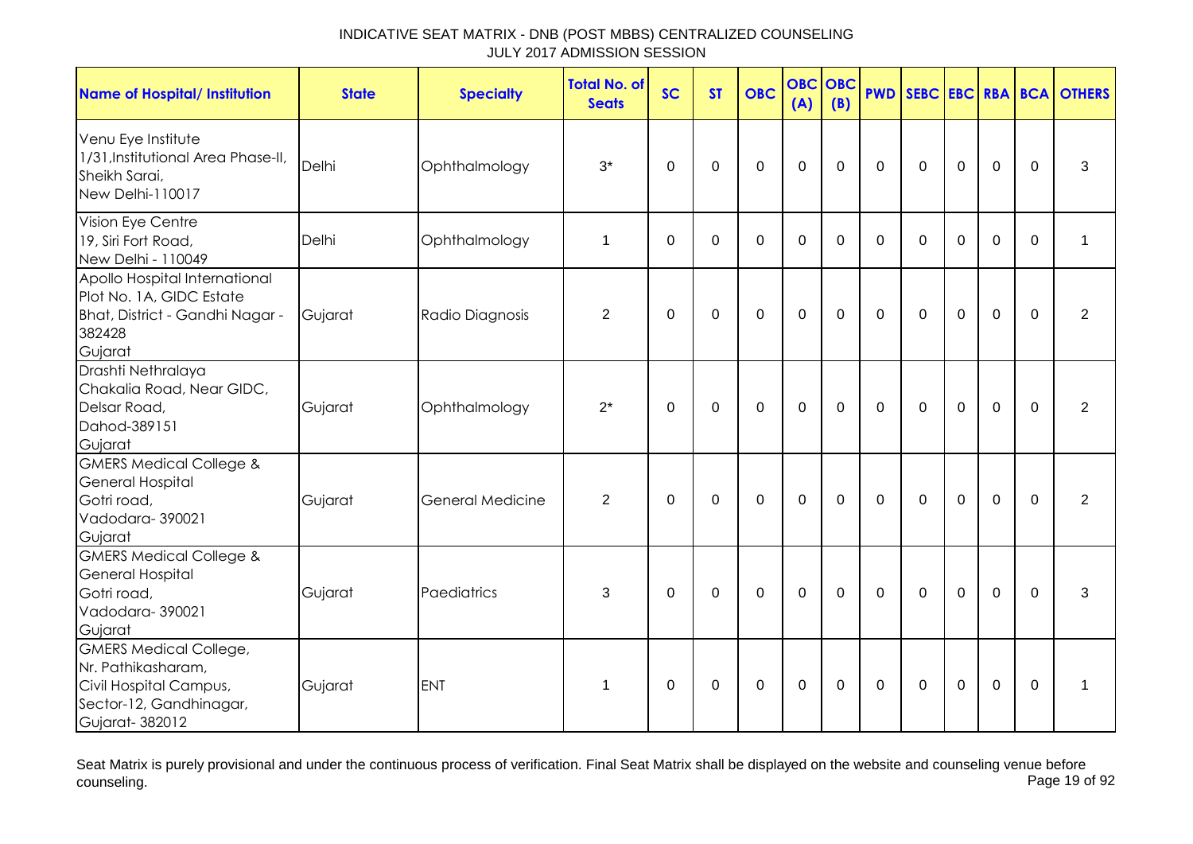| <b>Name of Hospital/ Institution</b>                                                                                       | <b>State</b> | <b>Specialty</b> | <b>Total No. of</b><br><b>Seats</b> | <b>SC</b>   | <b>ST</b>   | <b>OBC</b>     | <b>OBC</b><br>(A) | <b>OBC</b><br>(B) | <b>PWD</b>     | SEBC EBC RBA BCA |             |             |             | <b>OTHERS</b>  |
|----------------------------------------------------------------------------------------------------------------------------|--------------|------------------|-------------------------------------|-------------|-------------|----------------|-------------------|-------------------|----------------|------------------|-------------|-------------|-------------|----------------|
| Venu Eye Institute<br>1/31, Institutional Area Phase-II,<br>Sheikh Sarai,<br>New Delhi-110017                              | Delhi        | Ophthalmology    | $3^*$                               | $\Omega$    | $\Omega$    | $\overline{0}$ | $\overline{0}$    | $\Omega$          | $\overline{0}$ | $\mathbf 0$      | $\mathbf 0$ | $\mathbf 0$ | $\Omega$    | 3              |
| Vision Eye Centre<br>19, Siri Fort Road,<br>New Delhi - 110049                                                             | Delhi        | Ophthalmology    | $\mathbf 1$                         | $\Omega$    | 0           | $\Omega$       | $\Omega$          | $\Omega$          | $\Omega$       | $\mathbf{0}$     | $\Omega$    | $\Omega$    | $\Omega$    | 1              |
| Apollo Hospital International<br>Plot No. 1A, GIDC Estate<br>Bhat, District - Gandhi Nagar -<br>382428<br>Gujarat          | Gujarat      | Radio Diagnosis  | $\overline{2}$                      | 0           | 0           | $\mathbf 0$    | $\mathbf 0$       | $\mathbf 0$       | $\mathbf 0$    | $\mathbf 0$      | $\mathbf 0$ | $\mathbf 0$ | $\Omega$    | $\overline{2}$ |
| Drashti Nethralaya<br>Chakalia Road, Near GIDC,<br>Delsar Road,<br>Dahod-389151<br>Gujarat                                 | Gujarat      | Ophthalmology    | $2^*$                               | $\Omega$    | $\mathbf 0$ | $\mathbf 0$    | $\mathbf 0$       | $\Omega$          | $\mathbf 0$    | $\mathbf 0$      | $\mathbf 0$ | $\mathbf 0$ | $\Omega$    | $\overline{2}$ |
| <b>GMERS Medical College &amp;</b><br><b>General Hospital</b><br>Gotri road,<br>Vadodara-390021<br>Gujarat                 | Gujarat      | General Medicine | $\overline{2}$                      | $\mathbf 0$ | $\mathbf 0$ | $\mathbf 0$    | $\mathbf 0$       | $\mathbf 0$       | $\Omega$       | $\Omega$         | $\mathbf 0$ | $\mathbf 0$ | $\mathbf 0$ | 2              |
| <b>GMERS Medical College &amp;</b><br><b>General Hospital</b><br>Gotri road,<br>Vadodara-390021<br>Gujarat                 | Gujarat      | Paediatrics      | 3                                   | 0           | 0           | 0              | $\mathbf 0$       | $\Omega$          | $\mathbf{0}$   | $\mathbf{0}$     | $\Omega$    | $\mathbf 0$ | $\Omega$    | 3              |
| <b>GMERS Medical College,</b><br>Nr. Pathikasharam,<br>Civil Hospital Campus,<br>Sector-12, Gandhinagar,<br>Gujarat-382012 | Gujarat      | <b>ENT</b>       | 1                                   | $\mathbf 0$ | 0           | $\pmb{0}$      | $\mathbf 0$       | 0                 | 0              | $\boldsymbol{0}$ | $\mathbf 0$ | $\mathbf 0$ | $\mathbf 0$ | 1              |

Seat Matrix is purely provisional and under the continuous process of verification. Final Seat Matrix shall be displayed on the website and counseling venue before<br>Page 19 of 92 counseling. Page 19 of 92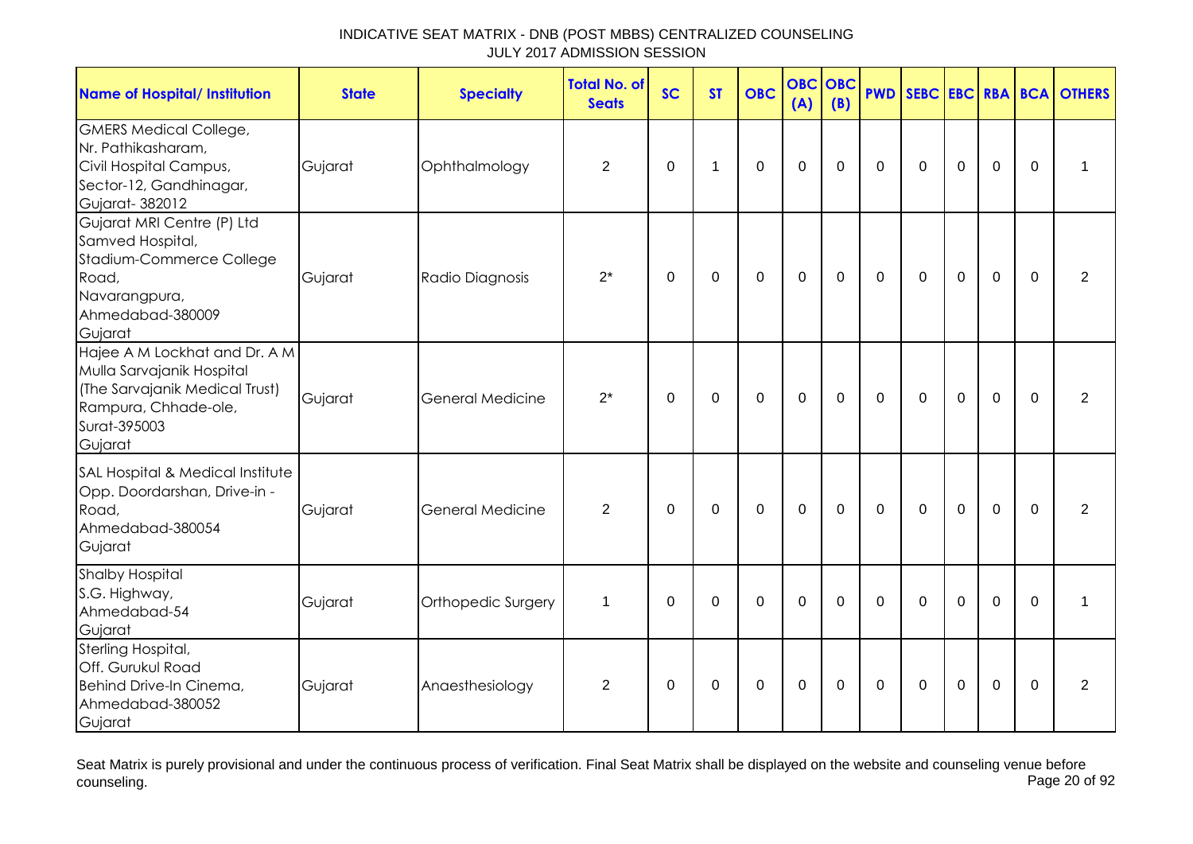| <b>Name of Hospital/ Institution</b>                                                                                                            | <b>State</b> | <b>Specialty</b>        | <b>Total No. of</b><br><b>Seats</b> | <b>SC</b>   | <b>ST</b>   | <b>OBC</b>     | <b>OBC</b><br>(A) | <b>OBC</b><br>(B) | <b>PWD</b>   | SEBC EBC RBA BCA |                  |             |             | <b>OTHERS</b>  |
|-------------------------------------------------------------------------------------------------------------------------------------------------|--------------|-------------------------|-------------------------------------|-------------|-------------|----------------|-------------------|-------------------|--------------|------------------|------------------|-------------|-------------|----------------|
| <b>GMERS Medical College,</b><br>Nr. Pathikasharam,<br>Civil Hospital Campus,<br>Sector-12, Gandhinagar,<br>Gujarat-382012                      | Gujarat      | Ophthalmology           | $\overline{2}$                      | $\mathbf 0$ | 1           | $\overline{0}$ | $\overline{0}$    | $\mathbf 0$       | $\Omega$     | $\Omega$         | $\mathbf 0$      | $\mathbf 0$ | $\Omega$    | 1              |
| Gujarat MRI Centre (P) Ltd<br>Samved Hospital,<br>Stadium-Commerce College<br>Road,<br>Navarangpura,<br>Ahmedabad-380009<br>Gujarat             | Gujarat      | Radio Diagnosis         | $2^*$                               | $\mathbf 0$ | $\mathbf 0$ | $\mathbf 0$    | $\mathbf 0$       | $\mathbf 0$       | $\mathbf 0$  | $\overline{0}$   | $\mathbf 0$      | $\mathbf 0$ | $\mathbf 0$ | $\overline{2}$ |
| Hajee A M Lockhat and Dr. A M<br>Mulla Sarvajanik Hospital<br>(The Sarvajanik Medical Trust)<br>Rampura, Chhade-ole,<br>Surat-395003<br>Gujarat | Gujarat      | General Medicine        | $2^*$                               | $\mathbf 0$ | $\mathbf 0$ | $\mathbf 0$    | $\mathbf 0$       | $\mathbf 0$       | $\mathbf 0$  | $\Omega$         | $\mathbf 0$      | $\mathbf 0$ | $\Omega$    | 2              |
| SAL Hospital & Medical Institute<br>Opp. Doordarshan, Drive-in -<br>Road,<br>Ahmedabad-380054<br>Gujarat                                        | Gujarat      | <b>General Medicine</b> | 2                                   | $\Omega$    | $\Omega$    | $\Omega$       | $\mathbf 0$       | $\Omega$          | $\mathbf{0}$ | $\mathbf{0}$     | $\mathbf{0}$     | $\Omega$    | $\Omega$    | 2              |
| <b>Shalby Hospital</b><br>S.G. Highway,<br>Ahmedabad-54<br>Gujarat                                                                              | Gujarat      | Orthopedic Surgery      | $\mathbf{1}$                        | $\Omega$    | $\mathbf 0$ | $\mathbf 0$    | $\mathbf 0$       | $\mathbf 0$       | $\mathbf 0$  | $\mathbf 0$      | $\mathbf 0$      | $\mathbf 0$ | $\Omega$    | $\mathbf 1$    |
| Sterling Hospital,<br>Off. Gurukul Road<br>Behind Drive-In Cinema,<br>Ahmedabad-380052<br>Gujarat                                               | Gujarat      | Anaesthesiology         | $\overline{2}$                      | $\Omega$    | $\pmb{0}$   | $\pmb{0}$      | $\pmb{0}$         | $\Omega$          | $\mathbf{0}$ | $\Omega$         | $\boldsymbol{0}$ | $\mathbf 0$ | $\Omega$    | $\overline{2}$ |

Seat Matrix is purely provisional and under the continuous process of verification. Final Seat Matrix shall be displayed on the website and counseling venue before<br>Page 20 of 92 counseling. Page 20 of 92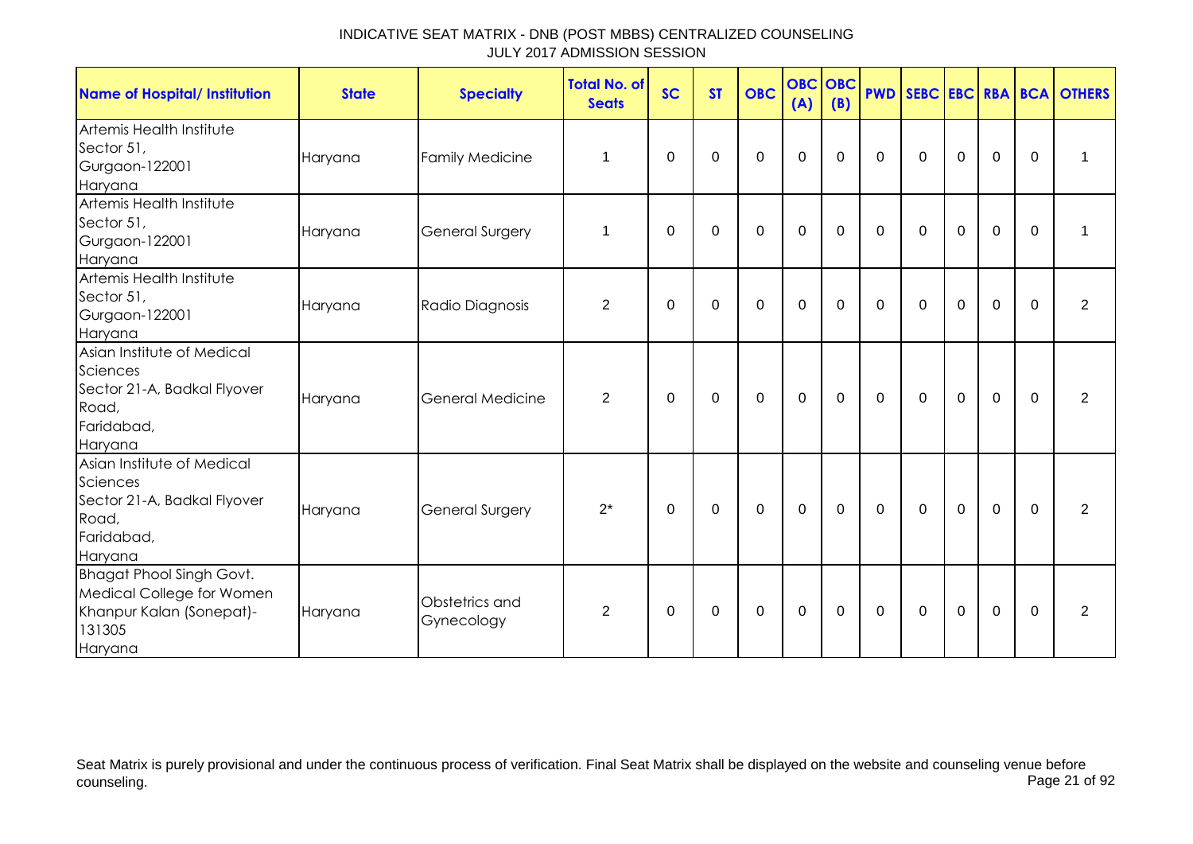| <b>Name of Hospital/ Institution</b>                                                                          | <b>State</b> | <b>Specialty</b>             | <b>Total No. of</b><br><b>Seats</b> | <b>SC</b> | <b>ST</b> | <b>OBC</b> | <b>OBC</b> OBC<br>(A) | (B)         |              |              |                |             |              | <b>PWD SEBC EBC RBA BCA OTHERS</b> |
|---------------------------------------------------------------------------------------------------------------|--------------|------------------------------|-------------------------------------|-----------|-----------|------------|-----------------------|-------------|--------------|--------------|----------------|-------------|--------------|------------------------------------|
| Artemis Health Institute<br>Sector 51,<br>Gurgaon-122001<br>Haryana                                           | Haryana      | <b>Family Medicine</b>       | 1                                   | 0         | 0         | 0          | $\mathbf 0$           | 0           | $\Omega$     | 0            | 0              | 0           | $\mathbf{0}$ | 1                                  |
| Artemis Health Institute<br>Sector 51,<br>Gurgaon-122001<br>Haryana                                           | Haryana      | General Surgery              | 1                                   | $\Omega$  | $\Omega$  | $\Omega$   | 0                     | $\Omega$    | $\Omega$     | $\Omega$     | $\Omega$       | $\Omega$    | $\Omega$     | 1                                  |
| Artemis Health Institute<br>Sector 51,<br>Gurgaon-122001<br>Haryana                                           | Haryana      | Radio Diagnosis              | $\overline{2}$                      | $\Omega$  | $\Omega$  | $\Omega$   | $\Omega$              | $\Omega$    | $\Omega$     | $\Omega$     | $\Omega$       | $\Omega$    | $\Omega$     | $\overline{2}$                     |
| Asian Institute of Medical<br>Sciences<br>Sector 21-A, Badkal Flyover<br>Road,<br>Faridabad,<br>Haryana       | Haryana      | <b>General Medicine</b>      | 2                                   | 0         | 0         | 0          | $\mathbf 0$           | $\mathbf 0$ | $\mathbf 0$  | $\mathbf 0$  | $\mathbf 0$    | $\mathbf 0$ | $\Omega$     | $\overline{2}$                     |
| Asian Institute of Medical<br>Sciences<br>Sector 21-A, Badkal Flyover<br>Road,<br>Faridabad,<br>Haryana       | Haryana      | General Surgery              | $2^*$                               | 0         | 0         | 0          | $\mathbf 0$           | $\mathbf 0$ | $\mathbf{0}$ | $\mathbf 0$  | $\overline{0}$ | $\mathbf 0$ | $\mathbf{0}$ | $\overline{2}$                     |
| <b>Bhagat Phool Singh Govt.</b><br>Medical College for Women<br>Khanpur Kalan (Sonepat)-<br>131305<br>Haryana | Haryana      | Obstetrics and<br>Gynecology | $\overline{2}$                      | $\Omega$  | 0         | 0          | 0                     | 0           | $\mathbf 0$  | $\mathbf{0}$ | 0              | $\mathbf 0$ | $\mathbf{0}$ | $\overline{2}$                     |

Seat Matrix is purely provisional and under the continuous process of verification. Final Seat Matrix shall be displayed on the website and counseling venue before<br>Page 21 of 92 counseling. Page 21 of 92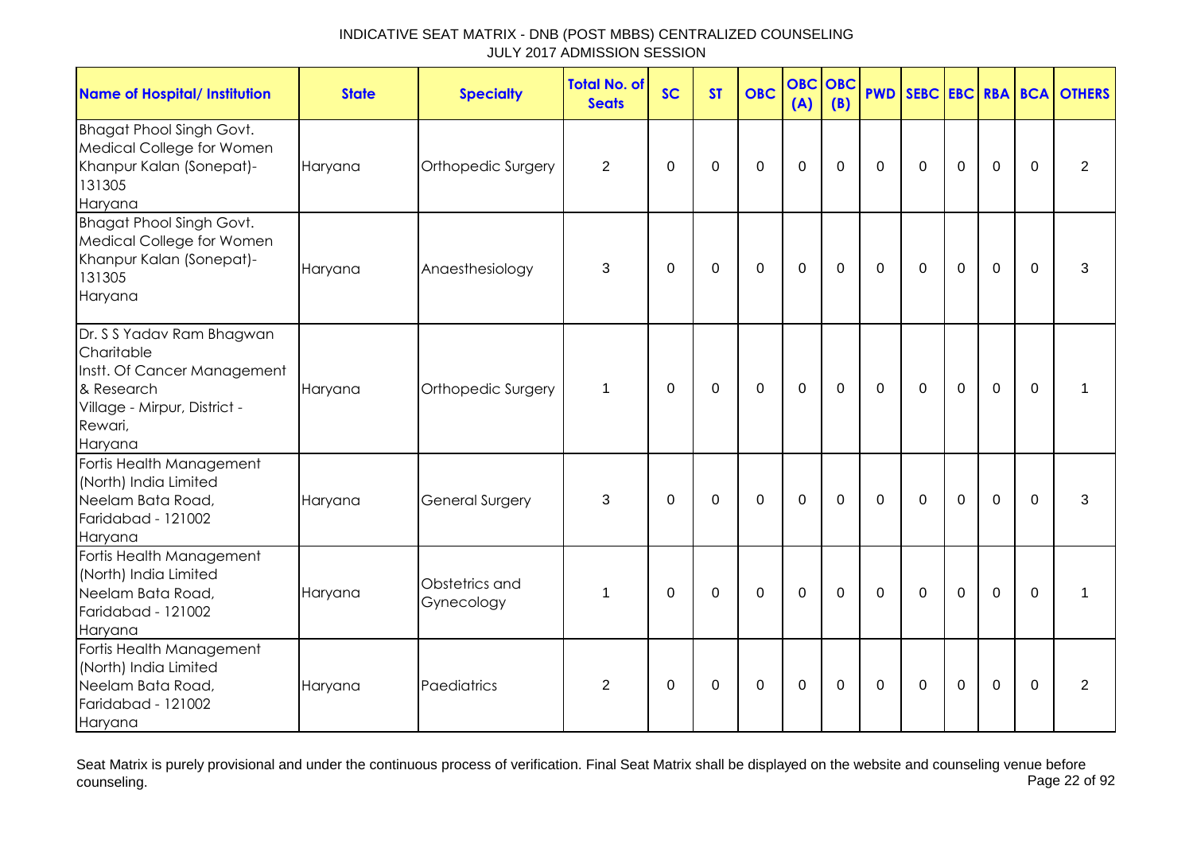| <b>Name of Hospital/ Institution</b>                                                                                                       | <b>State</b> | <b>Specialty</b>             | <b>Total No. of</b><br><b>Seats</b> | <b>SC</b>   | <b>ST</b>   | <b>OBC</b>   | <b>OBC</b><br>(A) | OBC<br>(B)     | <b>PWD</b>   |              |                  |                |             | SEBC EBC RBA BCA OTHERS |
|--------------------------------------------------------------------------------------------------------------------------------------------|--------------|------------------------------|-------------------------------------|-------------|-------------|--------------|-------------------|----------------|--------------|--------------|------------------|----------------|-------------|-------------------------|
| <b>Bhagat Phool Singh Govt.</b><br>Medical College for Women<br>Khanpur Kalan (Sonepat)-<br>131305<br>Haryana                              | Haryana      | Orthopedic Surgery           | $\overline{2}$                      | 0           | 0           | $\mathbf 0$  | $\mathbf 0$       | 0              | 0            | 0            | $\mathbf 0$      | $\mathbf 0$    | $\mathbf 0$ | $\overline{2}$          |
| <b>Bhagat Phool Singh Govt.</b><br>Medical College for Women<br>Khanpur Kalan (Sonepat)-<br>131305<br>Haryana                              | Haryana      | Anaesthesiology              | 3                                   | 0           | $\mathbf 0$ | $\mathbf 0$  | $\mathbf 0$       | $\mathbf 0$    | $\mathbf{0}$ | $\mathbf 0$  | $\mathbf 0$      | $\mathbf 0$    | $\Omega$    | 3                       |
| Dr. S S Yadav Ram Bhagwan<br>Charitable<br>Instt. Of Cancer Management<br>& Research<br>Village - Mirpur, District -<br>Rewari,<br>Haryana | Haryana      | Orthopedic Surgery           | $\mathbf{1}$                        | $\Omega$    | 0           | $\mathbf 0$  | $\mathbf 0$       | 0              | $\Omega$     | $\mathbf{0}$ | $\overline{0}$   | $\overline{0}$ | $\Omega$    |                         |
| Fortis Health Management<br>(North) India Limited<br>Neelam Bata Road,<br>Faridabad - 121002<br>Haryana                                    | Haryana      | <b>General Surgery</b>       | 3                                   | $\mathbf 0$ | $\mathbf 0$ | $\mathbf{0}$ | $\overline{0}$    | $\mathbf 0$    | $\Omega$     | $\Omega$     | $\Omega$         | $\overline{0}$ | $\Omega$    | 3                       |
| Fortis Health Management<br>(North) India Limited<br>Neelam Bata Road,<br>Faridabad - 121002<br>Haryana                                    | Haryana      | Obstetrics and<br>Gynecology | 1                                   | $\Omega$    | $\mathbf 0$ | $\mathbf 0$  | $\mathbf 0$       | $\overline{0}$ | $\Omega$     | $\Omega$     | $\overline{0}$   | $\overline{0}$ | $\Omega$    |                         |
| Fortis Health Management<br>(North) India Limited<br>Neelam Bata Road,<br>Faridabad - 121002<br>Haryana                                    | Haryana      | Paediatrics                  | $\overline{2}$                      | $\mathbf 0$ | $\pmb{0}$   | $\pmb{0}$    | $\pmb{0}$         | $\mathbf 0$    | 0            | 0            | $\boldsymbol{0}$ | $\mathbf 0$    | 0           | $\overline{2}$          |

Seat Matrix is purely provisional and under the continuous process of verification. Final Seat Matrix shall be displayed on the website and counseling venue before<br>Page 22 of 92 counseling. Page 22 of 92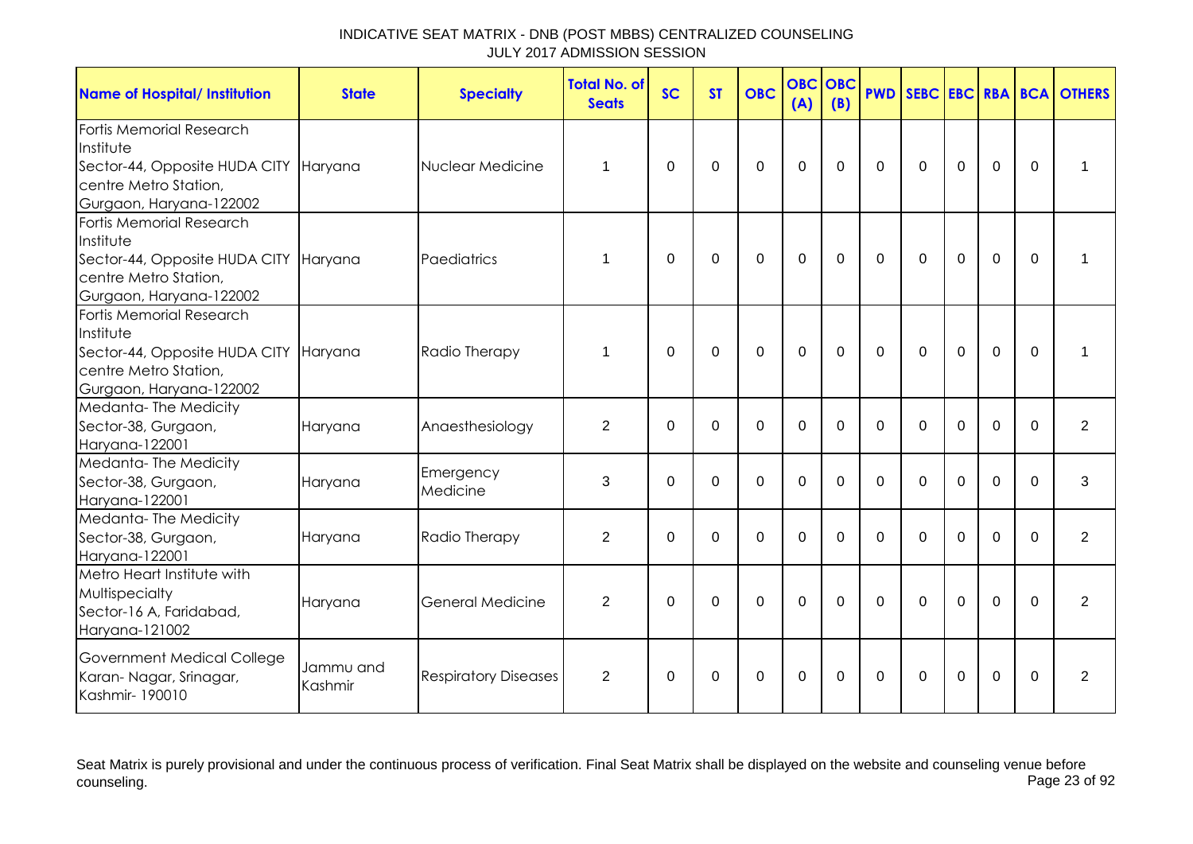| <b>Name of Hospital/ Institution</b>                                                                                       | <b>State</b>         | <b>Specialty</b>            | <b>Total No. of</b><br><b>Seats</b> | <b>SC</b>   | <b>ST</b>   | <b>OBC</b>  | <b>OBC</b><br>(A) | OBC<br>(B) |             |              |                |                |          | <b>PWD SEBC EBC RBA BCA OTHERS</b> |
|----------------------------------------------------------------------------------------------------------------------------|----------------------|-----------------------------|-------------------------------------|-------------|-------------|-------------|-------------------|------------|-------------|--------------|----------------|----------------|----------|------------------------------------|
| Fortis Memorial Research<br>Institute<br>Sector-44, Opposite HUDA CITY<br>centre Metro Station,<br>Gurgaon, Haryana-122002 | Haryana              | Nuclear Medicine            | 1                                   | $\Omega$    | 0           | $\mathbf 0$ | $\mathbf 0$       | $\Omega$   | $\mathbf 0$ | $\mathbf 0$  | $\overline{0}$ | $\mathbf 0$    | $\Omega$ |                                    |
| Fortis Memorial Research<br>Institute<br>Sector-44, Opposite HUDA CITY<br>centre Metro Station,<br>Gurgaon, Haryana-122002 | Haryana              | Paediatrics                 | 1                                   | $\Omega$    | $\mathbf 0$ | $\mathbf 0$ | $\mathbf 0$       | $\Omega$   | $\mathbf 0$ | $\mathbf 0$  | $\mathbf 0$    | $\overline{0}$ | $\Omega$ | 1                                  |
| Fortis Memorial Research<br>Institute<br>Sector-44, Opposite HUDA CITY<br>centre Metro Station,<br>Gurgaon, Haryana-122002 | Haryana              | Radio Therapy               | 1                                   | $\Omega$    | $\Omega$    | $\Omega$    | $\Omega$          | $\Omega$   | $\Omega$    | $\Omega$     | $\Omega$       | $\Omega$       | $\Omega$ |                                    |
| Medanta-The Medicity<br>Sector-38, Gurgaon,<br>Haryana-122001                                                              | Haryana              | Anaesthesiology             | $\overline{2}$                      | $\Omega$    | $\Omega$    | $\Omega$    | $\Omega$          | $\Omega$   | $\Omega$    | $\mathbf{0}$ | $\Omega$       | 0              | $\Omega$ | $\overline{2}$                     |
| Medanta-The Medicity<br>Sector-38, Gurgaon,<br>Haryana-122001                                                              | Haryana              | Emergency<br>Medicine       | 3                                   | $\mathbf 0$ | $\mathbf 0$ | $\mathbf 0$ | $\mathbf 0$       | $\Omega$   | $\Omega$    | $\Omega$     | $\mathbf 0$    | 0              | $\Omega$ | 3                                  |
| Medanta-The Medicity<br>Sector-38, Gurgaon,<br>Haryana-122001                                                              | Haryana              | Radio Therapy               | 2                                   | $\Omega$    | $\Omega$    | $\mathbf 0$ | $\mathbf 0$       | $\Omega$   | $\Omega$    | $\Omega$     | $\Omega$       | $\Omega$       | $\Omega$ | $\overline{2}$                     |
| Metro Heart Institute with<br>Multispecialty<br>Sector-16 A, Faridabad,<br>Haryana-121002                                  | Haryana              | <b>General Medicine</b>     | 2                                   | $\Omega$    | $\Omega$    | $\mathbf 0$ | $\mathbf 0$       | $\Omega$   | $\Omega$    | $\mathbf{0}$ | $\mathbf 0$    | $\overline{0}$ | $\Omega$ | $\overline{2}$                     |
| Government Medical College<br>Karan-Nagar, Srinagar,<br>Kashmir-190010                                                     | Jammu and<br>Kashmir | <b>Respiratory Diseases</b> | 2                                   | $\Omega$    | $\Omega$    | $\Omega$    | $\Omega$          | $\Omega$   | $\Omega$    | $\Omega$     | $\Omega$       | $\Omega$       | $\Omega$ | $\overline{2}$                     |

Seat Matrix is purely provisional and under the continuous process of verification. Final Seat Matrix shall be displayed on the website and counseling venue before<br>Page 23 of 92 counseling. Page 23 of 92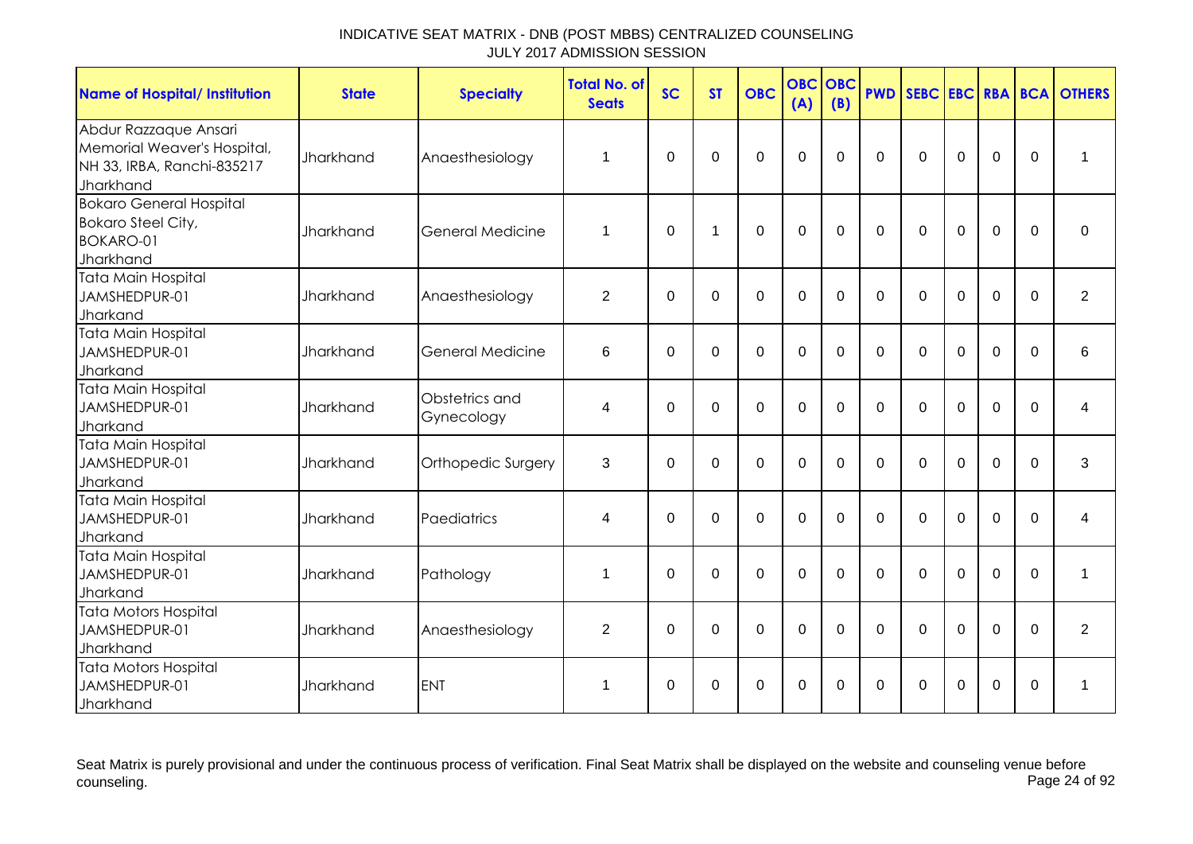| <b>Name of Hospital/ Institution</b>                                                            | <b>State</b>     | <b>Specialty</b>             | <b>Total No. of</b><br><b>Seats</b> | <b>SC</b>   | <b>ST</b>   | <b>OBC</b>     | <b>OBC</b><br>(A) | OBC<br>(B)  | <b>PWD</b>     | SEBC EBC RBA BCA |             |             |                  | <b>OTHERS</b>  |
|-------------------------------------------------------------------------------------------------|------------------|------------------------------|-------------------------------------|-------------|-------------|----------------|-------------------|-------------|----------------|------------------|-------------|-------------|------------------|----------------|
| Abdur Razzaque Ansari<br>Memorial Weaver's Hospital,<br>NH 33, IRBA, Ranchi-835217<br>Jharkhand | Jharkhand        | Anaesthesiology              | 1                                   | $\mathbf 0$ | 0           | $\mathbf 0$    | $\mathbf 0$       | $\Omega$    | $\mathbf 0$    | $\mathbf 0$      | $\mathbf 0$ | $\mathbf 0$ | $\boldsymbol{0}$ | 1              |
| <b>Bokaro General Hospital</b><br><b>Bokaro Steel City,</b><br><b>BOKARO-01</b><br>Jharkhand    | <b>Jharkhand</b> | General Medicine             | 1                                   | $\mathbf 0$ | $\mathbf 1$ | $\mathbf 0$    | $\mathbf 0$       | $\mathbf 0$ | $\mathbf 0$    | $\mathbf 0$      | $\mathbf 0$ | $\mathbf 0$ | $\mathbf 0$      | $\mathbf 0$    |
| Tata Main Hospital<br>JAMSHEDPUR-01<br>Jharkand                                                 | <b>Jharkhand</b> | Anaesthesiology              | $\overline{2}$                      | $\mathbf 0$ | 0           | $\mathbf 0$    | $\mathbf 0$       | $\Omega$    | $\mathbf 0$    | $\mathbf 0$      | $\mathbf 0$ | $\mathbf 0$ | $\Omega$         | $\overline{2}$ |
| Tata Main Hospital<br>JAMSHEDPUR-01<br>Jharkand                                                 | <b>Jharkhand</b> | <b>General Medicine</b>      | 6                                   | 0           | 0           | $\mathbf 0$    | $\mathbf 0$       | $\Omega$    | $\mathbf 0$    | $\mathbf{0}$     | $\Omega$    | $\mathbf 0$ | $\Omega$         | 6              |
| Tata Main Hospital<br>JAMSHEDPUR-01<br>Jharkand                                                 | Jharkhand        | Obstetrics and<br>Gynecology | 4                                   | 0           | 0           | $\mathbf 0$    | $\mathbf 0$       | $\Omega$    | $\Omega$       | $\Omega$         | $\Omega$    | 0           | $\Omega$         | 4              |
| Tata Main Hospital<br>JAMSHEDPUR-01<br>Jharkand                                                 | <b>Jharkhand</b> | Orthopedic Surgery           | 3                                   | 0           | $\mathbf 0$ | $\overline{0}$ | $\mathbf 0$       | $\Omega$    | $\Omega$       | $\mathbf{0}$     | $\mathbf 0$ | $\mathbf 0$ | $\Omega$         | 3              |
| <b>Tata Main Hospital</b><br>JAMSHEDPUR-01<br>Jharkand                                          | Jharkhand        | Paediatrics                  | 4                                   | $\mathbf 0$ | $\mathbf 0$ | $\mathbf 0$    | $\overline{0}$    | $\Omega$    | $\overline{0}$ | $\mathbf 0$      | $\mathbf 0$ | $\mathbf 0$ | $\Omega$         | 4              |
| Tata Main Hospital<br>JAMSHEDPUR-01<br>Jharkand                                                 | <b>Jharkhand</b> | Pathology                    | 1                                   | $\Omega$    | $\mathbf 0$ | $\overline{0}$ | $\mathbf 0$       | $\Omega$    | $\Omega$       | $\Omega$         | $\Omega$    | $\mathbf 0$ | $\Omega$         | 1              |
| <b>Tata Motors Hospital</b><br>JAMSHEDPUR-01<br>Jharkhand                                       | <b>Jharkhand</b> | Anaesthesiology              | $\overline{2}$                      | $\Omega$    | $\mathbf 0$ | $\overline{0}$ | $\mathbf 0$       | $\Omega$    | $\Omega$       | $\Omega$         | $\Omega$    | $\mathbf 0$ | $\Omega$         | $\overline{2}$ |
| <b>Tata Motors Hospital</b><br>JAMSHEDPUR-01<br>Jharkhand                                       | <b>Jharkhand</b> | <b>ENT</b>                   | 1                                   | $\mathbf 0$ | 0           | $\mathbf 0$    | $\mathbf 0$       | 0           | $\overline{0}$ | 0                | $\mathbf 0$ | $\mathbf 0$ | 0                | 1              |

Seat Matrix is purely provisional and under the continuous process of verification. Final Seat Matrix shall be displayed on the website and counseling venue before<br>Page 24 of 92 counseling. Page 24 of 92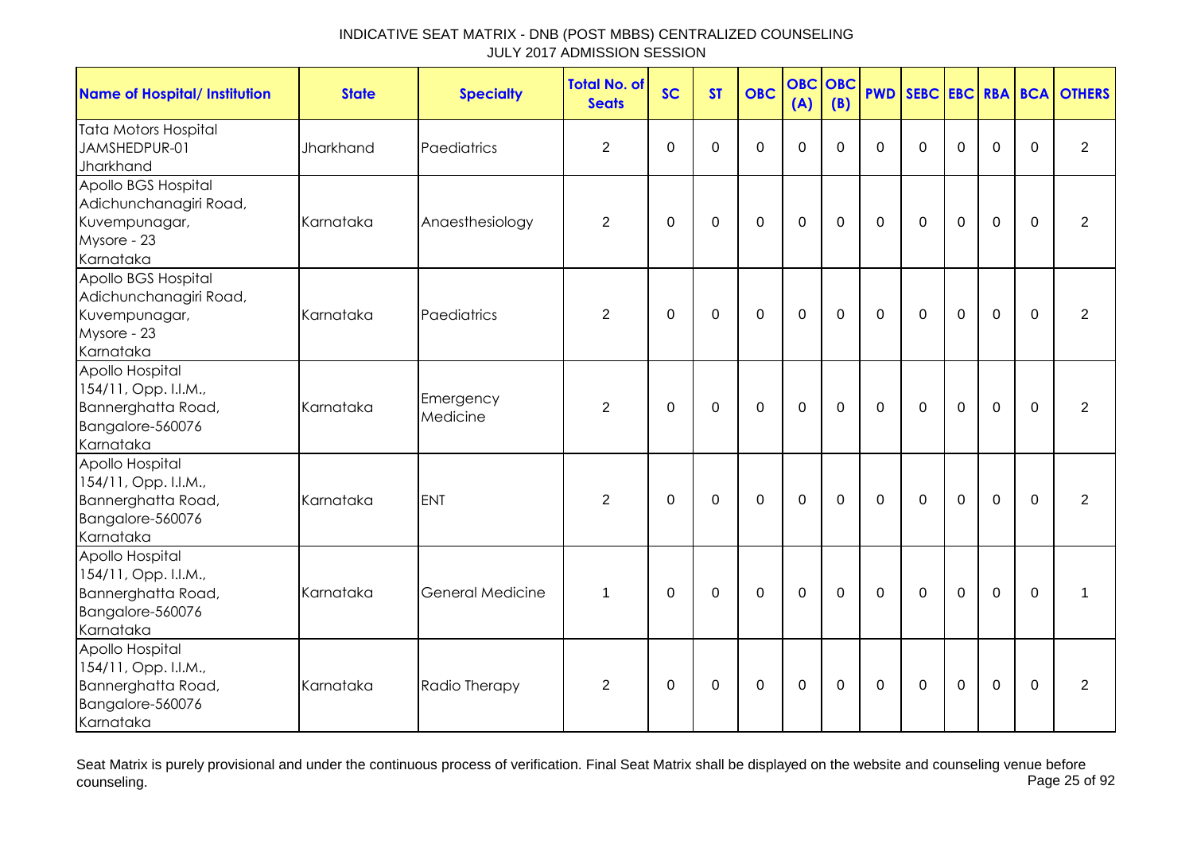| <b>Name of Hospital/ Institution</b>                                                           | <b>State</b> | <b>Specialty</b>        | <b>Total No. of</b><br><b>Seats</b> | <b>SC</b>   | <b>ST</b>   | <b>OBC</b>     | <b>OBC</b><br>(A) | OBC<br>(B)  | <b>PWD</b>  |              |                |                |             | SEBC EBC RBA BCA OTHERS |
|------------------------------------------------------------------------------------------------|--------------|-------------------------|-------------------------------------|-------------|-------------|----------------|-------------------|-------------|-------------|--------------|----------------|----------------|-------------|-------------------------|
| <b>Tata Motors Hospital</b><br>JAMSHEDPUR-01<br>Jharkhand                                      | Jharkhand    | Paediatrics             | 2                                   | $\mathbf 0$ | $\mathbf 0$ | $\overline{0}$ | $\mathbf{0}$      | $\Omega$    | $\Omega$    | $\Omega$     | $\Omega$       | 0              | $\Omega$    | $\overline{2}$          |
| Apollo BGS Hospital<br>Adichunchanagiri Road,<br>Kuvempunagar,<br>Mysore - 23<br>Karnataka     | Karnataka    | Anaesthesiology         | $\overline{2}$                      | 0           | $\mathbf 0$ | $\pmb{0}$      | $\pmb{0}$         | $\mathbf 0$ | $\mathbf 0$ | $\mathbf 0$  | $\mathbf 0$    | $\mathbf 0$    | $\mathbf 0$ | 2                       |
| Apollo BGS Hospital<br>Adichunchanagiri Road,<br>Kuvempunagar,<br>Mysore - 23<br>Karnataka     | Karnataka    | Paediatrics             | 2                                   | 0           | $\mathbf 0$ | $\mathbf 0$    | $\mathbf 0$       | $\mathbf 0$ | $\mathbf 0$ | $\mathbf 0$  | $\mathbf 0$    | $\mathbf 0$    | $\mathbf 0$ | 2                       |
| Apollo Hospital<br>154/11, Opp. I.I.M.,<br>Bannerghatta Road,<br>Bangalore-560076<br>Karnataka | Karnataka    | Emergency<br>Medicine   | $\overline{2}$                      | $\Omega$    | $\mathbf 0$ | $\mathbf 0$    | $\mathbf 0$       | $\mathbf 0$ | $\mathbf 0$ | $\mathbf 0$  | $\overline{0}$ | $\overline{0}$ | $\mathbf 0$ | $\overline{2}$          |
| Apollo Hospital<br>154/11, Opp. I.I.M.,<br>Bannerghatta Road,<br>Bangalore-560076<br>Karnataka | Karnataka    | <b>ENT</b>              | 2                                   | $\mathbf 0$ | $\mathbf 0$ | $\mathbf 0$    | $\mathbf 0$       | $\mathbf 0$ | $\mathbf 0$ | $\mathbf 0$  | $\mathbf 0$    | $\Omega$       | $\Omega$    | 2                       |
| Apollo Hospital<br>154/11, Opp. I.I.M.,<br>Bannerghatta Road,<br>Bangalore-560076<br>Karnataka | Karnataka    | <b>General Medicine</b> | $\mathbf 1$                         | 0           | 0           | $\mathbf 0$    | $\mathbf 0$       | 0           | $\mathbf 0$ | $\mathbf{0}$ | $\mathbf 0$    | $\mathbf 0$    | $\mathbf 0$ | 1                       |
| Apollo Hospital<br>154/11, Opp. I.I.M.,<br>Bannerghatta Road,<br>Bangalore-560076<br>Karnataka | Karnataka    | Radio Therapy           | $\overline{2}$                      | $\mathbf 0$ | $\pmb{0}$   | $\pmb{0}$      | $\boldsymbol{0}$  | $\mathbf 0$ | $\pmb{0}$   | $\mathbf 0$  | $\pmb{0}$      | $\mathbf 0$    | $\mathbf 0$ | $\overline{2}$          |

Seat Matrix is purely provisional and under the continuous process of verification. Final Seat Matrix shall be displayed on the website and counseling venue before<br>Page 25 of 92 counseling. Page 25 of 92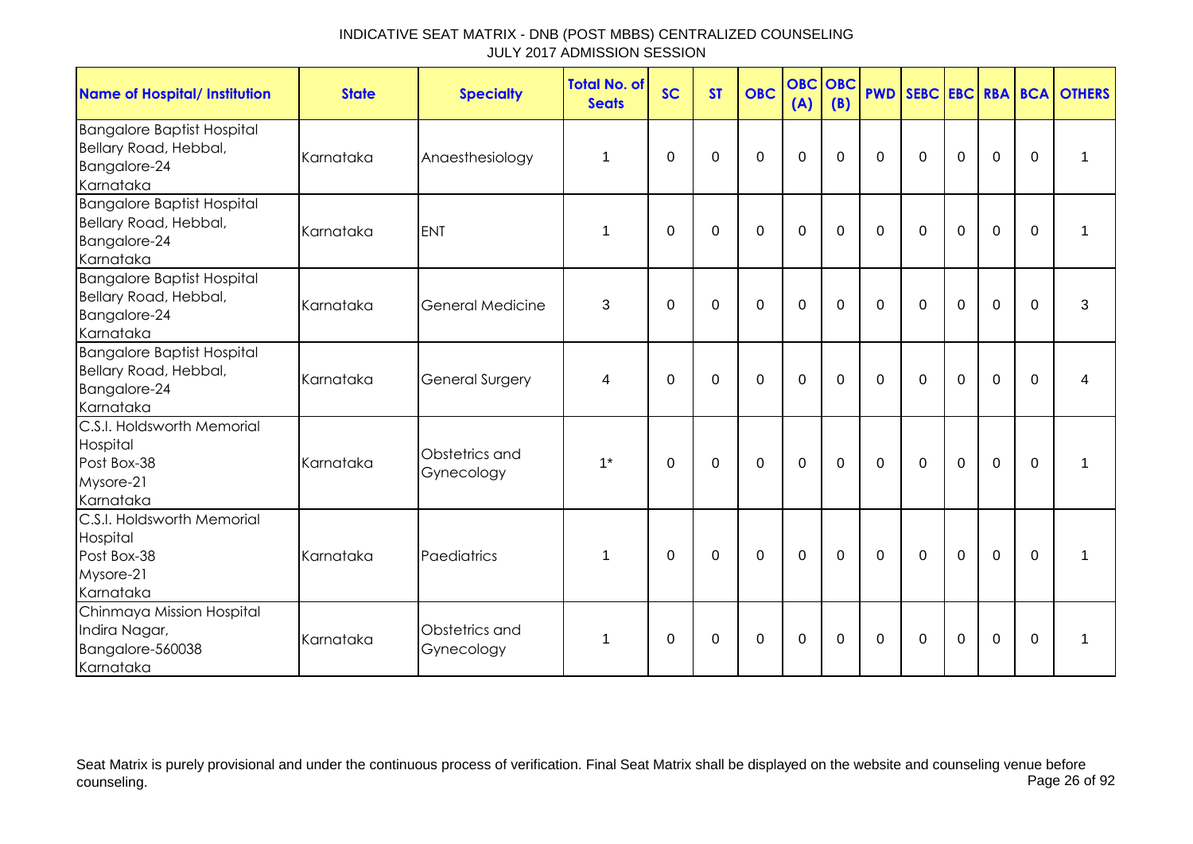| <b>Name of Hospital/ Institution</b>                                                    | <b>State</b> | <b>Specialty</b>             | <b>Total No. of</b><br><b>Seats</b> | <b>SC</b> | <b>ST</b>   | <b>OBC</b>  | <b>OBC</b><br>(A) | OBC<br>(B)  |              |              |             |             |             | <b>PWD SEBC EBC RBA BCA OTHERS</b> |
|-----------------------------------------------------------------------------------------|--------------|------------------------------|-------------------------------------|-----------|-------------|-------------|-------------------|-------------|--------------|--------------|-------------|-------------|-------------|------------------------------------|
| <b>Bangalore Baptist Hospital</b><br>Bellary Road, Hebbal,<br>Bangalore-24<br>Karnataka | Karnataka    | Anaesthesiology              | 1                                   | $\Omega$  | $\Omega$    | 0           | $\mathbf 0$       | $\Omega$    | $\Omega$     | $\mathbf{0}$ | $\Omega$    | 0           | $\Omega$    | 1                                  |
| <b>Bangalore Baptist Hospital</b><br>Bellary Road, Hebbal,<br>Bangalore-24<br>Karnataka | Karnataka    | <b>ENT</b>                   | 1                                   | $\Omega$  | $\Omega$    | 0           | $\mathbf 0$       | 0           | $\mathbf{0}$ | $\mathbf{0}$ | $\Omega$    | $\mathbf 0$ | $\Omega$    | 1                                  |
| <b>Bangalore Baptist Hospital</b><br>Bellary Road, Hebbal,<br>Bangalore-24<br>Karnataka | Karnataka    | <b>General Medicine</b>      | 3                                   | $\Omega$  | $\Omega$    | $\mathbf 0$ | $\overline{0}$    | $\Omega$    | $\Omega$     | $\Omega$     | $\Omega$    | 0           | $\Omega$    | 3                                  |
| <b>Bangalore Baptist Hospital</b><br>Bellary Road, Hebbal,<br>Bangalore-24<br>Karnataka | Karnataka    | <b>General Surgery</b>       | 4                                   | $\Omega$  | $\Omega$    | $\mathbf 0$ | $\mathbf 0$       | $\mathbf 0$ | $\Omega$     | $\Omega$     | $\mathbf 0$ | 0           | $\Omega$    | 4                                  |
| C.S.I. Holdsworth Memorial<br>Hospital<br>Post Box-38<br>Mysore-21<br>Karnataka         | Karnataka    | Obstetrics and<br>Gynecology | $1^*$                               | 0         | $\mathbf 0$ | $\mathbf 0$ | $\mathbf 0$       | $\mathbf 0$ | $\mathbf 0$  | $\mathbf 0$  | $\mathbf 0$ | $\mathbf 0$ | $\mathbf 0$ | 1                                  |
| C.S.I. Holdsworth Memorial<br>Hospital<br>Post Box-38<br>Mysore-21<br>Karnataka         | Karnataka    | Paediatrics                  | 1                                   | $\Omega$  | 0           | $\mathbf 0$ | $\mathbf 0$       | $\mathbf 0$ | $\mathbf 0$  | $\mathbf 0$  | $\mathbf 0$ | $\mathbf 0$ | $\Omega$    | 1                                  |
| Chinmaya Mission Hospital<br>Indira Nagar,<br>Bangalore-560038<br>Karnataka             | Karnataka    | Obstetrics and<br>Gynecology | 1                                   | 0         | 0           | $\mathbf 0$ | $\boldsymbol{0}$  | 0           | 0            | 0            | $\mathbf 0$ | $\mathbf 0$ | $\Omega$    | 1                                  |

Seat Matrix is purely provisional and under the continuous process of verification. Final Seat Matrix shall be displayed on the website and counseling venue before<br>Page 26 of 92 counseling. Page 26 of 92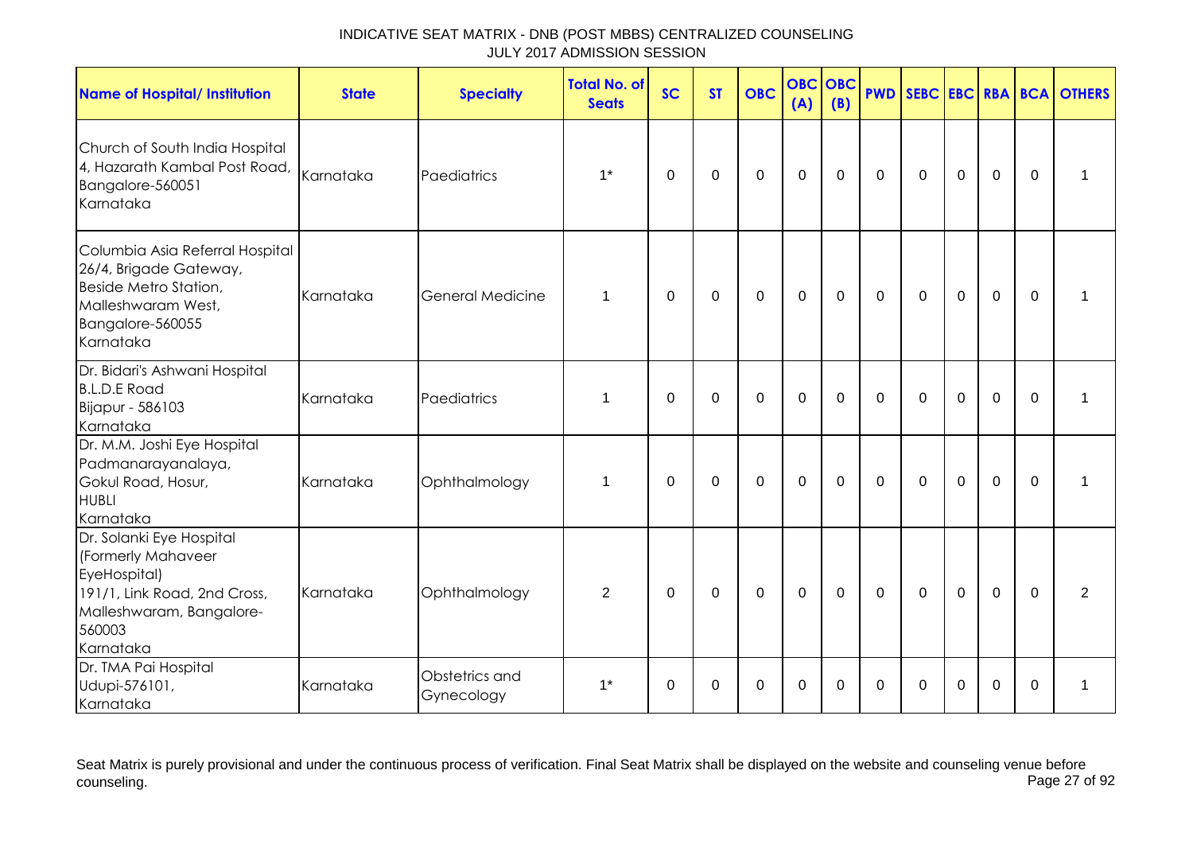| <b>Name of Hospital/ Institution</b>                                                                                                              | <b>State</b> | <b>Specialty</b>             | <b>Total No. of</b><br><b>Seats</b> | <b>SC</b> | <b>ST</b>   | <b>OBC</b>  | <b>OBC</b><br>(A) | OBC<br>(B)  |              |              |             |                |             | <b>PWD SEBC EBC RBA BCA OTHERS</b> |
|---------------------------------------------------------------------------------------------------------------------------------------------------|--------------|------------------------------|-------------------------------------|-----------|-------------|-------------|-------------------|-------------|--------------|--------------|-------------|----------------|-------------|------------------------------------|
| Church of South India Hospital<br>4, Hazarath Kambal Post Road, Karnataka<br>Bangalore-560051<br>Karnataka                                        |              | Paediatrics                  | $1^*$                               | $\Omega$  | 0           | $\mathbf 0$ | $\mathbf 0$       | $\Omega$    | $\mathbf 0$  | $\Omega$     | $\mathbf 0$ | $\overline{0}$ | $\Omega$    | 1                                  |
| Columbia Asia Referral Hospital<br>26/4, Brigade Gateway,<br>Beside Metro Station,<br>Malleshwaram West,<br>Bangalore-560055<br>Karnataka         | Karnataka    | <b>General Medicine</b>      | $\mathbf{1}$                        | 0         | 0           | $\mathbf 0$ | $\mathbf 0$       | 0           | 0            | $\mathbf{0}$ | $\mathbf 0$ | $\mathbf 0$    | $\Omega$    | 1                                  |
| Dr. Bidari's Ashwani Hospital<br><b>B.L.D.E Road</b><br>Bijapur - 586103<br>Karnataka                                                             | Karnataka    | Paediatrics                  | 1                                   | $\Omega$  | $\Omega$    | $\mathbf 0$ | $\overline{0}$    | $\Omega$    | $\Omega$     | $\Omega$     | $\Omega$    | $\overline{0}$ | $\Omega$    | 1                                  |
| Dr. M.M. Joshi Eye Hospital<br>Padmanarayanalaya,<br>Gokul Road, Hosur,<br><b>HUBLI</b><br>Karnataka                                              | Karnataka    | Ophthalmology                | $\mathbf{1}$                        | 0         | 0           | $\mathbf 0$ | $\mathbf 0$       | $\mathbf 0$ | $\mathbf{0}$ | $\mathbf{0}$ | $\mathbf 0$ | $\mathbf 0$    | $\mathbf 0$ | 1                                  |
| Dr. Solanki Eye Hospital<br>(Formerly Mahaveer<br>EyeHospital)<br>191/1, Link Road, 2nd Cross,<br>Malleshwaram, Bangalore-<br>560003<br>Karnataka | Karnataka    | Ophthalmology                | $\overline{2}$                      | 0         | $\mathbf 0$ | $\mathbf 0$ | $\mathbf 0$       | $\mathbf 0$ | $\mathbf 0$  | $\mathbf 0$  | $\mathbf 0$ | $\mathbf 0$    | $\mathbf 0$ | $\overline{2}$                     |
| Dr. TMA Pai Hospital<br>Udupi-576101,<br>Karnataka                                                                                                | Karnataka    | Obstetrics and<br>Gynecology | $1^*$                               | 0         | 0           | 0           | 0                 | 0           | 0            | 0            | 0           | 0              | $\Omega$    | 1                                  |

Seat Matrix is purely provisional and under the continuous process of verification. Final Seat Matrix shall be displayed on the website and counseling venue before<br>Page 27 of 92 counseling. Page 27 of 92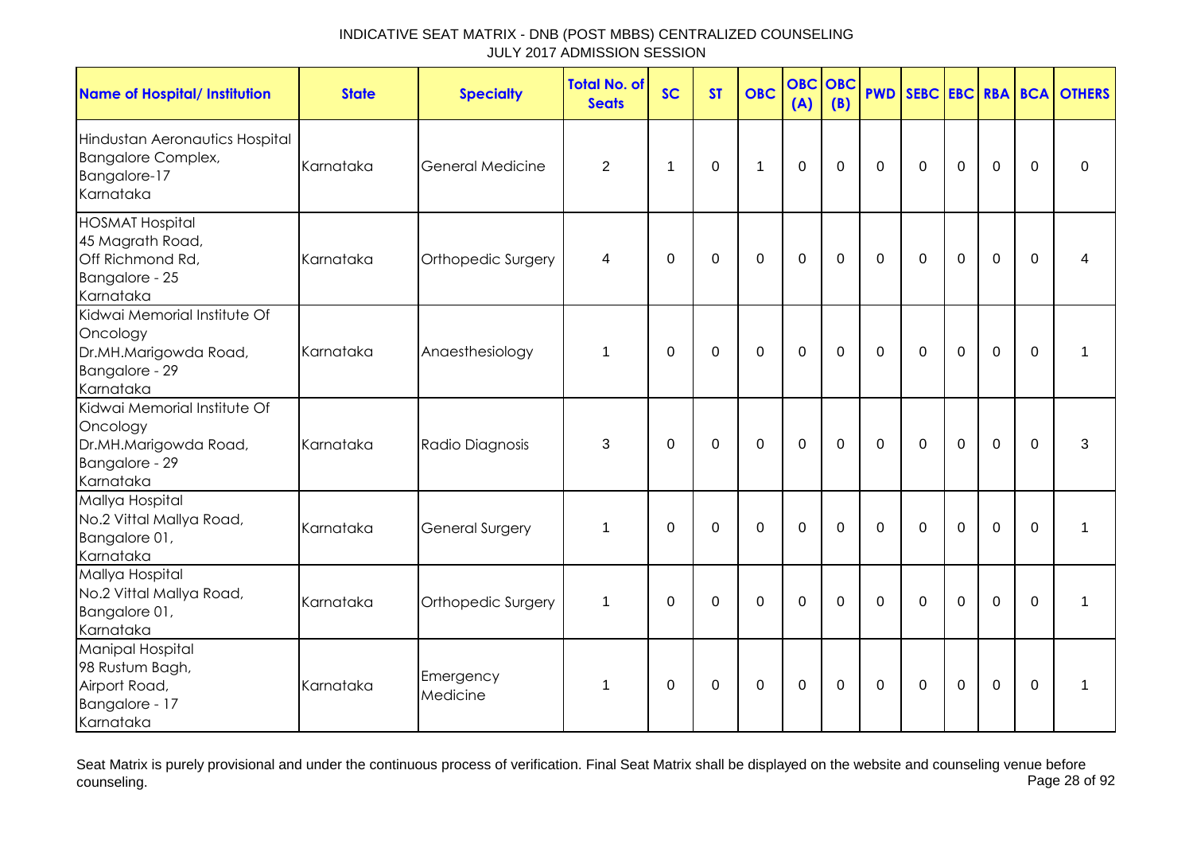| <b>Name of Hospital/ Institution</b>                                                             | <b>State</b> | <b>Specialty</b>        | <b>Total No. of</b><br><b>Seats</b> | <b>SC</b>      | <b>ST</b>   | <b>OBC</b>       | <b>OBC</b><br>(A) | <b>OBC</b><br>(B) | <b>PWD</b>  |             |             |                |             | <b>SEBC EBC RBA BCA OTHERS</b> |
|--------------------------------------------------------------------------------------------------|--------------|-------------------------|-------------------------------------|----------------|-------------|------------------|-------------------|-------------------|-------------|-------------|-------------|----------------|-------------|--------------------------------|
| Hindustan Aeronautics Hospital<br><b>Bangalore Complex,</b><br>Bangalore-17<br>Karnataka         | Karnataka    | <b>General Medicine</b> | $\overline{2}$                      | $\overline{1}$ | $\mathbf 0$ | 1                | $\mathbf 0$       | $\mathbf 0$       | $\mathbf 0$ | $\mathbf 0$ | $\mathbf 0$ | $\mathbf 0$    | $\Omega$    | 0                              |
| <b>HOSMAT Hospital</b><br>45 Magrath Road,<br>Off Richmond Rd,<br>Bangalore - 25<br>Karnataka    | Karnataka    | Orthopedic Surgery      | 4                                   | $\mathbf 0$    | $\mathbf 0$ | $\mathbf 0$      | $\mathbf 0$       | $\mathbf 0$       | $\mathbf 0$ | $\mathbf 0$ | $\mathbf 0$ | $\mathbf 0$    | $\Omega$    | 4                              |
| Kidwai Memorial Institute Of<br>Oncology<br>Dr.MH.Marigowda Road,<br>Bangalore - 29<br>Karnataka | Karnataka    | Anaesthesiology         | $\mathbf{1}$                        | $\Omega$       | $\mathbf 0$ | $\mathbf 0$      | $\mathbf 0$       | $\mathbf 0$       | $\mathbf 0$ | $\mathbf 0$ | $\mathbf 0$ | $\mathbf 0$    | $\Omega$    | $\mathbf 1$                    |
| Kidwai Memorial Institute Of<br>Oncology<br>Dr.MH.Marigowda Road,<br>Bangalore - 29<br>Karnataka | Karnataka    | Radio Diagnosis         | 3                                   | 0              | 0           | $\mathbf 0$      | $\mathbf 0$       | $\mathbf 0$       | $\mathbf 0$ | $\mathbf 0$ | $\mathbf 0$ | $\mathbf 0$    | $\mathbf 0$ | 3                              |
| Mallya Hospital<br>No.2 Vittal Mallya Road,<br>Bangalore 01,<br>Karnataka                        | Karnataka    | <b>General Surgery</b>  | 1                                   | $\Omega$       | $\mathbf 0$ | $\mathbf 0$      | $\mathbf 0$       | $\mathbf 0$       | $\mathbf 0$ | $\mathbf 0$ | $\mathbf 0$ | $\mathbf 0$    | $\Omega$    | 1                              |
| Mallya Hospital<br>No.2 Vittal Mallya Road,<br>Bangalore 01,<br>Karnataka                        | Karnataka    | Orthopedic Surgery      | $\mathbf 1$                         | $\mathbf 0$    | $\mathbf 0$ | $\mathbf 0$      | $\mathbf 0$       | $\Omega$          | $\Omega$    | $\Omega$    | $\mathbf 0$ | $\overline{0}$ | $\Omega$    | 1                              |
| Manipal Hospital<br>98 Rustum Bagh,<br>Airport Road,<br>Bangalore - 17<br>Karnataka              | Karnataka    | Emergency<br>Medicine   | 1                                   | $\mathbf 0$    | $\pmb{0}$   | $\boldsymbol{0}$ | $\boldsymbol{0}$  | $\pmb{0}$         | $\mathbf 0$ | $\mathbf 0$ | $\mathbf 0$ | $\mathbf 0$    | $\mathbf 0$ | 1                              |

Seat Matrix is purely provisional and under the continuous process of verification. Final Seat Matrix shall be displayed on the website and counseling venue before<br>Page 28 of 92 counseling. Page 28 of 92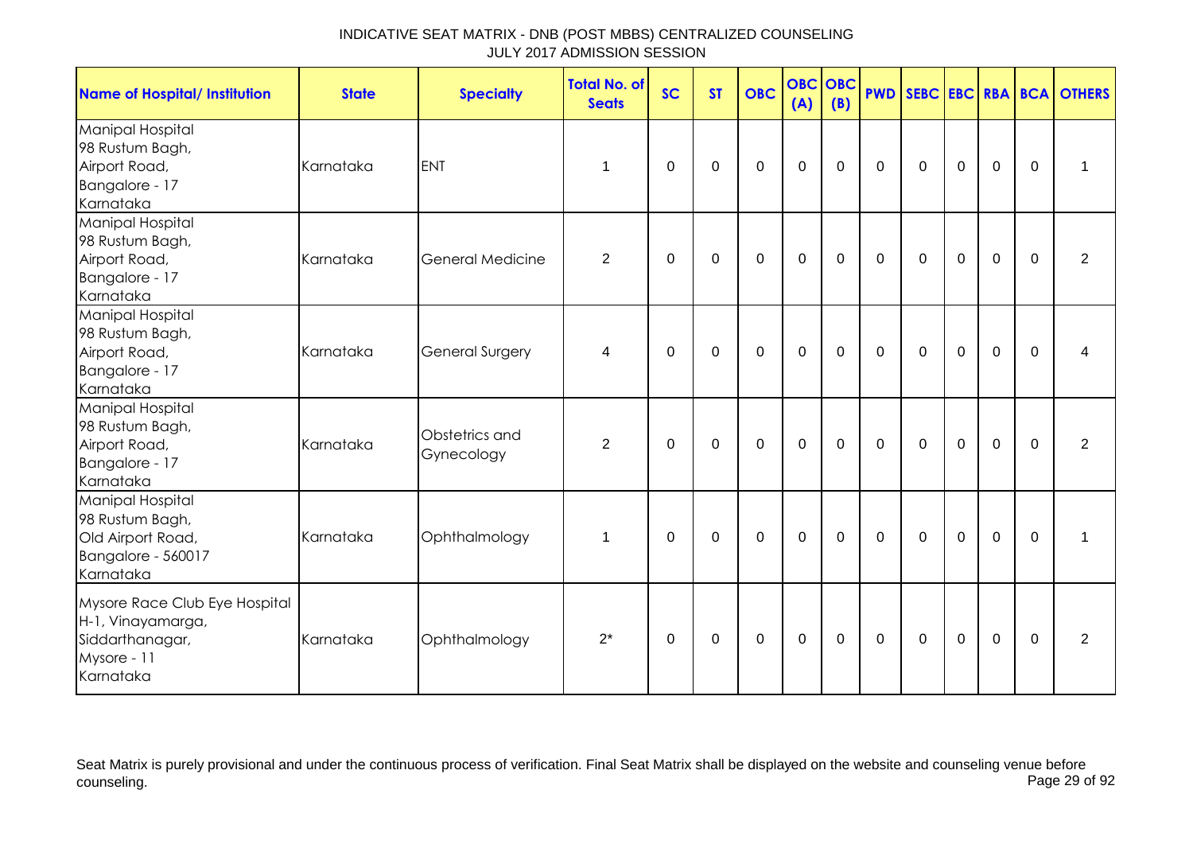| <b>Name of Hospital/ Institution</b>                                                              | <b>State</b> | <b>Specialty</b>             | <b>Total No. of</b><br><b>Seats</b> | <b>SC</b> | <b>ST</b>   | <b>OBC</b>  | <b>OBC OBC</b><br>(A) | (B)         |             |             |                |             |             | <b>PWD SEBC EBC RBA BCA OTHERS</b> |
|---------------------------------------------------------------------------------------------------|--------------|------------------------------|-------------------------------------|-----------|-------------|-------------|-----------------------|-------------|-------------|-------------|----------------|-------------|-------------|------------------------------------|
| Manipal Hospital<br>98 Rustum Bagh,<br>Airport Road,<br>Bangalore - 17<br>Karnataka               | Karnataka    | <b>ENT</b>                   | 1                                   | 0         | 0           | $\mathbf 0$ | $\mathbf 0$           | $\mathbf 0$ | $\mathbf 0$ | $\mathbf 0$ | $\mathbf 0$    | $\mathbf 0$ | $\mathbf 0$ | $\mathbf{1}$                       |
| Manipal Hospital<br>98 Rustum Bagh,<br>Airport Road,<br>Bangalore - 17<br>Karnataka               | Karnataka    | <b>General Medicine</b>      | $\overline{2}$                      | $\Omega$  | $\mathbf 0$ | $\mathbf 0$ | $\mathbf 0$           | $\mathbf 0$ | $\mathbf 0$ | $\mathbf 0$ | $\mathbf 0$    | $\mathbf 0$ | $\mathbf 0$ | $\overline{2}$                     |
| Manipal Hospital<br>98 Rustum Bagh,<br>Airport Road,<br>Bangalore - 17<br>Karnataka               | Karnataka    | <b>General Surgery</b>       | 4                                   | 0         | 0           | $\mathbf 0$ | $\mathbf 0$           | $\mathbf 0$ | $\mathbf 0$ | $\mathbf 0$ | $\mathbf 0$    | $\mathbf 0$ | $\Omega$    | 4                                  |
| Manipal Hospital<br>98 Rustum Bagh,<br>Airport Road,<br>Bangalore - 17<br>Karnataka               | Karnataka    | Obstetrics and<br>Gynecology | $\overline{2}$                      | $\Omega$  | $\Omega$    | $\Omega$    | $\mathbf 0$           | $\Omega$    | $\mathbf 0$ | $\mathbf 0$ | $\mathbf 0$    | $\mathbf 0$ | $\Omega$    | $\overline{2}$                     |
| Manipal Hospital<br>98 Rustum Bagh,<br>Old Airport Road,<br>Bangalore - 560017<br>Karnataka       | Karnataka    | Ophthalmology                | 1                                   | 0         | 0           | $\mathbf 0$ | $\mathbf 0$           | $\mathbf 0$ | $\mathbf 0$ | $\mathbf 0$ | $\mathbf 0$    | $\mathbf 0$ | $\mathbf 0$ | $\mathbf{1}$                       |
| Mysore Race Club Eye Hospital<br>H-1, Vinayamarga,<br>Siddarthanagar,<br>Mysore - 11<br>Karnataka | Karnataka    | Ophthalmology                | $2^*$                               | $\Omega$  | $\mathbf 0$ | $\mathbf 0$ | $\mathbf 0$           | $\mathbf 0$ | $\mathbf 0$ | $\mathbf 0$ | $\overline{0}$ | $\mathbf 0$ | $\Omega$    | $\overline{2}$                     |

Seat Matrix is purely provisional and under the continuous process of verification. Final Seat Matrix shall be displayed on the website and counseling venue before<br>Page 29 of 92 counseling. Page 29 of 92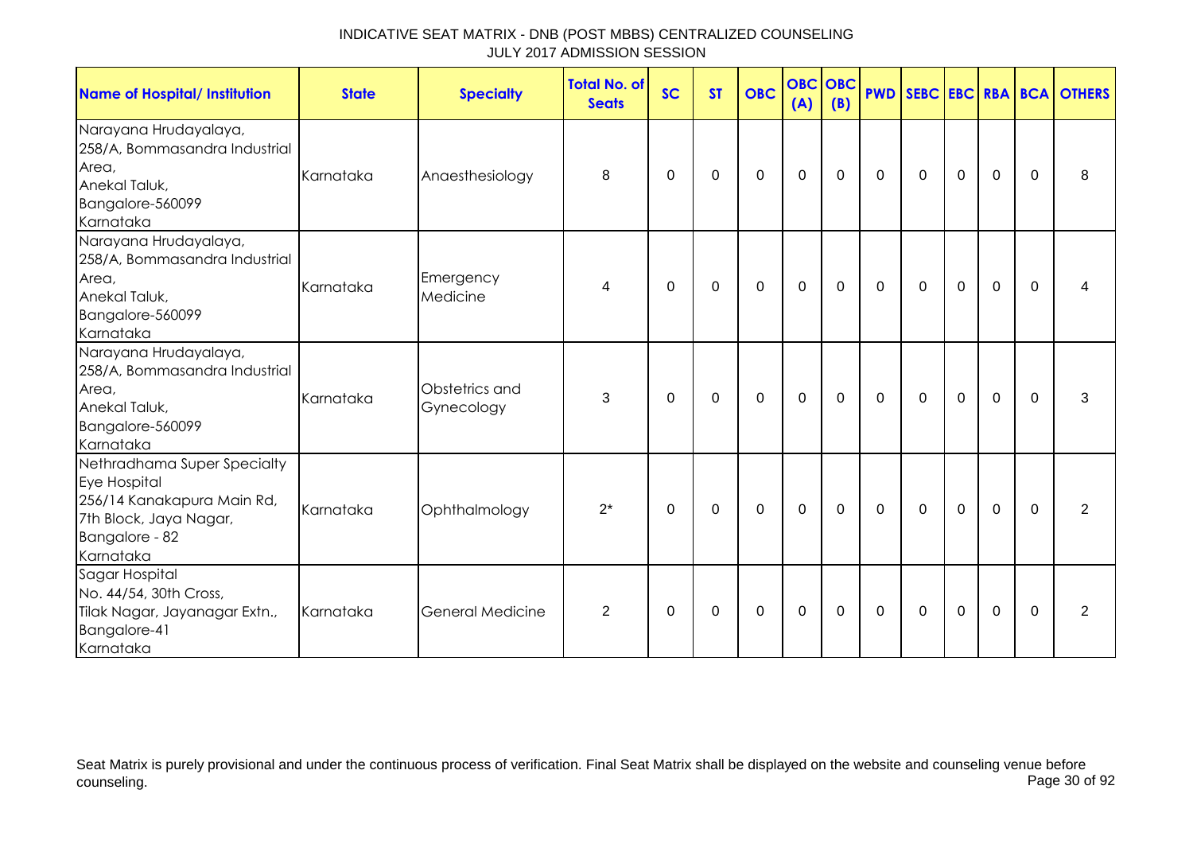| Name of Hospital/ Institution                                                                                                      | <b>State</b> | <b>Specialty</b>             | <b>Total No. of</b><br><b>Seats</b> | <b>SC</b>   | <b>ST</b> | <b>OBC</b>  | <b>OBC OBC</b><br>(A) | (B)            | <b>PWD</b>   |              |                |             |             | SEBC EBC RBA BCA OTHERS |
|------------------------------------------------------------------------------------------------------------------------------------|--------------|------------------------------|-------------------------------------|-------------|-----------|-------------|-----------------------|----------------|--------------|--------------|----------------|-------------|-------------|-------------------------|
| Narayana Hrudayalaya,<br>258/A, Bommasandra Industrial<br>Area,<br>Anekal Taluk,<br>Bangalore-560099<br>Karnataka                  | Karnataka    | Anaesthesiology              | 8                                   | $\mathbf 0$ | 0         | 0           | 0                     | $\overline{0}$ | $\mathbf 0$  | $\mathbf 0$  | $\mathbf 0$    | $\mathbf 0$ | 0           | 8                       |
| Narayana Hrudayalaya,<br>258/A, Bommasandra Industrial<br>Area,<br>Anekal Taluk,<br>Bangalore-560099<br>Karnataka                  | Karnataka    | Emergency<br>Medicine        | $\overline{4}$                      | $\Omega$    | 0         | 0           | 0                     | $\overline{0}$ | $\mathbf{0}$ | $\mathbf 0$  | $\overline{0}$ | $\mathbf 0$ | $\Omega$    | 4                       |
| Narayana Hrudayalaya,<br>258/A, Bommasandra Industrial<br>Area,<br>Anekal Taluk,<br>Bangalore-560099<br>Karnataka                  | Karnataka    | Obstetrics and<br>Gynecology | 3                                   | $\Omega$    | 0         | 0           | 0                     | $\mathbf 0$    | $\mathbf{0}$ | $\mathbf{0}$ | $\overline{0}$ | $\mathbf 0$ | $\Omega$    | 3                       |
| Nethradhama Super Specialty<br>Eye Hospital<br>256/14 Kanakapura Main Rd,<br>7th Block, Jaya Nagar,<br>Bangalore - 82<br>Karnataka | Karnataka    | Ophthalmology                | $2^*$                               | $\Omega$    | $\Omega$  | $\mathbf 0$ | $\mathbf 0$           | $\mathbf 0$    | $\Omega$     | $\mathbf 0$  | $\mathbf 0$    | $\mathbf 0$ | $\Omega$    | 2                       |
| Sagar Hospital<br>No. 44/54, 30th Cross,<br>Tilak Nagar, Jayanagar Extn.,<br>Bangalore-41<br>Karnataka                             | Karnataka    | <b>General Medicine</b>      | $\overline{2}$                      | $\mathbf 0$ | 0         | 0           | 0                     | 0              | $\mathbf 0$  | 0            | $\mathbf 0$    | $\mathbf 0$ | $\mathbf 0$ | $\overline{2}$          |

Seat Matrix is purely provisional and under the continuous process of verification. Final Seat Matrix shall be displayed on the website and counseling venue before<br>Page 30 of 92 counseling. Page 30 of 92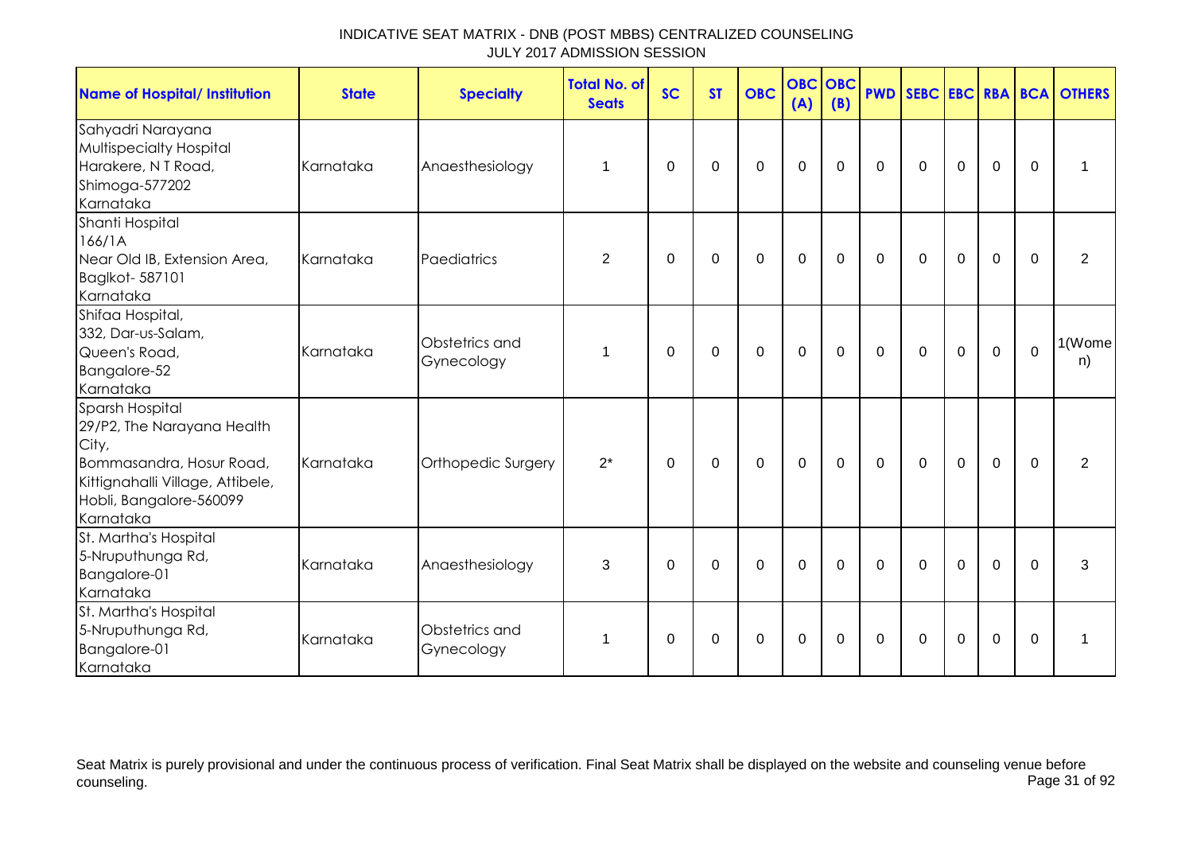| <b>Name of Hospital/ Institution</b>                                                                                                                           | <b>State</b> | <b>Specialty</b>             | <b>Total No. of</b><br><b>Seats</b> | <b>SC</b> | <b>ST</b>   | <b>OBC</b>  | (A)         | <b>OBC</b> OBC<br>(B) |             |             |             |                  |              | <b>PWD SEBC EBC RBA BCA OTHERS</b> |
|----------------------------------------------------------------------------------------------------------------------------------------------------------------|--------------|------------------------------|-------------------------------------|-----------|-------------|-------------|-------------|-----------------------|-------------|-------------|-------------|------------------|--------------|------------------------------------|
| Sahyadri Narayana<br><b>Multispecialty Hospital</b><br>Harakere, N T Road,<br>Shimoga-577202<br>Karnataka                                                      | Karnataka    | Anaesthesiology              | $\mathbf 1$                         | 0         | $\mathbf 0$ | $\mathbf 0$ | $\mathbf 0$ | $\mathbf 0$           | $\mathbf 0$ | $\mathbf 0$ | $\mathbf 0$ | $\boldsymbol{0}$ | $\mathbf{0}$ | 1                                  |
| Shanti Hospital<br>166/1A<br>Near Old IB, Extension Area,<br>Baglkot- 587101<br>Karnataka                                                                      | Karnataka    | Paediatrics                  | $\overline{2}$                      | 0         | 0           | $\mathbf 0$ | $\mathbf 0$ | $\mathbf 0$           | $\mathbf 0$ | $\mathbf 0$ | $\mathbf 0$ | 0                | 0            | $\overline{2}$                     |
| Shifaa Hospital,<br>332, Dar-us-Salam,<br>Queen's Road,<br>Bangalore-52<br>Karnataka                                                                           | Karnataka    | Obstetrics and<br>Gynecology | 1                                   | 0         | 0           | $\mathbf 0$ | $\mathbf 0$ | $\mathbf 0$           | $\mathbf 0$ | $\mathbf 0$ | $\mathbf 0$ | 0                | $\mathbf 0$  | 1(Wome<br>n)                       |
| Sparsh Hospital<br>29/P2, The Narayana Health<br>City,<br>Bommasandra, Hosur Road,<br>Kittignahalli Village, Attibele,<br>Hobli, Bangalore-560099<br>Karnataka | Karnataka    | Orthopedic Surgery           | $2^*$                               | $\Omega$  | 0           | $\mathbf 0$ | $\mathbf 0$ | $\mathbf 0$           | $\mathbf 0$ | $\Omega$    | $\mathbf 0$ | $\mathbf 0$      | $\Omega$     | 2                                  |
| St. Martha's Hospital<br>5-Nruputhunga Rd,<br>Bangalore-01<br>Karnataka                                                                                        | Karnataka    | Anaesthesiology              | 3                                   | $\Omega$  | $\mathbf 0$ | $\mathbf 0$ | $\mathbf 0$ | $\mathbf 0$           | $\mathbf 0$ | $\mathbf 0$ | $\mathbf 0$ | 0                | $\Omega$     | 3                                  |
| St. Martha's Hospital<br>5-Nruputhunga Rd,<br>Bangalore-01<br>Karnataka                                                                                        | Karnataka    | Obstetrics and<br>Gynecology | 1                                   | 0         | 0           | 0           | $\pmb{0}$   | 0                     | 0           | $\mathbf 0$ | 0           | 0                | 0            | 1                                  |

Seat Matrix is purely provisional and under the continuous process of verification. Final Seat Matrix shall be displayed on the website and counseling venue before<br>Page 31 of 92 counseling. Page 31 of 92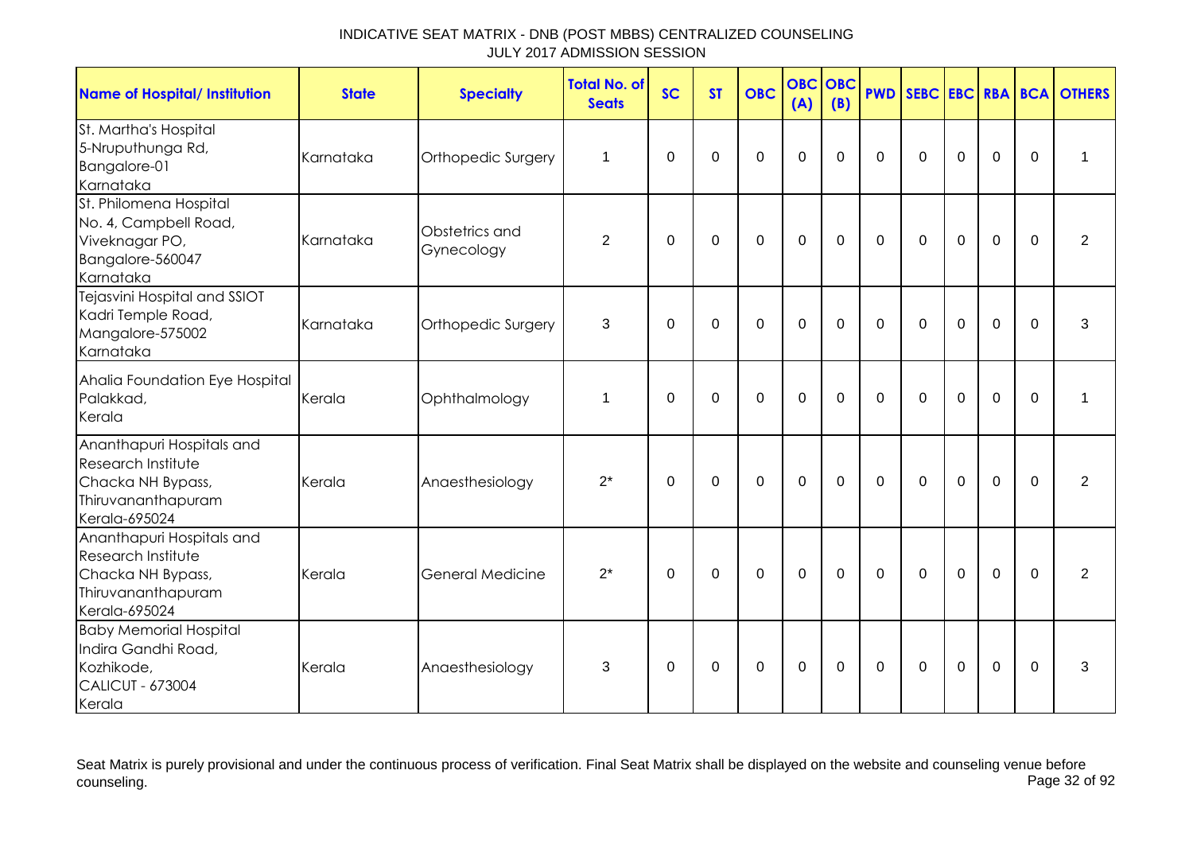| <b>Name of Hospital/ Institution</b>                                                                        | <b>State</b> | <b>Specialty</b>             | <b>Total No. of</b><br><b>Seats</b> | <b>SC</b>   | <b>ST</b>      | <b>OBC</b>  | <b>OBC</b><br>(A) | OBC<br>(B)  | <b>PWD</b>   |              |                |             |             | <b>SEBC EBC RBA BCA OTHERS</b> |
|-------------------------------------------------------------------------------------------------------------|--------------|------------------------------|-------------------------------------|-------------|----------------|-------------|-------------------|-------------|--------------|--------------|----------------|-------------|-------------|--------------------------------|
| St. Martha's Hospital<br>5-Nruputhunga Rd,<br>Bangalore-01<br>Karnataka                                     | Karnataka    | Orthopedic Surgery           | $\mathbf 1$                         | $\Omega$    | 0              | $\mathbf 0$ | $\mathbf 0$       | $\Omega$    | $\Omega$     | $\Omega$     | $\Omega$       | $\mathbf 0$ | 0           | 1                              |
| St. Philomena Hospital<br>No. 4, Campbell Road,<br>Viveknagar PO,<br>Bangalore-560047<br>Karnataka          | Karnataka    | Obstetrics and<br>Gynecology | $\overline{2}$                      | $\Omega$    | $\Omega$       | $\mathbf 0$ | $\mathbf 0$       | $\Omega$    | $\mathbf{0}$ | $\mathbf 0$  | $\mathbf 0$    | $\mathbf 0$ | $\Omega$    | 2                              |
| Tejasvini Hospital and SSIOT<br>Kadri Temple Road,<br>Mangalore-575002<br>Karnataka                         | Karnataka    | Orthopedic Surgery           | 3                                   | $\Omega$    | 0              | 0           | $\mathbf 0$       | $\Omega$    | $\Omega$     | $\mathbf{0}$ | $\Omega$       | $\mathbf 0$ | $\Omega$    | 3                              |
| Ahalia Foundation Eye Hospital<br>Palakkad,<br>Kerala                                                       | Kerala       | Ophthalmology                | 1                                   | $\Omega$    | $\overline{0}$ | $\mathbf 0$ | $\overline{0}$    | $\Omega$    | $\Omega$     | $\Omega$     | $\mathbf 0$    | $\mathbf 0$ | $\mathbf 0$ | 1                              |
| Ananthapuri Hospitals and<br>Research Institute<br>Chacka NH Bypass,<br>Thiruvananthapuram<br>Kerala-695024 | Kerala       | Anaesthesiology              | $2^*$                               | $\Omega$    | $\mathbf 0$    | $\mathbf 0$ | $\overline{0}$    | $\mathbf 0$ | $\mathbf 0$  | $\mathbf 0$  | $\mathbf 0$    | $\mathbf 0$ | $\mathbf 0$ | $\overline{2}$                 |
| Ananthapuri Hospitals and<br>Research Institute<br>Chacka NH Bypass,<br>Thiruvananthapuram<br>Kerala-695024 | Kerala       | <b>General Medicine</b>      | $2^*$                               | $\mathbf 0$ | 0              | $\mathbf 0$ | $\mathbf 0$       | $\mathbf 0$ | $\mathbf 0$  | $\mathbf 0$  | $\overline{0}$ | $\mathbf 0$ | $\mathbf 0$ | $\overline{2}$                 |
| <b>Baby Memorial Hospital</b><br>Indira Gandhi Road,<br>Kozhikode,<br><b>CALICUT - 673004</b><br>Kerala     | Kerala       | Anaesthesiology              | 3                                   | 0           | 0              | 0           | $\mathbf 0$       | 0           | 0            | 0            | 0              | $\mathbf 0$ | $\mathbf 0$ | 3                              |

Seat Matrix is purely provisional and under the continuous process of verification. Final Seat Matrix shall be displayed on the website and counseling venue before<br>Page 32 of 92 counseling. Page 32 of 92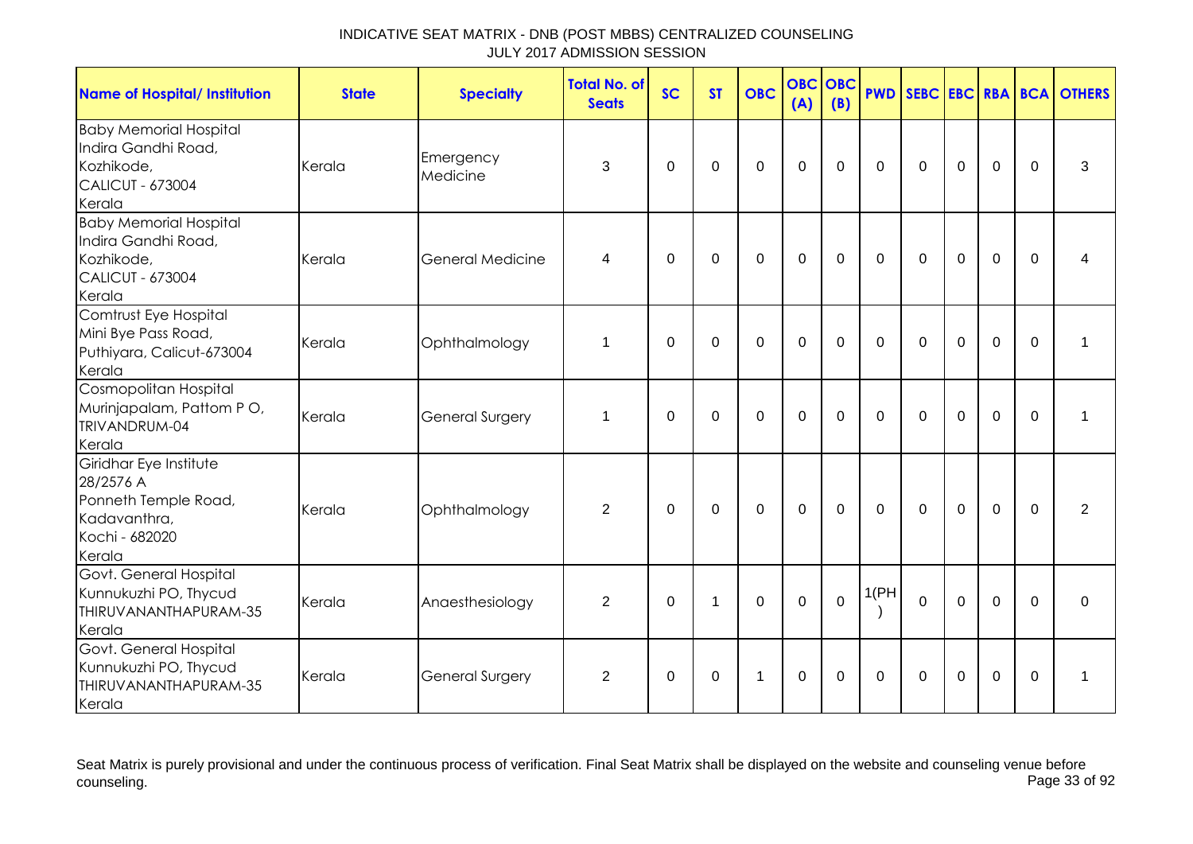| <b>Name of Hospital/ Institution</b>                                                                    | <b>State</b> | <b>Specialty</b>        | <b>Total No. of</b><br><b>Seats</b> | <b>SC</b> | <b>ST</b>      | <b>OBC</b>  | <b>OBC</b><br>(A) | <b>OBC</b><br>(B) | <b>PWD</b>   |              |             |                |              | SEBC EBC RBA BCA OTHERS |
|---------------------------------------------------------------------------------------------------------|--------------|-------------------------|-------------------------------------|-----------|----------------|-------------|-------------------|-------------------|--------------|--------------|-------------|----------------|--------------|-------------------------|
| <b>Baby Memorial Hospital</b><br>Indira Gandhi Road,<br>Kozhikode,<br><b>CALICUT - 673004</b><br>Kerala | Kerala       | Emergency<br>Medicine   | 3                                   | $\Omega$  | 0              | $\mathbf 0$ | $\mathbf 0$       | $\Omega$          | $\mathbf{0}$ | $\mathbf{0}$ | $\mathbf 0$ | $\overline{0}$ | $\mathbf{0}$ | 3                       |
| <b>Baby Memorial Hospital</b><br>Indira Gandhi Road,<br>Kozhikode,<br><b>CALICUT - 673004</b><br>Kerala | Kerala       | <b>General Medicine</b> | 4                                   | $\Omega$  | 0              | $\mathbf 0$ | $\mathbf 0$       | $\mathbf 0$       | $\mathbf 0$  | $\mathbf 0$  | $\mathbf 0$ | $\mathbf 0$    | $\Omega$     | 4                       |
| Comtrust Eye Hospital<br>Mini Bye Pass Road,<br>Puthiyara, Calicut-673004<br>Kerala                     | Kerala       | Ophthalmology           | 1                                   | $\Omega$  | $\Omega$       | $\mathbf 0$ | $\mathbf 0$       | $\Omega$          | $\Omega$     | $\Omega$     | $\Omega$    | $\mathbf 0$    | $\Omega$     | 1                       |
| Cosmopolitan Hospital<br>Murinjapalam, Pattom PO,<br>TRIVANDRUM-04<br>Kerala                            | Kerala       | General Surgery         | 1                                   | $\Omega$  | $\overline{0}$ | $\mathbf 0$ | $\mathbf 0$       | $\mathbf 0$       | $\mathbf 0$  | $\mathbf 0$  | $\mathbf 0$ | $\mathbf 0$    | $\mathbf 0$  | 1                       |
| Giridhar Eye Institute<br>28/2576 A<br>Ponneth Temple Road,<br>Kadavanthra,<br>Kochi - 682020<br>Kerala | Kerala       | Ophthalmology           | 2                                   | $\Omega$  | $\Omega$       | $\mathbf 0$ | $\Omega$          | $\Omega$          | $\Omega$     | $\mathbf{0}$ | $\Omega$    | $\Omega$       | $\Omega$     | 2                       |
| Govt. General Hospital<br>Kunnukuzhi PO, Thycud<br>THIRUVANANTHAPURAM-35<br>Kerala                      | Kerala       | Anaesthesiology         | $\overline{2}$                      | 0         | 1              | $\mathbf 0$ | $\mathbf 0$       | $\mathbf 0$       | 1(PH)        | $\mathbf 0$  | $\mathbf 0$ | $\mathbf 0$    | $\Omega$     | 0                       |
| Govt. General Hospital<br>Kunnukuzhi PO, Thycud<br>THIRUVANANTHAPURAM-35<br>Kerala                      | Kerala       | <b>General Surgery</b>  | 2                                   | $\Omega$  | $\Omega$       | 1           | $\mathbf 0$       | $\Omega$          | $\Omega$     | $\mathbf{0}$ | $\Omega$    | $\mathbf 0$    | $\Omega$     | 1                       |

Seat Matrix is purely provisional and under the continuous process of verification. Final Seat Matrix shall be displayed on the website and counseling venue before<br>Page 33 of 92 counseling. Page 33 of 92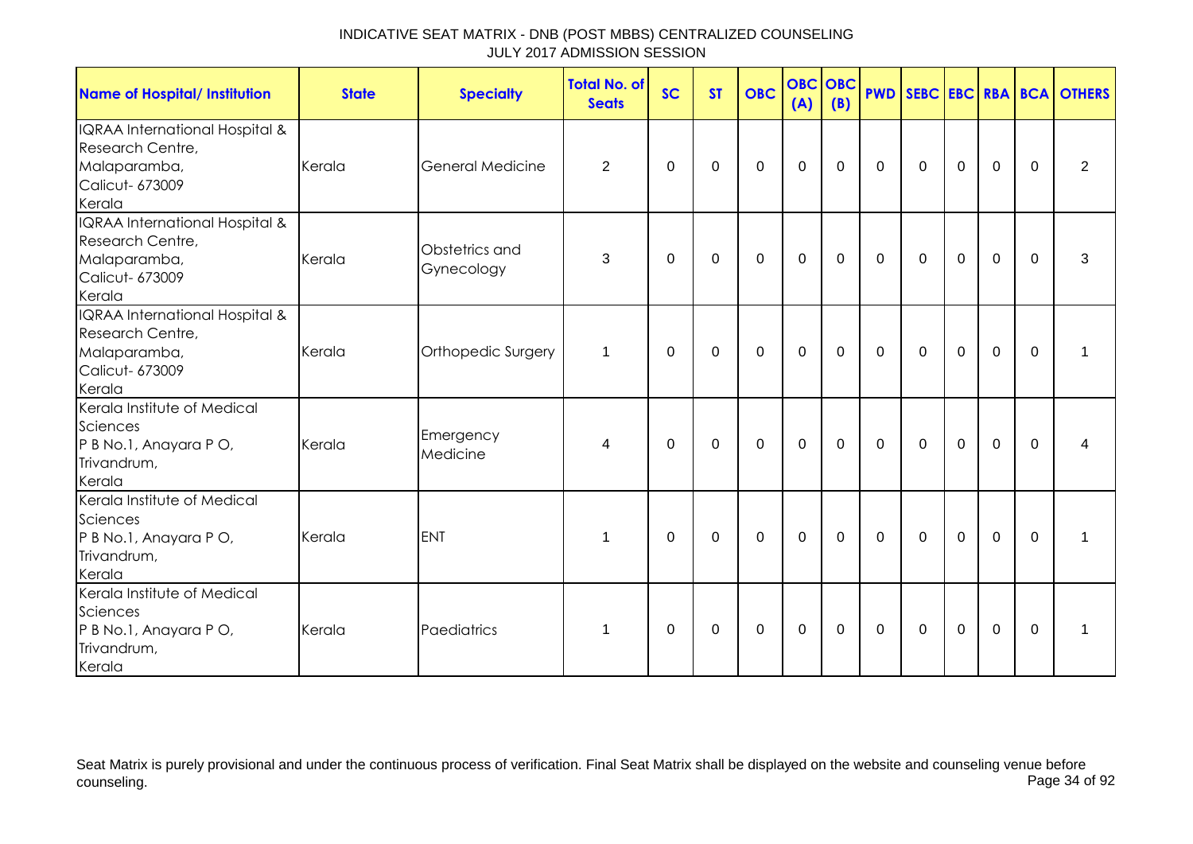| <b>Name of Hospital/ Institution</b>                                                            | <b>State</b> | <b>Specialty</b>             | <b>Total No. of</b><br><b>Seats</b> | <b>SC</b> | <b>ST</b>   | <b>OBC</b>  | <b>OBC OBC</b><br>(A) | (B)         |             |                |             |                |             | <b>PWD SEBC EBC RBA BCA OTHERS</b> |
|-------------------------------------------------------------------------------------------------|--------------|------------------------------|-------------------------------------|-----------|-------------|-------------|-----------------------|-------------|-------------|----------------|-------------|----------------|-------------|------------------------------------|
| IQRAA International Hospital &<br>Research Centre,<br>Malaparamba,<br>Calicut- 673009<br>Kerala | Kerala       | <b>General Medicine</b>      | $\overline{2}$                      | 0         | $\mathbf 0$ | $\mathbf 0$ | $\mathbf 0$           | $\mathbf 0$ | $\mathbf 0$ | $\mathbf 0$    | $\mathbf 0$ | $\mathbf 0$    | $\mathbf 0$ | $\overline{2}$                     |
| IQRAA International Hospital &<br>Research Centre,<br>Malaparamba,<br>Calicut- 673009<br>Kerala | Kerala       | Obstetrics and<br>Gynecology | 3                                   | 0         | 0           | 0           | $\mathbf 0$           | 0           | $\mathbf 0$ | $\mathbf 0$    | $\mathbf 0$ | $\mathbf 0$    | $\Omega$    | 3                                  |
| IQRAA International Hospital &<br>Research Centre,<br>Malaparamba,<br>Calicut- 673009<br>Kerala | Kerala       | Orthopedic Surgery           | 1                                   | $\Omega$  | $\Omega$    | $\mathbf 0$ | $\mathbf 0$           | $\mathbf 0$ | $\mathbf 0$ | $\overline{0}$ | $\mathbf 0$ | $\overline{0}$ | $\mathbf 0$ | 1                                  |
| Kerala Institute of Medical<br>Sciences<br>P B No.1, Anayara P O,<br>Trivandrum,<br>Kerala      | Kerala       | Emergency<br>Medicine        | 4                                   | $\Omega$  | $\Omega$    | $\Omega$    | $\mathbf 0$           | 0           | $\mathbf 0$ | $\mathbf 0$    | $\mathbf 0$ | $\mathbf 0$    | $\Omega$    | 4                                  |
| Kerala Institute of Medical<br>Sciences<br>P B No.1, Anayara P O,<br>Trivandrum,<br>Kerala      | Kerala       | <b>ENT</b>                   | $\mathbf 1$                         | $\Omega$  | $\Omega$    | 0           | $\mathbf 0$           | $\mathbf 0$ | $\mathbf 0$ | $\mathbf 0$    | $\mathbf 0$ | $\mathbf 0$    | $\Omega$    | $\mathbf 1$                        |
| Kerala Institute of Medical<br>Sciences<br>P B No.1, Anayara P O,<br>Trivandrum,<br>Kerala      | Kerala       | Paediatrics                  | $\mathbf 1$                         | 0         | 0           | 0           | $\pmb{0}$             | $\mathbf 0$ | $\mathbf 0$ | $\mathbf 0$    | $\mathbf 0$ | $\mathbf 0$    | $\mathbf 0$ | 1                                  |

Seat Matrix is purely provisional and under the continuous process of verification. Final Seat Matrix shall be displayed on the website and counseling venue before<br>Page 34 of 92 counseling. Page 34 of 92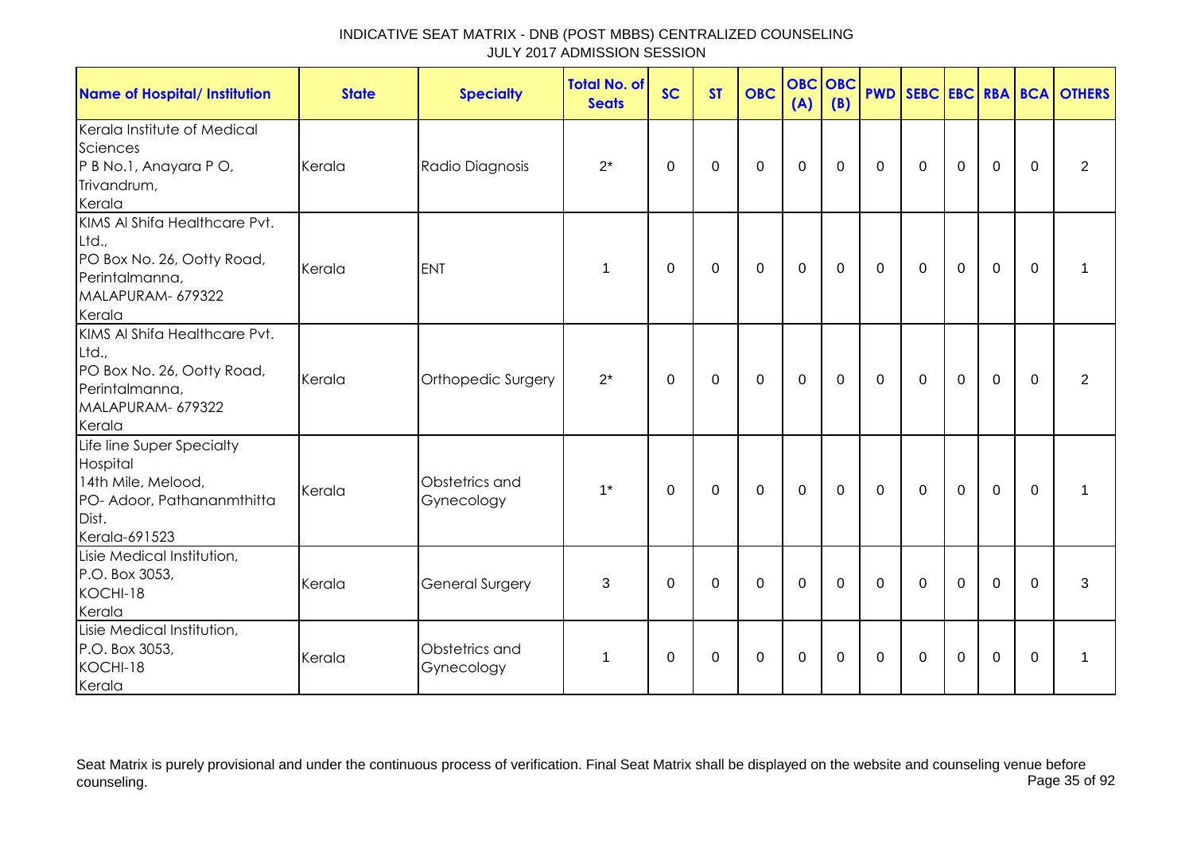| <b>Name of Hospital/ Institution</b>                                                                                  | <b>State</b> | <b>Specialty</b>             | Total No. of<br><b>Seats</b> | <b>SC</b> | <b>ST</b>   | <b>OBC</b>  | <b>OBC</b><br>(A) | OBC<br>(B)  |              |              |                |             |             | <b>PWD SEBC EBC RBA BCA OTHERS</b> |
|-----------------------------------------------------------------------------------------------------------------------|--------------|------------------------------|------------------------------|-----------|-------------|-------------|-------------------|-------------|--------------|--------------|----------------|-------------|-------------|------------------------------------|
| Kerala Institute of Medical<br>Sciences<br>P B No.1, Anayara P O,<br>Trivandrum,<br>Kerala                            | Kerala       | Radio Diagnosis              | $2^*$                        | 0         | 0           | 0           | $\mathbf 0$       | 0           | $\mathbf{0}$ | 0            | $\mathbf 0$    | $\mathbf 0$ | $\Omega$    | $\overline{2}$                     |
| KIMS AI Shifa Healthcare Pvt.<br>Ltd.,<br>PO Box No. 26, Ootty Road,<br>Perintalmanna,<br>MALAPURAM- 679322<br>Kerala | Kerala       | <b>ENT</b>                   | $\mathbf 1$                  | $\Omega$  | $\Omega$    | $\mathbf 0$ | $\mathbf 0$       | $\mathbf 0$ | $\mathbf{0}$ | $\mathbf{0}$ | $\overline{0}$ | $\mathbf 0$ | $\Omega$    | 1                                  |
| KIMS AI Shifa Healthcare Pvt.<br>Ltd.,<br>PO Box No. 26, Ootty Road,<br>Perintalmanna,<br>MALAPURAM- 679322<br>Kerala | Kerala       | Orthopedic Surgery           | $2^*$                        | $\Omega$  | $\Omega$    | $\mathbf 0$ | $\mathbf 0$       | $\Omega$    | $\mathbf{0}$ | $\mathbf{0}$ | $\Omega$       | $\mathbf 0$ | $\Omega$    | $\overline{2}$                     |
| Life line Super Specialty<br>Hospital<br>14th Mile, Melood,<br>PO- Adoor, Pathananmthitta<br>Dist.<br>Kerala-691523   | Kerala       | Obstetrics and<br>Gynecology | $1^*$                        | 0         | 0           | $\mathbf 0$ | 0                 | 0           | 0            | $\Omega$     | $\mathbf 0$    | $\mathbf 0$ | $\Omega$    | 1                                  |
| Lisie Medical Institution,<br>P.O. Box 3053,<br>KOCHI-18<br>Kerala                                                    | Kerala       | <b>General Surgery</b>       | 3                            | 0         | $\mathbf 0$ | $\mathbf 0$ | $\mathbf 0$       | 0           | $\mathbf 0$  | $\mathbf 0$  | $\mathbf 0$    | $\mathbf 0$ | $\mathbf 0$ | 3                                  |
| Lisie Medical Institution,<br>P.O. Box 3053,<br>KOCHI-18<br>Kerala                                                    | Kerala       | Obstetrics and<br>Gynecology | 1                            | $\Omega$  | 0           | 0           | $\mathbf 0$       | $\Omega$    | $\Omega$     | $\Omega$     | $\Omega$       | $\mathbf 0$ | $\Omega$    | 1                                  |

Seat Matrix is purely provisional and under the continuous process of verification. Final Seat Matrix shall be displayed on the website and counseling venue before<br>Page 35 of 92 counseling. Page 35 of 92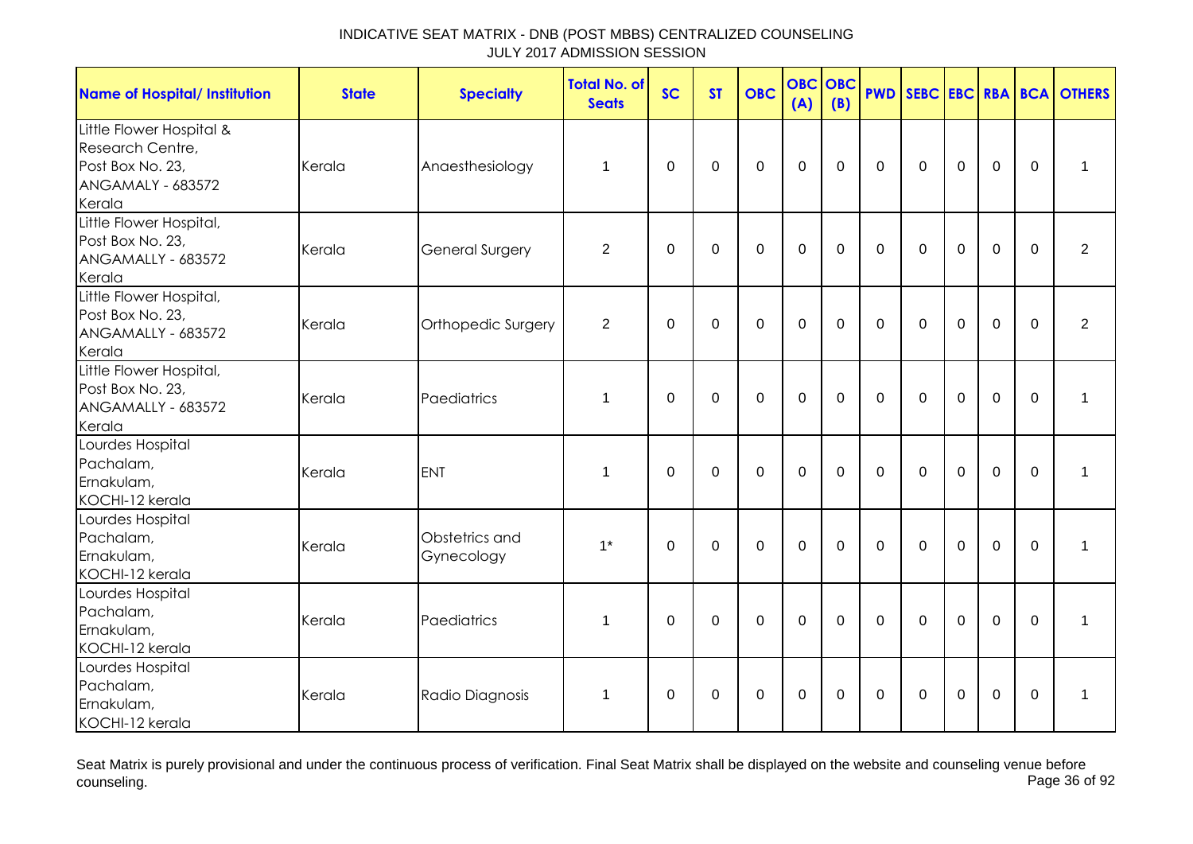| <b>Name of Hospital/ Institution</b>                                                                   | <b>State</b> | <b>Specialty</b>             | <b>Total No. of</b><br><b>Seats</b> | <b>SC</b>   | <b>ST</b>   | <b>OBC</b>   | <b>OBC</b><br>(A) | OBC<br>(B)     | <b>PWD</b>   |              |                |                |             | SEBC EBC RBA BCA OTHERS |
|--------------------------------------------------------------------------------------------------------|--------------|------------------------------|-------------------------------------|-------------|-------------|--------------|-------------------|----------------|--------------|--------------|----------------|----------------|-------------|-------------------------|
| Little Flower Hospital &<br>Research Centre,<br>Post Box No. 23,<br><b>ANGAMALY - 683572</b><br>Kerala | Kerala       | Anaesthesiology              | $\mathbf 1$                         | $\mathbf 0$ | $\mathbf 0$ | $\mathbf 0$  | $\overline{0}$    | $\overline{0}$ | $\mathbf 0$  | $\mathbf 0$  | $\overline{0}$ | $\overline{0}$ | $\mathbf 0$ | $\mathbf{1}$            |
| Little Flower Hospital,<br>Post Box No. 23,<br>ANGAMALLY - 683572<br>Kerala                            | Kerala       | <b>General Surgery</b>       | $\overline{2}$                      | $\mathbf 0$ | $\mathbf 0$ | $\mathbf{0}$ | $\overline{0}$    | $\mathbf 0$    | $\mathbf 0$  | $\Omega$     | $\mathbf 0$    | $\overline{0}$ | $\Omega$    | $\overline{2}$          |
| Little Flower Hospital,<br>Post Box No. 23,<br>ANGAMALLY - 683572<br>Kerala                            | Kerala       | Orthopedic Surgery           | $\overline{2}$                      | 0           | $\mathbf 0$ | $\mathbf 0$  | $\mathbf 0$       | $\Omega$       | $\mathbf{0}$ | $\mathbf{0}$ | $\Omega$       | $\mathbf 0$    | $\Omega$    | $\overline{2}$          |
| Little Flower Hospital,<br>Post Box No. 23,<br>ANGAMALLY - 683572<br>Kerala                            | Kerala       | Paediatrics                  | $\mathbf 1$                         | $\Omega$    | $\mathbf 0$ | $\mathbf{0}$ | $\mathbf 0$       | $\overline{0}$ | $\Omega$     | $\mathbf 0$  | $\overline{0}$ | $\overline{0}$ | $\Omega$    | 1                       |
| Lourdes Hospital<br>Pachalam,<br>Ernakulam,<br>KOCHI-12 kerala                                         | Kerala       | <b>ENT</b>                   | $\mathbf 1$                         | $\mathbf 0$ | $\mathbf 0$ | $\mathbf{0}$ | $\mathbf 0$       | $\overline{0}$ | $\mathbf 0$  | $\mathbf 0$  | $\mathbf 0$    | $\overline{0}$ | $\mathbf 0$ | $\mathbf{1}$            |
| Lourdes Hospital<br>Pachalam,<br>Ernakulam,<br>KOCHI-12 kerala                                         | Kerala       | Obstetrics and<br>Gynecology | $1^*$                               | $\mathbf 0$ | $\mathbf 0$ | $\mathbf 0$  | $\overline{0}$    | $\mathbf 0$    | $\mathbf 0$  | $\mathbf 0$  | $\mathbf 0$    | $\overline{0}$ | $\mathbf 0$ | $\mathbf{1}$            |
| Lourdes Hospital<br>Pachalam,<br>Ernakulam,<br>KOCHI-12 kerala                                         | Kerala       | Paediatrics                  | $\mathbf{1}$                        | $\Omega$    | $\mathbf 0$ | $\mathbf 0$  | $\mathbf 0$       | $\overline{0}$ | $\mathbf 0$  | $\Omega$     | $\mathbf 0$    | $\overline{0}$ | $\Omega$    | 1                       |
| Lourdes Hospital<br>Pachalam,<br>Ernakulam,<br>KOCHI-12 kerala                                         | Kerala       | Radio Diagnosis              | $\mathbf 1$                         | 0           | 0           | 0            | 0                 | 0              | 0            | $\Omega$     | $\mathbf 0$    | 0              | $\Omega$    | 1                       |

Seat Matrix is purely provisional and under the continuous process of verification. Final Seat Matrix shall be displayed on the website and counseling venue before<br>Page 36 of 92 counseling. Page 36 of 92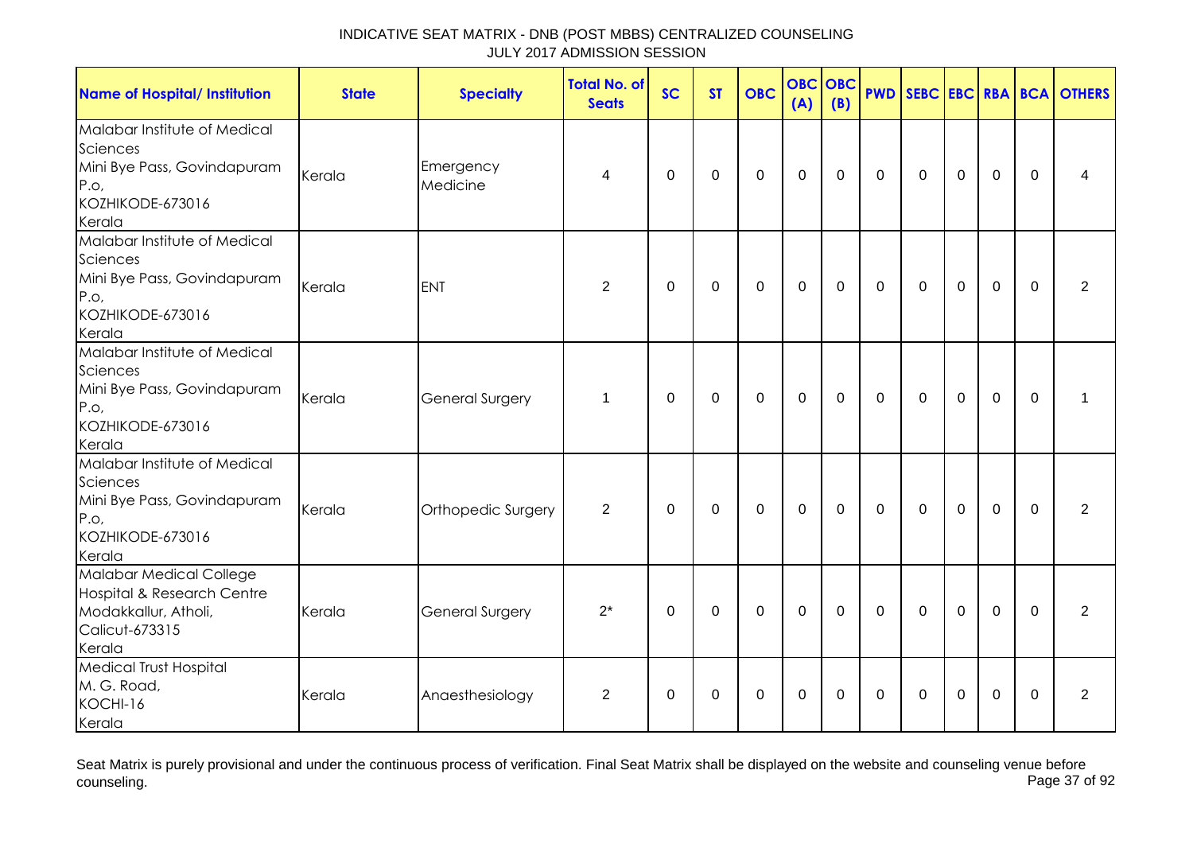| <b>Name of Hospital/ Institution</b>                                                                          | <b>State</b> | <b>Specialty</b>      | <b>Total No. of</b><br><b>Seats</b> | <b>SC</b>   | <b>ST</b>   | <b>OBC</b>  | <b>OBC</b><br>(A) | OBC<br>(B)  | <b>PWD</b>   |              |             |             |                | SEBC EBC RBA BCA OTHERS |
|---------------------------------------------------------------------------------------------------------------|--------------|-----------------------|-------------------------------------|-------------|-------------|-------------|-------------------|-------------|--------------|--------------|-------------|-------------|----------------|-------------------------|
| Malabar Institute of Medical<br>Sciences<br>Mini Bye Pass, Govindapuram<br>P.O.<br>KOZHIKODE-673016<br>Kerala | Kerala       | Emergency<br>Medicine | 4                                   | 0           | $\mathbf 0$ | $\mathbf 0$ | $\overline{0}$    | $\Omega$    | $\Omega$     | $\mathbf{0}$ | $\mathbf 0$ | $\mathbf 0$ | $\Omega$       | 4                       |
| Malabar Institute of Medical<br>Sciences<br>Mini Bye Pass, Govindapuram<br>P.o.<br>KOZHIKODE-673016<br>Kerala | Kerala       | <b>ENT</b>            | $\overline{2}$                      | $\mathbf 0$ | $\mathbf 0$ | $\mathbf 0$ | $\mathbf 0$       | $\Omega$    | $\Omega$     | $\Omega$     | $\mathbf 0$ | $\mathbf 0$ | $\mathbf 0$    | $\overline{2}$          |
| Malabar Institute of Medical<br>Sciences<br>Mini Bye Pass, Govindapuram<br>P.o.<br>KOZHIKODE-673016<br>Kerala | Kerala       | General Surgery       | 1                                   | $\Omega$    | $\mathbf 0$ | $\mathbf 0$ | $\overline{0}$    | $\mathbf 0$ | $\Omega$     | $\Omega$     | $\mathbf 0$ | $\mathbf 0$ | $\overline{0}$ | 1                       |
| Malabar Institute of Medical<br>Sciences<br>Mini Bye Pass, Govindapuram<br>P.O.<br>KOZHIKODE-673016<br>Kerala | Kerala       | Orthopedic Surgery    | 2                                   | $\mathbf 0$ | $\mathbf 0$ | $\Omega$    | $\Omega$          | $\Omega$    | $\mathbf{0}$ | $\mathbf{0}$ | $\Omega$    | $\Omega$    | $\Omega$       | 2                       |
| Malabar Medical College<br>Hospital & Research Centre<br>Modakkallur, Atholi,<br>Calicut-673315<br>Kerala     | Kerala       | General Surgery       | $2^*$                               | 0           | 0           | $\Omega$    | $\mathbf 0$       | $\Omega$    | $\mathbf{0}$ | $\mathbf{0}$ | $\Omega$    | 0           | $\mathbf{0}$   | $\overline{2}$          |
| <b>Medical Trust Hospital</b><br>M. G. Road,<br>KOCHI-16<br>Kerala                                            | Kerala       | Anaesthesiology       | $\overline{2}$                      | $\Omega$    | $\mathbf 0$ | $\mathbf 0$ | $\mathbf 0$       | $\Omega$    | $\mathbf{0}$ | $\Omega$     | $\mathbf 0$ | $\mathbf 0$ | $\Omega$       | $\overline{2}$          |

Seat Matrix is purely provisional and under the continuous process of verification. Final Seat Matrix shall be displayed on the website and counseling venue before<br>Page 37 of 92 counseling. Page 37 of 92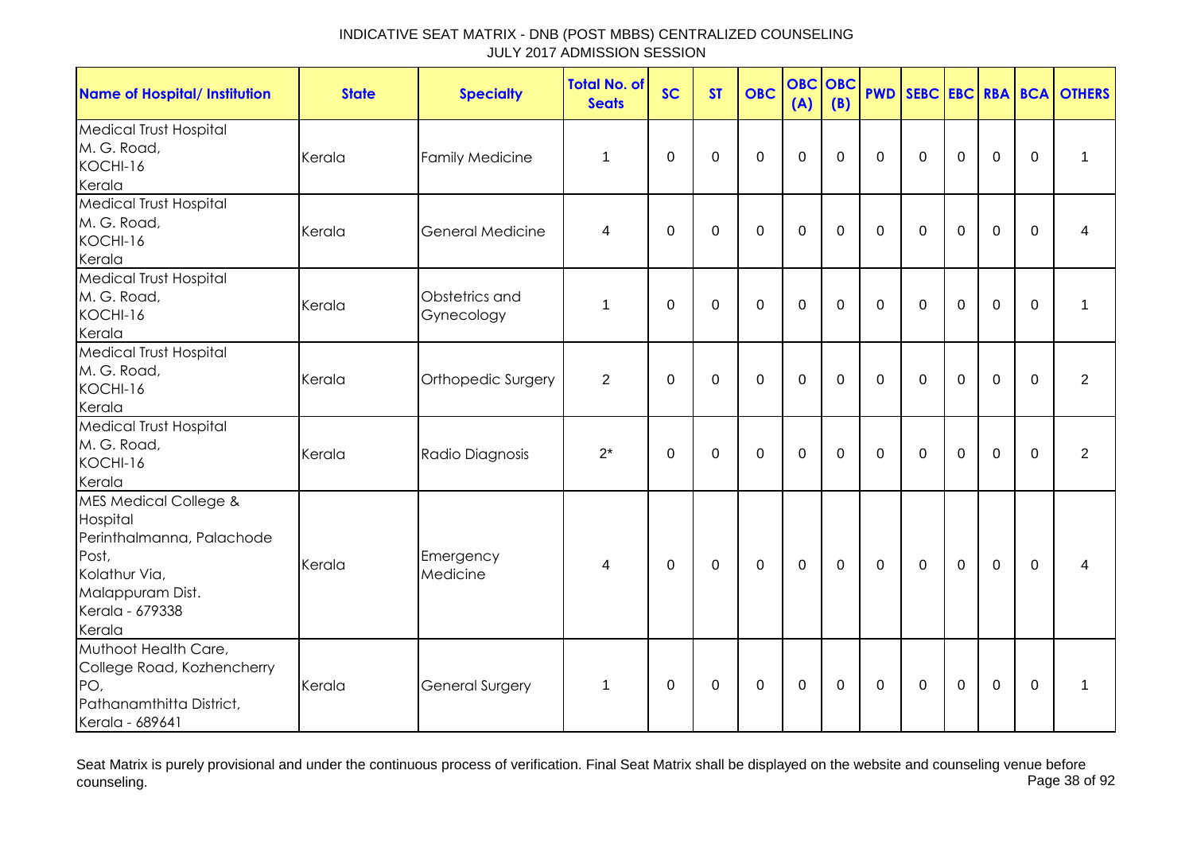| <b>Name of Hospital/ Institution</b>                                                                                                                 | <b>State</b> | <b>Specialty</b>             | <b>Total No. of</b><br><b>Seats</b> | <b>SC</b>   | <b>ST</b>   | <b>OBC</b>  | <b>OBC</b><br>(A) | <b>OBC</b><br>(B) | <b>PWD</b>  | SEBC EBC RBA BCA |                |                |             | <b>OTHERS</b>  |
|------------------------------------------------------------------------------------------------------------------------------------------------------|--------------|------------------------------|-------------------------------------|-------------|-------------|-------------|-------------------|-------------------|-------------|------------------|----------------|----------------|-------------|----------------|
| <b>Medical Trust Hospital</b><br>M. G. Road,<br>KOCHI-16<br>Kerala                                                                                   | Kerala       | <b>Family Medicine</b>       | 1                                   | 0           | $\mathbf 0$ | $\mathbf 0$ | $\mathbf 0$       | $\mathbf 0$       | $\mathbf 0$ | $\mathbf 0$      | $\mathbf 0$    | $\mathbf 0$    | $\Omega$    | $\mathbf 1$    |
| Medical Trust Hospital<br>M. G. Road,<br>KOCHI-16<br>Kerala                                                                                          | Kerala       | General Medicine             | 4                                   | $\pmb{0}$   | 0           | 0           | $\mathbf 0$       | 0                 | $\mathbf 0$ | 0                | 0              | 0              | 0           | 4              |
| <b>Medical Trust Hospital</b><br>M. G. Road,<br>KOCHI-16<br>Kerala                                                                                   | Kerala       | Obstetrics and<br>Gynecology | 1                                   | 0           | $\mathbf 0$ | $\mathbf 0$ | $\mathbf 0$       | $\Omega$          | $\Omega$    | $\mathbf 0$      | $\mathbf 0$    | $\mathbf 0$    | $\mathbf 0$ | 1              |
| <b>Medical Trust Hospital</b><br>M. G. Road,<br>KOCHI-16<br>Kerala                                                                                   | Kerala       | Orthopedic Surgery           | $\overline{2}$                      | 0           | 0           | 0           | 0                 | 0                 | $\Omega$    | $\mathbf{0}$     | 0              | 0              | $\Omega$    | $\overline{2}$ |
| <b>Medical Trust Hospital</b><br>M. G. Road,<br>KOCHI-16<br>Kerala                                                                                   | Kerala       | Radio Diagnosis              | $2^*$                               | $\mathbf 0$ | 0           | $\mathbf 0$ | 0                 | $\Omega$          | $\Omega$    | $\mathbf 0$      | $\mathbf 0$    | $\overline{0}$ | $\Omega$    | $\overline{2}$ |
| <b>MES Medical College &amp;</b><br>Hospital<br>Perinthalmanna, Palachode<br>Post,<br>Kolathur Via,<br>Malappuram Dist.<br>Kerala - 679338<br>Kerala | Kerala       | Emergency<br>Medicine        | 4                                   | $\mathbf 0$ | $\mathbf 0$ | $\mathbf 0$ | 0                 | $\mathbf 0$       | $\Omega$    | $\mathbf{0}$     | $\mathbf 0$    | $\mathbf 0$    | $\mathbf 0$ | 4              |
| Muthoot Health Care,<br>College Road, Kozhencherry<br>PO,<br>Pathanamthitta District,<br>Kerala - 689641                                             | Kerala       | General Surgery              | 1                                   | $\mathbf 0$ | $\mathbf 0$ | 0           | 0                 | 0                 | $\mathbf 0$ | $\mathbf 0$      | $\overline{0}$ | $\mathbf 0$    | $\mathbf 0$ | 1              |

Seat Matrix is purely provisional and under the continuous process of verification. Final Seat Matrix shall be displayed on the website and counseling venue before<br>Page 38 of 92 counseling. Page 38 of 92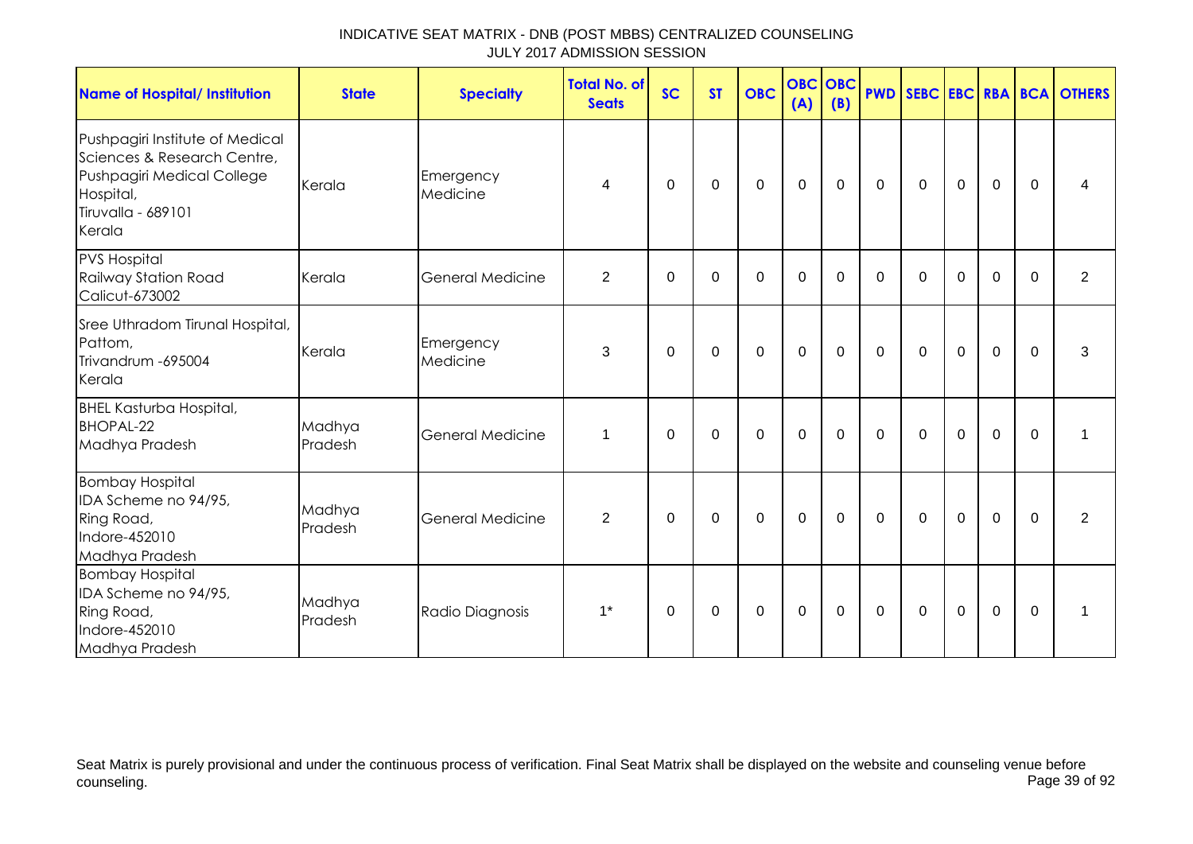| <b>Name of Hospital/ Institution</b>                                                                                                      | <b>State</b>      | <b>Specialty</b>        | <b>Total No. of</b><br><b>Seats</b> | <b>SC</b>   | <b>ST</b>   | <b>OBC</b>  | <b>OBC</b><br>(A) | <b>OBC</b><br>(B) |              |              |             |             |             | <b>PWD SEBC EBC RBA BCA OTHERS</b> |
|-------------------------------------------------------------------------------------------------------------------------------------------|-------------------|-------------------------|-------------------------------------|-------------|-------------|-------------|-------------------|-------------------|--------------|--------------|-------------|-------------|-------------|------------------------------------|
| Pushpagiri Institute of Medical<br>Sciences & Research Centre,<br>Pushpagiri Medical College<br>Hospital,<br>Tiruvalla - 689101<br>Kerala | Kerala            | Emergency<br>Medicine   | 4                                   | $\mathbf 0$ | $\mathbf 0$ | $\mathbf 0$ | $\mathbf 0$       | $\mathbf 0$       | $\mathbf 0$  | $\mathbf 0$  | $\mathbf 0$ | $\mathbf 0$ | $\mathbf 0$ | 4                                  |
| <b>PVS Hospital</b><br>Railway Station Road<br>Calicut-673002                                                                             | Kerala            | <b>General Medicine</b> | $\overline{2}$                      | $\Omega$    | $\Omega$    | $\mathbf 0$ | $\overline{0}$    | $\Omega$          | $\mathbf 0$  | $\mathbf 0$  | $\mathbf 0$ | 0           | $\Omega$    | $\overline{2}$                     |
| Sree Uthradom Tirunal Hospital,<br>Pattom,<br>Trivandrum - 695004<br>Kerala                                                               | Kerala            | Emergency<br>Medicine   | 3                                   | $\Omega$    | $\Omega$    | $\mathbf 0$ | $\mathbf 0$       | $\Omega$          | $\mathbf{0}$ | $\mathbf{0}$ | $\mathbf 0$ | $\mathbf 0$ | $\Omega$    | 3                                  |
| <b>BHEL Kasturba Hospital,</b><br><b>BHOPAL-22</b><br>Madhya Pradesh                                                                      | Madhya<br>Pradesh | <b>General Medicine</b> | 1                                   | $\Omega$    | $\Omega$    | $\Omega$    | $\Omega$          | $\Omega$          | $\Omega$     | $\Omega$     | $\Omega$    | $\Omega$    | $\Omega$    | 1                                  |
| <b>Bombay Hospital</b><br>IDA Scheme no 94/95,<br>Ring Road,<br>Indore-452010<br>Madhya Pradesh                                           | Madhya<br>Pradesh | <b>General Medicine</b> | 2                                   | 0           | 0           | $\mathbf 0$ | $\mathbf 0$       | $\mathbf 0$       | $\mathbf 0$  | $\mathbf 0$  | $\mathbf 0$ | $\mathbf 0$ | $\Omega$    | 2                                  |
| <b>Bombay Hospital</b><br>IDA Scheme no 94/95,<br>Ring Road,<br>Indore-452010<br>Madhya Pradesh                                           | Madhya<br>Pradesh | Radio Diagnosis         | $1*$                                | 0           | 0           | $\mathbf 0$ | $\mathbf 0$       | 0                 | $\mathbf{0}$ | $\mathbf{0}$ | $\mathbf 0$ | $\mathbf 0$ | $\Omega$    | 1                                  |

Seat Matrix is purely provisional and under the continuous process of verification. Final Seat Matrix shall be displayed on the website and counseling venue before<br>Page 39 of 92 counseling. Page 39 of 92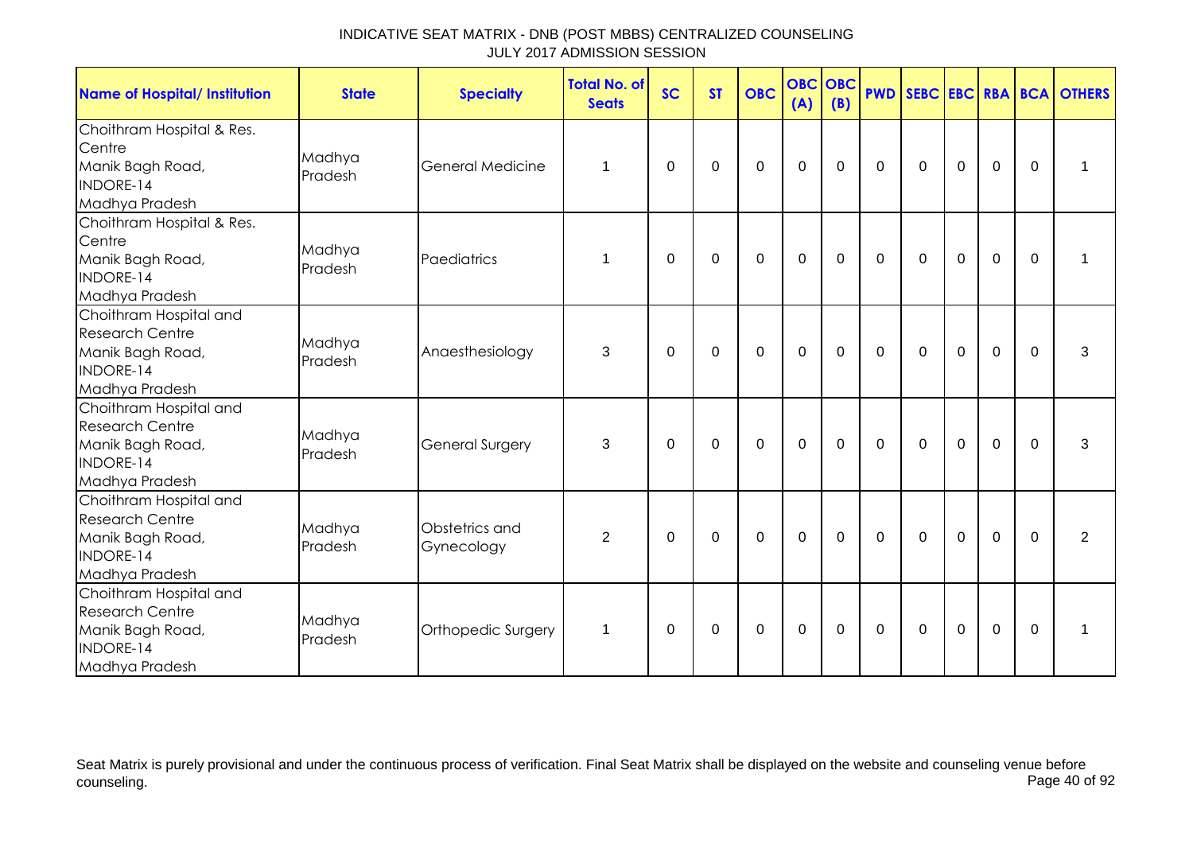| <b>Name of Hospital/ Institution</b>                                                                | <b>State</b>      | <b>Specialty</b>             | <b>Total No. of</b><br><b>Seats</b> | <b>SC</b>   | <b>ST</b> | <b>OBC</b>  | <b>OBC</b> OBC<br>(A) | (B)         |             |              |                |                |             | <b>PWD SEBC EBC RBA BCA OTHERS</b> |
|-----------------------------------------------------------------------------------------------------|-------------------|------------------------------|-------------------------------------|-------------|-----------|-------------|-----------------------|-------------|-------------|--------------|----------------|----------------|-------------|------------------------------------|
| Choithram Hospital & Res.<br>Centre<br>Manik Bagh Road,<br>INDORE-14<br>Madhya Pradesh              | Madhya<br>Pradesh | <b>General Medicine</b>      | $\mathbf 1$                         | 0           | 0         | $\mathbf 0$ | $\mathbf 0$           | $\mathbf 0$ | $\mathbf 0$ | $\mathbf 0$  | $\mathbf 0$    | $\mathbf 0$    | $\mathbf 0$ | 1                                  |
| Choithram Hospital & Res.<br>Centre<br>Manik Bagh Road,<br>INDORE-14<br>Madhya Pradesh              | Madhya<br>Pradesh | Paediatrics                  | $\mathbf 1$                         | $\mathbf 0$ | 0         | $\mathbf 0$ | $\mathbf 0$           | $\mathbf 0$ | $\mathbf 0$ | $\mathbf 0$  | $\mathbf 0$    | $\mathbf 0$    | $\mathbf 0$ | 1                                  |
| Choithram Hospital and<br><b>Research Centre</b><br>Manik Bagh Road,<br>INDORE-14<br>Madhya Pradesh | Madhya<br>Pradesh | Anaesthesiology              | 3                                   | $\Omega$    | $\Omega$  | $\Omega$    | $\mathbf 0$           | 0           | $\mathbf 0$ | $\mathbf 0$  | $\mathbf 0$    | $\mathbf 0$    | $\Omega$    | 3                                  |
| Choithram Hospital and<br><b>Research Centre</b><br>Manik Bagh Road,<br>INDORE-14<br>Madhya Pradesh | Madhya<br>Pradesh | <b>General Surgery</b>       | 3                                   | $\Omega$    | $\Omega$  | $\Omega$    | $\mathbf 0$           | $\mathbf 0$ | $\mathbf 0$ | $\mathbf{0}$ | $\overline{0}$ | $\mathbf 0$    | $\Omega$    | 3                                  |
| Choithram Hospital and<br><b>Research Centre</b><br>Manik Bagh Road,<br>INDORE-14<br>Madhya Pradesh | Madhya<br>Pradesh | Obstetrics and<br>Gynecology | $\overline{2}$                      | $\Omega$    | 0         | $\mathbf 0$ | $\mathbf 0$           | $\mathbf 0$ | $\mathbf 0$ | $\mathbf 0$  | $\mathbf 0$    | $\overline{0}$ | $\mathbf 0$ | 2                                  |
| Choithram Hospital and<br><b>Research Centre</b><br>Manik Bagh Road,<br>INDORE-14<br>Madhya Pradesh | Madhya<br>Pradesh | Orthopedic Surgery           | $\mathbf 1$                         | $\Omega$    | $\Omega$  | $\mathbf 0$ | $\mathbf 0$           | $\mathbf 0$ | $\mathbf 0$ | $\mathbf 0$  | $\mathbf 0$    | $\mathbf 0$    | $\Omega$    | $\mathbf 1$                        |

Seat Matrix is purely provisional and under the continuous process of verification. Final Seat Matrix shall be displayed on the website and counseling venue before<br>Page 40 of 92 counseling. Page 40 of 92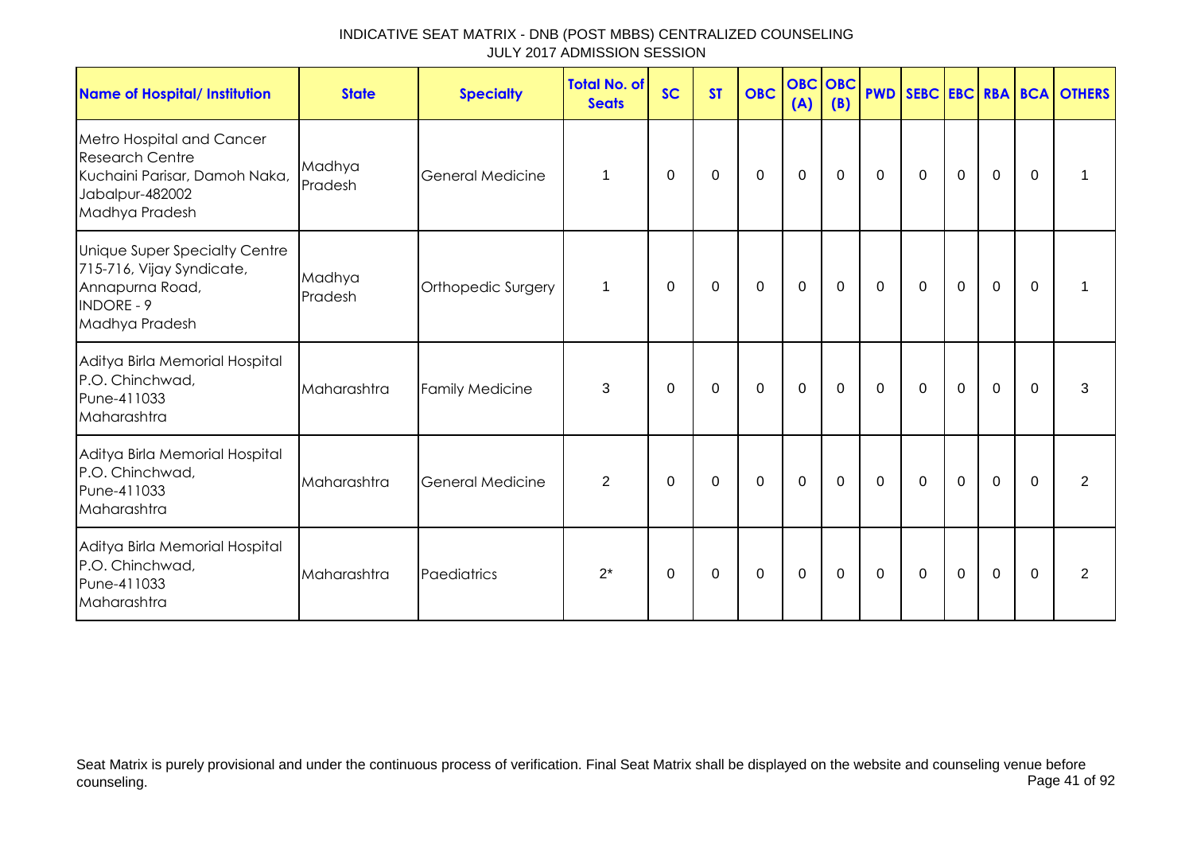| <b>Name of Hospital/ Institution</b>                                                                                      | <b>State</b>      | <b>Specialty</b>        | <b>Total No. of</b><br><b>Seats</b> | <b>SC</b>   | <b>ST</b> | <b>OBC</b>  | <b>OBC</b> OBC<br>(A) | (B)      |              |              |             |             |          | <b>PWD SEBC EBC RBA BCA OTHERS</b> |
|---------------------------------------------------------------------------------------------------------------------------|-------------------|-------------------------|-------------------------------------|-------------|-----------|-------------|-----------------------|----------|--------------|--------------|-------------|-------------|----------|------------------------------------|
| Metro Hospital and Cancer<br><b>Research Centre</b><br>Kuchaini Parisar, Damoh Naka,<br>Jabalpur-482002<br>Madhya Pradesh | Madhya<br>Pradesh | <b>General Medicine</b> | $\mathbf 1$                         | 0           | 0         | $\mathbf 0$ | $\mathbf 0$           | 0        | $\mathbf 0$  | $\mathbf 0$  | $\mathbf 0$ | $\mathbf 0$ | $\Omega$ |                                    |
| Unique Super Specialty Centre<br>715-716, Vijay Syndicate,<br>Annapurna Road,<br><b>INDORE - 9</b><br>Madhya Pradesh      | Madhya<br>Pradesh | Orthopedic Surgery      | $\mathbf{1}$                        | $\mathbf 0$ | 0         | $\mathbf 0$ | $\mathbf 0$           | 0        | 0            | 0            | $\mathbf 0$ | $\mathbf 0$ | $\Omega$ |                                    |
| Aditya Birla Memorial Hospital<br>P.O. Chinchwad,<br>Pune-411033<br>Maharashtra                                           | Maharashtra       | <b>Family Medicine</b>  | 3                                   | 0           | 0         | 0           | 0                     | 0        | 0            | 0            | $\mathbf 0$ | 0           | 0        | 3                                  |
| Aditya Birla Memorial Hospital<br>P.O. Chinchwad,<br>Pune-411033<br>Maharashtra                                           | Maharashtra       | <b>General Medicine</b> | 2                                   | $\Omega$    | 0         | 0           | 0                     | $\Omega$ | $\mathbf{0}$ | $\mathbf{0}$ | $\Omega$    | $\mathbf 0$ | $\Omega$ | $\overline{2}$                     |
| Aditya Birla Memorial Hospital<br>P.O. Chinchwad,<br>Pune-411033<br>Maharashtra                                           | Maharashtra       | Paediatrics             | $2^*$                               | 0           | 0         | $\mathbf 0$ | $\mathbf 0$           | 0        | $\mathbf 0$  | $\mathbf 0$  | $\mathbf 0$ | 0           | $\Omega$ | 2                                  |

Seat Matrix is purely provisional and under the continuous process of verification. Final Seat Matrix shall be displayed on the website and counseling venue before<br>Page 41 of 92 counseling. Page 41 of 92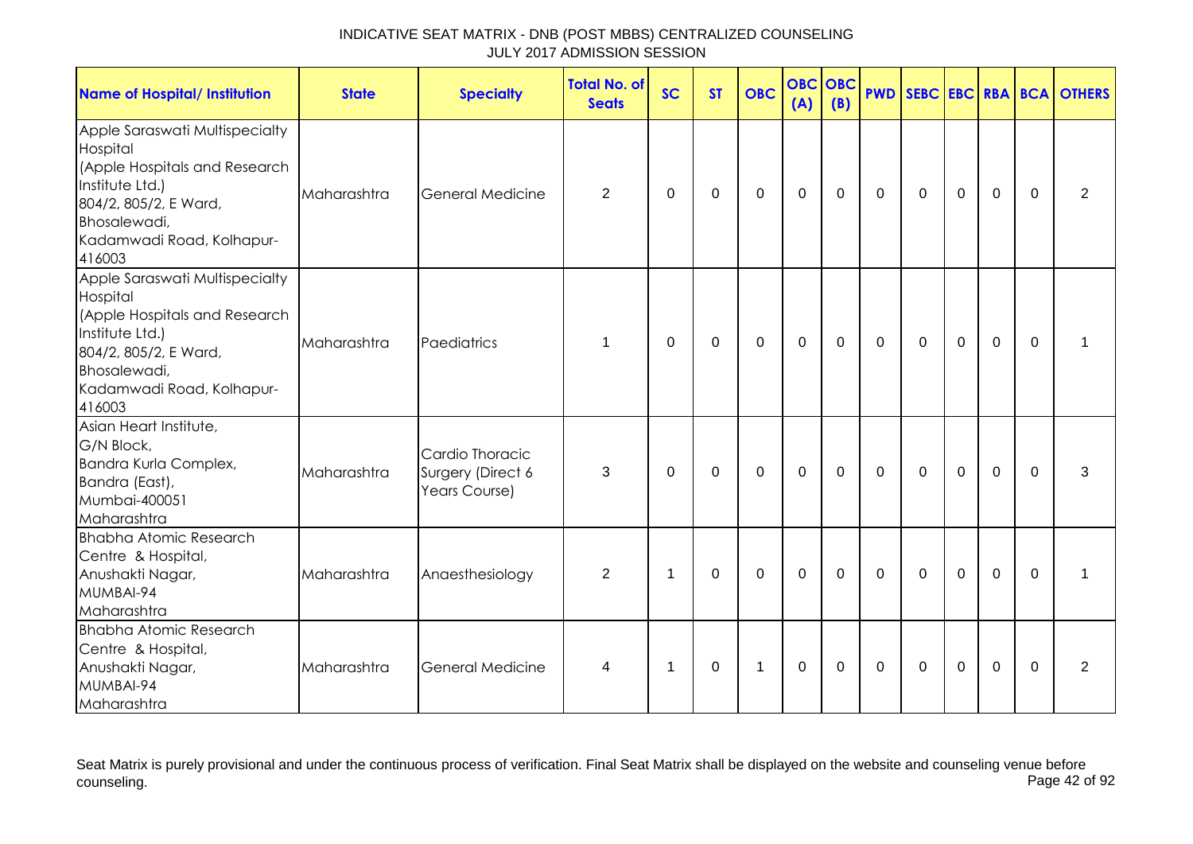| <b>Name of Hospital/ Institution</b>                                                                                                                                           | <b>State</b> | <b>Specialty</b>                                      | <b>Total No. of</b><br><b>Seats</b> | <b>SC</b> | <b>ST</b>   | <b>OBC</b>   | <b>OBC</b><br>(A) | <b>OBC</b><br>(B) |             |              |                |                |          | <b>PWD SEBC EBC RBA BCA OTHERS</b> |
|--------------------------------------------------------------------------------------------------------------------------------------------------------------------------------|--------------|-------------------------------------------------------|-------------------------------------|-----------|-------------|--------------|-------------------|-------------------|-------------|--------------|----------------|----------------|----------|------------------------------------|
| Apple Saraswati Multispecialty<br>Hospital<br>(Apple Hospitals and Research<br>Institute Ltd.)<br>804/2, 805/2, E Ward,<br>Bhosalewadi,<br>Kadamwadi Road, Kolhapur-<br>416003 | Maharashtra  | <b>General Medicine</b>                               | $\overline{2}$                      | $\Omega$  | 0           | $\Omega$     | $\mathbf 0$       | $\Omega$          | $\Omega$    | $\mathbf{0}$ | $\Omega$       | $\mathbf 0$    | $\Omega$ | $\overline{2}$                     |
| Apple Saraswati Multispecialty<br>Hospital<br>(Apple Hospitals and Research<br>Institute Ltd.)<br>804/2, 805/2, E Ward,<br>Bhosalewadi,<br>Kadamwadi Road, Kolhapur-<br>416003 | Maharashtra  | Paediatrics                                           | 1                                   | 0         | 0           | 0            | $\mathbf 0$       | $\mathbf 0$       | $\mathbf 0$ | $\mathbf 0$  | $\mathbf 0$    | $\mathbf 0$    | $\Omega$ | 1                                  |
| Asian Heart Institute,<br>G/N Block,<br>Bandra Kurla Complex,<br>Bandra (East),<br>Mumbai-400051<br>Maharashtra                                                                | Maharashtra  | Cardio Thoracic<br>Surgery (Direct 6<br>Years Course) | 3                                   | $\Omega$  | $\Omega$    | $\mathbf{0}$ | $\mathbf 0$       | $\Omega$          | $\mathbf 0$ | $\mathbf{0}$ | $\Omega$       | $\mathbf 0$    | $\Omega$ | 3                                  |
| <b>Bhabha Atomic Research</b><br>Centre & Hospital,<br>Anushakti Nagar,<br>MUMBAI-94<br>Maharashtra                                                                            | Maharashtra  | Anaesthesiology                                       | $\overline{2}$                      | 1         | 0           | $\mathbf 0$  | $\mathbf 0$       | $\mathbf 0$       | $\mathbf 0$ | $\mathbf 0$  | $\overline{0}$ | $\overline{0}$ | $\Omega$ | 1                                  |
| <b>Bhabha Atomic Research</b><br>Centre & Hospital,<br>Anushakti Nagar,<br>MUMBAI-94<br>Maharashtra                                                                            | Maharashtra  | <b>General Medicine</b>                               | 4                                   | 1         | $\mathbf 0$ | 1            | $\mathbf 0$       | 0                 | $\mathbf 0$ | 0            | $\mathbf 0$    | $\mathbf 0$    | $\Omega$ | 2                                  |

Seat Matrix is purely provisional and under the continuous process of verification. Final Seat Matrix shall be displayed on the website and counseling venue before<br>Page 42 of 92 counseling. Page 42 of 92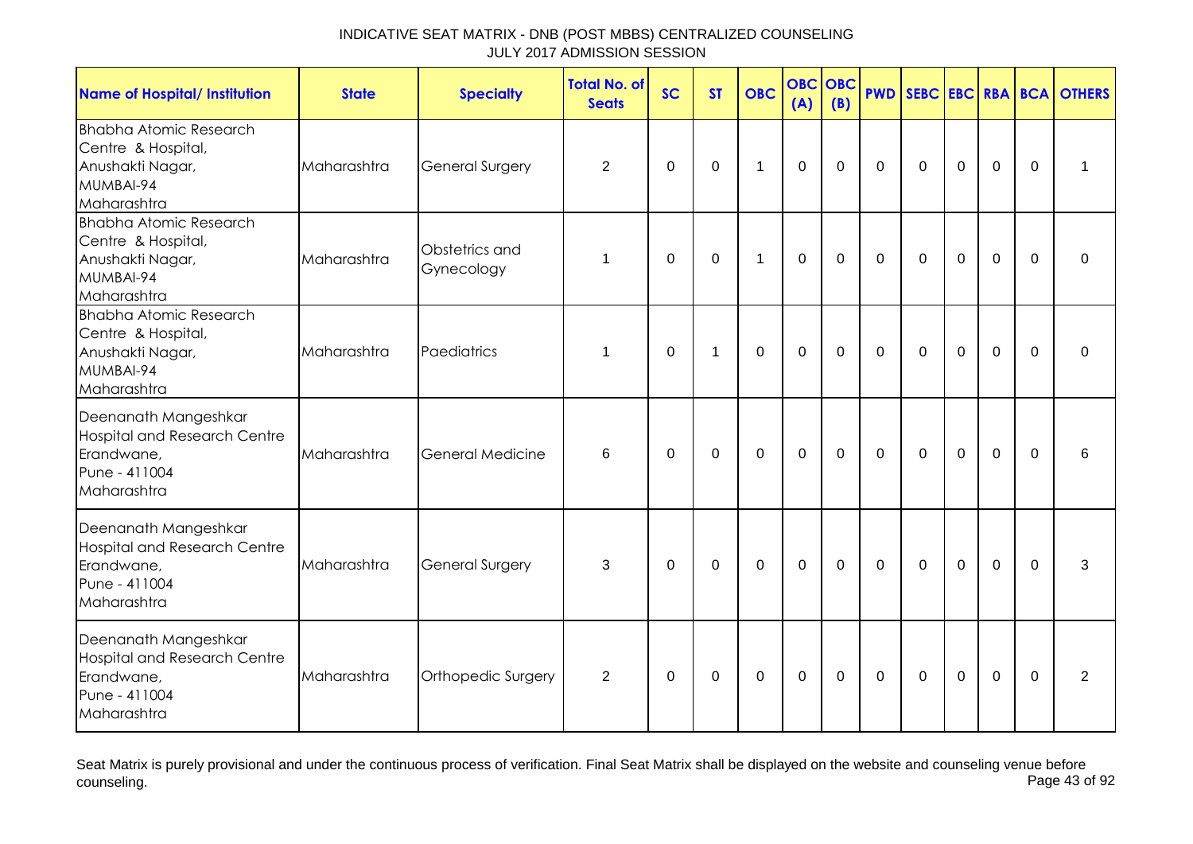| <b>Name of Hospital/ Institution</b>                                                                      | <b>State</b> | <b>Specialty</b>             | <b>Total No. of</b><br><b>Seats</b> | <b>SC</b>   | <b>ST</b>      | <b>OBC</b>   | (A)         | <b>OBC OBC</b><br>(B) |             |                |                  |                |             | <b>PWD SEBC EBC RBA BCA OTHERS</b> |
|-----------------------------------------------------------------------------------------------------------|--------------|------------------------------|-------------------------------------|-------------|----------------|--------------|-------------|-----------------------|-------------|----------------|------------------|----------------|-------------|------------------------------------|
| <b>Bhabha Atomic Research</b><br>Centre & Hospital,<br>Anushakti Nagar,<br>MUMBAI-94<br>Maharashtra       | Maharashtra  | <b>General Surgery</b>       | $\overline{2}$                      | $\mathbf 0$ | $\mathbf 0$    | $\mathbf{1}$ | $\mathbf 0$ | $\mathbf 0$           | $\mathbf 0$ | $\mathbf 0$    | $\mathbf 0$      | $\mathbf 0$    | $\mathbf 0$ | $\mathbf 1$                        |
| <b>Bhabha Atomic Research</b><br>Centre & Hospital,<br>Anushakti Nagar,<br>MUMBAI-94<br>Maharashtra       | Maharashtra  | Obstetrics and<br>Gynecology | 1                                   | 0           | 0              | 1            | $\mathbf 0$ | $\mathbf 0$           | $\mathbf 0$ | $\overline{0}$ | $\mathbf 0$      | $\mathbf 0$    | 0           | 0                                  |
| <b>Bhabha Atomic Research</b><br>Centre & Hospital,<br>Anushakti Nagar,<br>MUMBAI-94<br>Maharashtra       | Maharashtra  | Paediatrics                  | 1                                   | 0           | $\overline{1}$ | $\mathbf 0$  | $\mathbf 0$ | $\mathbf 0$           | $\mathbf 0$ | $\mathbf 0$    | $\mathbf 0$      | $\mathbf 0$    | $\Omega$    | 0                                  |
| Deenanath Mangeshkar<br><b>Hospital and Research Centre</b><br>Erandwane,<br>Pune - 411004<br>Maharashtra | Maharashtra  | <b>General Medicine</b>      | 6                                   | 0           | 0              | 0            | $\mathbf 0$ | $\mathbf 0$           | $\mathbf 0$ | $\mathbf 0$    | $\boldsymbol{0}$ | $\mathbf 0$    | $\Omega$    | 6                                  |
| Deenanath Mangeshkar<br><b>Hospital and Research Centre</b><br>Erandwane,<br>Pune - 411004<br>Maharashtra | Maharashtra  | <b>General Surgery</b>       | 3                                   | $\Omega$    | 0              | $\mathbf 0$  | $\mathbf 0$ | $\mathbf 0$           | $\mathbf 0$ | $\mathbf 0$    | $\mathbf 0$      | $\mathbf 0$    | $\Omega$    | 3                                  |
| Deenanath Mangeshkar<br><b>Hospital and Research Centre</b><br>Erandwane,<br>Pune - 411004<br>Maharashtra | Maharashtra  | Orthopedic Surgery           | 2                                   | $\Omega$    | 0              | 0            | $\mathbf 0$ | 0                     | $\mathbf 0$ | 0              | $\mathbf 0$      | $\overline{0}$ | $\Omega$    | 2                                  |

Seat Matrix is purely provisional and under the continuous process of verification. Final Seat Matrix shall be displayed on the website and counseling venue before<br>Page 43 of 92 counseling. Page 43 of 92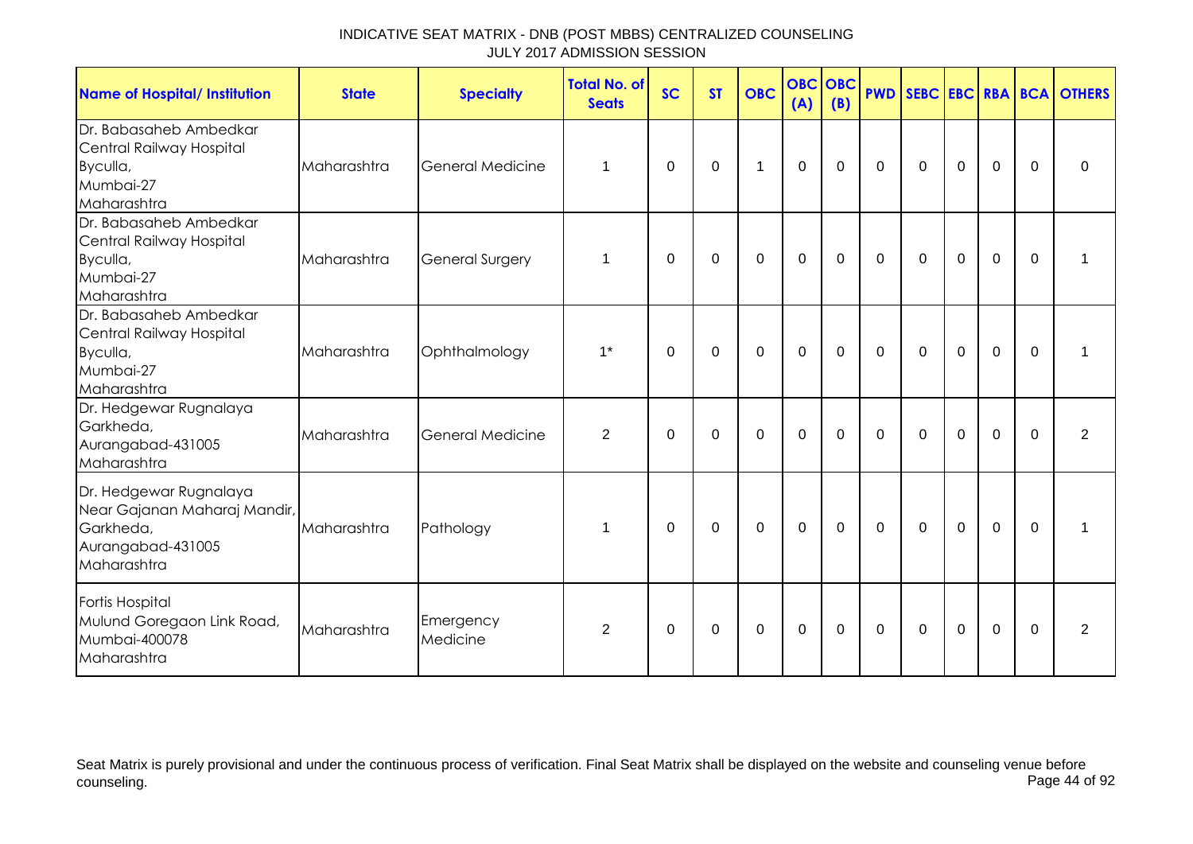| <b>Name of Hospital/ Institution</b>                                                                    | <b>State</b> | <b>Specialty</b>        | Total No. of<br><b>Seats</b> | <b>SC</b> | <b>ST</b>   | <b>OBC</b>  | <b>OBC</b><br>(A) | <b>OBC</b><br>(B) |             |              |                |                |             | <b>PWD SEBC EBC RBA BCA OTHERS</b> |
|---------------------------------------------------------------------------------------------------------|--------------|-------------------------|------------------------------|-----------|-------------|-------------|-------------------|-------------------|-------------|--------------|----------------|----------------|-------------|------------------------------------|
| Dr. Babasaheb Ambedkar<br>Central Railway Hospital<br>Byculla,<br>Mumbai-27<br>Maharashtra              | Maharashtra  | <b>General Medicine</b> | 1                            | 0         | 0           | $\mathbf 1$ | $\mathbf 0$       | 0                 | $\mathbf 0$ | 0            | $\mathbf 0$    | $\mathbf 0$    | $\Omega$    | 0                                  |
| Dr. Babasaheb Ambedkar<br>Central Railway Hospital<br>Byculla,<br>Mumbai-27<br>Maharashtra              | Maharashtra  | <b>General Surgery</b>  | 1                            | 0         | 0           | $\mathbf 0$ | $\mathbf 0$       | $\mathbf 0$       | $\mathbf 0$ | $\mathbf 0$  | $\overline{0}$ | $\mathbf 0$    | $\mathbf 0$ |                                    |
| Dr. Babasaheb Ambedkar<br>Central Railway Hospital<br>Byculla,<br>Mumbai-27<br>Maharashtra              | Maharashtra  | Ophthalmology           | $1*$                         | $\Omega$  | $\Omega$    | $\mathbf 0$ | $\mathbf{0}$      | $\mathbf 0$       | $\mathbf 0$ | $\mathbf 0$  | $\mathbf 0$    | $\overline{0}$ | $\mathbf 0$ | 1                                  |
| Dr. Hedgewar Rugnalaya<br>Garkheda,<br>Aurangabad-431005<br>Maharashtra                                 | Maharashtra  | <b>General Medicine</b> | 2                            | $\Omega$  | 0           | $\mathbf 0$ | $\mathbf 0$       | $\mathbf 0$       | $\mathbf 0$ | $\mathbf 0$  | $\mathbf 0$    | $\mathbf 0$    | $\Omega$    | $\overline{2}$                     |
| Dr. Hedgewar Rugnalaya<br>Near Gajanan Maharaj Mandir,<br>Garkheda,<br>Aurangabad-431005<br>Maharashtra | Maharashtra  | Pathology               | 1                            | $\Omega$  | 0           | 0           | $\mathbf 0$       | 0                 | $\mathbf 0$ | $\mathbf{0}$ | $\mathbf 0$    | $\overline{0}$ | $\Omega$    | 1                                  |
| Fortis Hospital<br>Mulund Goregaon Link Road,<br>Mumbai-400078<br>Maharashtra                           | Maharashtra  | Emergency<br>Medicine   | $\overline{2}$               | 0         | $\mathbf 0$ | $\mathbf 0$ | $\boldsymbol{0}$  | $\mathbf 0$       | $\mathbf 0$ | $\mathbf 0$  | $\mathbf 0$    | $\mathbf 0$    | $\mathbf 0$ | $\overline{2}$                     |

Seat Matrix is purely provisional and under the continuous process of verification. Final Seat Matrix shall be displayed on the website and counseling venue before<br>Page 44 of 92 counseling. Page 44 of 92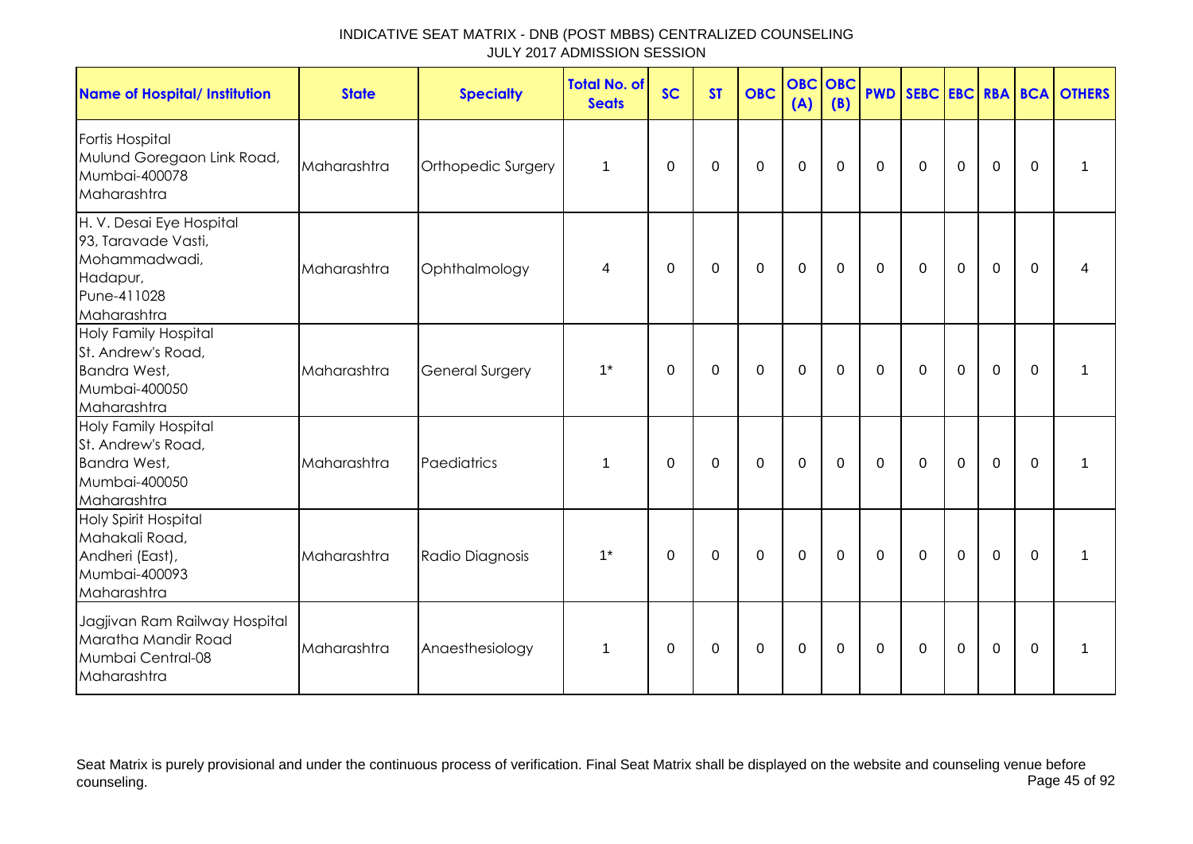| <b>Name of Hospital/ Institution</b>                                                                       | <b>State</b> | <b>Specialty</b>       | <b>Total No. of</b><br><b>Seats</b> | <b>SC</b> | <b>ST</b> | <b>OBC</b>  | <b>OBC OBC</b><br>(A) | (B)         |                |             |                |                |             | <b>PWD SEBC EBC RBA BCA OTHERS</b> |
|------------------------------------------------------------------------------------------------------------|--------------|------------------------|-------------------------------------|-----------|-----------|-------------|-----------------------|-------------|----------------|-------------|----------------|----------------|-------------|------------------------------------|
| Fortis Hospital<br>Mulund Goregaon Link Road,<br>Mumbai-400078<br>Maharashtra                              | Maharashtra  | Orthopedic Surgery     | 1                                   | 0         | 0         | $\mathbf 0$ | $\boldsymbol{0}$      | $\mathbf 0$ | $\mathbf 0$    | $\mathbf 0$ | $\mathbf 0$    | $\mathbf 0$    | $\mathbf 0$ | 1                                  |
| H. V. Desai Eye Hospital<br>93, Taravade Vasti,<br>Mohammadwadi,<br>Hadapur,<br>Pune-411028<br>Maharashtra | Maharashtra  | Ophthalmology          | 4                                   | $\Omega$  | $\Omega$  | $\mathbf 0$ | $\mathbf 0$           | $\mathbf 0$ | $\mathbf 0$    | $\mathbf 0$ | $\mathbf 0$    | $\overline{0}$ | $\Omega$    |                                    |
| Holy Family Hospital<br>St. Andrew's Road,<br>Bandra West,<br>Mumbai-400050<br>Maharashtra                 | Maharashtra  | <b>General Surgery</b> | $1*$                                | $\Omega$  | 0         | 0           | $\mathbf 0$           | 0           | $\mathbf 0$    | $\mathbf 0$ | $\overline{0}$ | $\mathbf 0$    | $\Omega$    | 1                                  |
| <b>Holy Family Hospital</b><br>St. Andrew's Road,<br>Bandra West,<br>Mumbai-400050<br>Maharashtra          | Maharashtra  | Paediatrics            | 1                                   | $\Omega$  | $\Omega$  | $\mathbf 0$ | $\mathbf 0$           | $\mathbf 0$ | $\overline{0}$ | $\mathbf 0$ | $\overline{0}$ | $\mathbf 0$    | $\Omega$    | 1                                  |
| <b>Holy Spirit Hospital</b><br>Mahakali Road,<br>Andheri (East),<br>Mumbai-400093<br>Maharashtra           | Maharashtra  | Radio Diagnosis        | $1*$                                | $\Omega$  | $\Omega$  | 0           | $\mathbf 0$           | $\mathbf 0$ | $\overline{0}$ | $\mathbf 0$ | $\overline{0}$ | $\mathbf 0$    | $\Omega$    | 1                                  |
| Jagjivan Ram Railway Hospital<br>Maratha Mandir Road<br>Mumbai Central-08<br>Maharashtra                   | Maharashtra  | Anaesthesiology        | 1                                   | $\Omega$  | 0         | $\mathbf 0$ | $\mathbf 0$           | $\mathbf 0$ | $\overline{0}$ | $\mathbf 0$ | $\overline{0}$ | $\mathbf 0$    | $\Omega$    | 1                                  |

Seat Matrix is purely provisional and under the continuous process of verification. Final Seat Matrix shall be displayed on the website and counseling venue before<br>Page 45 of 92 counseling. Page 45 of 92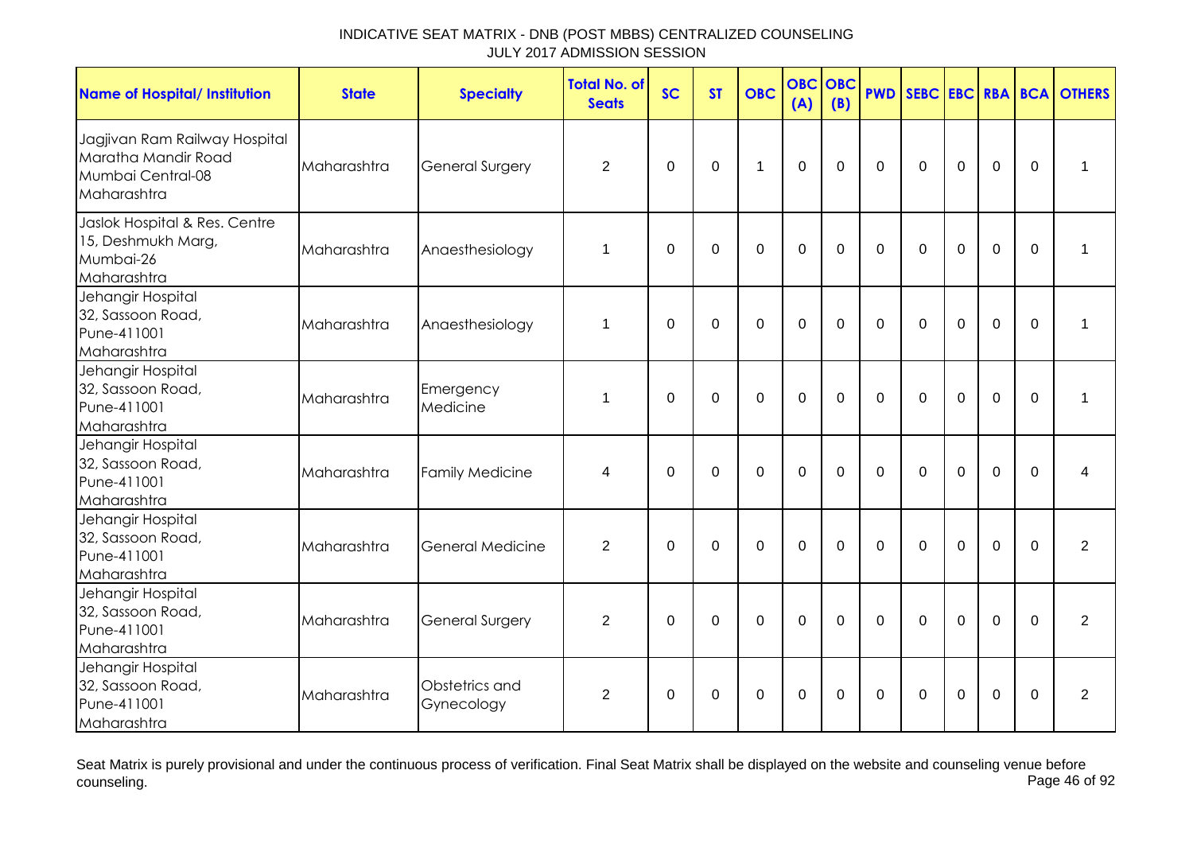| <b>Name of Hospital/ Institution</b>                                                     | <b>State</b> | <b>Specialty</b>             | <b>Total No. of</b><br><b>Seats</b> | <b>SC</b>      | <b>ST</b>      | <b>OBC</b>     | <b>OBC</b><br>(A) | <b>OBC</b><br>(B) | <b>PWD</b>  | SEBC EBC RBA BCA |                |                |          | <b>OTHERS</b>  |
|------------------------------------------------------------------------------------------|--------------|------------------------------|-------------------------------------|----------------|----------------|----------------|-------------------|-------------------|-------------|------------------|----------------|----------------|----------|----------------|
| Jagjivan Ram Railway Hospital<br>Maratha Mandir Road<br>Mumbai Central-08<br>Maharashtra | Maharashtra  | <b>General Surgery</b>       | $\overline{2}$                      | $\mathbf 0$    | $\mathbf 0$    | $\mathbf{1}$   | $\overline{0}$    | $\mathbf 0$       | $\mathbf 0$ | $\Omega$         | $\mathbf 0$    | $\overline{0}$ | $\Omega$ | 1              |
| Jaslok Hospital & Res. Centre<br>15, Deshmukh Marg,<br>Mumbai-26<br>Maharashtra          | Maharashtra  | Anaesthesiology              | 1                                   | $\mathbf 0$    | $\mathbf 0$    | $\mathbf 0$    | $\overline{0}$    | $\mathbf 0$       | $\mathbf 0$ | $\mathbf 0$      | $\mathbf 0$    | $\overline{0}$ | $\Omega$ | $\mathbf{1}$   |
| Jehangir Hospital<br>32, Sassoon Road,<br>Pune-411001<br>Maharashtra                     | Maharashtra  | Anaesthesiology              | 1                                   | $\mathbf 0$    | $\mathbf 0$    | $\overline{0}$ | $\mathbf 0$       | $\mathbf 0$       | $\mathbf 0$ | $\mathbf 0$      | $\mathbf 0$    | 0              | $\Omega$ | $\mathbf{1}$   |
| Jehangir Hospital<br>32, Sassoon Road,<br>Pune-411001<br>Maharashtra                     | Maharashtra  | Emergency<br>Medicine        | 1                                   | $\Omega$       | $\Omega$       | $\Omega$       | $\overline{0}$    | $\Omega$          | $\Omega$    | $\Omega$         | $\Omega$       | $\overline{0}$ | $\Omega$ | 1              |
| Jehangir Hospital<br>32, Sassoon Road,<br>Pune-411001<br>Maharashtra                     | Maharashtra  | <b>Family Medicine</b>       | 4                                   | 0              | 0              | $\mathbf 0$    | $\mathbf 0$       | 0                 | $\mathbf 0$ | $\mathbf 0$      | $\mathbf 0$    | $\overline{0}$ | $\Omega$ | 4              |
| Jehangir Hospital<br>32, Sassoon Road,<br>Pune-411001<br>Maharashtra                     | Maharashtra  | <b>General Medicine</b>      | $\overline{2}$                      | $\mathbf 0$    | $\overline{0}$ | $\overline{0}$ | $\mathbf{0}$      | $\mathbf 0$       | $\Omega$    | $\mathbf{0}$     | $\overline{0}$ | $\overline{0}$ | $\Omega$ | $\overline{2}$ |
| Jehangir Hospital<br>32, Sassoon Road,<br>Pune-411001<br>Maharashtra                     | Maharashtra  | <b>General Surgery</b>       | $\overline{2}$                      | $\overline{0}$ | $\mathbf 0$    | $\mathbf 0$    | $\overline{0}$    | $\mathbf 0$       | $\Omega$    | $\Omega$         | $\mathbf 0$    | $\overline{0}$ | $\Omega$ | $\overline{2}$ |
| Jehangir Hospital<br>32, Sassoon Road,<br>Pune-411001<br>Maharashtra                     | Maharashtra  | Obstetrics and<br>Gynecology | 2                                   | 0              | 0              | $\mathbf 0$    | $\mathbf 0$       | 0                 | 0           | $\Omega$         | 0              | 0              | $\Omega$ | $\overline{2}$ |

Seat Matrix is purely provisional and under the continuous process of verification. Final Seat Matrix shall be displayed on the website and counseling venue before<br>Page 46 of 92 counseling. Page 46 of 92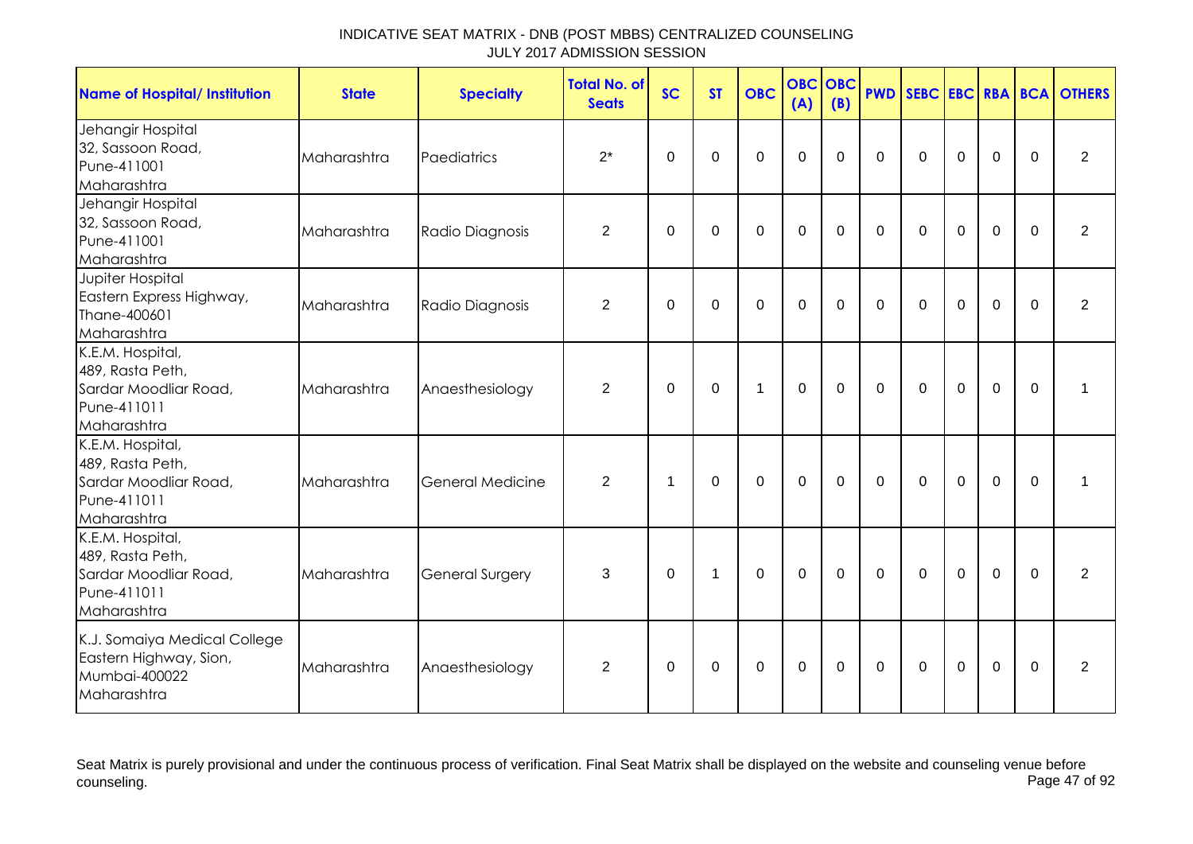| <b>Name of Hospital/ Institution</b>                                                        | <b>State</b> | <b>Specialty</b>        | <b>Total No. of</b><br><b>Seats</b> | <b>SC</b>      | <b>ST</b>      | <b>OBC</b>  | <b>OBC</b><br>(A) | <b>OBC</b><br>(B) | <b>PWD</b>     | SEBC EBC RBA BCA |             |             |             | <b>OTHERS</b>  |
|---------------------------------------------------------------------------------------------|--------------|-------------------------|-------------------------------------|----------------|----------------|-------------|-------------------|-------------------|----------------|------------------|-------------|-------------|-------------|----------------|
| Jehangir Hospital<br>32, Sassoon Road,<br>Pune-411001<br>Maharashtra                        | Maharashtra  | Paediatrics             | $2^*$                               | $\mathbf 0$    | $\overline{0}$ | $\mathbf 0$ | $\overline{0}$    | $\mathbf 0$       | $\mathbf 0$    | $\mathbf 0$      | $\mathbf 0$ | $\mathbf 0$ | $\mathbf 0$ | $\overline{2}$ |
| Jehangir Hospital<br>32, Sassoon Road,<br>Pune-411001<br>Maharashtra                        | Maharashtra  | Radio Diagnosis         | $\overline{2}$                      | $\Omega$       | $\Omega$       | $\mathbf 0$ | $\mathbf 0$       | $\Omega$          | $\Omega$       | $\Omega$         | $\Omega$    | $\mathbf 0$ | $\Omega$    | $\overline{2}$ |
| Jupiter Hospital<br>Eastern Express Highway,<br>Thane-400601<br>Maharashtra                 | Maharashtra  | Radio Diagnosis         | $\overline{2}$                      | $\mathbf 0$    | 0              | $\mathbf 0$ | 0                 | $\mathbf 0$       | $\overline{0}$ | $\mathbf 0$      | $\mathbf 0$ | $\mathbf 0$ | $\mathbf 0$ | $\overline{2}$ |
| K.E.M. Hospital,<br>489, Rasta Peth,<br>Sardar Moodliar Road,<br>Pune-411011<br>Maharashtra | Maharashtra  | Anaesthesiology         | $\overline{2}$                      | 0              | 0              | 1           | $\mathbf 0$       | $\mathbf 0$       | $\overline{0}$ | $\mathbf 0$      | $\mathbf 0$ | $\mathbf 0$ | $\mathbf 0$ | 1              |
| K.E.M. Hospital,<br>489, Rasta Peth,<br>Sardar Moodliar Road,<br>Pune-411011<br>Maharashtra | Maharashtra  | <b>General Medicine</b> | $\overline{2}$                      | $\overline{1}$ | 0              | $\mathbf 0$ | $\mathbf 0$       | $\mathbf 0$       | $\overline{0}$ | $\mathbf 0$      | $\mathbf 0$ | $\mathbf 0$ | $\mathbf 0$ | 1              |
| K.E.M. Hospital,<br>489, Rasta Peth,<br>Sardar Moodliar Road,<br>Pune-411011<br>Maharashtra | Maharashtra  | <b>General Surgery</b>  | 3                                   | $\Omega$       | 1              | $\mathbf 0$ | $\mathbf 0$       | $\mathbf 0$       | $\Omega$       | $\mathbf 0$      | $\mathbf 0$ | $\mathbf 0$ | $\mathbf 0$ | 2              |
| K.J. Somaiya Medical College<br>Eastern Highway, Sion,<br>Mumbai-400022<br>Maharashtra      | Maharashtra  | Anaesthesiology         | $\overline{2}$                      | 0              | 0              | $\mathbf 0$ | 0                 | 0                 | $\mathbf 0$    | 0                | $\mathbf 0$ | $\mathbf 0$ | $\mathbf 0$ | 2              |

Seat Matrix is purely provisional and under the continuous process of verification. Final Seat Matrix shall be displayed on the website and counseling venue before<br>Page 47 of 92 counseling. Page 47 of 92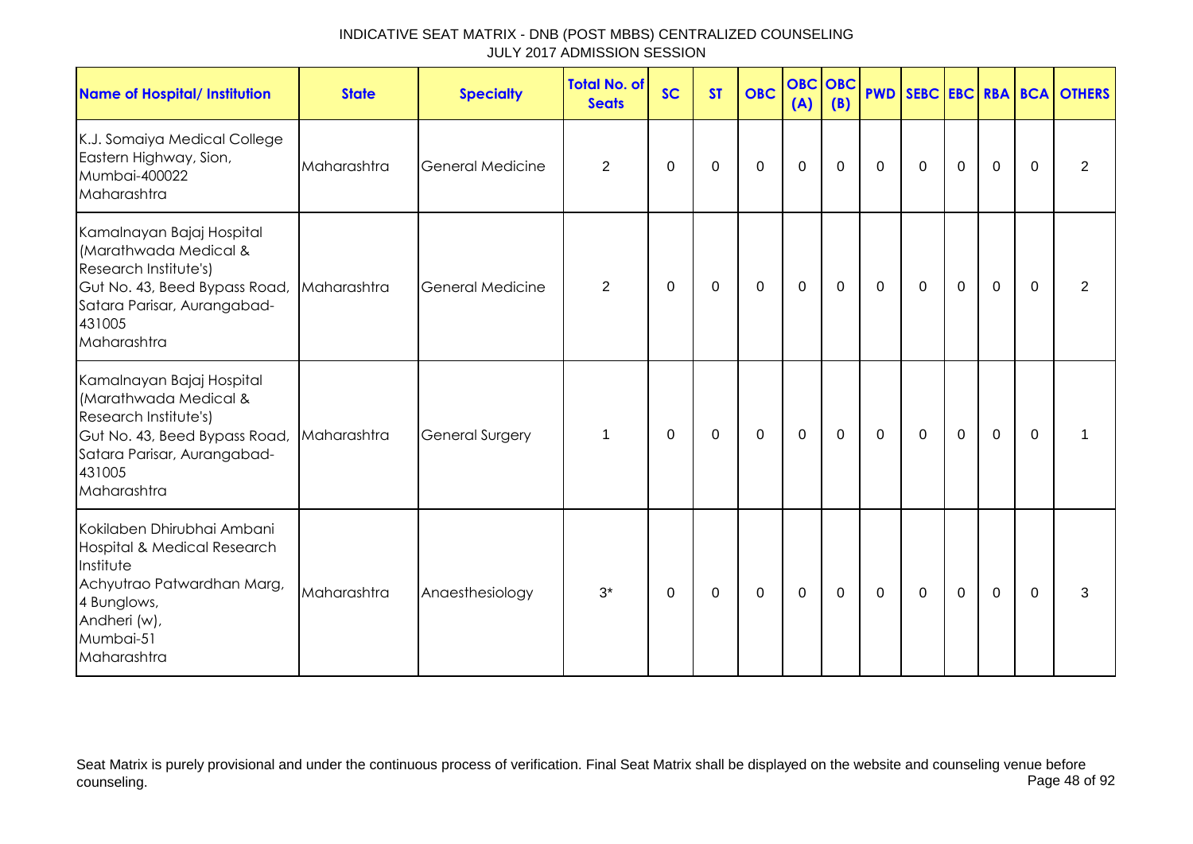| <b>Name of Hospital/ Institution</b>                                                                                                                                 | <b>State</b> | <b>Specialty</b>        | Total No. of<br><b>Seats</b> | <b>SC</b>    | <b>ST</b> | <b>OBC</b>  | <b>OBC</b> OBC<br>(A) | (B)      |              |              |                |             |          | <b>PWD SEBC EBC RBA BCA OTHERS</b> |
|----------------------------------------------------------------------------------------------------------------------------------------------------------------------|--------------|-------------------------|------------------------------|--------------|-----------|-------------|-----------------------|----------|--------------|--------------|----------------|-------------|----------|------------------------------------|
| K.J. Somaiya Medical College<br>Eastern Highway, Sion,<br>Mumbai-400022<br>Maharashtra                                                                               | Maharashtra  | <b>General Medicine</b> | 2                            | 0            | 0         | $\mathbf 0$ | $\mathbf 0$           | 0        | $\mathbf 0$  | $\mathbf 0$  | $\mathbf 0$    | $\mathbf 0$ | $\Omega$ | 2                                  |
| Kamalnayan Bajaj Hospital<br>(Marathwada Medical &<br>Research Institute's)<br>Gut No. 43, Beed Bypass Road,<br>Satara Parisar, Aurangabad-<br>431005<br>Maharashtra | Maharashtra  | <b>General Medicine</b> | 2                            | $\Omega$     | $\Omega$  | 0           | $\mathbf 0$           | 0        | $\mathbf{0}$ | $\mathbf{0}$ | $\overline{0}$ | $\mathbf 0$ | $\Omega$ | $\overline{2}$                     |
| Kamalnayan Bajaj Hospital<br>(Marathwada Medical &<br>Research Institute's)<br>Gut No. 43, Beed Bypass Road,<br>Satara Parisar, Aurangabad-<br>431005<br>Maharashtra | Maharashtra  | <b>General Surgery</b>  | 1                            | $\mathbf 0$  | 0         | 0           | $\mathbf 0$           | 0        | 0            | 0            | $\mathbf 0$    | $\mathbf 0$ | $\Omega$ |                                    |
| Kokilaben Dhirubhai Ambani<br>Hospital & Medical Research<br>Institute<br>Achyutrao Patwardhan Marg,<br>4 Bunglows,<br>Andheri (w),<br>Mumbai-51<br>Maharashtra      | Maharashtra  | Anaesthesiology         | $3^*$                        | $\mathbf{0}$ | 0         | $\Omega$    | $\mathbf 0$           | $\Omega$ | $\mathbf{0}$ | $\mathbf{0}$ | $\Omega$       | $\mathbf 0$ | $\Omega$ | 3                                  |

Seat Matrix is purely provisional and under the continuous process of verification. Final Seat Matrix shall be displayed on the website and counseling venue before<br>Page 48 of 92 counseling. Page 48 of 92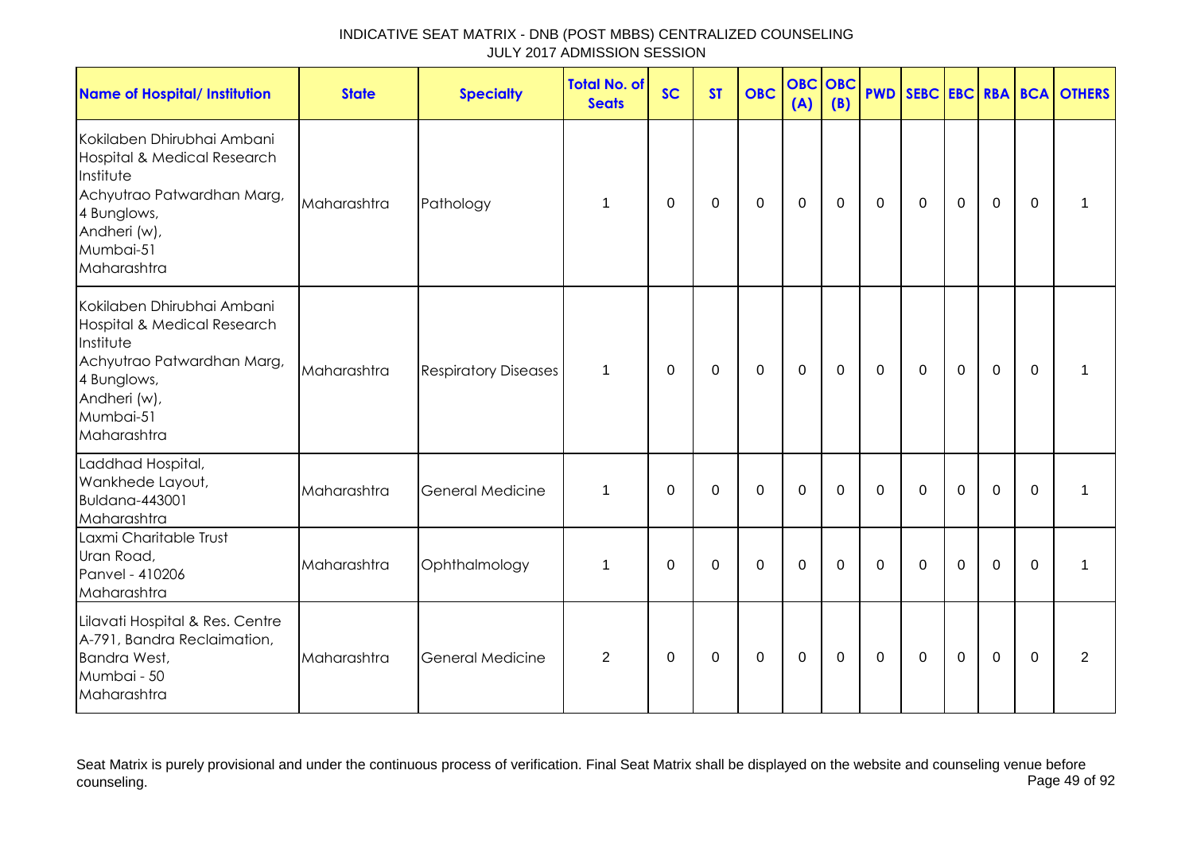| <b>Name of Hospital/ Institution</b>                                                                                                                            | <b>State</b> | <b>Specialty</b>            | <b>Total No. of</b><br><b>Seats</b> | <b>SC</b>   | <b>ST</b> | <b>OBC</b>  | <b>OBC</b><br>(A) | <b>OBC</b><br>(B) |             |             |             |             |              | <b>PWD SEBC EBC RBA BCA OTHERS</b> |
|-----------------------------------------------------------------------------------------------------------------------------------------------------------------|--------------|-----------------------------|-------------------------------------|-------------|-----------|-------------|-------------------|-------------------|-------------|-------------|-------------|-------------|--------------|------------------------------------|
| Kokilaben Dhirubhai Ambani<br>Hospital & Medical Research<br>Institute<br>Achyutrao Patwardhan Marg,<br>4 Bunglows,<br>Andheri (w),<br>Mumbai-51<br>Maharashtra | Maharashtra  | Pathology                   | $\mathbf 1$                         | $\mathbf 0$ | 0         | $\mathbf 0$ | $\mathbf 0$       | 0                 | 0           | $\mathbf 0$ | $\mathbf 0$ | $\mathbf 0$ | $\Omega$     | 1                                  |
| Kokilaben Dhirubhai Ambani<br>Hospital & Medical Research<br>Institute<br>Achyutrao Patwardhan Marg,<br>4 Bunglows,<br>Andheri (w),<br>Mumbai-51<br>Maharashtra | Maharashtra  | <b>Respiratory Diseases</b> | $\mathbf 1$                         | 0           | 0         | $\mathsf 0$ | $\mathbf 0$       | $\mathbf 0$       | 0           | $\Omega$    | 0           | $\mathbf 0$ | $\mathbf{0}$ | 1                                  |
| Laddhad Hospital,<br>Wankhede Layout,<br><b>Buldana-443001</b><br>Maharashtra                                                                                   | Maharashtra  | <b>General Medicine</b>     | $\mathbf 1$                         | $\Omega$    | $\Omega$  | $\Omega$    | $\mathbf 0$       | $\Omega$          | $\Omega$    | $\Omega$    | $\Omega$    | $\Omega$    | $\Omega$     | 1                                  |
| Laxmi Charitable Trust<br>Uran Road,<br>Panvel - 410206<br>Maharashtra                                                                                          | Maharashtra  | Ophthalmology               | $\mathbf 1$                         | 0           | 0         | 0           | 0                 | 0                 | 0           | 0           | 0           | $\Omega$    | $\mathbf{0}$ | 1                                  |
| Lilavati Hospital & Res. Centre<br>A-791, Bandra Reclaimation,<br>Bandra West,<br>Mumbai - 50<br>Maharashtra                                                    | Maharashtra  | <b>General Medicine</b>     | $\overline{2}$                      | $\mathbf 0$ | 0         | $\mathbf 0$ | 0                 | 0                 | $\mathbf 0$ | $\mathbf 0$ | $\mathbf 0$ | 0           | $\Omega$     | 2                                  |

Seat Matrix is purely provisional and under the continuous process of verification. Final Seat Matrix shall be displayed on the website and counseling venue before<br>Page 49 of 92 counseling. Page 49 of 92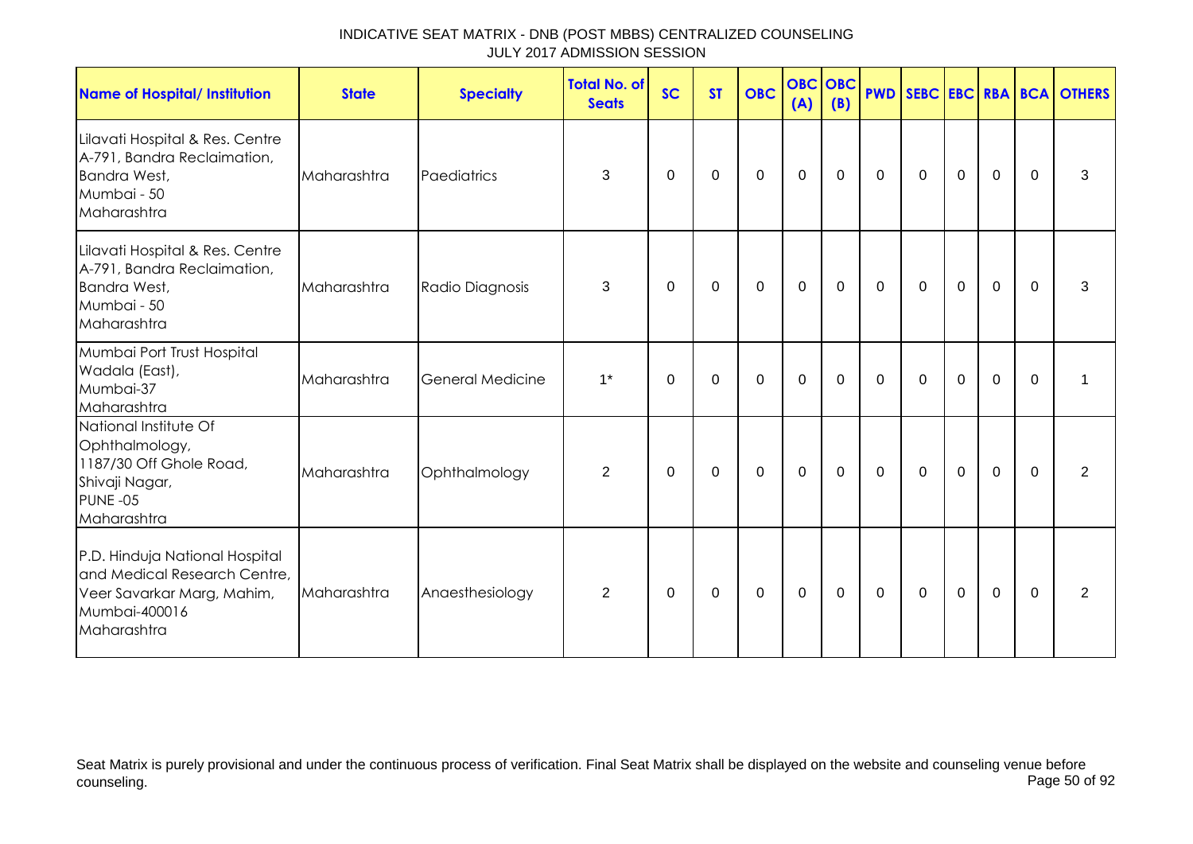| <b>Name of Hospital/ Institution</b>                                                                                         | <b>State</b> | <b>Specialty</b> | <b>Total No. of</b><br><b>Seats</b> | <b>SC</b>   | <b>ST</b> | <b>OBC</b>  | <b>OBC</b> OBC<br>(A) | (B)         |             |             |             |             |             | <b>PWD SEBC EBC RBA BCA OTHERS</b> |
|------------------------------------------------------------------------------------------------------------------------------|--------------|------------------|-------------------------------------|-------------|-----------|-------------|-----------------------|-------------|-------------|-------------|-------------|-------------|-------------|------------------------------------|
| Lilavati Hospital & Res. Centre<br>A-791, Bandra Reclaimation,<br>Bandra West,<br>Mumbai - 50<br>Maharashtra                 | Maharashtra  | Paediatrics      | 3                                   | $\mathbf 0$ | 0         | 0           | 0                     | $\mathbf 0$ | $\mathbf 0$ | $\mathbf 0$ | $\mathbf 0$ | $\mathbf 0$ | 0           | 3                                  |
| Lilavati Hospital & Res. Centre<br>A-791, Bandra Reclaimation,<br>Bandra West,<br>Mumbai - 50<br>Maharashtra                 | Maharashtra  | Radio Diagnosis  | 3                                   | 0           | 0         | 0           | 0                     | $\mathbf 0$ | $\mathbf 0$ | $\mathbf 0$ | $\mathbf 0$ | $\mathbf 0$ | 0           | 3                                  |
| Mumbai Port Trust Hospital<br>Wadala (East),<br>Mumbai-37<br>Maharashtra                                                     | Maharashtra  | General Medicine | $1^*$                               | 0           | 0         | $\mathbf 0$ | 0                     | 0           | $\mathbf 0$ | $\mathbf 0$ | $\mathbf 0$ | $\mathbf 0$ | 0           | 1                                  |
| National Institute Of<br>Ophthalmology,<br>1187/30 Off Ghole Road,<br>Shivaji Nagar,<br>PUNE-05<br>Maharashtra               | Maharashtra  | Ophthalmology    | $\overline{2}$                      | 0           | 0         | $\mathbf 0$ | 0                     | $\mathbf 0$ | $\mathbf 0$ | $\mathbf 0$ | $\mathbf 0$ | $\mathbf 0$ | $\mathbf 0$ | $\overline{2}$                     |
| P.D. Hinduja National Hospital<br>and Medical Research Centre,<br>Veer Savarkar Marg, Mahim,<br>Mumbai-400016<br>Maharashtra | Maharashtra  | Anaesthesiology  | 2                                   | 0           | 0         | 0           | 0                     | 0           | $\mathbf 0$ | $\mathbf 0$ | $\mathbf 0$ | $\mathbf 0$ | $\mathbf 0$ | 2                                  |

Seat Matrix is purely provisional and under the continuous process of verification. Final Seat Matrix shall be displayed on the website and counseling venue before<br>Page 50 of 92 counseling. Page 50 of 92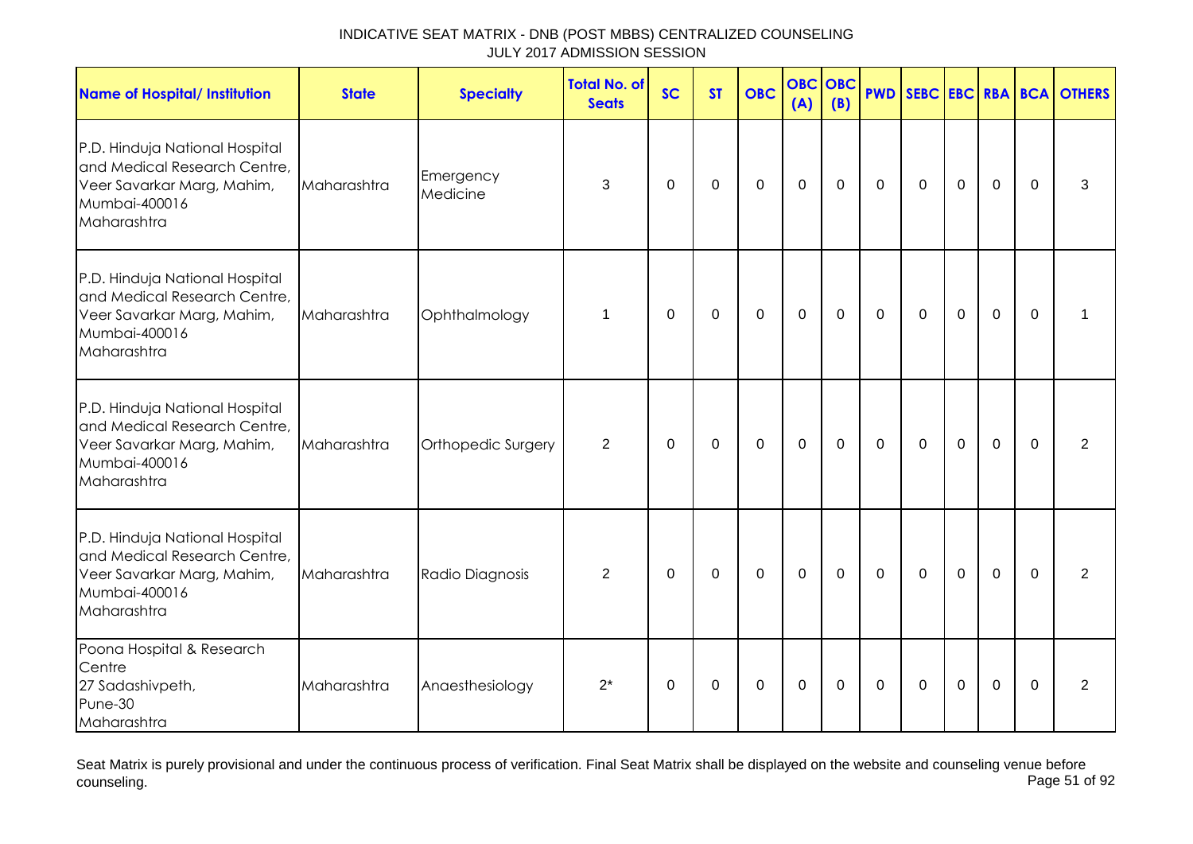| <b>Name of Hospital/ Institution</b>                                                                                         | <b>State</b> | <b>Specialty</b>      | <b>Total No. of</b><br><b>Seats</b> | <b>SC</b>   | <b>ST</b>      | <b>OBC</b>       | <b>OBC</b><br>(A) | <b>OBC</b><br>(B) |              |                |             |             |          | <b>PWD SEBC EBC RBA BCA OTHERS</b> |
|------------------------------------------------------------------------------------------------------------------------------|--------------|-----------------------|-------------------------------------|-------------|----------------|------------------|-------------------|-------------------|--------------|----------------|-------------|-------------|----------|------------------------------------|
| P.D. Hinduja National Hospital<br>and Medical Research Centre,<br>Veer Savarkar Marg, Mahim,<br>Mumbai-400016<br>Maharashtra | Maharashtra  | Emergency<br>Medicine | 3                                   | 0           | 0              | $\pmb{0}$        | $\mathbf 0$       | $\mathbf 0$       | $\mathbf 0$  | $\mathbf 0$    | $\mathbf 0$ | $\mathbf 0$ | $\Omega$ | 3                                  |
| P.D. Hinduja National Hospital<br>and Medical Research Centre,<br>Veer Savarkar Marg, Mahim,<br>Mumbai-400016<br>Maharashtra | Maharashtra  | Ophthalmology         | $\mathbf 1$                         | 0           | 0              | $\boldsymbol{0}$ | $\boldsymbol{0}$  | $\mathbf 0$       | 0            | $\mathbf 0$    | $\mathbf 0$ | $\mathbf 0$ | $\Omega$ |                                    |
| P.D. Hinduja National Hospital<br>and Medical Research Centre,<br>Veer Savarkar Marg, Mahim,<br>Mumbai-400016<br>Maharashtra | Maharashtra  | Orthopedic Surgery    | 2                                   | 0           | 0              | $\mathbf 0$      | $\mathbf 0$       | 0                 | 0            | $\Omega$       | $\mathbf 0$ | $\mathbf 0$ | $\Omega$ | $\overline{2}$                     |
| P.D. Hinduja National Hospital<br>and Medical Research Centre,<br>Veer Savarkar Marg, Mahim,<br>Mumbai-400016<br>Maharashtra | Maharashtra  | Radio Diagnosis       | $\overline{2}$                      | $\mathbf 0$ | $\overline{0}$ | $\mathbf{0}$     | $\mathbf{0}$      | $\mathbf 0$       | $\mathbf 0$  | $\overline{0}$ | $\mathbf 0$ | $\mathbf 0$ | $\Omega$ | 2                                  |
| Poona Hospital & Research<br>Centre<br>27 Sadashivpeth,<br>Pune-30<br>Maharashtra                                            | Maharashtra  | Anaesthesiology       | $2^*$                               | $\Omega$    | 0              | $\pmb{0}$        | $\pmb{0}$         | $\mathbf 0$       | $\mathbf{0}$ | $\mathbf 0$    | $\mathbf 0$ | $\pmb{0}$   | $\Omega$ | $\overline{2}$                     |

Seat Matrix is purely provisional and under the continuous process of verification. Final Seat Matrix shall be displayed on the website and counseling venue before<br>Page 51 of 92 counseling. Page 51 of 92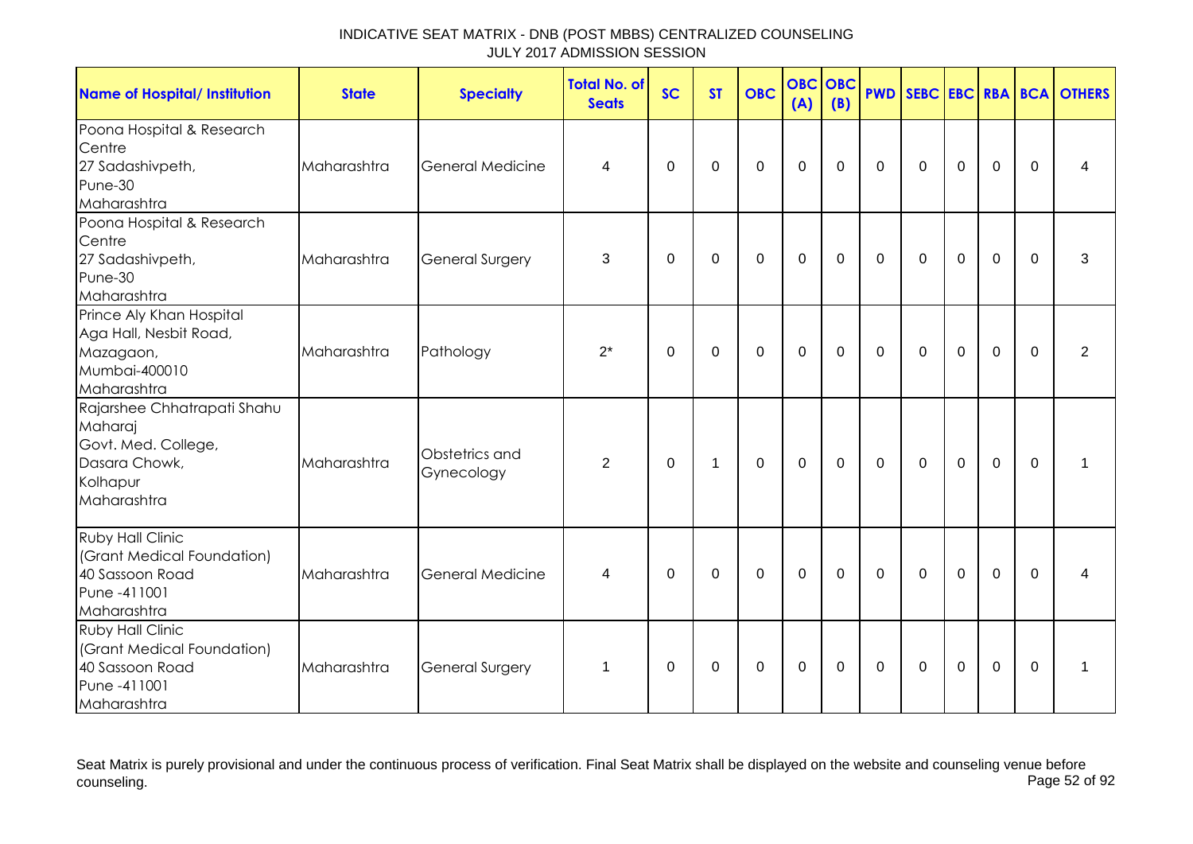| <b>Name of Hospital/ Institution</b>                                                                      | <b>State</b> | <b>Specialty</b>             | <b>Total No. of</b><br><b>Seats</b> | <b>SC</b>      | <b>ST</b>    | <b>OBC</b>       | <b>OBC OBC</b><br>(A) | (B)         |                |                |                  |                |             | <b>PWD SEBC EBC RBA BCA OTHERS</b> |
|-----------------------------------------------------------------------------------------------------------|--------------|------------------------------|-------------------------------------|----------------|--------------|------------------|-----------------------|-------------|----------------|----------------|------------------|----------------|-------------|------------------------------------|
| Poona Hospital & Research<br>Centre<br>27 Sadashivpeth,<br>Pune-30<br>Maharashtra                         | Maharashtra  | <b>General Medicine</b>      | 4                                   | $\overline{0}$ | $\mathbf 0$  | $\mathbf 0$      | $\pmb{0}$             | $\mathbf 0$ | $\mathbf 0$    | $\mathbf 0$    | $\mathbf 0$      | $\mathbf 0$    | $\mathbf 0$ | 4                                  |
| Poona Hospital & Research<br>Centre<br>27 Sadashivpeth,<br>Pune-30<br>Maharashtra                         | Maharashtra  | <b>General Surgery</b>       | 3                                   | $\Omega$       | $\Omega$     | $\mathbf 0$      | $\mathbf 0$           | $\mathbf 0$ | $\mathbf 0$    | $\mathbf 0$    | $\mathbf 0$      | $\overline{0}$ | $\mathbf 0$ | 3                                  |
| Prince Aly Khan Hospital<br>Aga Hall, Nesbit Road,<br>Mazagaon,<br>Mumbai-400010<br>Maharashtra           | Maharashtra  | Pathology                    | $2^*$                               | $\mathbf 0$    | $\mathbf 0$  | $\mathbf 0$      | $\mathbf 0$           | $\mathbf 0$ | $\overline{0}$ | $\mathbf 0$    | $\mathbf 0$      | $\mathbf 0$    | $\mathbf 0$ | $\overline{2}$                     |
| Rajarshee Chhatrapati Shahu<br>Maharaj<br>Govt. Med. College,<br>Dasara Chowk,<br>Kolhapur<br>Maharashtra | Maharashtra  | Obstetrics and<br>Gynecology | $\overline{2}$                      | 0              | $\mathbf{1}$ | 0                | $\mathbf 0$           | $\mathbf 0$ | $\mathbf 0$    | $\mathbf 0$    | $\mathbf 0$      | $\mathbf 0$    | $\Omega$    | 1                                  |
| <b>Ruby Hall Clinic</b><br>(Grant Medical Foundation)<br>40 Sassoon Road<br>Pune -411001<br>Maharashtra   | Maharashtra  | <b>General Medicine</b>      | 4                                   | $\Omega$       | $\Omega$     | $\mathbf 0$      | $\mathbf{0}$          | $\mathbf 0$ | $\mathbf 0$    | $\overline{0}$ | $\overline{0}$   | $\overline{0}$ | $\Omega$    | 4                                  |
| <b>Ruby Hall Clinic</b><br>(Grant Medical Foundation)<br>40 Sassoon Road<br>Pune -411001<br>Maharashtra   | Maharashtra  | <b>General Surgery</b>       | 1                                   | 0              | $\mathsf 0$  | $\boldsymbol{0}$ | $\pmb{0}$             | $\mathbf 0$ | $\mathbf 0$    | $\mathbf 0$    | $\boldsymbol{0}$ | $\mathbf 0$    | $\mathbf 0$ | 1                                  |

Seat Matrix is purely provisional and under the continuous process of verification. Final Seat Matrix shall be displayed on the website and counseling venue before<br>Page 52 of 92 counseling. Page 52 of 92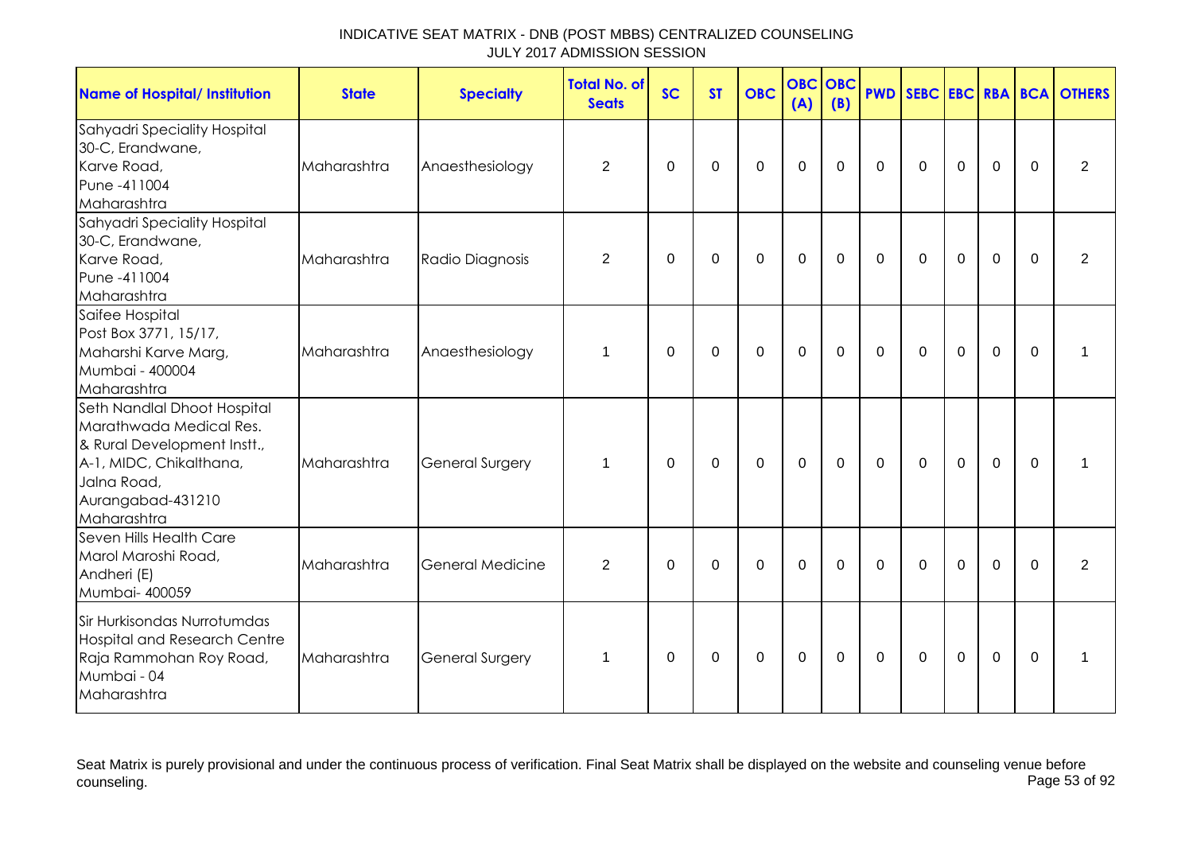| <b>Name of Hospital/ Institution</b>                                                                                                                                | <b>State</b> | <b>Specialty</b>        | <b>Total No. of</b><br><b>Seats</b> | <b>SC</b> | <b>ST</b> | <b>OBC</b>  | <b>OBC OBC</b><br>(A) | (B)            |                |             |                |              |          | <b>PWD SEBC EBC RBA BCA OTHERS</b> |
|---------------------------------------------------------------------------------------------------------------------------------------------------------------------|--------------|-------------------------|-------------------------------------|-----------|-----------|-------------|-----------------------|----------------|----------------|-------------|----------------|--------------|----------|------------------------------------|
| Sahyadri Speciality Hospital<br>30-C, Erandwane,<br>Karve Road,<br>Pune -411004<br>Maharashtra                                                                      | Maharashtra  | Anaesthesiology         | $\overline{c}$                      | $\Omega$  | $\Omega$  | $\mathbf 0$ | $\mathbf 0$           | $\mathbf 0$    | $\mathbf 0$    | $\mathbf 0$ | $\mathbf 0$    | $\mathbf 0$  | $\Omega$ | $\overline{2}$                     |
| Sahyadri Speciality Hospital<br>30-C, Erandwane,<br>Karve Road,<br>Pune -411004<br>Maharashtra                                                                      | Maharashtra  | Radio Diagnosis         | $\overline{2}$                      | $\Omega$  | $\Omega$  | 0           | $\mathbf 0$           | 0              | $\mathbf 0$    | 0           | $\mathbf 0$    | $\mathbf 0$  | $\Omega$ | $\overline{2}$                     |
| Saifee Hospital<br>Post Box 3771, 15/17,<br>Maharshi Karve Marg,<br>Mumbai - 400004<br>Maharashtra                                                                  | Maharashtra  | Anaesthesiology         | 1                                   | $\Omega$  | $\Omega$  | $\Omega$    | $\mathbf 0$           | $\Omega$       | $\mathbf 0$    | $\mathbf 0$ | $\overline{0}$ | $\mathbf 0$  | $\Omega$ | 1                                  |
| Seth Nandlal Dhoot Hospital<br>Marathwada Medical Res.<br>& Rural Development Instt.,<br>A-1, MIDC, Chikalthana,<br>Jalna Road,<br>Aurangabad-431210<br>Maharashtra | Maharashtra  | <b>General Surgery</b>  | $\mathbf 1$                         | $\Omega$  | $\Omega$  | $\mathbf 0$ | $\mathbf{0}$          | $\overline{0}$ | $\overline{0}$ | $\mathbf 0$ | $\mathbf 0$    | $\mathbf{0}$ | $\Omega$ | 1                                  |
| Seven Hills Health Care<br>Marol Maroshi Road,<br>Andheri (E)<br>Mumbai- 400059                                                                                     | Maharashtra  | <b>General Medicine</b> | $\overline{2}$                      | $\Omega$  | $\Omega$  | $\Omega$    | $\mathbf 0$           | $\Omega$       | $\Omega$       | $\mathbf 0$ | $\Omega$       | $\mathbf 0$  | $\Omega$ | 2                                  |
| Sir Hurkisondas Nurrotumdas<br><b>Hospital and Research Centre</b><br>Raja Rammohan Roy Road,<br>Mumbai - 04<br>Maharashtra                                         | Maharashtra  | <b>General Surgery</b>  | $\mathbf 1$                         | $\Omega$  | 0         | $\mathbf 0$ | $\mathbf 0$           | $\mathbf 0$    | $\mathbf 0$    | $\mathbf 0$ | $\mathbf 0$    | $\mathbf 0$  | $\Omega$ | 1                                  |

Seat Matrix is purely provisional and under the continuous process of verification. Final Seat Matrix shall be displayed on the website and counseling venue before<br>Page 53 of 92 counseling. Page 53 of 92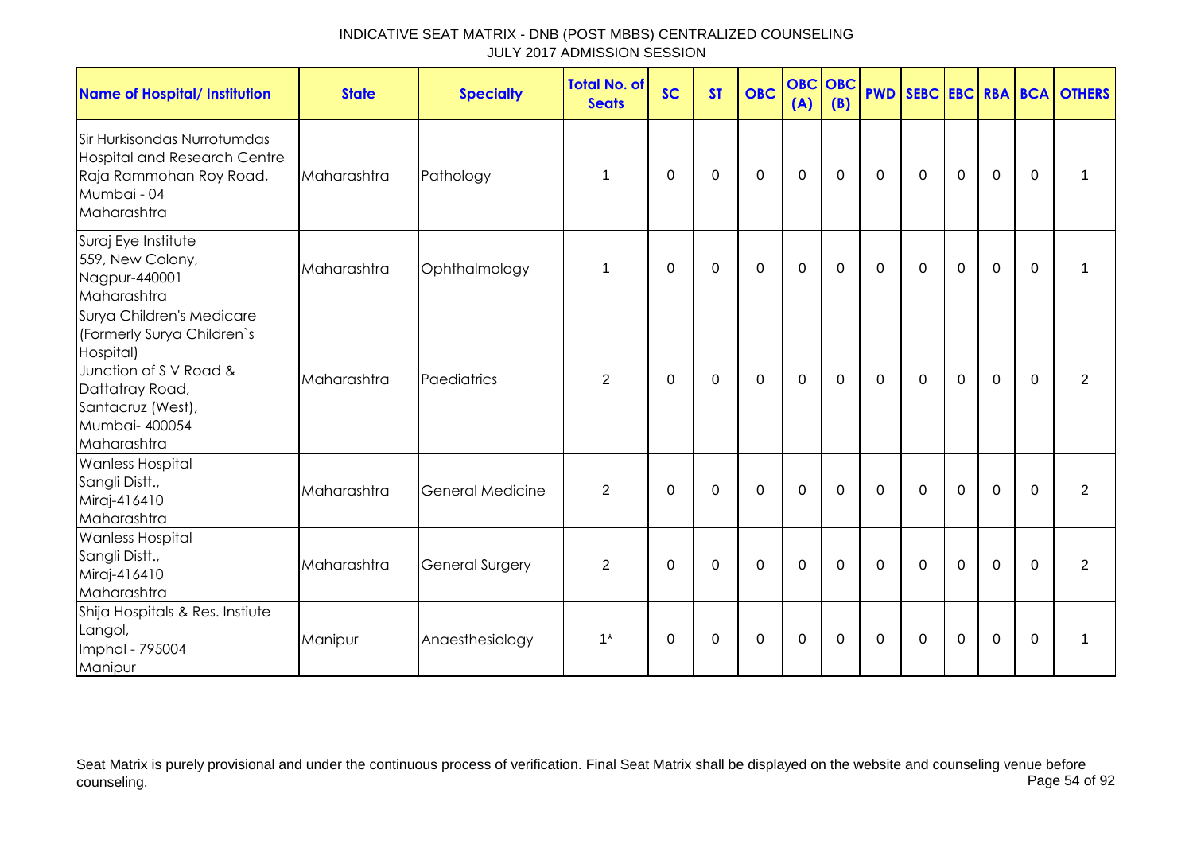| <b>Name of Hospital/ Institution</b>                                                                                                                                    | <b>State</b> | <b>Specialty</b>        | <b>Total No. of</b><br><b>Seats</b> | <b>SC</b>   | <b>ST</b>   | <b>OBC</b>  | <b>OBC</b><br>(A) | <b>OBC</b><br>(B) |             |             |             |             |              | <b>PWD SEBC EBC RBA BCA OTHERS</b> |
|-------------------------------------------------------------------------------------------------------------------------------------------------------------------------|--------------|-------------------------|-------------------------------------|-------------|-------------|-------------|-------------------|-------------------|-------------|-------------|-------------|-------------|--------------|------------------------------------|
| Sir Hurkisondas Nurrotumdas<br><b>Hospital and Research Centre</b><br>Raja Rammohan Roy Road,<br>Mumbai - 04<br>Maharashtra                                             | Maharashtra  | Pathology               | 1                                   | 0           | 0           | $\pmb{0}$   | $\mathbf 0$       | $\mathbf 0$       | $\mathbf 0$ | 0           | $\mathbf 0$ | $\mathbf 0$ | $\mathbf{0}$ | 1                                  |
| Suraj Eye Institute<br>559, New Colony,<br>Nagpur-440001<br>Maharashtra                                                                                                 | Maharashtra  | Ophthalmology           | 1                                   | $\Omega$    | 0           | $\mathbf 0$ | $\mathbf 0$       | $\Omega$          | $\Omega$    | $\Omega$    | $\mathbf 0$ | $\mathbf 0$ | $\mathbf{0}$ | 1                                  |
| Surya Children's Medicare<br>(Formerly Surya Children's<br>Hospital)<br>Junction of S V Road &<br>Dattatray Road,<br>Santacruz (West),<br>Mumbai- 400054<br>Maharashtra | Maharashtra  | Paediatrics             | 2                                   | 0           | $\mathbf 0$ | $\mathbf 0$ | $\mathbf 0$       | $\mathbf 0$       | $\mathbf 0$ | $\mathbf 0$ | $\mathbf 0$ | $\mathbf 0$ | $\mathbf{0}$ | $\overline{2}$                     |
| <b>Wanless Hospital</b><br>Sangli Distt.,<br>Miraj-416410<br>Maharashtra                                                                                                | Maharashtra  | <b>General Medicine</b> | $\overline{2}$                      | $\mathbf 0$ | $\mathbf 0$ | $\mathbf 0$ | $\mathbf 0$       | $\mathbf 0$       | $\mathbf 0$ | $\mathbf 0$ | $\mathbf 0$ | $\mathbf 0$ | $\mathbf 0$  | $\overline{2}$                     |
| <b>Wanless Hospital</b><br>Sangli Distt.,<br>Miraj-416410<br>Maharashtra                                                                                                | Maharashtra  | <b>General Surgery</b>  | $\overline{2}$                      | 0           | $\mathbf 0$ | $\mathbf 0$ | $\mathbf 0$       | $\mathbf 0$       | $\mathbf 0$ | $\mathbf 0$ | $\mathbf 0$ | $\mathbf 0$ | $\Omega$     | $\overline{2}$                     |
| Shija Hospitals & Res. Instiute<br>Langol,<br>Imphal - 795004<br>Manipur                                                                                                | Manipur      | Anaesthesiology         | $1^*$                               | $\Omega$    | $\Omega$    | $\mathbf 0$ | $\mathbf 0$       | $\Omega$          | $\Omega$    | $\Omega$    | $\Omega$    | $\Omega$    | $\Omega$     | 1                                  |

Seat Matrix is purely provisional and under the continuous process of verification. Final Seat Matrix shall be displayed on the website and counseling venue before<br>Page 54 of 92 counseling. Page 54 of 92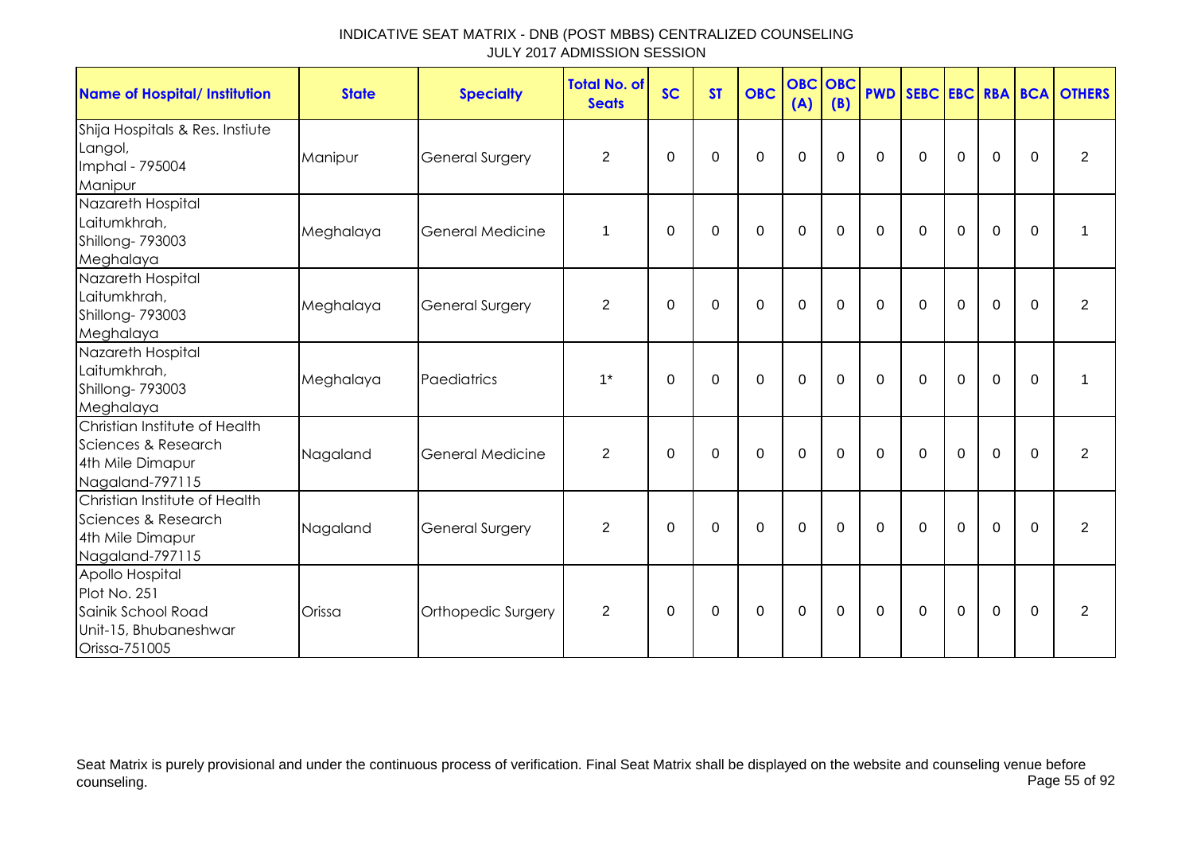| <b>Name of Hospital/ Institution</b>                                                            | <b>State</b> | <b>Specialty</b>       | <b>Total No. of</b><br><b>Seats</b> | <b>SC</b>   | <b>ST</b>      | <b>OBC</b>  | <b>OBC</b> OBC<br>(A) | (B)         | <b>PWD</b>  |              |             |             |             | SEBC EBC RBA BCA OTHERS |
|-------------------------------------------------------------------------------------------------|--------------|------------------------|-------------------------------------|-------------|----------------|-------------|-----------------------|-------------|-------------|--------------|-------------|-------------|-------------|-------------------------|
| Shija Hospitals & Res. Instiute<br>Langol,<br>Imphal - 795004<br>Manipur                        | Manipur      | <b>General Surgery</b> | 2                                   | 0           | 0              | $\mathbf 0$ | $\mathbf 0$           | $\Omega$    | $\Omega$    | $\mathbf{0}$ | $\Omega$    | $\mathbf 0$ | $\Omega$    | 2                       |
| Nazareth Hospital<br>Laitumkhrah,<br>Shillong-793003<br>Meghalaya                               | Meghalaya    | General Medicine       | 1                                   | $\Omega$    | $\Omega$       | $\Omega$    | $\Omega$              | $\Omega$    | $\Omega$    | $\mathbf{0}$ | $\Omega$    | $\mathbf 0$ | $\Omega$    | 1                       |
| Nazareth Hospital<br>Laitumkhrah,<br>Shillong- 793003<br>Meghalaya                              | Meghalaya    | <b>General Surgery</b> | $\overline{2}$                      | $\mathbf 0$ | $\overline{0}$ | $\mathbf 0$ | $\mathbf 0$           | $\mathbf 0$ | $\mathbf 0$ | $\mathbf 0$  | $\mathbf 0$ | $\mathbf 0$ | $\mathbf 0$ | 2                       |
| Nazareth Hospital<br>Laitumkhrah,<br>Shillong- 793003<br>Meghalaya                              | Meghalaya    | Paediatrics            | $1^*$                               | $\mathbf 0$ | $\mathbf 0$    | $\mathbf 0$ | $\mathbf 0$           | 0           | $\mathbf 0$ | $\mathbf 0$  | $\mathbf 0$ | $\mathbf 0$ | $\mathbf 0$ | 1                       |
| Christian Institute of Health<br>Sciences & Research<br>4th Mile Dimapur<br>Nagaland-797115     | Nagaland     | General Medicine       | $\overline{2}$                      | $\Omega$    | $\Omega$       | $\mathbf 0$ | $\mathbf 0$           | $\mathbf 0$ | $\mathbf 0$ | $\mathbf 0$  | $\mathbf 0$ | $\mathbf 0$ | $\mathbf 0$ | $\overline{2}$          |
| Christian Institute of Health<br>Sciences & Research<br>4th Mile Dimapur<br>Nagaland-797115     | Nagaland     | <b>General Surgery</b> | $\overline{2}$                      | $\mathbf 0$ | $\overline{0}$ | $\mathbf 0$ | $\mathbf 0$           | $\mathbf 0$ | $\mathbf 0$ | $\mathbf 0$  | $\mathbf 0$ | $\mathbf 0$ | $\mathbf 0$ | $\overline{2}$          |
| Apollo Hospital<br>Plot No. 251<br>Sainik School Road<br>Unit-15, Bhubaneshwar<br>Orissa-751005 | Orissa       | Orthopedic Surgery     | $\overline{2}$                      | $\Omega$    | 0              | 0           | $\mathbf 0$           | $\Omega$    | $\Omega$    | $\mathbf{0}$ | 0           | $\mathbf 0$ | $\Omega$    | $\overline{2}$          |

Seat Matrix is purely provisional and under the continuous process of verification. Final Seat Matrix shall be displayed on the website and counseling venue before<br>Page 55 of 92 counseling. Page 55 of 92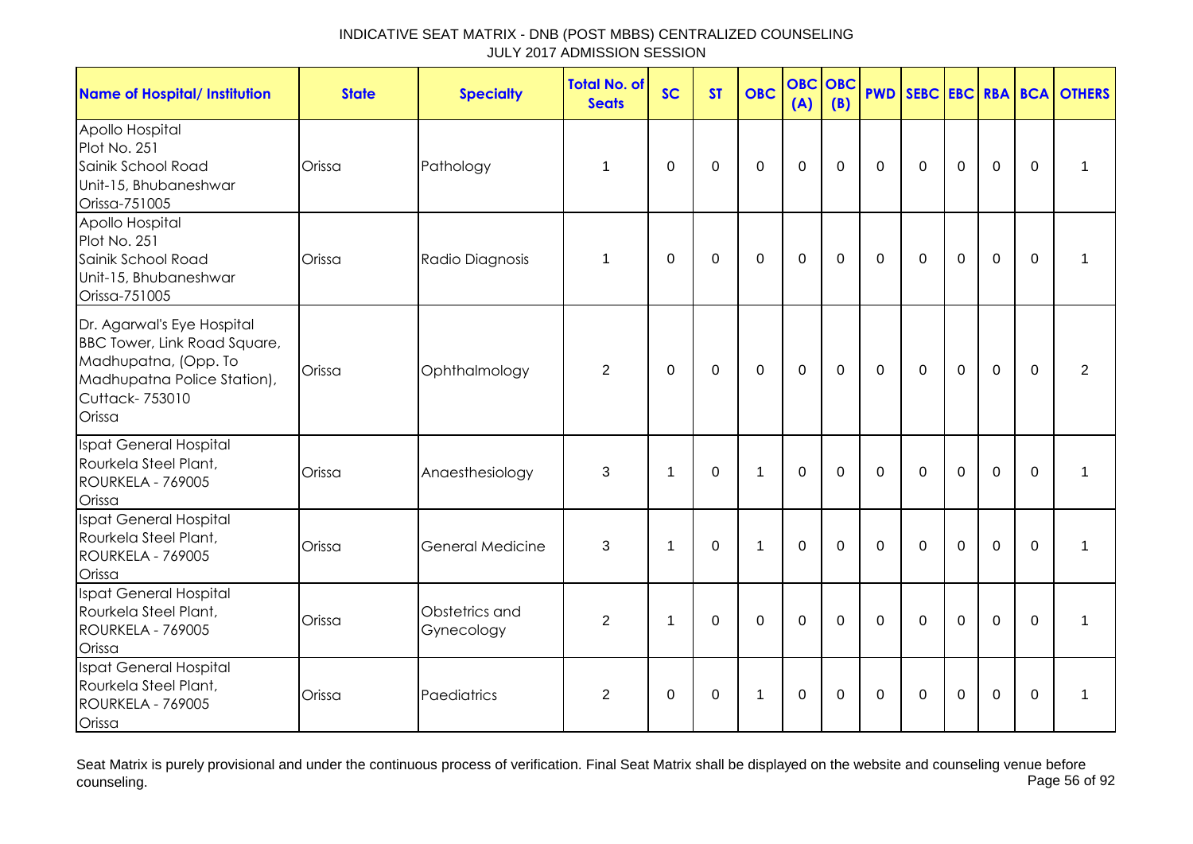| <b>Name of Hospital/ Institution</b>                                                                                                                  | <b>State</b> | <b>Specialty</b>             | <b>Total No. of</b><br><b>Seats</b> | <b>SC</b>      | <b>ST</b>   | <b>OBC</b>   | <b>OBC</b><br>(A) | <b>OBC</b><br>(B) |                |              |                |                |          | <b>PWD SEBC EBC RBA BCA OTHERS</b> |
|-------------------------------------------------------------------------------------------------------------------------------------------------------|--------------|------------------------------|-------------------------------------|----------------|-------------|--------------|-------------------|-------------------|----------------|--------------|----------------|----------------|----------|------------------------------------|
| Apollo Hospital<br>Plot No. 251<br>Sainik School Road<br>Unit-15, Bhubaneshwar<br>Orissa-751005                                                       | Orissa       | Pathology                    | 1                                   | $\Omega$       | $\mathbf 0$ | $\mathbf 0$  | $\overline{0}$    | $\mathbf 0$       | $\overline{0}$ | $\Omega$     | $\overline{0}$ | $\overline{0}$ | $\Omega$ | 1                                  |
| Apollo Hospital<br>Plot No. 251<br>Sainik School Road<br>Unit-15, Bhubaneshwar<br>Orissa-751005                                                       | Orissa       | Radio Diagnosis              | 1                                   | $\mathbf 0$    | $\mathbf 0$ | $\mathbf 0$  | $\mathbf{0}$      | $\mathbf 0$       | $\mathbf 0$    | $\mathbf 0$  | $\overline{0}$ | $\overline{0}$ | $\Omega$ | 1                                  |
| Dr. Agarwal's Eye Hospital<br><b>BBC Tower, Link Road Square,</b><br>Madhupatna, (Opp. To<br>Madhupatna Police Station),<br>Cuttack- 753010<br>Orissa | Orissa       | Ophthalmology                | 2                                   | $\Omega$       | $\mathbf 0$ | $\mathbf 0$  | $\mathbf 0$       | $\mathbf 0$       | $\mathbf 0$    | $\mathbf 0$  | $\mathbf 0$    | $\mathbf 0$    | $\Omega$ | $\overline{2}$                     |
| Ispat General Hospital<br>Rourkela Steel Plant,<br>ROURKELA - 769005<br>Orissa                                                                        | Orissa       | Anaesthesiology              | 3                                   | $\mathbf 1$    | $\mathbf 0$ | $\mathbf 1$  | $\boldsymbol{0}$  | 0                 | $\mathbf 0$    | 0            | $\mathbf 0$    | $\mathbf 0$    | $\Omega$ | 1                                  |
| Ispat General Hospital<br>Rourkela Steel Plant,<br>ROURKELA - 769005<br>Orissa                                                                        | Orissa       | <b>General Medicine</b>      | 3                                   | 1              | $\mathbf 0$ | $\mathbf{1}$ | $\mathbf 0$       | $\mathbf 0$       | $\mathbf 0$    | $\mathbf{0}$ | $\overline{0}$ | $\overline{0}$ | $\Omega$ | 1                                  |
| <b>Ispat General Hospital</b><br>Rourkela Steel Plant,<br><b>ROURKELA - 769005</b><br>Orissa                                                          | Orissa       | Obstetrics and<br>Gynecology | 2                                   | $\overline{1}$ | $\Omega$    | $\mathbf 0$  | $\mathbf 0$       | $\mathbf 0$       | $\overline{0}$ | $\mathbf 0$  | $\overline{0}$ | $\mathbf 0$    | $\Omega$ | $\mathbf{1}$                       |
| Ispat General Hospital<br>Rourkela Steel Plant,<br>ROURKELA - 769005<br>Orissa                                                                        | Orissa       | Paediatrics                  | $\overline{2}$                      | $\Omega$       | $\Omega$    | -1           | $\mathbf{0}$      | $\Omega$          | $\mathbf{0}$   | $\Omega$     | $\Omega$       | $\overline{0}$ | $\Omega$ | 1                                  |

Seat Matrix is purely provisional and under the continuous process of verification. Final Seat Matrix shall be displayed on the website and counseling venue before<br>Page 56 of 92 counseling. Page 56 of 92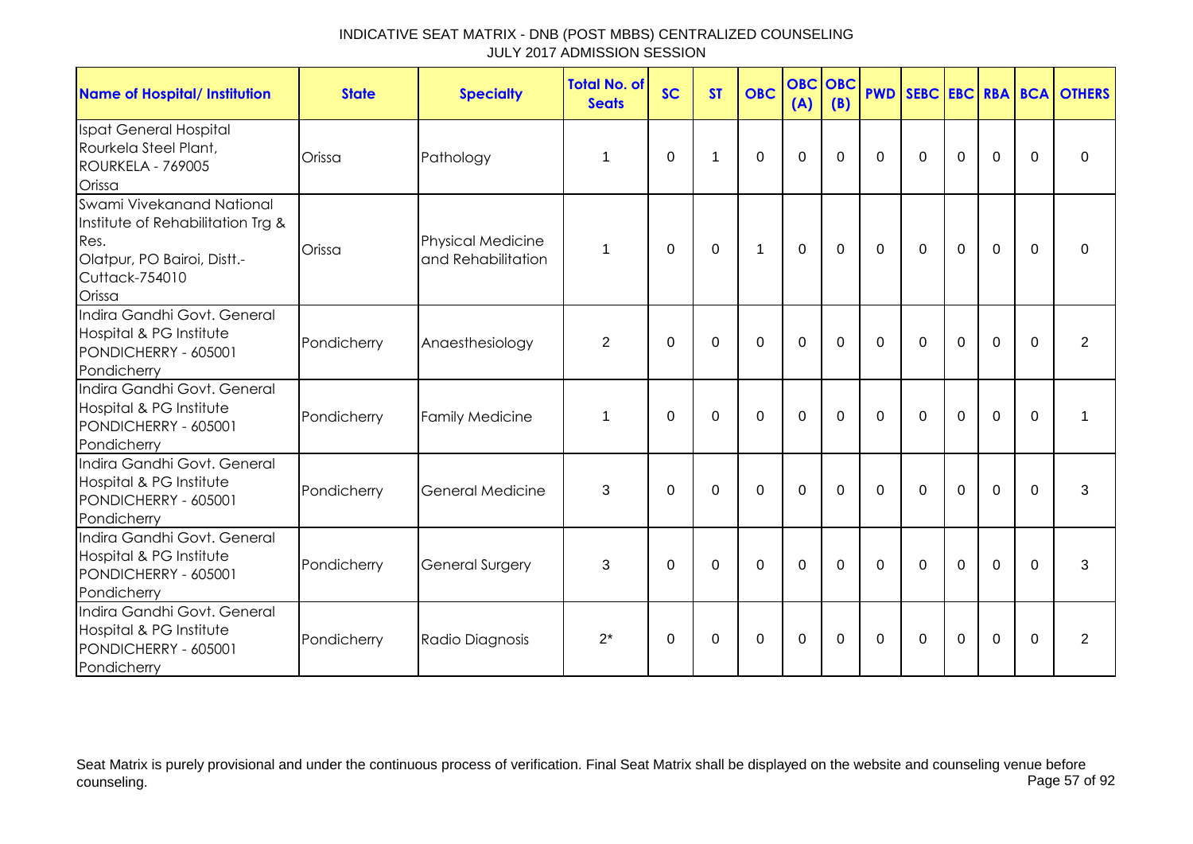| <b>Name of Hospital/ Institution</b>                                                                                              | <b>State</b> | <b>Specialty</b>                               | <b>Total No. of</b><br><b>Seats</b> | <b>SC</b>   | <b>ST</b>   | <b>OBC</b>  | <b>OBC OBC</b><br>(A) | (B)         |          |              |             |                |          | <b>PWD SEBC EBC RBA BCA OTHERS</b> |
|-----------------------------------------------------------------------------------------------------------------------------------|--------------|------------------------------------------------|-------------------------------------|-------------|-------------|-------------|-----------------------|-------------|----------|--------------|-------------|----------------|----------|------------------------------------|
| Ispat General Hospital<br>Rourkela Steel Plant,<br>ROURKELA - 769005<br>Orissa                                                    | Orissa       | Pathology                                      | 1                                   | $\Omega$    | 1           | $\Omega$    | $\Omega$              | $\Omega$    | $\Omega$ | $\Omega$     | $\Omega$    | $\Omega$       | $\Omega$ | $\Omega$                           |
| Swami Vivekanand National<br>Institute of Rehabilitation Trg &<br>Res.<br>Olatpur, PO Bairoi, Distt.-<br>Cuttack-754010<br>Orissa | Orissa       | <b>Physical Medicine</b><br>and Rehabilitation | 1                                   | $\Omega$    | $\Omega$    | 1           | $\mathbf 0$           | $\Omega$    | $\Omega$ | $\mathbf{0}$ | 0           | $\overline{0}$ | $\Omega$ | $\Omega$                           |
| Indira Gandhi Govt, General<br>Hospital & PG Institute<br>PONDICHERRY - 605001<br>Pondicherry                                     | Pondicherry  | Anaesthesiology                                | $\overline{2}$                      | $\Omega$    | $\Omega$    | $\mathbf 0$ | $\mathbf 0$           | $\Omega$    | $\Omega$ | $\Omega$     | $\mathbf 0$ | $\mathbf 0$    | $\Omega$ | $\overline{2}$                     |
| Indira Gandhi Govt. General<br>Hospital & PG Institute<br>PONDICHERRY - 605001<br>Pondicherry                                     | Pondicherry  | <b>Family Medicine</b>                         | 1                                   | $\Omega$    | $\Omega$    | $\mathbf 0$ | $\mathbf 0$           | $\Omega$    | $\Omega$ | $\Omega$     | $\mathbf 0$ | $\mathbf 0$    | $\Omega$ | 1                                  |
| Indira Gandhi Govt. General<br>Hospital & PG Institute<br>PONDICHERRY - 605001<br>Pondicherry                                     | Pondicherry  | <b>General Medicine</b>                        | 3                                   | $\mathbf 0$ | $\mathbf 0$ | $\mathbf 0$ | $\mathbf 0$           | $\mathbf 0$ | $\Omega$ | $\mathbf 0$  | $\mathbf 0$ | $\mathbf 0$    | $\Omega$ | 3                                  |
| Indira Gandhi Govt. General<br>Hospital & PG Institute<br>PONDICHERRY - 605001<br>Pondicherry                                     | Pondicherry  | General Surgery                                | 3                                   | $\Omega$    | 0           | $\Omega$    | $\mathbf 0$           | $\Omega$    | $\Omega$ | $\Omega$     | $\Omega$    | $\Omega$       | $\Omega$ | 3                                  |
| Indira Gandhi Govt. General<br>Hospital & PG Institute<br>PONDICHERRY - 605001<br>Pondicherry                                     | Pondicherry  | Radio Diagnosis                                | $2^*$                               | $\Omega$    | $\Omega$    | 0           | $\mathbf 0$           | $\Omega$    | $\Omega$ | $\Omega$     | $\Omega$    | $\mathbf 0$    | $\Omega$ | $\overline{2}$                     |

Seat Matrix is purely provisional and under the continuous process of verification. Final Seat Matrix shall be displayed on the website and counseling venue before<br>Page 57 of 92 counseling. Page 57 of 92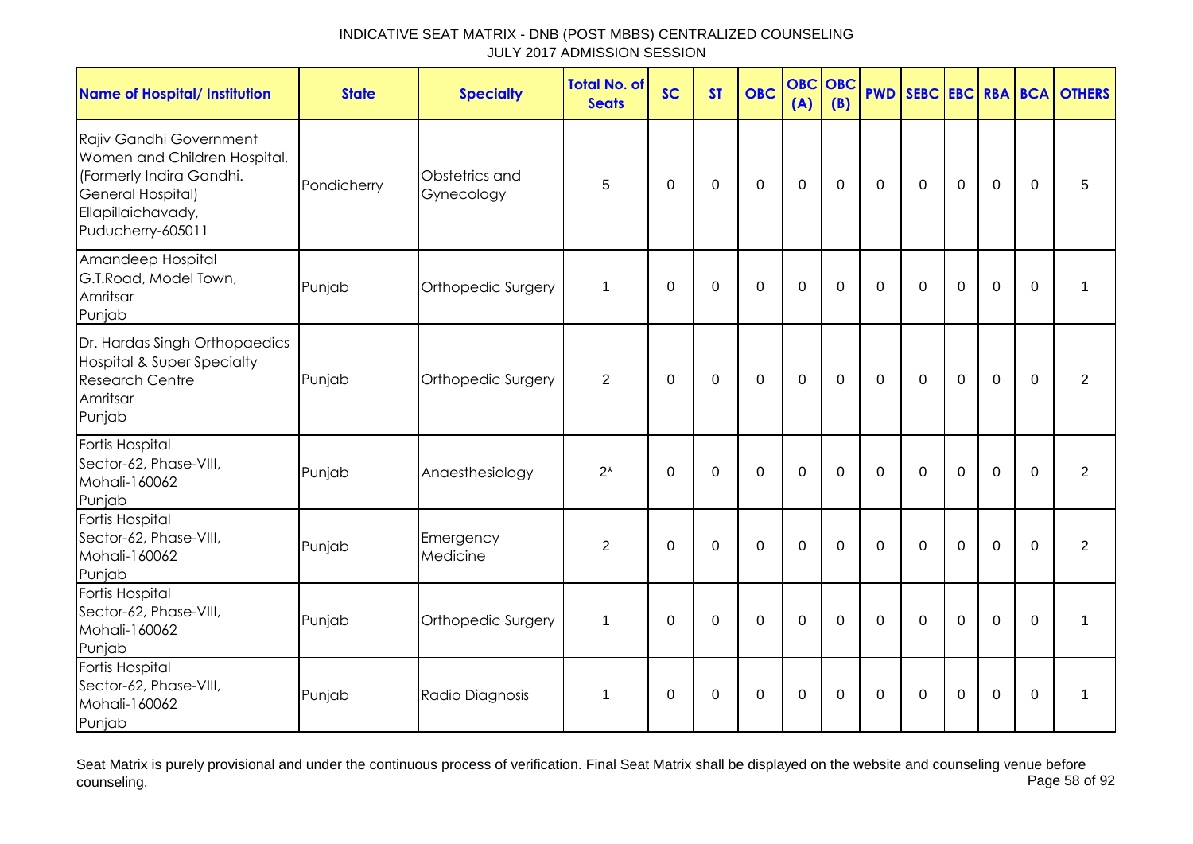| <b>Name of Hospital/ Institution</b>                                                                                                                | <b>State</b> | <b>Specialty</b>             | <b>Total No. of</b><br><b>Seats</b> | <b>SC</b>   | <b>ST</b>   | <b>OBC</b>     | <b>OBC</b><br>(A) | <b>OBC</b><br>(B) | <b>PWD</b>     | SEBC EBC RBA BCA |                |                |             | <b>OTHERS</b>  |
|-----------------------------------------------------------------------------------------------------------------------------------------------------|--------------|------------------------------|-------------------------------------|-------------|-------------|----------------|-------------------|-------------------|----------------|------------------|----------------|----------------|-------------|----------------|
| Rajiv Gandhi Government<br>Women and Children Hospital,<br>(Formerly Indira Gandhi.<br>General Hospital)<br>Ellapillaichavady,<br>Puducherry-605011 | Pondicherry  | Obstetrics and<br>Gynecology | 5                                   | $\mathbf 0$ | $\mathbf 0$ | $\mathbf 0$    | $\overline{0}$    | $\mathbf 0$       | $\mathbf 0$    | $\Omega$         | $\overline{0}$ | 0              | $\Omega$    | 5              |
| Amandeep Hospital<br>G.T.Road, Model Town,<br>Amritsar<br>Punjab                                                                                    | Punjab       | Orthopedic Surgery           | 1                                   | $\Omega$    | $\Omega$    | $\Omega$       | $\mathbf 0$       | $\Omega$          | $\Omega$       | $\Omega$         | $\Omega$       | $\Omega$       | $\Omega$    | $\mathbf{1}$   |
| Dr. Hardas Singh Orthopaedics<br><b>Hospital &amp; Super Specialty</b><br><b>Research Centre</b><br>Amritsar<br>Punjab                              | Punjab       | Orthopedic Surgery           | 2                                   | $\mathbf 0$ | $\mathbf 0$ | $\overline{0}$ | $\mathbf{0}$      | $\mathbf 0$       | $\overline{0}$ | $\Omega$         | $\overline{0}$ | $\overline{0}$ | $\Omega$    | $\overline{2}$ |
| Fortis Hospital<br>Sector-62, Phase-VIII,<br>Mohali-160062<br>Punjab                                                                                | Punjab       | Anaesthesiology              | $2^*$                               | $\mathbf 0$ | $\mathbf 0$ | $\mathbf 0$    | $\mathbf 0$       | 0                 | $\mathbf 0$    | $\mathbf 0$      | $\mathbf 0$    | 0              | $\mathbf 0$ | $\overline{2}$ |
| Fortis Hospital<br>Sector-62, Phase-VIII,<br>Mohali-160062<br>Punjab                                                                                | Punjab       | Emergency<br>Medicine        | $\overline{2}$                      | $\mathbf 0$ | $\mathbf 0$ | $\mathbf 0$    | $\mathbf{0}$      | $\mathbf 0$       | $\mathbf 0$    | $\mathbf 0$      | $\overline{0}$ | $\overline{0}$ | $\Omega$    | $\overline{2}$ |
| Fortis Hospital<br>Sector-62, Phase-VIII,<br>Mohali-160062<br>Punjab                                                                                | Punjab       | Orthopedic Surgery           | 1                                   | $\Omega$    | $\Omega$    | $\Omega$       | $\Omega$          | $\Omega$          | $\Omega$       | $\Omega$         | $\Omega$       | $\Omega$       | $\Omega$    | $\mathbf 1$    |
| Fortis Hospital<br>Sector-62, Phase-VIII,<br>Mohali-160062<br>Punjab                                                                                | Punjab       | Radio Diagnosis              | 1                                   | 0           | 0           | 0              | 0                 | 0                 | 0              | $\Omega$         | 0              | 0              | $\Omega$    | 1              |

Seat Matrix is purely provisional and under the continuous process of verification. Final Seat Matrix shall be displayed on the website and counseling venue before<br>Page 58 of 92 counseling. Page 58 of 92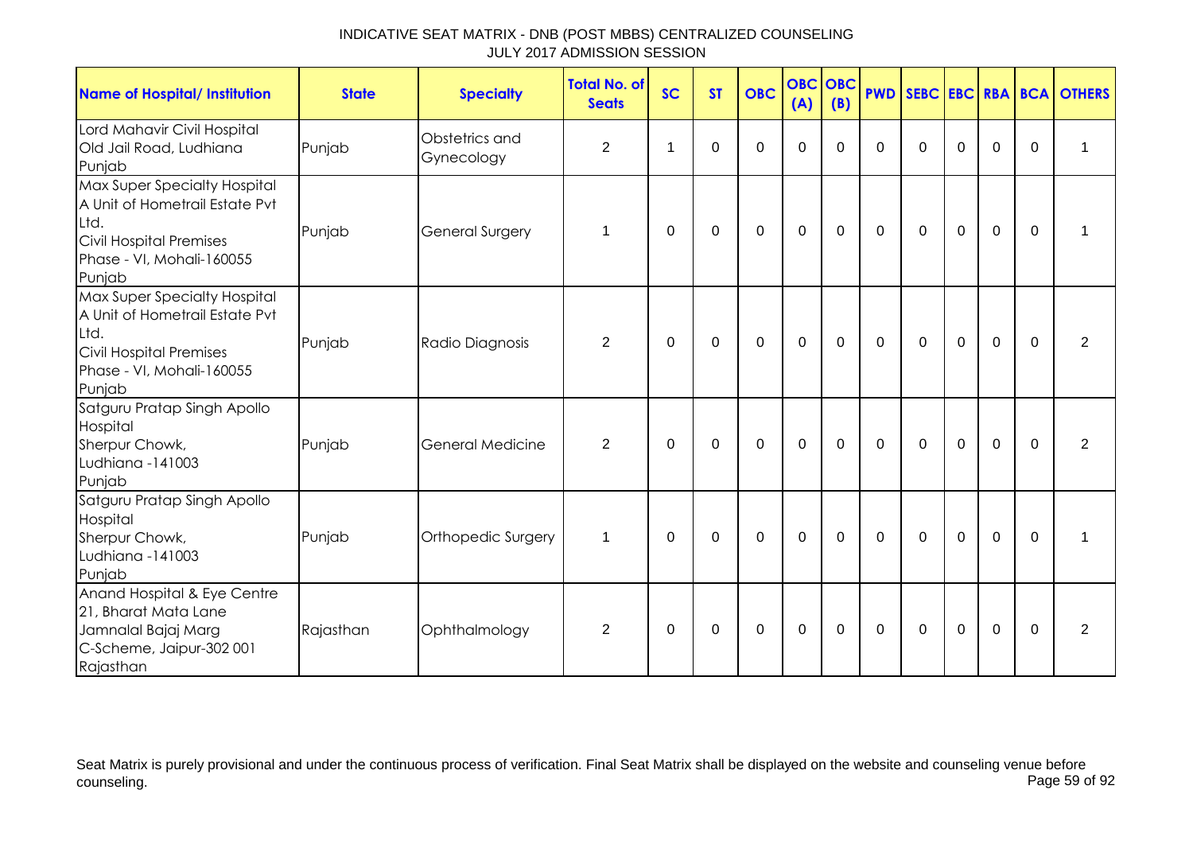| <b>Name of Hospital/ Institution</b>                                                                                                     | <b>State</b> | <b>Specialty</b>             | <b>Total No. of</b><br><b>Seats</b> | <b>SC</b> | <b>ST</b> | <b>OBC</b>       | <b>OBC</b><br>(A) | OBC<br>(B)  |              |              |                |                |          | <b>PWD SEBC EBC RBA BCA OTHERS</b> |
|------------------------------------------------------------------------------------------------------------------------------------------|--------------|------------------------------|-------------------------------------|-----------|-----------|------------------|-------------------|-------------|--------------|--------------|----------------|----------------|----------|------------------------------------|
| Lord Mahavir Civil Hospital<br>Old Jail Road, Ludhiana<br>Punjab                                                                         | Punjab       | Obstetrics and<br>Gynecology | $\overline{c}$                      | -1        | 0         | 0                | 0                 | 0           | $\Omega$     | $\mathbf{0}$ | $\Omega$       | 0              | $\Omega$ | 1                                  |
| Max Super Specialty Hospital<br>A Unit of Hometrail Estate Pvt<br>Ltd.<br>Civil Hospital Premises<br>Phase - VI, Mohali-160055<br>Punjab | Punjab       | <b>General Surgery</b>       | $\mathbf 1$                         | $\Omega$  | $\Omega$  | $\mathbf 0$      | $\mathbf 0$       | $\Omega$    | $\mathbf{0}$ | $\mathbf{0}$ | $\overline{0}$ | $\overline{0}$ | $\Omega$ |                                    |
| Max Super Specialty Hospital<br>A Unit of Hometrail Estate Pvt<br>Ltd.<br>Civil Hospital Premises<br>Phase - VI, Mohali-160055<br>Punjab | Punjab       | Radio Diagnosis              | $\overline{2}$                      | 0         | 0         | $\boldsymbol{0}$ | $\pmb{0}$         | $\mathbf 0$ | 0            | 0            | $\mathbf 0$    | $\mathbf 0$    | $\Omega$ | $\overline{2}$                     |
| Satguru Pratap Singh Apollo<br>Hospital<br>Sherpur Chowk,<br>Ludhiana -141003<br>Punjab                                                  | Punjab       | <b>General Medicine</b>      | 2                                   | $\Omega$  | 0         | $\mathbf 0$      | $\mathbf 0$       | $\Omega$    | $\Omega$     | $\Omega$     | $\overline{0}$ | $\overline{0}$ | $\Omega$ | $\overline{2}$                     |
| Satguru Pratap Singh Apollo<br>Hospital<br>Sherpur Chowk,<br>Ludhiana -141003<br>Punjab                                                  | Punjab       | Orthopedic Surgery           | $\mathbf 1$                         | 0         | 0         | 0                | 0                 | 0           | 0            | 0            | $\mathbf 0$    | 0              | $\Omega$ |                                    |
| Anand Hospital & Eye Centre<br>21, Bharat Mata Lane<br>Jamnalal Bajaj Marg<br>C-Scheme, Jaipur-302 001<br>Rajasthan                      | Rajasthan    | Ophthalmology                | $\overline{2}$                      | 0         | 0         | 0                | $\mathbf 0$       | 0           | 0            | $\mathbf{0}$ | $\mathbf 0$    | $\mathbf 0$    | $\Omega$ | $\overline{2}$                     |

Seat Matrix is purely provisional and under the continuous process of verification. Final Seat Matrix shall be displayed on the website and counseling venue before<br>Page 59 of 92 counseling. Page 59 of 92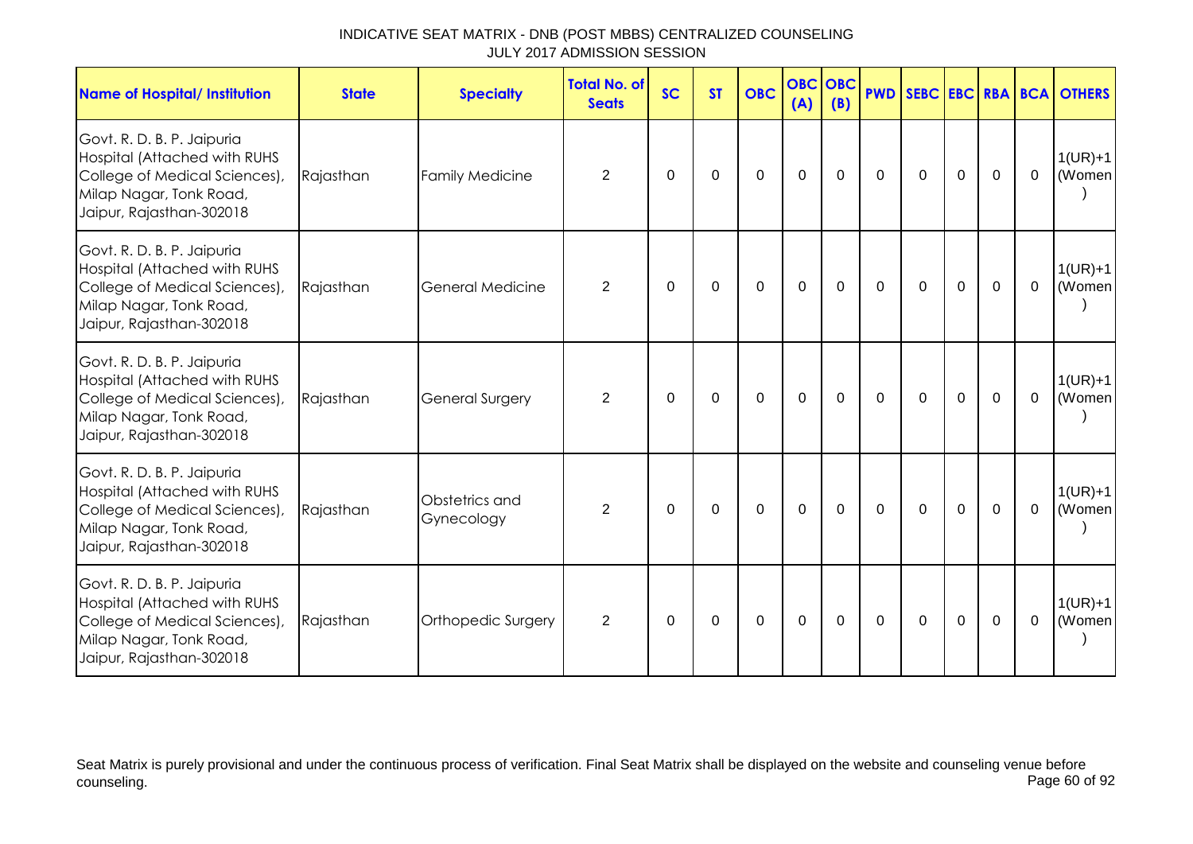| INDICATIVE SEAT MATRIX - DNB (POST MBBS) CENTRALIZED COUNSELING |  |
|-----------------------------------------------------------------|--|
| JULY 2017 ADMISSION SESSION                                     |  |

| <b>Name of Hospital/ Institution</b>                                                                                                                      | <b>State</b> | <b>Specialty</b>             | <b>Total No. of</b><br><b>Seats</b> | <b>SC</b>        | <b>ST</b>   | <b>OBC</b>  | <b>OBC OBC</b><br>(A) | (B)         |             |             |             |             |                | <b>PWD SEBC EBC RBA BCA OTHERS</b> |
|-----------------------------------------------------------------------------------------------------------------------------------------------------------|--------------|------------------------------|-------------------------------------|------------------|-------------|-------------|-----------------------|-------------|-------------|-------------|-------------|-------------|----------------|------------------------------------|
| Govt. R. D. B. P. Jaipuria<br>Hospital (Attached with RUHS<br>College of Medical Sciences),<br>Milap Nagar, Tonk Road,<br>Jaipur, Rajasthan-302018        | Rajasthan    | <b>Family Medicine</b>       | $\overline{2}$                      | $\boldsymbol{0}$ | 0           | $\mathbf 0$ | $\mathbf 0$           | $\mathbf 0$ | $\mathbf 0$ | $\mathbf 0$ | $\mathbf 0$ | $\mathbf 0$ | $\mathbf 0$    | $1(UR)+1$<br>(Women                |
| Govt. R. D. B. P. Jaipuria<br>Hospital (Attached with RUHS<br>College of Medical Sciences),<br>Milap Nagar, Tonk Road,<br>Jaipur, Rajasthan-302018        | Rajasthan    | <b>General Medicine</b>      | $\overline{2}$                      | 0                | 0           | $\Omega$    | $\mathbf 0$           | $\Omega$    | $\Omega$    | $\Omega$    | 0           | $\mathbf 0$ | $\Omega$       | $1(UR)+1$<br>(Women                |
| Govt. R. D. B. P. Jaipuria<br><b>Hospital (Attached with RUHS</b><br>College of Medical Sciences),<br>Milap Nagar, Tonk Road,<br>Jaipur, Rajasthan-302018 | Rajasthan    | General Surgery              | $\overline{2}$                      | 0                | 0           | $\mathbf 0$ | $\mathbf 0$           | $\Omega$    | $\Omega$    | $\mathbf 0$ | $\mathbf 0$ | $\mathbf 0$ | $\overline{0}$ | $1(UR)+1$<br>(Women                |
| Govt. R. D. B. P. Jaipuria<br>Hospital (Attached with RUHS<br>College of Medical Sciences),<br>Milap Nagar, Tonk Road,<br>Jaipur, Rajasthan-302018        | Rajasthan    | Obstetrics and<br>Gynecology | $\overline{2}$                      | $\Omega$         | $\Omega$    | $\Omega$    | $\mathbf 0$           | $\Omega$    | $\Omega$    | $\Omega$    | $\mathbf 0$ | $\mathbf 0$ | $\Omega$       | $1(UR)+1$<br>(Women                |
| Govt. R. D. B. P. Jaipuria<br><b>Hospital (Attached with RUHS</b><br>College of Medical Sciences),<br>Milap Nagar, Tonk Road,<br>Jaipur, Rajasthan-302018 | Rajasthan    | Orthopedic Surgery           | $\overline{2}$                      | $\boldsymbol{0}$ | $\mathbf 0$ | $\mathbf 0$ | $\mathbf 0$           | $\mathbf 0$ | $\mathbf 0$ | $\mathbf 0$ | $\pmb{0}$   | $\mathbf 0$ | $\mathbf 0$    | $1(UR)+1$<br>(Women                |

Seat Matrix is purely provisional and under the continuous process of verification. Final Seat Matrix shall be displayed on the website and counseling venue before counseling. Page 60 of 92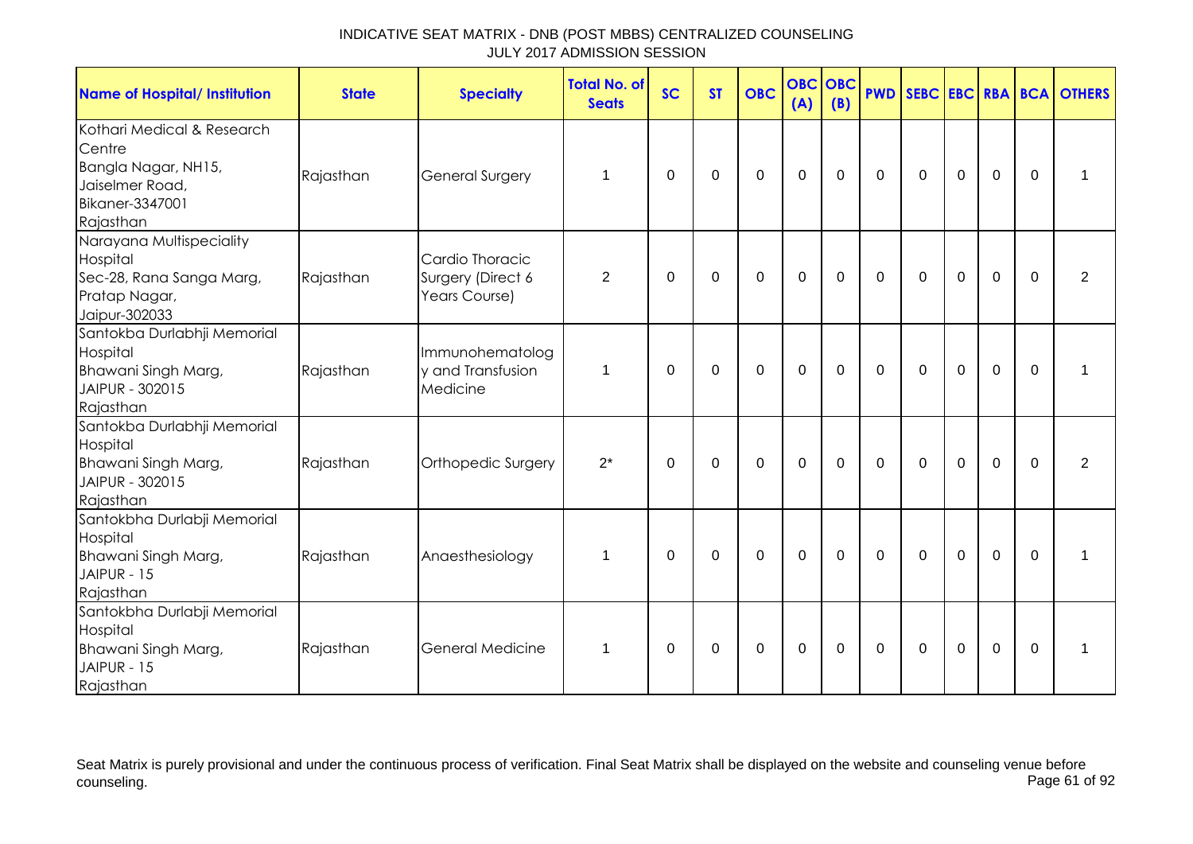| <b>Name of Hospital/ Institution</b>                                                                           | <b>State</b> | <b>Specialty</b>                                      | <b>Total No. of</b><br><b>Seats</b> | <b>SC</b> | <b>ST</b> | <b>OBC</b>  | <b>OBC OBC</b><br>(A) | (B)         |                |             |                |             |          | <b>PWD SEBC EBC RBA BCA OTHERS</b> |
|----------------------------------------------------------------------------------------------------------------|--------------|-------------------------------------------------------|-------------------------------------|-----------|-----------|-------------|-----------------------|-------------|----------------|-------------|----------------|-------------|----------|------------------------------------|
| Kothari Medical & Research<br>Centre<br>Bangla Nagar, NH15,<br>Jaiselmer Road,<br>Bikaner-3347001<br>Rajasthan | Rajasthan    | <b>General Surgery</b>                                | 1                                   | 0         | 0         | $\mathbf 0$ | $\mathbf 0$           | 0           | $\mathbf 0$    | $\mathbf 0$ | $\mathbf 0$    | $\mathbf 0$ | $\Omega$ | 1                                  |
| Narayana Multispeciality<br>Hospital<br>Sec-28, Rana Sanga Marg,<br>Pratap Nagar,<br>Jaipur-302033             | Rajasthan    | Cardio Thoracic<br>Surgery (Direct 6<br>Years Course) | 2                                   | $\Omega$  | $\Omega$  | $\mathbf 0$ | $\mathbf 0$           | $\mathbf 0$ | $\mathbf 0$    | $\mathbf 0$ | $\overline{0}$ | $\mathbf 0$ | $\Omega$ | 2                                  |
| Santokba Durlabhji Memorial<br>Hospital<br>Bhawani Singh Marg,<br>JAIPUR - 302015<br>Rajasthan                 | Rajasthan    | Immunohematolog<br>v and Transfusion<br>Medicine      | 1                                   | $\Omega$  | 0         | 0           | $\mathbf 0$           | 0           | $\mathbf 0$    | $\mathbf 0$ | $\mathbf 0$    | $\mathbf 0$ | $\Omega$ | 1                                  |
| Santokba Durlabhji Memorial<br>Hospital<br>Bhawani Singh Marg,<br>JAIPUR - 302015<br>Rajasthan                 | Rajasthan    | Orthopedic Surgery                                    | $2^*$                               | $\Omega$  | $\Omega$  | $\mathbf 0$ | $\mathbf 0$           | $\mathbf 0$ | $\mathbf 0$    | $\mathbf 0$ | $\overline{0}$ | $\mathbf 0$ | $\Omega$ | 2                                  |
| Santokbha Durlabji Memorial<br>Hospital<br>Bhawani Singh Marg,<br>JAIPUR - 15<br>Rajasthan                     | Rajasthan    | Anaesthesiology                                       | 1                                   | $\Omega$  | $\Omega$  | $\Omega$    | $\mathbf 0$           | $\mathbf 0$ | $\mathbf 0$    | $\mathbf 0$ | $\overline{0}$ | $\mathbf 0$ | $\Omega$ | 1                                  |
| Santokbha Durlabji Memorial<br>Hospital<br>Bhawani Singh Marg,<br>JAIPUR - 15<br>Rajasthan                     | Rajasthan    | <b>General Medicine</b>                               | 1                                   | $\Omega$  | $\Omega$  | $\mathbf 0$ | $\mathbf 0$           | $\mathbf 0$ | $\overline{0}$ | $\mathbf 0$ | $\overline{0}$ | $\mathbf 0$ | $\Omega$ | 1                                  |

Seat Matrix is purely provisional and under the continuous process of verification. Final Seat Matrix shall be displayed on the website and counseling venue before<br>Page 61 of 92 counseling. Page 61 of 92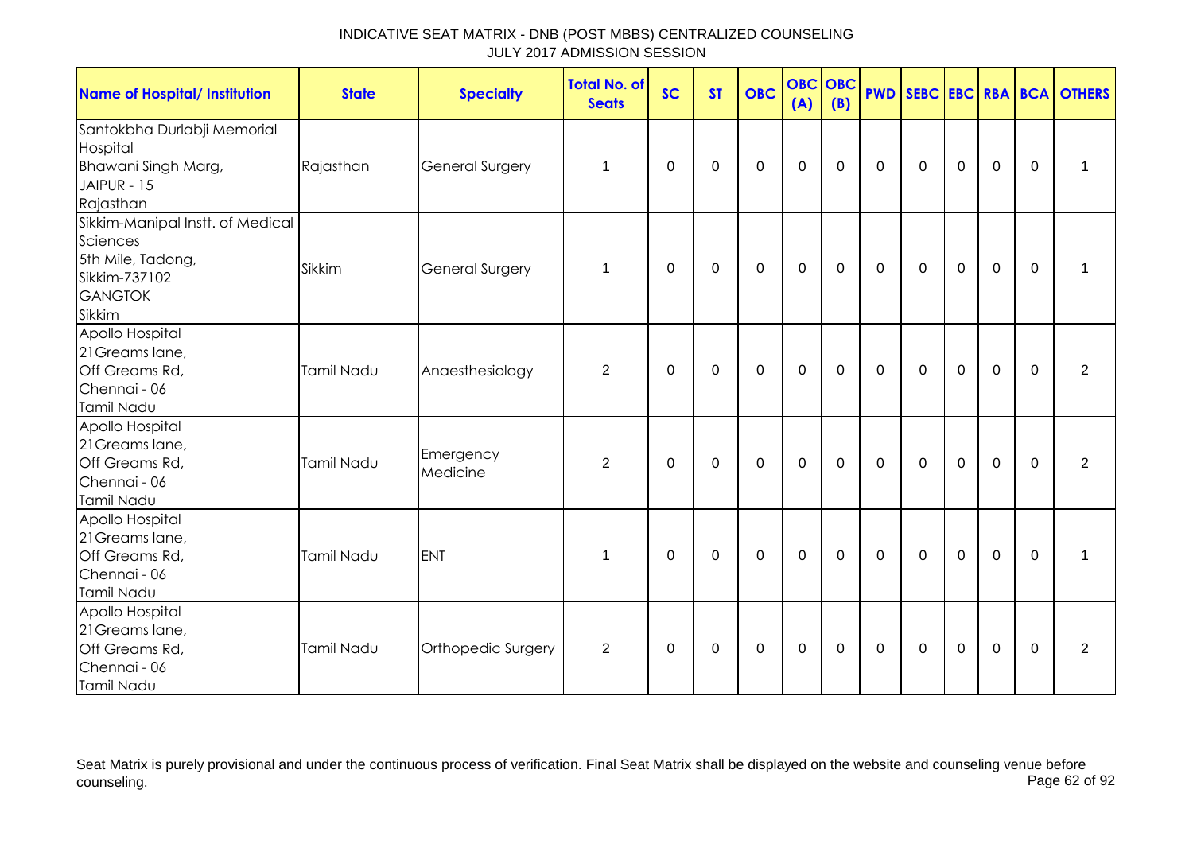| <b>Name of Hospital/ Institution</b>                                                                           | <b>State</b>      | <b>Specialty</b>       | <b>Total No. of</b><br><b>Seats</b> | <b>SC</b> | <b>ST</b>   | <b>OBC</b>  | (A)         | <b>OBC OBC</b><br>(B) |             |             |             |                |              | <b>PWD SEBC EBC RBA BCA OTHERS</b> |
|----------------------------------------------------------------------------------------------------------------|-------------------|------------------------|-------------------------------------|-----------|-------------|-------------|-------------|-----------------------|-------------|-------------|-------------|----------------|--------------|------------------------------------|
| Santokbha Durlabji Memorial<br>Hospital<br>Bhawani Singh Marg,<br>JAIPUR - 15<br>Rajasthan                     | Rajasthan         | <b>General Surgery</b> | 1                                   | 0         | $\mathbf 0$ | $\pmb{0}$   | $\pmb{0}$   | $\mathbf 0$           | $\mathbf 0$ | $\mathbf 0$ | $\mathbf 0$ | $\mathsf 0$    | $\mathbf 0$  | $\mathbf{1}$                       |
| Sikkim-Manipal Instt. of Medical<br>Sciences<br>5th Mile, Tadong,<br>Sikkim-737102<br><b>GANGTOK</b><br>Sikkim | Sikkim            | <b>General Surgery</b> | $\mathbf 1$                         | $\Omega$  | $\mathbf 0$ | $\mathbf 0$ | $\mathbf 0$ | $\mathbf 0$           | $\mathbf 0$ | $\mathbf 0$ | $\mathbf 0$ | 0              | $\mathbf 0$  | $\mathbf{1}$                       |
| Apollo Hospital<br>21 Greams lane,<br>Off Greams Rd,<br>Chennai - 06<br>Tamil Nadu                             | Tamil Nadu        | Anaesthesiology        | $\overline{2}$                      | 0         | 0           | $\mathbf 0$ | $\mathbf 0$ | $\mathbf 0$           | $\mathbf 0$ | $\mathbf 0$ | $\mathbf 0$ | 0              | 0            | $\overline{2}$                     |
| Apollo Hospital<br>21 Greams lane,<br>Off Greams Rd,<br>Chennai - 06<br>Tamil Nadu                             | <b>Tamil Nadu</b> | Emergency<br>Medicine  | $\overline{2}$                      | $\Omega$  | $\mathbf 0$ | $\mathbf 0$ | $\mathbf 0$ | $\mathbf 0$           | $\mathbf 0$ | $\mathbf 0$ | $\mathbf 0$ | $\overline{0}$ | $\mathbf 0$  | $\overline{2}$                     |
| Apollo Hospital<br>21 Greams lane,<br>Off Greams Rd,<br>Chennai - 06<br>Tamil Nadu                             | Tamil Nadu        | <b>ENT</b>             | 1                                   | $\Omega$  | 0           | $\mathbf 0$ | $\mathbf 0$ | $\mathbf 0$           | $\mathbf 0$ | $\mathbf 0$ | $\mathbf 0$ | 0              | $\mathbf{0}$ | 1                                  |
| Apollo Hospital<br>21 Greams lane,<br>Off Greams Rd,<br>Chennai - 06<br>Tamil Nadu                             | Tamil Nadu        | Orthopedic Surgery     | $\overline{2}$                      | $\Omega$  | $\mathbf 0$ | $\mathbf 0$ | $\mathbf 0$ | $\mathbf 0$           | $\mathbf 0$ | $\mathbf 0$ | $\mathbf 0$ | 0              | $\mathbf 0$  | $\overline{2}$                     |

Seat Matrix is purely provisional and under the continuous process of verification. Final Seat Matrix shall be displayed on the website and counseling venue before<br>Page 62 of 92 counseling. Page 62 of 92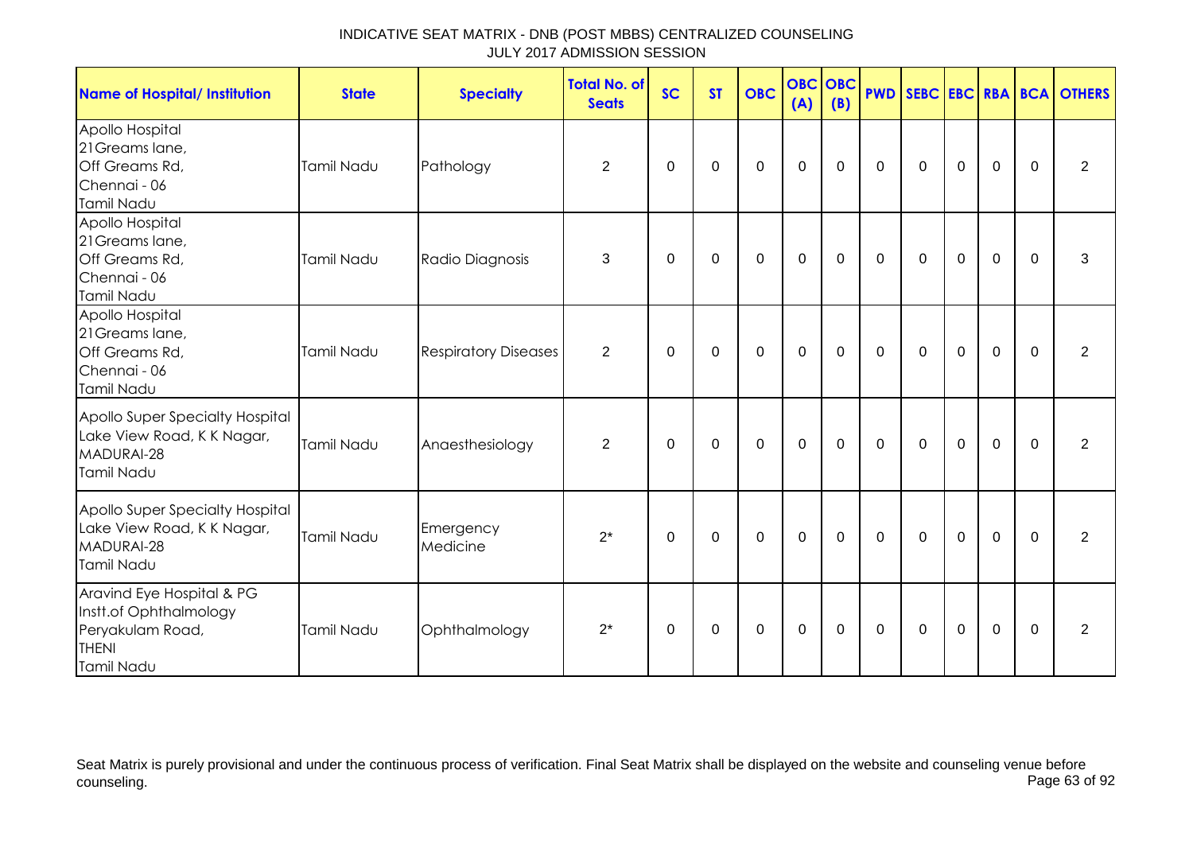| <b>Name of Hospital/ Institution</b>                                                                  | <b>State</b>      | <b>Specialty</b>            | <b>Total No. of</b><br><b>Seats</b> | <b>SC</b> | <b>ST</b> | <b>OBC</b>  | <b>OBC OBC</b><br>(A) | (B)         |             |              |                |                |             | <b>PWD SEBC EBC RBA BCA OTHERS</b> |
|-------------------------------------------------------------------------------------------------------|-------------------|-----------------------------|-------------------------------------|-----------|-----------|-------------|-----------------------|-------------|-------------|--------------|----------------|----------------|-------------|------------------------------------|
| Apollo Hospital<br>21 Greams lane,<br>Off Greams Rd,<br>Chennai - 06<br>Tamil Nadu                    | Tamil Nadu        | Pathology                   | $\overline{2}$                      | 0         | 0         | $\mathbf 0$ | $\mathbf 0$           | $\mathbf 0$ | $\mathbf 0$ | $\mathbf 0$  | $\mathbf 0$    | $\mathbf 0$    | $\mathbf 0$ | $\overline{2}$                     |
| Apollo Hospital<br>21 Greams lane,<br>Off Greams Rd,<br>Chennai - 06<br>Tamil Nadu                    | Tamil Nadu        | Radio Diagnosis             | 3                                   | 0         | 0         | $\mathbf 0$ | $\mathbf 0$           | $\mathbf 0$ | $\mathbf 0$ | $\mathbf 0$  | $\mathbf 0$    | $\mathbf 0$    | $\mathbf 0$ | 3                                  |
| Apollo Hospital<br>21 Greams lane,<br>Off Greams Rd,<br>Chennai - 06<br>Tamil Nadu                    | Tamil Nadu        | <b>Respiratory Diseases</b> | $\overline{2}$                      | $\Omega$  | $\Omega$  | $\Omega$    | $\mathbf 0$           | 0           | $\mathbf 0$ | $\mathbf 0$  | $\mathbf 0$    | $\mathbf 0$    | $\Omega$    | $\overline{2}$                     |
| Apollo Super Specialty Hospital<br>Lake View Road, K K Nagar,<br>MADURAI-28<br>Tamil Nadu             | Tamil Nadu        | Anaesthesiology             | 2                                   | $\Omega$  | $\Omega$  | $\Omega$    | $\mathbf 0$           | $\Omega$    | $\mathbf 0$ | $\mathbf{0}$ | $\overline{0}$ | $\mathbf 0$    | $\Omega$    | 2                                  |
| Apollo Super Specialty Hospital<br>Lake View Road, K K Nagar,<br>MADURAI-28<br>Tamil Nadu             | <b>Tamil Nadu</b> | Emergency<br>Medicine       | $2^*$                               | $\Omega$  | 0         | $\mathbf 0$ | $\mathbf 0$           | $\mathbf 0$ | $\mathbf 0$ | $\mathbf 0$  | $\mathbf 0$    | $\overline{0}$ | $\Omega$    | 2                                  |
| Aravind Eye Hospital & PG<br>Instt.of Ophthalmology<br>Peryakulam Road,<br><b>THENI</b><br>Tamil Nadu | Tamil Nadu        | Ophthalmology               | $2^*$                               | $\Omega$  | $\Omega$  | $\mathbf 0$ | $\mathbf 0$           | $\Omega$    | $\mathbf 0$ | $\Omega$     | $\mathbf 0$    | $\mathbf 0$    | $\Omega$    | 2                                  |

Seat Matrix is purely provisional and under the continuous process of verification. Final Seat Matrix shall be displayed on the website and counseling venue before<br>Page 63 of 92 counseling. Page 63 of 92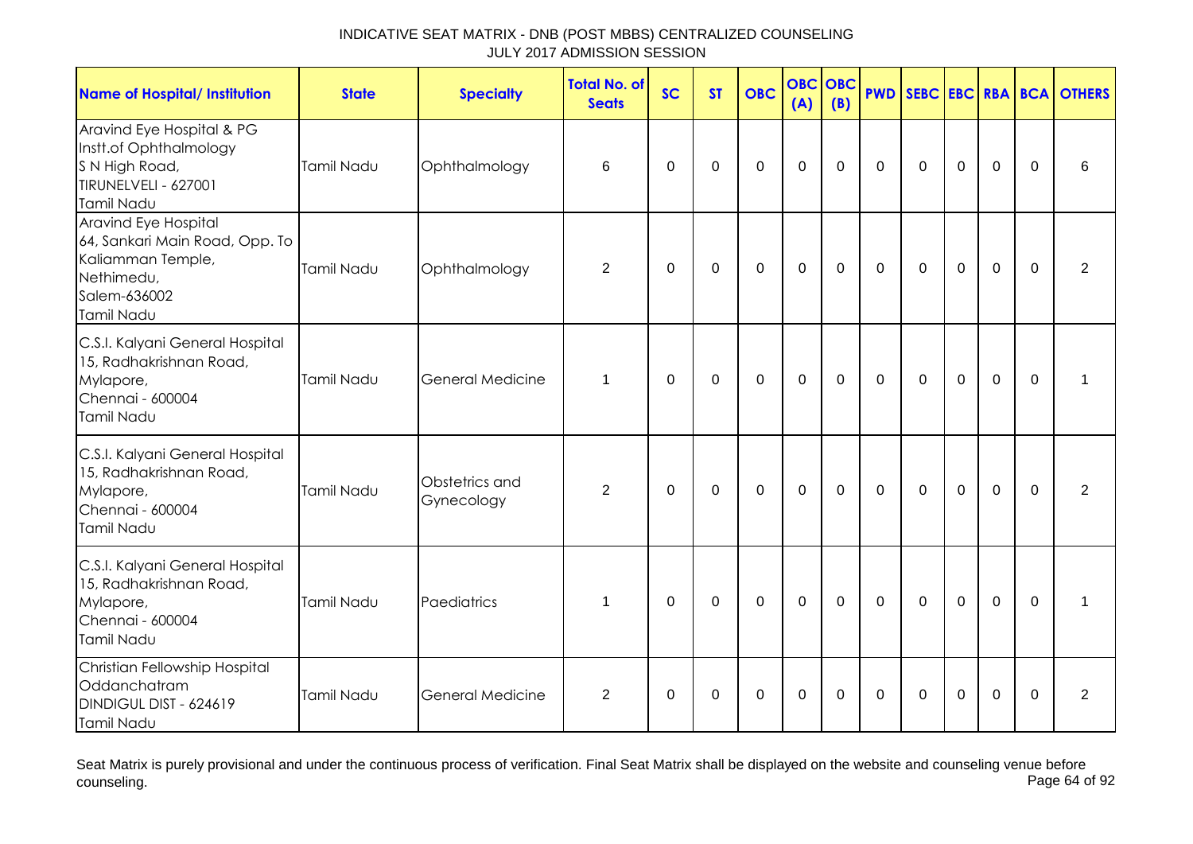| <b>Name of Hospital/ Institution</b>                                                                                    | <b>State</b>      | <b>Specialty</b>             | <b>Total No. of</b><br><b>Seats</b> | <b>SC</b>   | <b>ST</b>   | <b>OBC</b>     | <b>OBC</b><br>(A) | OBC<br>(B)  | <b>PWD</b>  |             |                |                |             | <b>SEBC EBC RBA BCA OTHERS</b> |
|-------------------------------------------------------------------------------------------------------------------------|-------------------|------------------------------|-------------------------------------|-------------|-------------|----------------|-------------------|-------------|-------------|-------------|----------------|----------------|-------------|--------------------------------|
| Aravind Eye Hospital & PG<br>Instt.of Ophthalmology<br>S N High Road,<br>TIRUNELVELI - 627001<br>Tamil Nadu             | Tamil Nadu        | Ophthalmology                | 6                                   | 0           | 0           | $\mathbf 0$    | $\mathbf 0$       | 0           | $\Omega$    | $\Omega$    | $\mathbf 0$    | $\mathbf 0$    | $\Omega$    | 6                              |
| Aravind Eye Hospital<br>64, Sankari Main Road, Opp. To<br>Kaliamman Temple,<br>Nethimedu,<br>Salem-636002<br>Tamil Nadu | Tamil Nadu        | Ophthalmology                | $\overline{2}$                      | $\mathbf 0$ | $\mathbf 0$ | $\overline{0}$ | $\mathbf{0}$      | $\mathbf 0$ | $\mathbf 0$ | $\mathbf 0$ | $\overline{0}$ | $\overline{0}$ | $\Omega$    | $\overline{2}$                 |
| C.S.I. Kalyani General Hospital<br>15, Radhakrishnan Road,<br>Mylapore,<br>Chennai - 600004<br>Tamil Nadu               | <b>Tamil Nadu</b> | <b>General Medicine</b>      | 1                                   | 0           | $\mathbf 0$ | $\mathbf 0$    | $\mathbf 0$       | $\mathbf 0$ | $\mathbf 0$ | $\mathbf 0$ | $\mathbf 0$    | $\mathbf 0$    | $\mathbf 0$ |                                |
| C.S.I. Kalyani General Hospital<br>15, Radhakrishnan Road,<br>Mylapore,<br>Chennai - 600004<br>Tamil Nadu               | <b>Tamil Nadu</b> | Obstetrics and<br>Gynecology | $\overline{2}$                      | $\mathbf 0$ | $\mathbf 0$ | $\mathbf 0$    | $\mathbf 0$       | $\mathbf 0$ | $\mathbf 0$ | $\mathbf 0$ | $\mathbf 0$    | $\mathbf 0$    | $\mathbf 0$ | $\overline{2}$                 |
| C.S.I. Kalyani General Hospital<br>15, Radhakrishnan Road,<br>Mylapore,<br>Chennai - 600004<br>Tamil Nadu               | Tamil Nadu        | Paediatrics                  | $\mathbf 1$                         | 0           | 0           | $\mathbf 0$    | $\mathbf 0$       | $\mathbf 0$ | $\Omega$    | $\Omega$    | $\mathbf 0$    | $\Omega$       | $\Omega$    | 1                              |
| Christian Fellowship Hospital<br>Oddanchatram<br>DINDIGUL DIST - 624619<br>Tamil Nadu                                   | <b>Tamil Nadu</b> | <b>General Medicine</b>      | 2                                   | $\Omega$    | $\mathbf 0$ | $\mathbf 0$    | $\mathbf 0$       | $\Omega$    | $\mathbf 0$ | $\Omega$    | $\mathbf 0$    | $\overline{0}$ | $\mathbf 0$ | 2                              |

Seat Matrix is purely provisional and under the continuous process of verification. Final Seat Matrix shall be displayed on the website and counseling venue before<br>Page 64 of 92 counseling. Page 64 of 92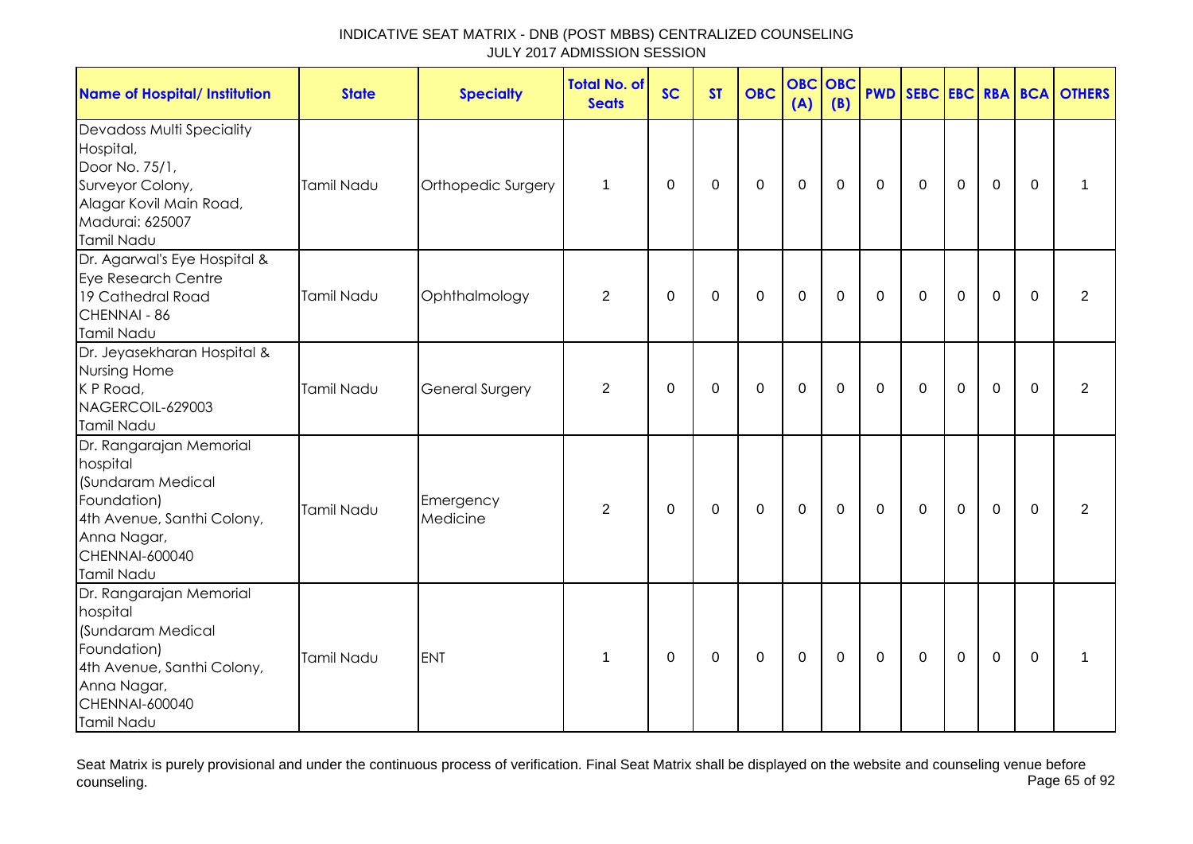| <b>Name of Hospital/ Institution</b>                                                                                                                        | <b>State</b>      | <b>Specialty</b>       | <b>Total No. of</b><br><b>Seats</b> | <b>SC</b>   | <b>ST</b>   | <b>OBC</b> | <b>OBC</b><br>(A) | <b>OBC</b><br>(B) | <b>PWD</b>  |             |                  |                |             | SEBC EBC RBA BCA OTHERS |
|-------------------------------------------------------------------------------------------------------------------------------------------------------------|-------------------|------------------------|-------------------------------------|-------------|-------------|------------|-------------------|-------------------|-------------|-------------|------------------|----------------|-------------|-------------------------|
| Devadoss Multi Speciality<br>Hospital,<br>Door No. 75/1,<br>Surveyor Colony,<br>Alagar Kovil Main Road,<br>Madurai: 625007<br>Tamil Nadu                    | Tamil Nadu        | Orthopedic Surgery     | $\mathbf 1$                         | $\mathbf 0$ | $\mathbf 0$ | $\pmb{0}$  | $\pmb{0}$         | $\mathbf 0$       | $\mathbf 0$ | $\mathbf 0$ | $\boldsymbol{0}$ | $\mathbf 0$    | 0           |                         |
| Dr. Agarwal's Eye Hospital &<br>Eye Research Centre<br>19 Cathedral Road<br>CHENNAI - 86<br>Tamil Nadu                                                      | Tamil Nadu        | Ophthalmology          | 2                                   | 0           | 0           | $\pmb{0}$  | $\boldsymbol{0}$  | 0                 | 0           | 0           | $\mathbf 0$      | $\mathbf 0$    | $\Omega$    | $\overline{2}$          |
| Dr. Jeyasekharan Hospital &<br>Nursing Home<br>K P Road,<br>NAGERCOIL-629003<br>Tamil Nadu                                                                  | <b>Tamil Nadu</b> | <b>General Surgery</b> | $\overline{2}$                      | $\Omega$    | 0           | 0          | $\mathbf 0$       | 0                 | $\Omega$    | $\Omega$    | $\mathbf 0$      | $\overline{0}$ | $\Omega$    | $\overline{2}$          |
| Dr. Rangarajan Memorial<br>hospital<br>(Sundaram Medical<br>Foundation)<br>4th Avenue, Santhi Colony,<br>Anna Nagar,<br><b>CHENNAI-600040</b><br>Tamil Nadu | <b>Tamil Nadu</b> | Emergency<br>Medicine  | 2                                   | $\mathbf 0$ | $\pmb{0}$   | $\pmb{0}$  | $\mathbf 0$       | $\mathbf 0$       | $\mathbf 0$ | $\mathbf 0$ | $\mathbf 0$      | $\mathbf 0$    | $\mathbf 0$ | $\overline{2}$          |
| Dr. Rangarajan Memorial<br>hospital<br>(Sundaram Medical<br>Foundation)<br>4th Avenue, Santhi Colony,<br>Anna Nagar,<br><b>CHENNAI-600040</b><br>Tamil Nadu | Tamil Nadu        | <b>ENT</b>             | $\mathbf 1$                         | 0           | 0           | 0          | $\mathbf 0$       | 0                 | 0           | $\Omega$    | $\mathbf 0$      | $\mathbf 0$    | $\Omega$    | 1                       |

Seat Matrix is purely provisional and under the continuous process of verification. Final Seat Matrix shall be displayed on the website and counseling venue before<br>Page 65 of 92 counseling. Page 65 of 92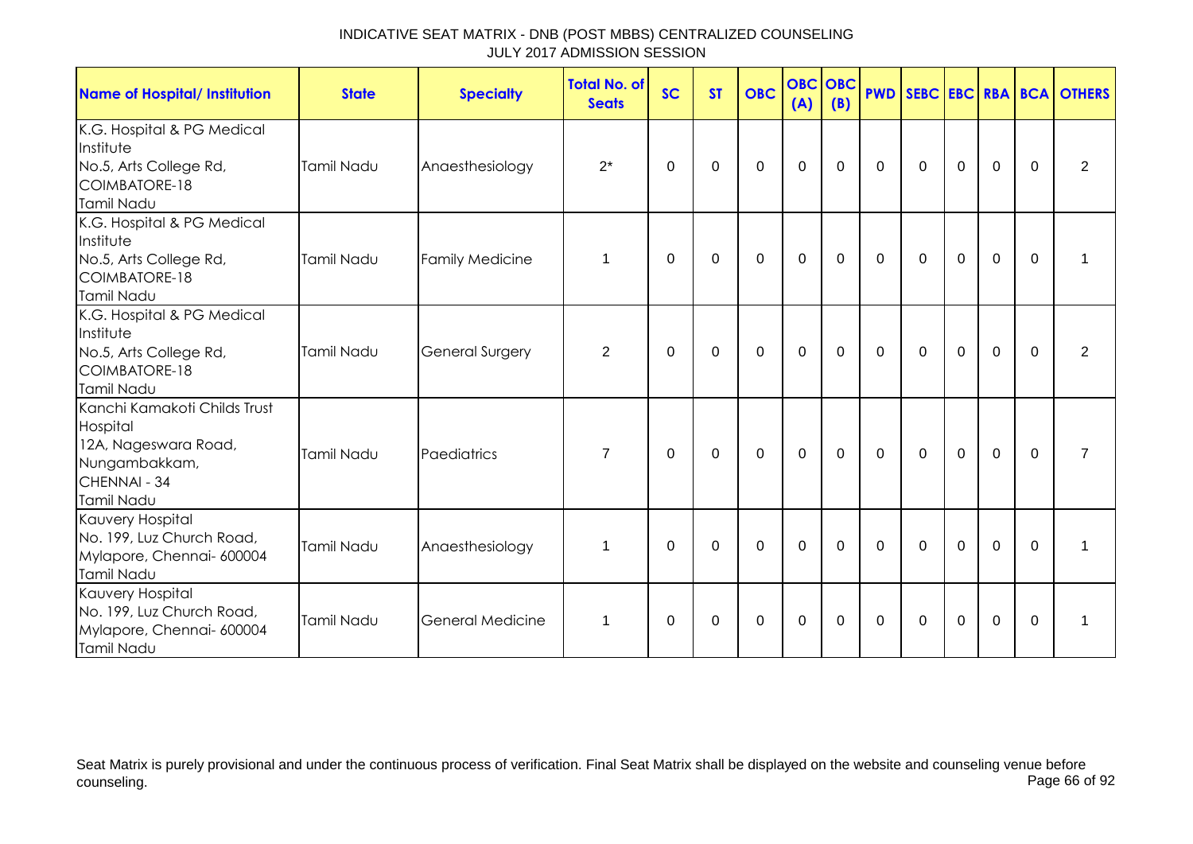| <b>Name of Hospital/ Institution</b>                                                                            | <b>State</b>      | <b>Specialty</b>        | <b>Total No. of</b><br><b>Seats</b> | <b>SC</b> | <b>ST</b> | <b>OBC</b>  | <b>OBC OBC</b><br>(A) | (B)            |                |              |             |                |          | <b>PWD SEBC EBC RBA BCA OTHERS</b> |
|-----------------------------------------------------------------------------------------------------------------|-------------------|-------------------------|-------------------------------------|-----------|-----------|-------------|-----------------------|----------------|----------------|--------------|-------------|----------------|----------|------------------------------------|
| K.G. Hospital & PG Medical<br>Institute<br>No.5, Arts College Rd,<br>COIMBATORE-18<br>Tamil Nadu                | Tamil Nadu        | Anaesthesiology         | $2^*$                               | 0         | 0         | $\Omega$    | $\Omega$              | 0              | $\Omega$       | $\mathbf{0}$ | $\Omega$    | $\Omega$       | $\Omega$ | 2                                  |
| K.G. Hospital & PG Medical<br>Institute<br>No.5, Arts College Rd,<br>COIMBATORE-18<br>Tamil Nadu                | Tamil Nadu        | <b>Family Medicine</b>  | $\mathbf 1$                         | $\Omega$  | 0         | $\mathbf 0$ | $\mathbf 0$           | $\mathbf 0$    | $\mathbf 0$    | $\mathbf 0$  | $\mathbf 0$ | $\mathbf 0$    | $\Omega$ |                                    |
| K.G. Hospital & PG Medical<br>Institute<br>No.5, Arts College Rd,<br>COIMBATORE-18<br>Tamil Nadu                | Tamil Nadu        | <b>General Surgery</b>  | $\overline{2}$                      | $\Omega$  | $\Omega$  | $\mathbf 0$ | $\mathbf 0$           | $\overline{0}$ | $\mathbf 0$    | $\mathbf 0$  | $\mathbf 0$ | $\overline{0}$ | $\Omega$ | $\overline{2}$                     |
| Kanchi Kamakoti Childs Trust<br>Hospital<br>12A, Nageswara Road,<br>Nungambakkam,<br>CHENNAI - 34<br>Tamil Nadu | <b>Tamil Nadu</b> | Paediatrics             | $\overline{7}$                      | $\Omega$  | 0         | 0           | $\mathbf 0$           | $\overline{0}$ | $\overline{0}$ | $\mathbf 0$  | $\mathbf 0$ | $\mathbf 0$    | $\Omega$ | $\overline{7}$                     |
| Kauvery Hospital<br>No. 199, Luz Church Road,<br>Mylapore, Chennai- 600004<br>Tamil Nadu                        | Tamil Nadu        | Anaesthesiology         | $\mathbf 1$                         | $\Omega$  | $\Omega$  | $\Omega$    | $\mathbf 0$           | $\Omega$       | $\mathbf 0$    | $\mathbf{0}$ | $\mathbf 0$ | $\Omega$       | $\Omega$ | $\mathbf{1}$                       |
| Kauvery Hospital<br>No. 199, Luz Church Road,<br>Mylapore, Chennai- 600004<br>Tamil Nadu                        | Tamil Nadu        | <b>General Medicine</b> | $\mathbf 1$                         | $\Omega$  | $\Omega$  | 0           | $\mathbf 0$           | 0              | $\Omega$       | 0            | $\mathbf 0$ | $\mathbf 0$    | $\Omega$ | $\mathbf{1}$                       |

Seat Matrix is purely provisional and under the continuous process of verification. Final Seat Matrix shall be displayed on the website and counseling venue before<br>Page 66 of 92 counseling. Page 66 of 92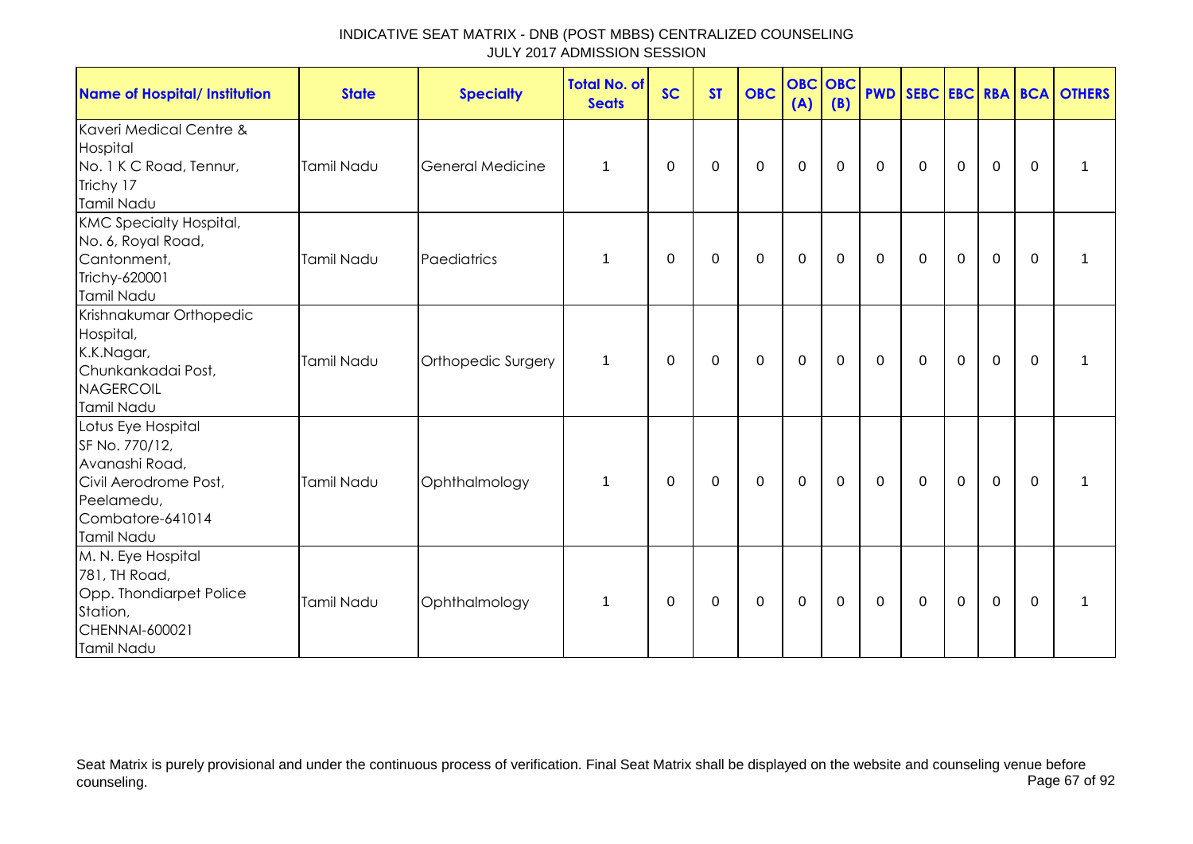| <b>Name of Hospital/ Institution</b>                                                                                            | <b>State</b>      | <b>Specialty</b>        | <b>Total No. of</b><br><b>Seats</b> | <b>SC</b> | <b>ST</b> | <b>OBC</b>  | <b>OBC</b> OBC<br>(A) | (B)         |             |             |              |             |              | <b>PWD SEBC EBC RBA BCA OTHERS</b> |
|---------------------------------------------------------------------------------------------------------------------------------|-------------------|-------------------------|-------------------------------------|-----------|-----------|-------------|-----------------------|-------------|-------------|-------------|--------------|-------------|--------------|------------------------------------|
| Kaveri Medical Centre &<br>Hospital<br>No. 1 K C Road, Tennur,<br>Trichy 17<br>Tamil Nadu                                       | Tamil Nadu        | <b>General Medicine</b> | 1                                   | 0         | 0         | $\mathbf 0$ | $\mathbf 0$           | $\mathbf 0$ | $\mathbf 0$ | $\mathbf 0$ | $\mathbf 0$  | $\pmb{0}$   | 0            | 1                                  |
| <b>KMC Specialty Hospital,</b><br>No. 6, Royal Road,<br>Cantonment,<br>Trichy-620001<br>Tamil Nadu                              | <b>Tamil Nadu</b> | Paediatrics             | 1                                   | 0         | 0         | 0           | $\mathbf 0$           | 0           | 0           | $\mathbf 0$ | $\mathbf 0$  | $\mathbf 0$ | $\Omega$     | 1                                  |
| Krishnakumar Orthopedic<br>Hospital,<br>K.K.Nagar,<br>Chunkankadai Post,<br>NAGERCOIL<br>Tamil Nadu                             | <b>Tamil Nadu</b> | Orthopedic Surgery      | 1                                   | 0         | 0         | $\mathbf 0$ | $\mathbf 0$           | $\mathbf 0$ | $\mathbf 0$ | $\mathbf 0$ | $\mathbf{0}$ | $\mathbf 0$ | $\mathbf{0}$ |                                    |
| Lotus Eye Hospital<br>SF No. 770/12,<br>Avanashi Road,<br>Civil Aerodrome Post,<br>Peelamedu,<br>Combatore-641014<br>Tamil Nadu | Tamil Nadu        | Ophthalmology           | 1                                   | 0         | 0         | $\mathbf 0$ | $\mathbf 0$           | $\mathbf 0$ | $\mathbf 0$ | $\mathbf 0$ | $\mathbf 0$  | $\mathbf 0$ | $\mathbf{0}$ | $\mathbf 1$                        |
| M. N. Eye Hospital<br>781, TH Road,<br>Opp. Thondiarpet Police<br>Station,<br>CHENNAI-600021<br>Tamil Nadu                      | Tamil Nadu        | Ophthalmology           | 1                                   | 0         | 0         | 0           | $\mathbf 0$           | 0           | $\mathbf 0$ | $\mathbf 0$ | $\mathbf 0$  | $\mathbf 0$ | 0            | 1                                  |

Seat Matrix is purely provisional and under the continuous process of verification. Final Seat Matrix shall be displayed on the website and counseling venue before<br>Page 67 of 92 counseling. Page 67 of 92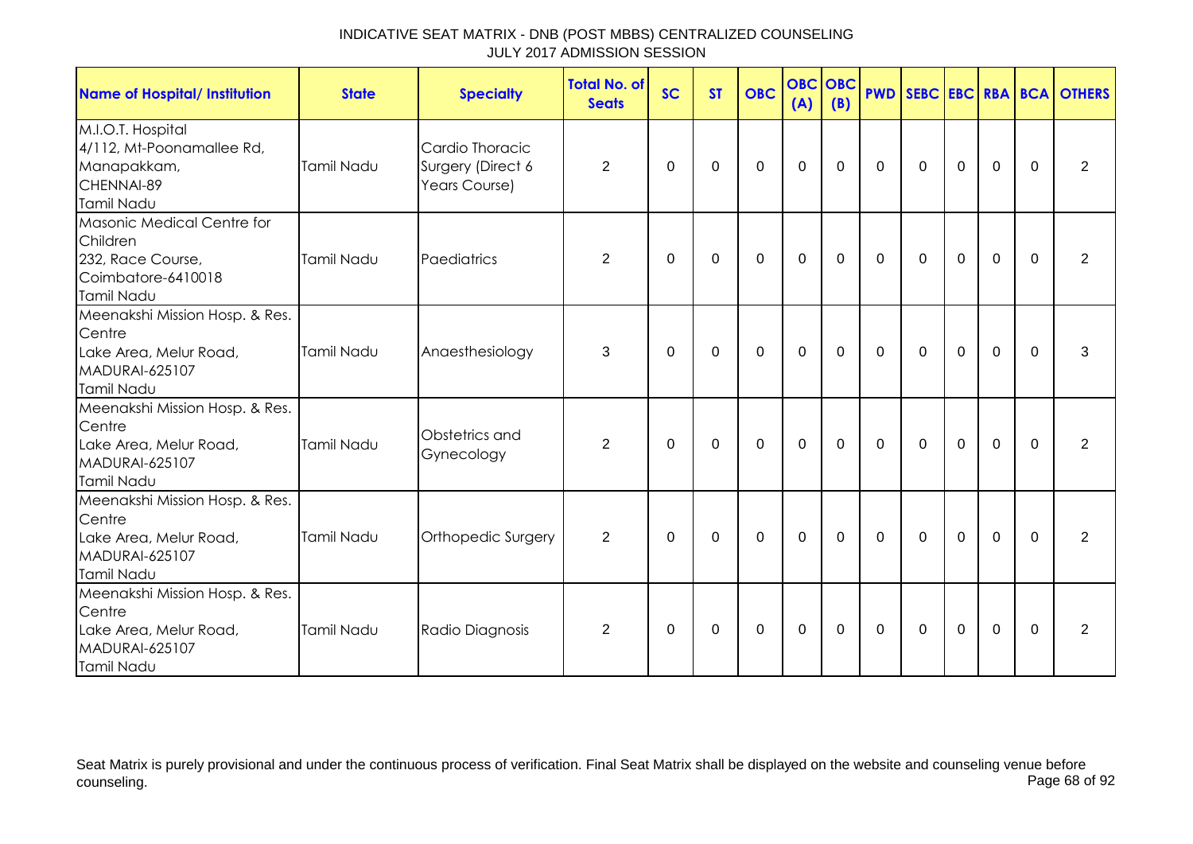| <b>Name of Hospital/ Institution</b>                                                                      | <b>State</b>      | <b>Specialty</b>                                      | Total No. of<br><b>Seats</b> | <b>SC</b> | <b>ST</b>   | <b>OBC</b>  | <b>OBC OBC</b><br>(A) | (B)         |             |             |             |             |             | <b>PWD SEBC EBC RBA BCA OTHERS</b> |
|-----------------------------------------------------------------------------------------------------------|-------------------|-------------------------------------------------------|------------------------------|-----------|-------------|-------------|-----------------------|-------------|-------------|-------------|-------------|-------------|-------------|------------------------------------|
| M.I.O.T. Hospital<br>4/112, Mt-Poonamallee Rd,<br>Manapakkam,<br>CHENNAI-89<br>Tamil Nadu                 | <b>Tamil Nadu</b> | Cardio Thoracic<br>Surgery (Direct 6<br>Years Course) | 2                            | $\Omega$  | $\mathbf 0$ | $\mathbf 0$ | $\mathbf 0$           | $\mathbf 0$ | $\Omega$    | $\mathbf 0$ | $\mathbf 0$ | $\mathbf 0$ | $\Omega$    | 2                                  |
| Masonic Medical Centre for<br>Children<br>232, Race Course,<br>Coimbatore-6410018<br>Tamil Nadu           | Tamil Nadu        | Paediatrics                                           | $\overline{2}$               | 0         | 0           | $\mathbf 0$ | $\mathbf 0$           | 0           | $\mathbf 0$ | $\mathbf 0$ | $\mathbf 0$ | $\mathbf 0$ | 0           | 2                                  |
| Meenakshi Mission Hosp. & Res.<br>Centre<br>Lake Area, Melur Road,<br>MADURAI-625107<br>Tamil Nadu        | Tamil Nadu        | Anaesthesiology                                       | 3                            | 0         | $\mathbf 0$ | $\mathbf 0$ | $\mathbf 0$           | $\mathbf 0$ | $\mathbf 0$ | $\mathbf 0$ | $\mathbf 0$ | $\mathbf 0$ | $\mathbf 0$ | 3                                  |
| Meenakshi Mission Hosp. & Res.<br>Centre<br>Lake Area, Melur Road,<br>MADURAI-625107<br>Tamil Nadu        | Tamil Nadu        | Obstetrics and<br>Gynecology                          | $\overline{2}$               | $\Omega$  | 0           | $\mathbf 0$ | $\mathbf 0$           | $\mathbf 0$ | $\Omega$    | $\mathbf 0$ | $\mathbf 0$ | $\mathbf 0$ | $\Omega$    | $\overline{2}$                     |
| Meenakshi Mission Hosp. & Res.<br>Centre<br>Lake Area, Melur Road,<br><b>MADURAI-625107</b><br>Tamil Nadu | Tamil Nadu        | Orthopedic Surgery                                    | 2                            | 0         | 0           | $\mathbf 0$ | $\mathbf 0$           | $\mathbf 0$ | $\mathbf 0$ | $\mathbf 0$ | $\mathbf 0$ | $\mathbf 0$ | 0           | 2                                  |
| Meenakshi Mission Hosp. & Res.<br>Centre<br>Lake Area, Melur Road,<br><b>MADURAI-625107</b><br>Tamil Nadu | Tamil Nadu        | Radio Diagnosis                                       | 2                            | 0         | 0           | 0           | $\mathbf 0$           | 0           | $\mathbf 0$ | 0           | $\mathbf 0$ | $\mathbf 0$ | $\mathbf 0$ | 2                                  |

Seat Matrix is purely provisional and under the continuous process of verification. Final Seat Matrix shall be displayed on the website and counseling venue before<br>Page 68 of 92 counseling. Page 68 of 92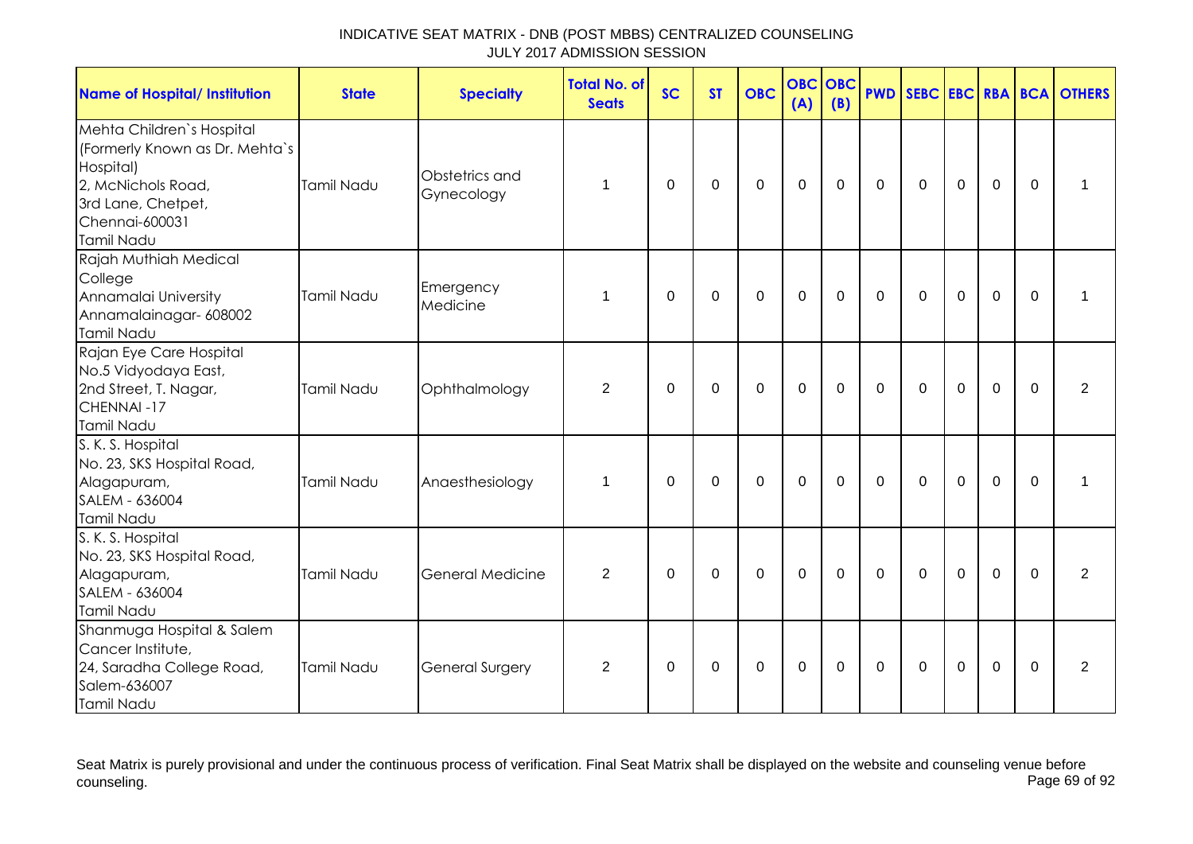| INDICATIVE SEAT MATRIX - DNB (POST MBBS) CENTRALIZED COUNSELING |  |
|-----------------------------------------------------------------|--|
| JULY 2017 ADMISSION SESSION                                     |  |

| <b>Name of Hospital/ Institution</b>                                                                                                                 | <b>State</b>      | <b>Specialty</b>             | <b>Total No. of</b><br><b>Seats</b> | <b>SC</b>   | <b>ST</b>   | <b>OBC</b>  | <b>OBC</b><br>(A) | <b>OBC</b><br>(B) |              |             |             |                |             | <b>PWD SEBC EBC RBA BCA OTHERS</b> |
|------------------------------------------------------------------------------------------------------------------------------------------------------|-------------------|------------------------------|-------------------------------------|-------------|-------------|-------------|-------------------|-------------------|--------------|-------------|-------------|----------------|-------------|------------------------------------|
| Mehta Children's Hospital<br>(Formerly Known as Dr. Mehta's<br>Hospital)<br>2, McNichols Road,<br>3rd Lane, Chetpet,<br>Chennai-600031<br>Tamil Nadu | Tamil Nadu        | Obstetrics and<br>Gynecology | $\mathbf 1$                         | 0           | 0           | $\mathbf 0$ | $\mathbf 0$       | 0                 | $\mathbf{0}$ | $\Omega$    | $\mathbf 0$ | $\mathbf 0$    | $\Omega$    | 1                                  |
| Rajah Muthiah Medical<br>College<br>Annamalai University<br>Annamalainagar- 608002<br>Tamil Nadu                                                     | Tamil Nadu        | Emergency<br>Medicine        | 1                                   | $\mathbf 0$ | $\mathbf 0$ | $\mathbf 0$ | $\mathbf 0$       | $\mathbf 0$       | $\mathbf 0$  | $\mathbf 0$ | $\mathbf 0$ | $\mathbf 0$    | $\mathbf 0$ | 1                                  |
| Rajan Eye Care Hospital<br>No.5 Vidyodaya East,<br>2nd Street, T. Nagar,<br>CHENNAI-17<br>Tamil Nadu                                                 | Tamil Nadu        | Ophthalmology                | $\overline{2}$                      | $\mathbf 0$ | $\mathbf 0$ | $\mathbf 0$ | $\mathbf 0$       | 0                 | $\mathbf 0$  | $\mathbf 0$ | $\mathbf 0$ | $\overline{0}$ | $\mathbf 0$ | $\overline{2}$                     |
| S. K. S. Hospital<br>No. 23, SKS Hospital Road,<br>Alagapuram,<br>SALEM - 636004<br>Tamil Nadu                                                       | Tamil Nadu        | Anaesthesiology              | $\mathbf 1$                         | $\Omega$    | $\mathbf 0$ | $\mathbf 0$ | $\mathbf 0$       | $\mathbf 0$       | $\mathbf 0$  | $\mathbf 0$ | $\mathbf 0$ | $\overline{0}$ | $\Omega$    | 1                                  |
| S. K. S. Hospital<br>No. 23, SKS Hospital Road,<br>Alagapuram,<br>SALEM - 636004<br>Tamil Nadu                                                       | <b>Tamil Nadu</b> | General Medicine             | 2                                   | $\mathbf 0$ | $\mathbf 0$ | $\mathbf 0$ | $\mathbf 0$       | $\mathbf 0$       | $\Omega$     | $\Omega$    | $\Omega$    | $\Omega$       | $\Omega$    | 2                                  |
| Shanmuga Hospital & Salem<br>Cancer Institute,<br>24, Saradha College Road,<br>Salem-636007<br>Tamil Nadu                                            | Tamil Nadu        | <b>General Surgery</b>       | 2                                   | 0           | 0           | $\mathbf 0$ | $\mathbf 0$       | 0                 | 0            | 0           | $\mathbf 0$ | $\mathbf 0$    | $\Omega$    | $\overline{2}$                     |

Seat Matrix is purely provisional and under the continuous process of verification. Final Seat Matrix shall be displayed on the website and counseling venue before counseling. Page 69 of 92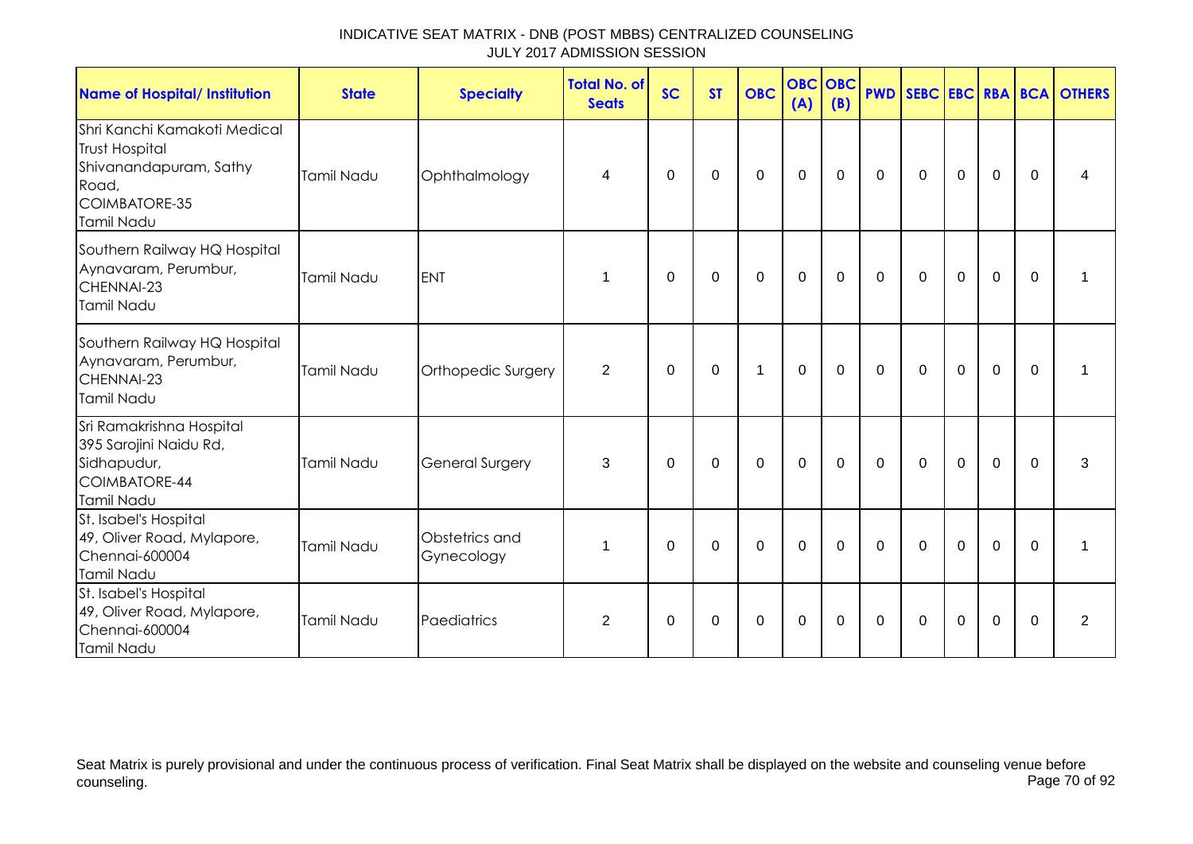| <b>Name of Hospital/ Institution</b>                                                                                    | <b>State</b>      | <b>Specialty</b>             | <b>Total No. of</b><br><b>Seats</b> | <b>SC</b> | <b>ST</b>   | <b>OBC</b>     | <b>OBC</b><br>(A) | <b>OBC</b><br>(B) | <b>PWD</b>     |              |             |                |             | <b>SEBC EBC RBA BCA OTHERS</b> |
|-------------------------------------------------------------------------------------------------------------------------|-------------------|------------------------------|-------------------------------------|-----------|-------------|----------------|-------------------|-------------------|----------------|--------------|-------------|----------------|-------------|--------------------------------|
| Shri Kanchi Kamakoti Medical<br><b>Trust Hospital</b><br>Shivanandapuram, Sathy<br>Road,<br>COIMBATORE-35<br>Tamil Nadu | <b>Tamil Nadu</b> | Ophthalmology                | 4                                   | 0         | $\mathbf 0$ | $\mathbf 0$    | $\mathbf 0$       | $\mathbf 0$       | $\mathbf 0$    | $\mathbf 0$  | $\mathbf 0$ | $\mathbf 0$    | $\mathbf 0$ | 4                              |
| Southern Railway HQ Hospital<br>Aynavaram, Perumbur,<br>CHENNAI-23<br>Tamil Nadu                                        | Tamil Nadu        | <b>ENT</b>                   | 1                                   | $\Omega$  | 0           | $\mathbf 0$    | $\mathbf 0$       | 0                 | $\mathbf 0$    | $\mathbf 0$  | $\mathbf 0$ | $\mathbf 0$    | $\mathbf 0$ | 1                              |
| Southern Railway HQ Hospital<br>Aynavaram, Perumbur,<br>CHENNAI-23<br><b>Tamil Nadu</b>                                 | Tamil Nadu        | Orthopedic Surgery           | 2                                   | $\Omega$  | $\Omega$    | $\mathbf 1$    | $\mathbf 0$       | 0                 | $\mathbf{0}$   | $\mathbf{0}$ | $\mathbf 0$ | $\overline{0}$ | $\Omega$    | 1                              |
| Sri Ramakrishna Hospital<br>395 Sarojini Naidu Rd,<br>Sidhapudur,<br>COIMBATORE-44<br>Tamil Nadu                        | <b>Tamil Nadu</b> | <b>General Surgery</b>       | 3                                   | $\Omega$  | $\mathbf 0$ | $\mathbf 0$    | $\mathbf 0$       | $\mathbf 0$       | $\overline{0}$ | $\mathbf 0$  | $\mathbf 0$ | $\mathbf 0$    | $\mathbf 0$ | 3                              |
| St. Isabel's Hospital<br>49, Oliver Road, Mylapore,<br>Chennai-600004<br><b>Tamil Nadu</b>                              | Tamil Nadu        | Obstetrics and<br>Gynecology | 1                                   | $\Omega$  | $\mathbf 0$ | $\overline{0}$ | $\mathbf{0}$      | $\mathbf 0$       | $\mathbf 0$    | $\mathbf 0$  | $\mathbf 0$ | $\overline{0}$ | $\Omega$    | 1                              |
| St. Isabel's Hospital<br>49, Oliver Road, Mylapore,<br>Chennai-600004<br>Tamil Nadu                                     | Tamil Nadu        | Paediatrics                  | $\overline{2}$                      | 0         | $\mathbf 0$ | $\mathbf 0$    | $\mathbf 0$       | $\mathbf 0$       | $\mathbf 0$    | $\mathbf 0$  | $\mathbf 0$ | $\mathbf 0$    | $\mathbf 0$ | $\overline{2}$                 |

Seat Matrix is purely provisional and under the continuous process of verification. Final Seat Matrix shall be displayed on the website and counseling venue before<br>Page 70 of 92 counseling. Page 70 of 92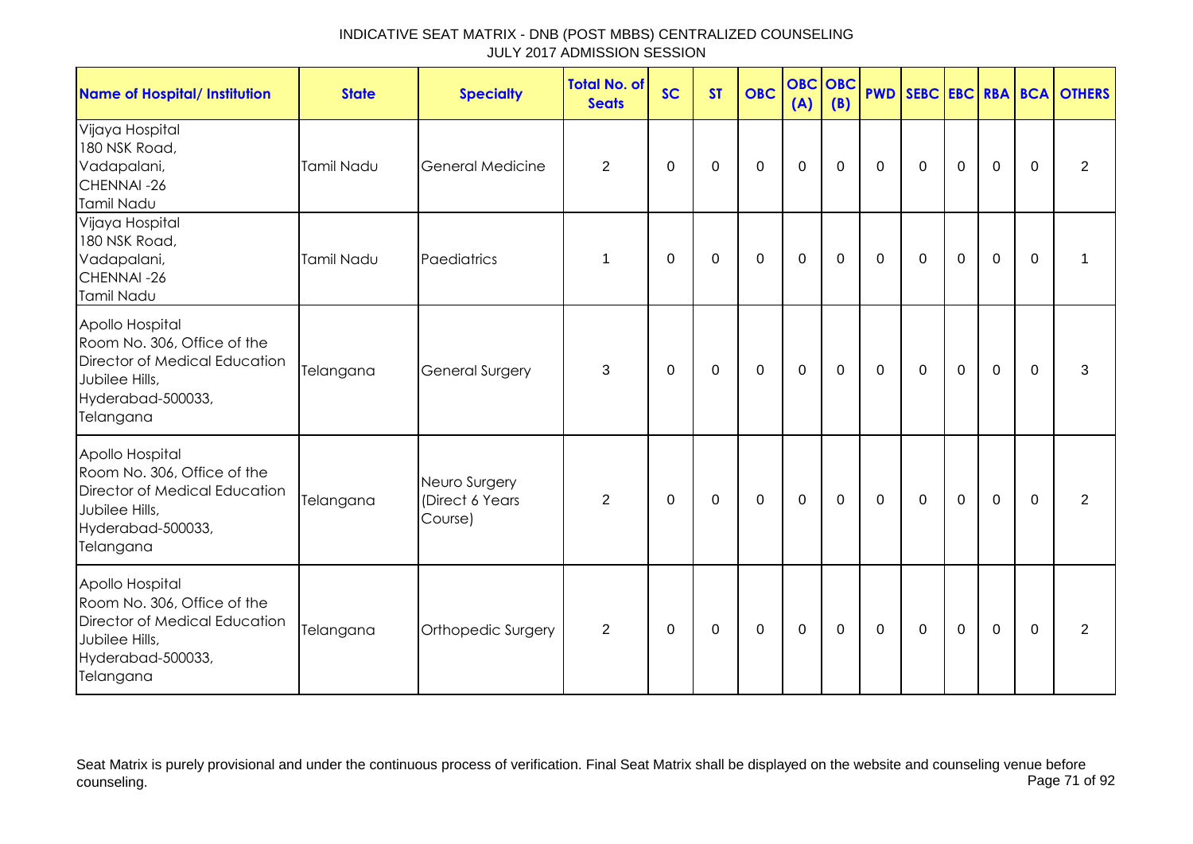| <b>Name of Hospital/ Institution</b>                                                                                                | <b>State</b> | <b>Specialty</b>                             | <b>Total No. of</b><br><b>Seats</b> | <b>SC</b>   | <b>ST</b>   | <b>OBC</b>  | <b>OBC</b><br>(A) | OBC<br>(B)  |              |              |                |                |             | <b>PWD SEBC EBC RBA BCA OTHERS</b> |
|-------------------------------------------------------------------------------------------------------------------------------------|--------------|----------------------------------------------|-------------------------------------|-------------|-------------|-------------|-------------------|-------------|--------------|--------------|----------------|----------------|-------------|------------------------------------|
| Vijaya Hospital<br>180 NSK Road,<br>Vadapalani,<br>CHENNAI-26<br>Tamil Nadu                                                         | Tamil Nadu   | <b>General Medicine</b>                      | $\overline{2}$                      | 0           | 0           | $\mathbf 0$ | $\mathbf 0$       | $\mathbf 0$ | $\mathbf 0$  | $\mathbf 0$  | $\mathbf 0$    | $\mathbf 0$    | $\mathbf 0$ | $\overline{2}$                     |
| Vijaya Hospital<br>180 NSK Road,<br>Vadapalani,<br>CHENNAI-26<br>Tamil Nadu                                                         | Tamil Nadu   | Paediatrics                                  | 1                                   | 0           | 0           | $\mathbf 0$ | $\mathbf 0$       | 0           | $\mathbf 0$  | $\mathbf 0$  | $\mathbf 0$    | $\mathbf 0$    | $\mathbf 0$ | 1                                  |
| Apollo Hospital<br>Room No. 306, Office of the<br>Director of Medical Education<br>Jubilee Hills,<br>Hyderabad-500033,<br>Telangana | Telangana    | <b>General Surgery</b>                       | 3                                   | $\mathbf 0$ | $\mathbf 0$ | $\mathbf 0$ | $\mathbf 0$       | $\mathbf 0$ | $\mathbf 0$  | $\mathbf 0$  | $\overline{0}$ | $\overline{0}$ | $\Omega$    | 3                                  |
| Apollo Hospital<br>Room No. 306, Office of the<br>Director of Medical Education<br>Jubilee Hills,<br>Hyderabad-500033,<br>Telangana | Telangana    | Neuro Surgery<br>(Direct 6 Years)<br>Course) | $\overline{2}$                      | 0           | $\mathbf 0$ | $\mathbf 0$ | $\mathbf 0$       | $\mathbf 0$ | $\mathbf 0$  | $\mathbf 0$  | $\mathbf 0$    | $\mathbf 0$    | $\mathbf 0$ | 2                                  |
| Apollo Hospital<br>Room No. 306, Office of the<br>Director of Medical Education<br>Jubilee Hills,<br>Hyderabad-500033,<br>Telangana | Telangana    | Orthopedic Surgery                           | 2                                   | $\Omega$    | 0           | 0           | $\mathbf 0$       | 0           | $\mathbf{0}$ | $\mathbf{0}$ | $\Omega$       | $\mathbf 0$    | $\Omega$    | 2                                  |

Seat Matrix is purely provisional and under the continuous process of verification. Final Seat Matrix shall be displayed on the website and counseling venue before<br>Page 71 of 92 counseling. Page 71 of 92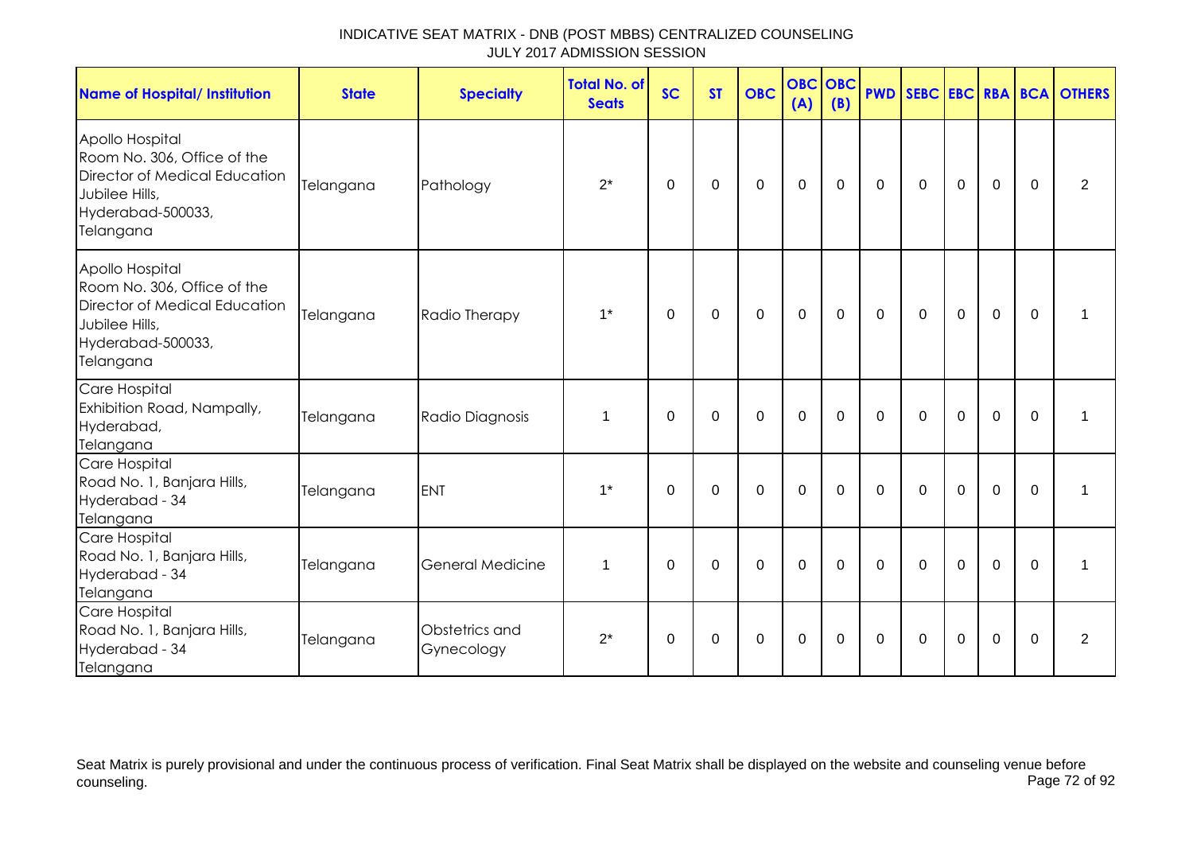| <b>Name of Hospital/ Institution</b>                                                                                                | <b>State</b> | <b>Specialty</b>             | <b>Total No. of</b><br><b>Seats</b> | <b>SC</b>   | <b>ST</b>   | <b>OBC</b>     | <b>OBC</b><br>(A) | <b>OBC</b><br>(B) |              |              |                |                |             | <b>PWD SEBC EBC RBA BCA OTHERS</b> |
|-------------------------------------------------------------------------------------------------------------------------------------|--------------|------------------------------|-------------------------------------|-------------|-------------|----------------|-------------------|-------------------|--------------|--------------|----------------|----------------|-------------|------------------------------------|
| Apollo Hospital<br>Room No. 306, Office of the<br>Director of Medical Education<br>Jubilee Hills,<br>Hyderabad-500033,<br>Telangana | Telangana    | Pathology                    | $2^*$                               | 0           | 0           | $\mathbf 0$    | $\mathbf 0$       | 0                 | $\mathbf 0$  | $\mathbf 0$  | $\mathbf 0$    | $\mathbf 0$    | $\Omega$    | 2                                  |
| Apollo Hospital<br>Room No. 306, Office of the<br>Director of Medical Education<br>Jubilee Hills,<br>Hyderabad-500033,<br>Telangana | Telangana    | Radio Therapy                | $1^*$                               | $\Omega$    | 0           | $\mathbf 0$    | $\mathbf 0$       | 0                 | $\mathbf{0}$ | $\mathbf{0}$ | $\mathbf 0$    | $\overline{0}$ | $\Omega$    |                                    |
| Care Hospital<br>Exhibition Road, Nampally,<br>Hyderabad,<br>Telangana                                                              | Telangana    | Radio Diagnosis              | 1                                   | $\Omega$    | $\mathbf 0$ | $\mathbf 0$    | $\mathbf 0$       | $\Omega$          | $\Omega$     | $\Omega$     | $\mathbf 0$    | $\overline{0}$ | $\Omega$    | 1                                  |
| Care Hospital<br>Road No. 1, Banjara Hills,<br>Hyderabad - 34<br>Telangana                                                          | Telangana    | <b>ENT</b>                   | $1^*$                               | $\mathbf 0$ | $\mathbf 0$ | $\overline{0}$ | $\mathbf 0$       | $\mathbf 0$       | $\mathbf 0$  | $\mathbf 0$  | $\overline{0}$ | $\overline{0}$ | $\mathbf 0$ | 1                                  |
| Care Hospital<br>Road No. 1, Banjara Hills,<br>Hyderabad - 34<br>Telangana                                                          | Telangana    | <b>General Medicine</b>      | 1                                   | $\mathbf 0$ | $\mathbf 0$ | $\mathbf 0$    | $\mathbf 0$       | $\mathbf 0$       | $\mathbf 0$  | $\mathbf 0$  | $\mathbf 0$    | $\overline{0}$ | $\Omega$    | 1                                  |
| Care Hospital<br>Road No. 1, Banjara Hills,<br>Hyderabad - 34<br>Telangana                                                          | Telangana    | Obstetrics and<br>Gynecology | $2^*$                               | 0           | 0           | $\mathbf 0$    | $\boldsymbol{0}$  | 0                 | 0            | 0            | $\mathbf 0$    | $\mathbf 0$    | $\Omega$    | $\overline{2}$                     |

Seat Matrix is purely provisional and under the continuous process of verification. Final Seat Matrix shall be displayed on the website and counseling venue before<br>Page 72 of 92 counseling. Page 72 of 92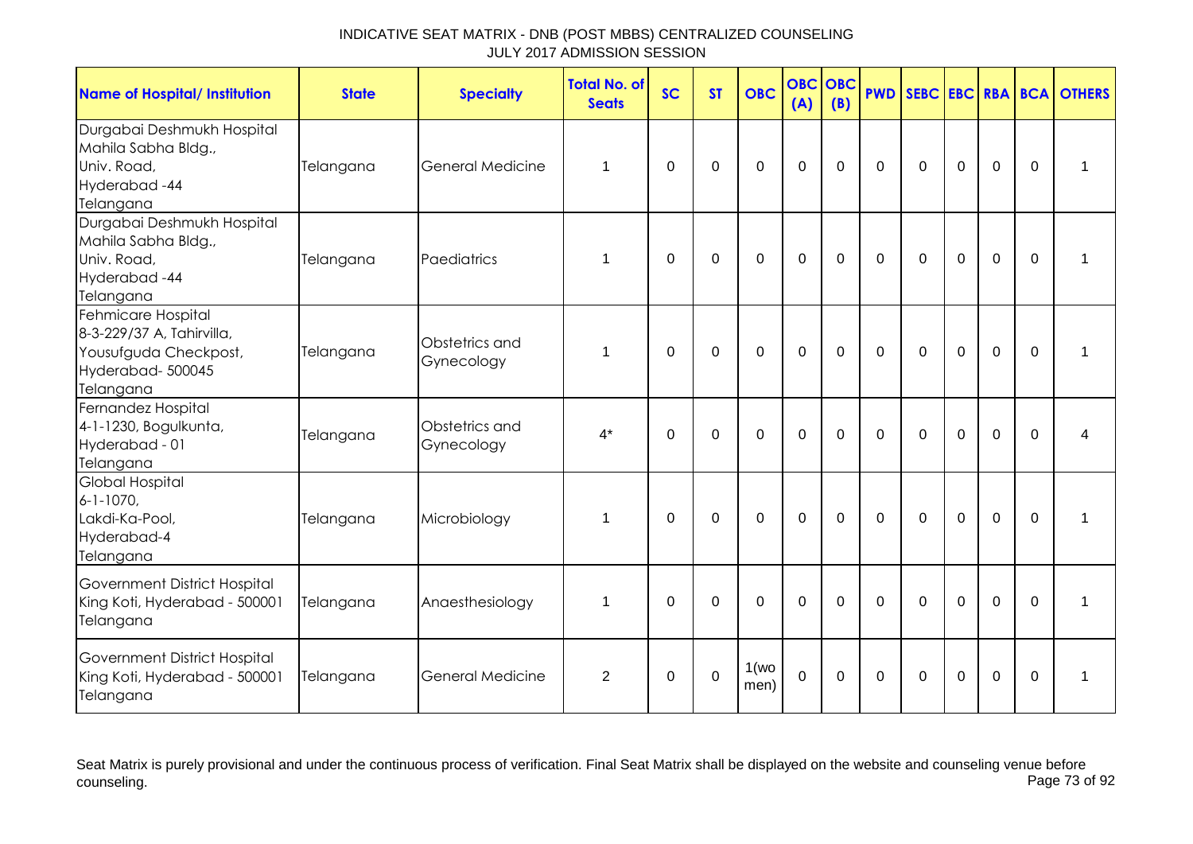| <b>Name of Hospital/ Institution</b>                                                                      | <b>State</b> | <b>Specialty</b>             | <b>Total No. of</b><br><b>Seats</b> | <b>SC</b> | <b>ST</b>   | <b>OBC</b>     | <b>OBC</b><br>(A) | <b>OBC</b><br>(B) |              |             |                |                |          | <b>PWD SEBC EBC RBA BCA OTHERS</b> |
|-----------------------------------------------------------------------------------------------------------|--------------|------------------------------|-------------------------------------|-----------|-------------|----------------|-------------------|-------------------|--------------|-------------|----------------|----------------|----------|------------------------------------|
| Durgabai Deshmukh Hospital<br>Mahila Sabha Bldg.,<br>Univ. Road,<br>Hyderabad-44<br>Telangana             | Telangana    | <b>General Medicine</b>      | 1                                   | $\Omega$  | $\mathbf 0$ | $\mathbf 0$    | $\mathbf 0$       | $\mathbf 0$       | $\mathbf 0$  | $\mathbf 0$ | $\overline{0}$ | $\overline{0}$ | $\Omega$ | 1                                  |
| Durgabai Deshmukh Hospital<br>Mahila Sabha Bldg.,<br>Univ. Road,<br>Hyderabad-44<br>Telangana             | Telangana    | Paediatrics                  | 1                                   | $\Omega$  | $\mathbf 0$ | $\mathbf 0$    | $\overline{0}$    | $\mathbf 0$       | $\mathbf 0$  | $\mathbf 0$ | $\overline{0}$ | $\overline{0}$ | $\Omega$ | 1                                  |
| Fehmicare Hospital<br>8-3-229/37 A, Tahirvilla,<br>Yousufguda Checkpost,<br>Hyderabad-500045<br>Telangana | Telangana    | Obstetrics and<br>Gynecology | 1                                   | $\Omega$  | $\Omega$    | $\Omega$       | $\Omega$          | $\Omega$          | $\Omega$     | $\Omega$    | $\Omega$       | $\Omega$       | $\Omega$ | 1                                  |
| Fernandez Hospital<br>4-1-1230, Bogulkunta,<br>Hyderabad - 01<br>Telangana                                | Telangana    | Obstetrics and<br>Gynecology | $4^*$                               | $\Omega$  | $\Omega$    | $\Omega$       | $\overline{0}$    | $\mathbf 0$       | $\Omega$     | $\Omega$    | $\Omega$       | $\Omega$       | $\Omega$ | 4                                  |
| <b>Global Hospital</b><br>$6 - 1 - 1070$ ,<br>Lakdi-Ka-Pool,<br>Hyderabad-4<br>Telangana                  | Telangana    | Microbiology                 | 1                                   | $\Omega$  | $\mathbf 0$ | $\overline{0}$ | $\mathbf 0$       | $\mathbf 0$       | $\mathbf 0$  | $\mathbf 0$ | $\overline{0}$ | $\overline{0}$ | $\Omega$ | 1                                  |
| Government District Hospital<br>King Koti, Hyderabad - 500001<br>Telangana                                | Telangana    | Anaesthesiology              | 1                                   | $\Omega$  | $\Omega$    | $\mathbf 0$    | $\mathbf 0$       | $\mathbf 0$       | $\mathbf 0$  | $\mathbf 0$ | $\overline{0}$ | $\overline{0}$ | $\Omega$ | 1                                  |
| Government District Hospital<br>King Koti, Hyderabad - 500001<br>Telangana                                | Telangana    | <b>General Medicine</b>      | 2                                   | $\Omega$  | $\Omega$    | 1(wo)<br>men)  | $\Omega$          | $\Omega$          | $\mathbf{0}$ | $\Omega$    | $\overline{0}$ | $\Omega$       | $\Omega$ | $\mathbf 1$                        |

Seat Matrix is purely provisional and under the continuous process of verification. Final Seat Matrix shall be displayed on the website and counseling venue before<br>Page 73 of 92 counseling. Page 73 of 92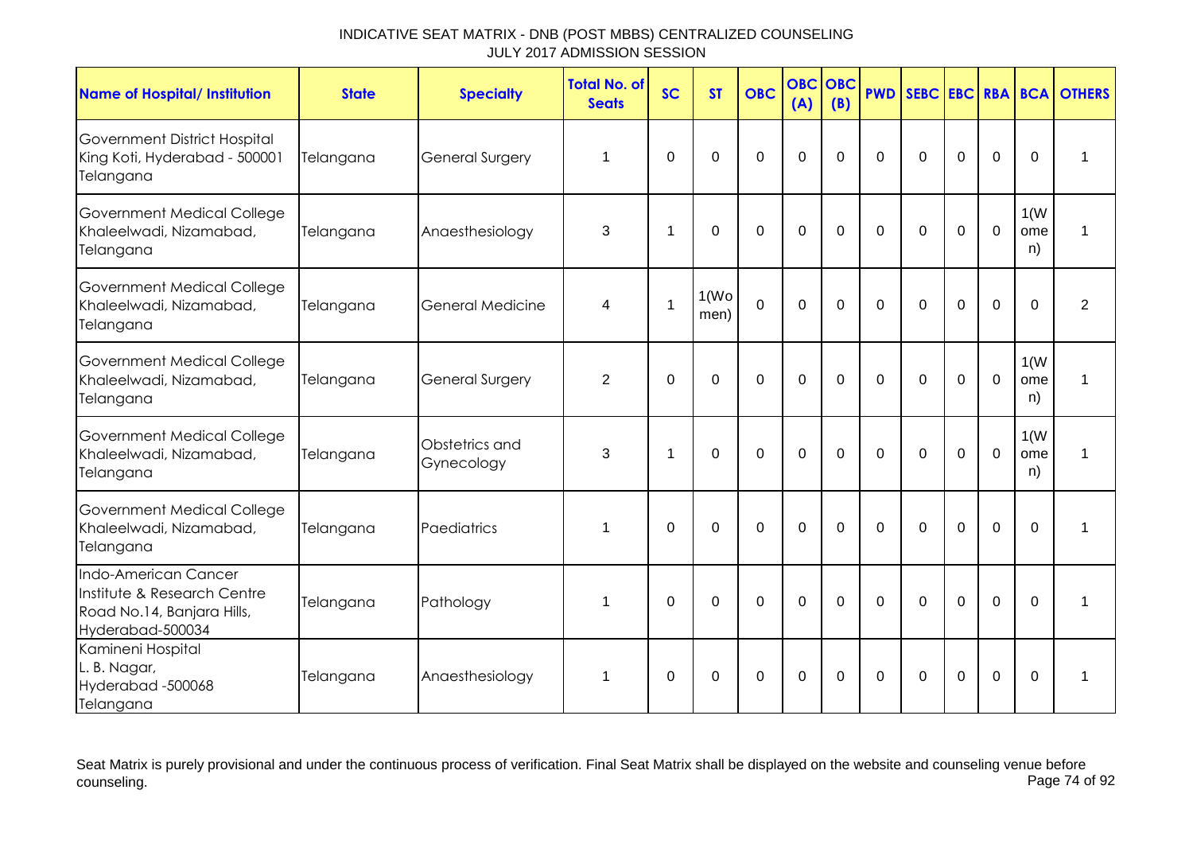| <b>Name of Hospital/ Institution</b>                                                                  | <b>State</b> | <b>Specialty</b>             | <b>Total No. of</b><br><b>Seats</b> | <b>SC</b>      | <b>ST</b>                  | <b>OBC</b>     | <b>OBC</b><br>(A) | <b>OBC</b><br>(B) | <b>PWD</b> | SEBC EBC RBA BCA |             |                |                   | <b>OTHERS</b>  |
|-------------------------------------------------------------------------------------------------------|--------------|------------------------------|-------------------------------------|----------------|----------------------------|----------------|-------------------|-------------------|------------|------------------|-------------|----------------|-------------------|----------------|
| Government District Hospital<br>King Koti, Hyderabad - 500001<br>Telangana                            | Telangana    | General Surgery              | 1                                   | 0              | $\Omega$                   | $\overline{0}$ | $\Omega$          | $\Omega$          | $\Omega$   | $\Omega$         | $\mathbf 0$ | $\mathbf 0$    | 0                 | 1              |
| <b>Government Medical College</b><br>Khaleelwadi, Nizamabad,<br>Telangana                             | Telangana    | Anaesthesiology              | 3                                   | $\overline{1}$ | $\Omega$                   | $\overline{0}$ | $\mathbf 0$       | $\mathbf 0$       | $\Omega$   | $\Omega$         | $\Omega$    | $\mathbf 0$    | 1(W)<br>ome<br>n) | 1              |
| Government Medical College<br>Khaleelwadi, Nizamabad,<br>Telangana                                    | Telangana    | <b>General Medicine</b>      | 4                                   | $\overline{1}$ | 1(W <sub>O</sub> )<br>men) | $\overline{0}$ | $\mathbf 0$       | $\Omega$          | $\Omega$   | $\Omega$         | $\mathbf 0$ | $\overline{0}$ | $\Omega$          | $\overline{2}$ |
| <b>Government Medical College</b><br>Khaleelwadi, Nizamabad,<br>Telangana                             | Telangana    | <b>General Surgery</b>       | $\overline{2}$                      | $\Omega$       | $\Omega$                   | $\Omega$       | $\Omega$          | $\Omega$          | $\Omega$   | $\Omega$         | $\mathbf 0$ | $\mathbf 0$    | 1(W)<br>ome<br>n) | 1              |
| Government Medical College<br>Khaleelwadi, Nizamabad,<br>Telangana                                    | Telangana    | Obstetrics and<br>Gynecology | 3                                   | $\overline{1}$ | $\Omega$                   | $\overline{0}$ | $\mathbf 0$       | $\Omega$          | $\Omega$   | $\mathbf 0$      | $\Omega$    | $\mathbf 0$    | 1(W)<br>ome<br>n) | 1              |
| Government Medical College<br>Khaleelwadi, Nizamabad,<br>Telangana                                    | Telangana    | Paediatrics                  | 1                                   | $\Omega$       | $\Omega$                   | $\mathbf 0$    | $\mathbf 0$       | $\Omega$          | $\Omega$   | $\Omega$         | 0           | $\overline{0}$ | $\Omega$          | 1              |
| Indo-American Cancer<br>Institute & Research Centre<br>Road No.14, Banjara Hills,<br>Hyderabad-500034 | Telangana    | Pathology                    | 1                                   | $\Omega$       | 0                          | $\Omega$       | $\mathbf 0$       | $\Omega$          | $\Omega$   | $\Omega$         | $\Omega$    | $\mathbf 0$    | $\Omega$          | 1              |
| Kamineni Hospital<br>L. B. Nagar,<br>Hyderabad-500068<br>Telangana                                    | Telangana    | Anaesthesiology              | $\mathbf 1$                         | $\Omega$       | $\Omega$                   | $\Omega$       | 0                 | $\Omega$          | $\Omega$   | $\Omega$         | $\mathbf 0$ | 0              | $\Omega$          | $\mathbf 1$    |

Seat Matrix is purely provisional and under the continuous process of verification. Final Seat Matrix shall be displayed on the website and counseling venue before<br>Page 74 of 92 counseling. Page 74 of 92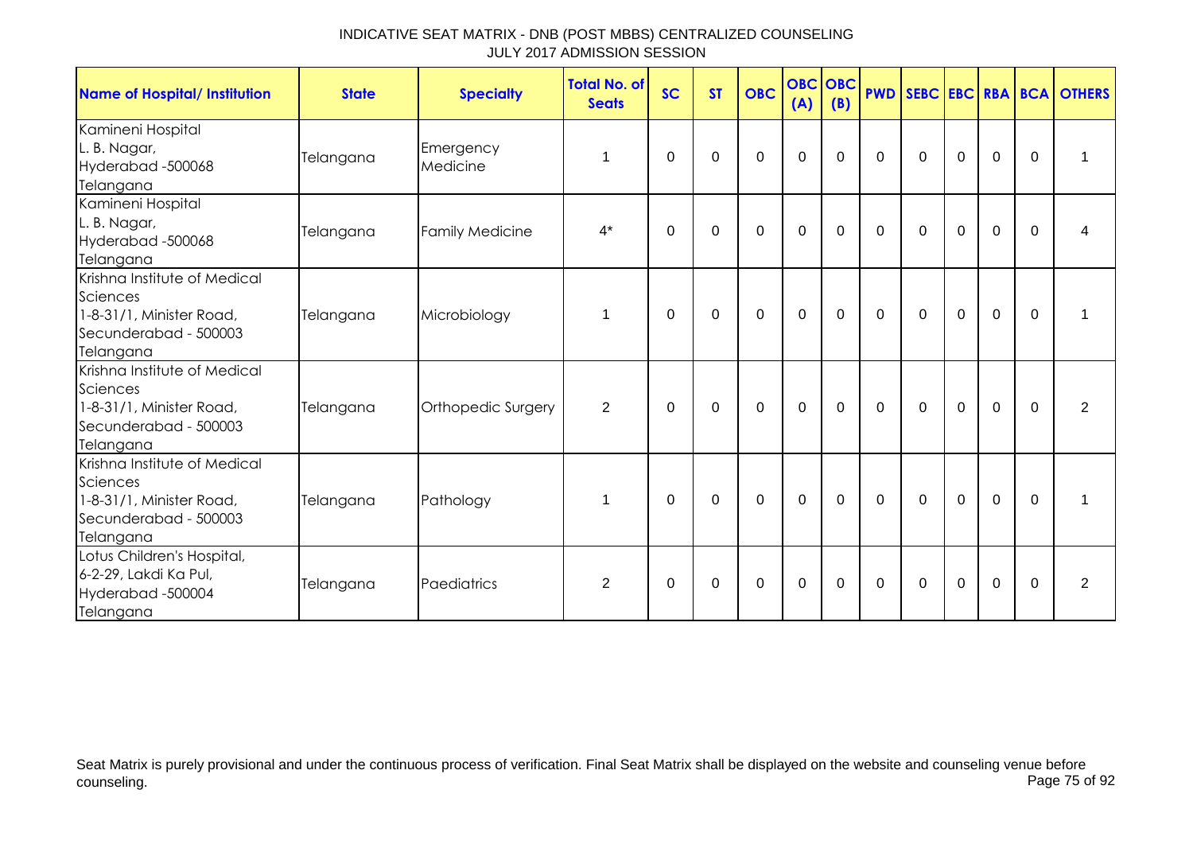| Name of Hospital/ Institution                                                                              | <b>State</b> | <b>Specialty</b>       | <b>Total No. of</b><br><b>Seats</b> | <b>SC</b>   | <b>ST</b>   | <b>OBC</b>  | (A)              | <b>OBC OBC</b><br>(B) |             |                |             |             |              | <b>PWD SEBC EBC RBA BCA OTHERS</b> |
|------------------------------------------------------------------------------------------------------------|--------------|------------------------|-------------------------------------|-------------|-------------|-------------|------------------|-----------------------|-------------|----------------|-------------|-------------|--------------|------------------------------------|
| Kamineni Hospital<br>L. B. Nagar,<br>Hyderabad -500068<br>Telangana                                        | Telangana    | Emergency<br>Medicine  | 1                                   | $\Omega$    | 0           | $\mathbf 0$ | 0                | 0                     | $\Omega$    | $\Omega$       | 0           | $\mathbf 0$ | $\mathbf{0}$ | 1                                  |
| Kamineni Hospital<br>L. B. Nagar,<br>Hyderabad -500068<br>Telangana                                        | Telangana    | <b>Family Medicine</b> | $4^*$                               | $\Omega$    | 0           | $\mathbf 0$ | $\mathbf 0$      | $\Omega$              | $\Omega$    | $\Omega$       | $\Omega$    | $\Omega$    | $\Omega$     | 4                                  |
| Krishna Institute of Medical<br>Sciences<br>1-8-31/1, Minister Road,<br>Secunderabad - 500003<br>Telangana | Telangana    | Microbiology           | 1                                   | 0           | $\mathbf 0$ | $\mathbf 0$ | $\mathbf 0$      | $\mathbf 0$           | $\mathbf 0$ | $\mathbf 0$    | $\mathbf 0$ | $\mathbf 0$ | $\mathbf 0$  | 1                                  |
| Krishna Institute of Medical<br>Sciences<br>1-8-31/1, Minister Road,<br>Secunderabad - 500003<br>Telangana | Telangana    | Orthopedic Surgery     | $\overline{2}$                      | 0           | 0           | $\mathbf 0$ | $\mathbf 0$      | $\mathbf 0$           | $\mathbf 0$ | $\overline{0}$ | $\mathbf 0$ | $\mathbf 0$ | $\Omega$     | $\overline{2}$                     |
| Krishna Institute of Medical<br>Sciences<br>1-8-31/1, Minister Road,<br>Secunderabad - 500003<br>Telangana | Telangana    | Pathology              | 1                                   | $\Omega$    | $\Omega$    | $\mathbf 0$ | $\mathbf 0$      | $\mathbf 0$           | $\Omega$    | $\Omega$       | $\mathbf 0$ | $\mathbf 0$ | $\Omega$     | 1                                  |
| Lotus Children's Hospital,<br>6-2-29, Lakdi Ka Pul,<br>Hyderabad -500004<br>Telangana                      | Telangana    | Paediatrics            | 2                                   | $\mathbf 0$ | $\pmb{0}$   | $\mathsf 0$ | $\boldsymbol{0}$ | $\mathbf 0$           | 0           | 0              | $\mathbf 0$ | $\mathbf 0$ | 0            | $\overline{2}$                     |

Seat Matrix is purely provisional and under the continuous process of verification. Final Seat Matrix shall be displayed on the website and counseling venue before<br>Page 75 of 92 counseling. Page 75 of 92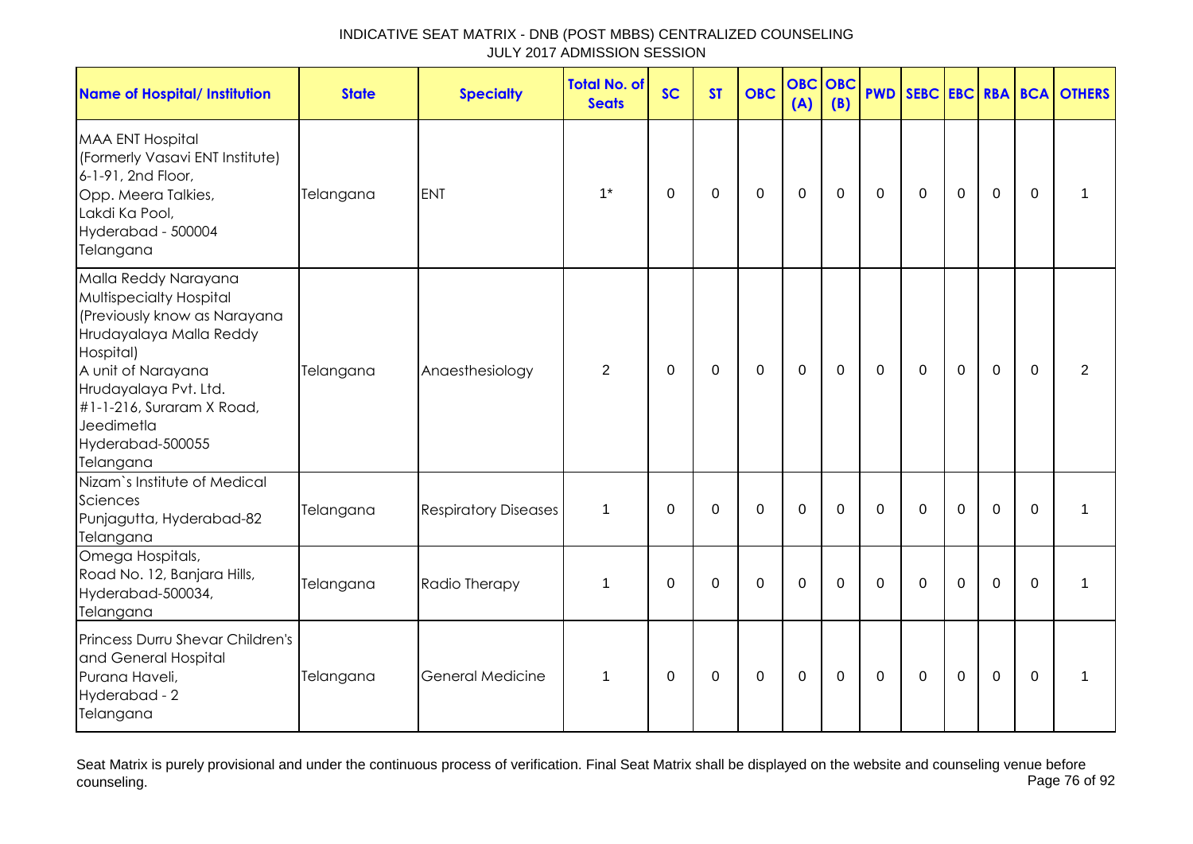| <b>Name of Hospital/ Institution</b>                                                                                                                                                                                                                      | <b>State</b> | <b>Specialty</b>            | <b>Total No. of</b><br><b>Seats</b> | <b>SC</b>   | <b>ST</b>   | <b>OBC</b>  | <b>OBC</b><br>(A) | <b>OBC</b><br>(B) |             |              |             |                |          | <b>PWD SEBC EBC RBA BCA OTHERS</b> |
|-----------------------------------------------------------------------------------------------------------------------------------------------------------------------------------------------------------------------------------------------------------|--------------|-----------------------------|-------------------------------------|-------------|-------------|-------------|-------------------|-------------------|-------------|--------------|-------------|----------------|----------|------------------------------------|
| <b>MAA ENT Hospital</b><br>(Formerly Vasavi ENT Institute)<br>6-1-91, 2nd Floor,<br>Opp. Meera Talkies,<br>Lakdi Ka Pool,<br>Hyderabad - 500004<br>Telangana                                                                                              | Telangana    | <b>ENT</b>                  | $1^*$                               | $\Omega$    | $\mathbf 0$ | $\mathbf 0$ | $\mathbf 0$       | 0                 | $\Omega$    | $\mathbf{0}$ | $\mathbf 0$ | $\mathbf 0$    | $\Omega$ |                                    |
| Malla Reddy Narayana<br><b>Multispecialty Hospital</b><br>(Previously know as Narayana<br>Hrudayalaya Malla Reddy<br>Hospital)<br>A unit of Narayana<br>Hrudayalaya Pvt. Ltd.<br>#1-1-216, Suraram X Road,<br>Jeedimetla<br>Hyderabad-500055<br>Telangana | Telangana    | Anaesthesiology             | $\overline{2}$                      | 0           | 0           | 0           | $\mathbf 0$       | 0                 | $\Omega$    | $\mathbf{0}$ | $\mathbf 0$ | $\mathbf 0$    | $\Omega$ | $\overline{2}$                     |
| Nizam's Institute of Medical<br>Sciences<br>Punjagutta, Hyderabad-82<br>Telangana                                                                                                                                                                         | Telangana    | <b>Respiratory Diseases</b> | $\mathbf 1$                         | $\Omega$    | 0           | $\mathbf 0$ | $\mathbf 0$       | 0                 | $\Omega$    | $\mathbf 0$  | $\mathbf 0$ | $\mathbf 0$    | $\Omega$ | 1                                  |
| Omega Hospitals,<br>Road No. 12, Banjara Hills,<br>Hyderabad-500034,<br>Telangana                                                                                                                                                                         | Telangana    | Radio Therapy               | 1                                   | $\mathbf 0$ | $\pmb{0}$   | $\mathbf 0$ | $\pmb{0}$         | $\mathbf 0$       | $\mathbf 0$ | $\mathbf 0$  | $\mathbf 0$ | $\overline{0}$ | $\Omega$ | 1                                  |
| Princess Durru Shevar Children's<br>and General Hospital<br>Purana Haveli,<br>Hyderabad - 2<br>Telangana                                                                                                                                                  | Telangana    | <b>General Medicine</b>     | $\mathbf 1$                         | $\Omega$    | $\Omega$    | $\mathbf 0$ | $\mathbf 0$       | $\Omega$          | $\Omega$    | $\Omega$     | $\mathbf 0$ | $\overline{0}$ | $\Omega$ |                                    |

Seat Matrix is purely provisional and under the continuous process of verification. Final Seat Matrix shall be displayed on the website and counseling venue before<br>Page 76 of 92 counseling. Page 76 of 92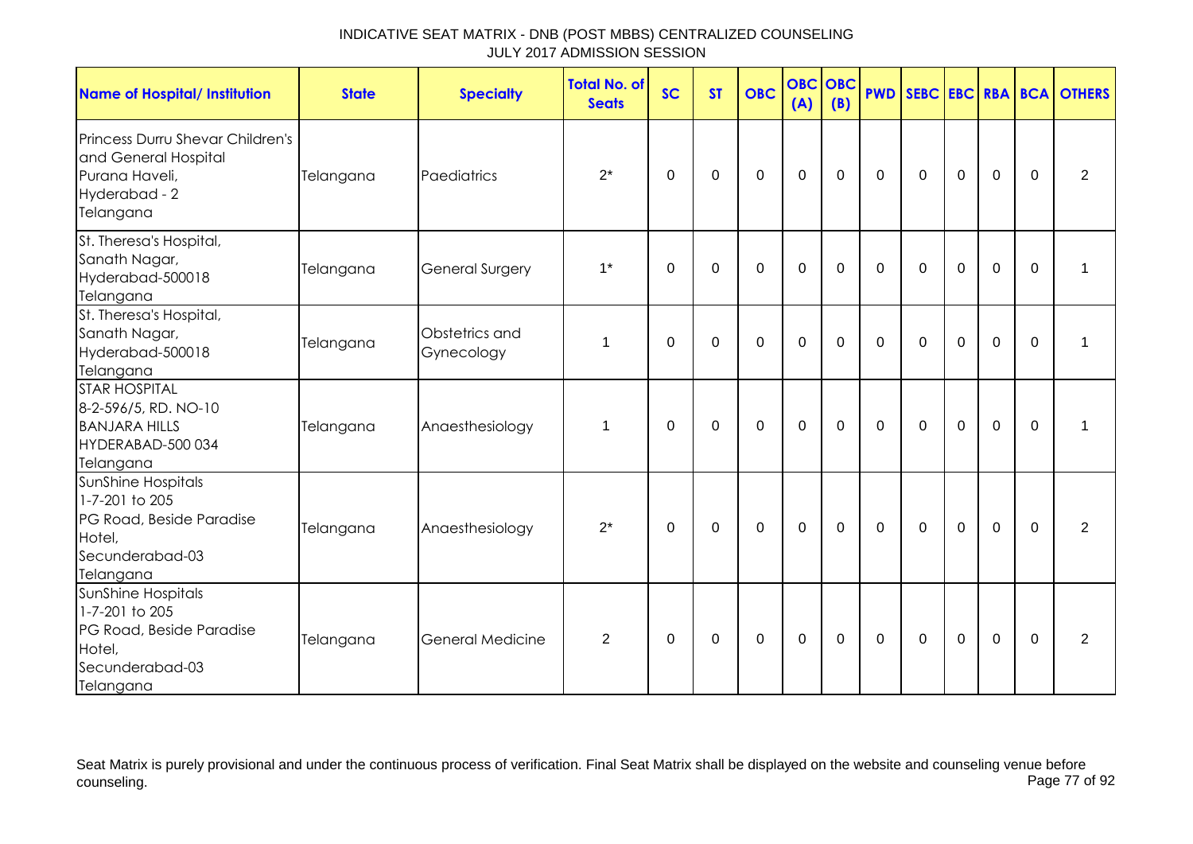| <b>Name of Hospital/ Institution</b>                                                                            | <b>State</b> | <b>Specialty</b>             | <b>Total No. of</b><br><b>Seats</b> | <b>SC</b>   | <b>ST</b>   | <b>OBC</b>  | <b>OBC OBC</b><br>(A) | (B)         |             |             |             |             |             | <b>PWD SEBC EBC RBA BCA OTHERS</b> |
|-----------------------------------------------------------------------------------------------------------------|--------------|------------------------------|-------------------------------------|-------------|-------------|-------------|-----------------------|-------------|-------------|-------------|-------------|-------------|-------------|------------------------------------|
| <b>Princess Durru Shevar Children's</b><br>and General Hospital<br>Purana Haveli,<br>Hyderabad - 2<br>Telangana | Telangana    | Paediatrics                  | $2^*$                               | 0           | $\mathbf 0$ | $\mathbf 0$ | $\mathbf 0$           | $\mathbf 0$ | $\mathbf 0$ | $\mathbf 0$ | $\mathbf 0$ | $\mathbf 0$ | $\mathbf 0$ | $\overline{2}$                     |
| St. Theresa's Hospital,<br>Sanath Nagar,<br>Hyderabad-500018<br>Telangana                                       | Telangana    | <b>General Surgery</b>       | $1^*$                               | 0           | $\mathbf 0$ | $\mathbf 0$ | $\mathbf 0$           | $\mathbf 0$ | $\mathbf 0$ | $\mathbf 0$ | $\mathbf 0$ | $\mathbf 0$ | $\mathbf 0$ | $\mathbf 1$                        |
| St. Theresa's Hospital,<br>Sanath Nagar,<br>Hyderabad-500018<br>Telangana                                       | Telangana    | Obstetrics and<br>Gynecology | $\mathbf{1}$                        | $\Omega$    | $\mathbf 0$ | $\mathbf 0$ | $\mathbf 0$           | $\mathbf 0$ | $\Omega$    | $\mathbf 0$ | $\mathbf 0$ | $\mathbf 0$ | $\Omega$    | $\mathbf 1$                        |
| <b>STAR HOSPITAL</b><br>8-2-596/5, RD. NO-10<br><b>BANJARA HILLS</b><br>HYDERABAD-500 034<br>Telangana          | Telangana    | Anaesthesiology              | $\mathbf 1$                         | $\Omega$    | $\mathbf 0$ | $\mathbf 0$ | $\mathbf 0$           | $\mathbf 0$ | $\mathbf 0$ | $\mathbf 0$ | $\mathbf 0$ | $\mathbf 0$ | $\mathbf 0$ | $\mathbf 1$                        |
| SunShine Hospitals<br>1-7-201 to 205<br>PG Road, Beside Paradise<br>Hotel,<br>Secunderabad-03<br>Telangana      | Telangana    | Anaesthesiology              | $2^*$                               | 0           | $\pmb{0}$   | $\mathbf 0$ | $\mathbf 0$           | $\mathbf 0$ | $\mathbf 0$ | $\mathbf 0$ | $\mathbf 0$ | $\mathbf 0$ | $\mathbf 0$ | $\overline{2}$                     |
| SunShine Hospitals<br>1-7-201 to 205<br>PG Road, Beside Paradise<br>Hotel,<br>Secunderabad-03<br>Telangana      | Telangana    | <b>General Medicine</b>      | $\overline{2}$                      | $\mathbf 0$ | $\mathbf 0$ | $\mathbf 0$ | $\mathbf 0$           | $\mathbf 0$ | $\mathbf 0$ | $\mathbf 0$ | $\mathbf 0$ | $\mathbf 0$ | $\Omega$    | $\overline{2}$                     |

Seat Matrix is purely provisional and under the continuous process of verification. Final Seat Matrix shall be displayed on the website and counseling venue before<br>Page 77 of 92 counseling. Page 77 of 92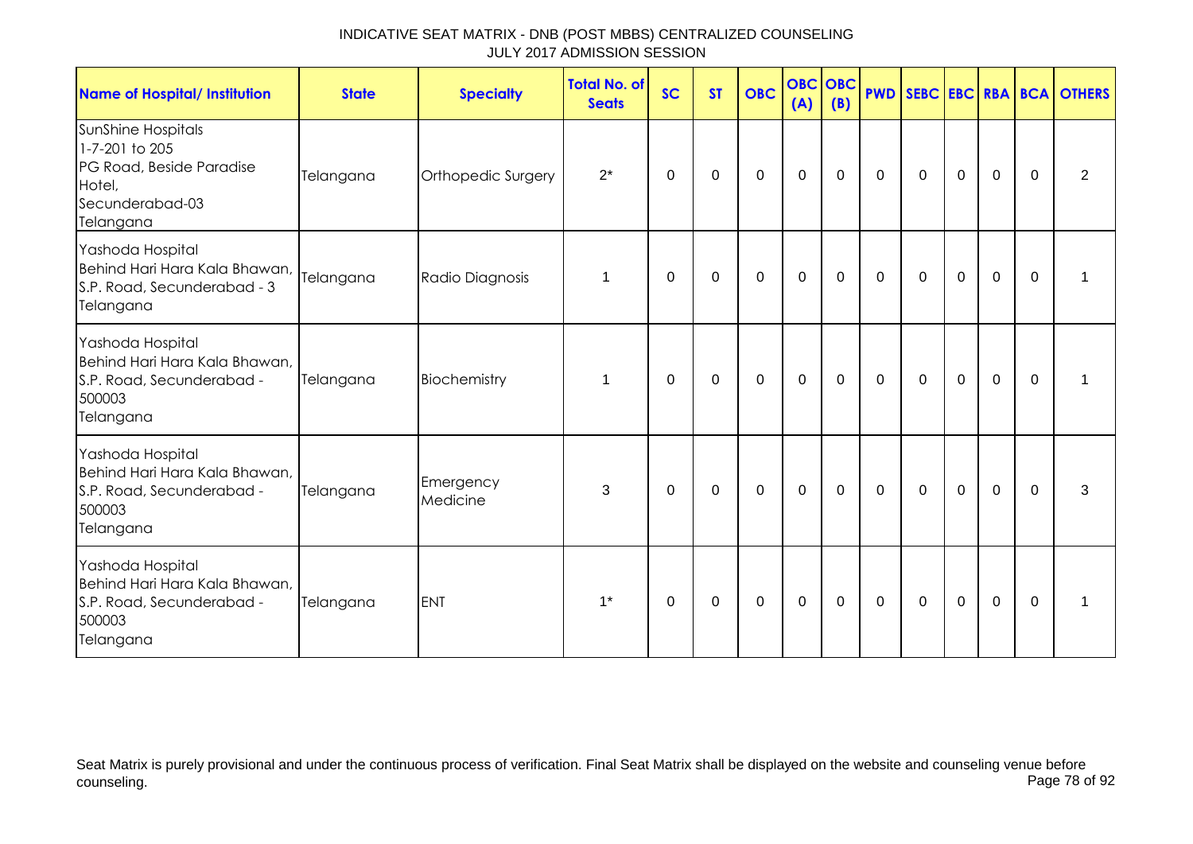| <b>Name of Hospital/ Institution</b>                                                                       | <b>State</b> | <b>Specialty</b>      | Total No. of<br><b>Seats</b> | <b>SC</b>   | <b>ST</b>   | <b>OBC</b>  | <b>OBC</b><br>(A) | OBC<br>(B)  | <b>PWD</b>   |             |             |             |             | SEBC EBC RBA BCA OTHERS |
|------------------------------------------------------------------------------------------------------------|--------------|-----------------------|------------------------------|-------------|-------------|-------------|-------------------|-------------|--------------|-------------|-------------|-------------|-------------|-------------------------|
| SunShine Hospitals<br>1-7-201 to 205<br>PG Road, Beside Paradise<br>Hotel,<br>Secunderabad-03<br>Telangana | Telangana    | Orthopedic Surgery    | $2^*$                        | $\Omega$    | 0           | $\mathbf 0$ | $\mathbf 0$       | 0           | $\mathbf{0}$ | $\mathbf 0$ | $\mathbf 0$ | $\mathbf 0$ | $\Omega$    | 2                       |
| Yashoda Hospital<br>Behind Hari Hara Kala Bhawan,<br>S.P. Road, Secunderabad - 3<br>Telangana              | Telangana    | Radio Diagnosis       | 1                            | $\Omega$    | 0           | $\mathbf 0$ | $\mathbf 0$       | $\mathbf 0$ | $\mathbf 0$  | $\mathbf 0$ | $\mathbf 0$ | $\mathbf 0$ | $\mathbf 0$ |                         |
| Yashoda Hospital<br>Behind Hari Hara Kala Bhawan,<br>S.P. Road, Secunderabad -<br>500003<br>Telangana      | Telangana    | Biochemistry          | 1                            | 0           | 0           | 0           | $\mathbf 0$       | 0           | 0            | 0           | $\mathbf 0$ | $\mathbf 0$ | $\Omega$    |                         |
| Yashoda Hospital<br>Behind Hari Hara Kala Bhawan,<br>S.P. Road, Secunderabad -<br>500003<br>Telangana      | Telangana    | Emergency<br>Medicine | 3                            | $\mathbf 0$ | $\pmb{0}$   | $\pmb{0}$   | $\boldsymbol{0}$  | $\mathbf 0$ | $\mathbf 0$  | $\mathbf 0$ | $\mathbf 0$ | $\mathbf 0$ | $\mathbf 0$ | 3                       |
| Yashoda Hospital<br>Behind Hari Hara Kala Bhawan,<br>S.P. Road, Secunderabad -<br>500003<br>Telangana      | Telangana    | <b>ENT</b>            | $1^*$                        | $\mathbf 0$ | $\mathbf 0$ | $\mathbf 0$ | $\mathbf 0$       | $\mathbf 0$ | $\mathbf 0$  | $\mathbf 0$ | $\mathbf 0$ | $\mathbf 0$ | 0           |                         |

Seat Matrix is purely provisional and under the continuous process of verification. Final Seat Matrix shall be displayed on the website and counseling venue before<br>Page 78 of 92 counseling. Page 78 of 92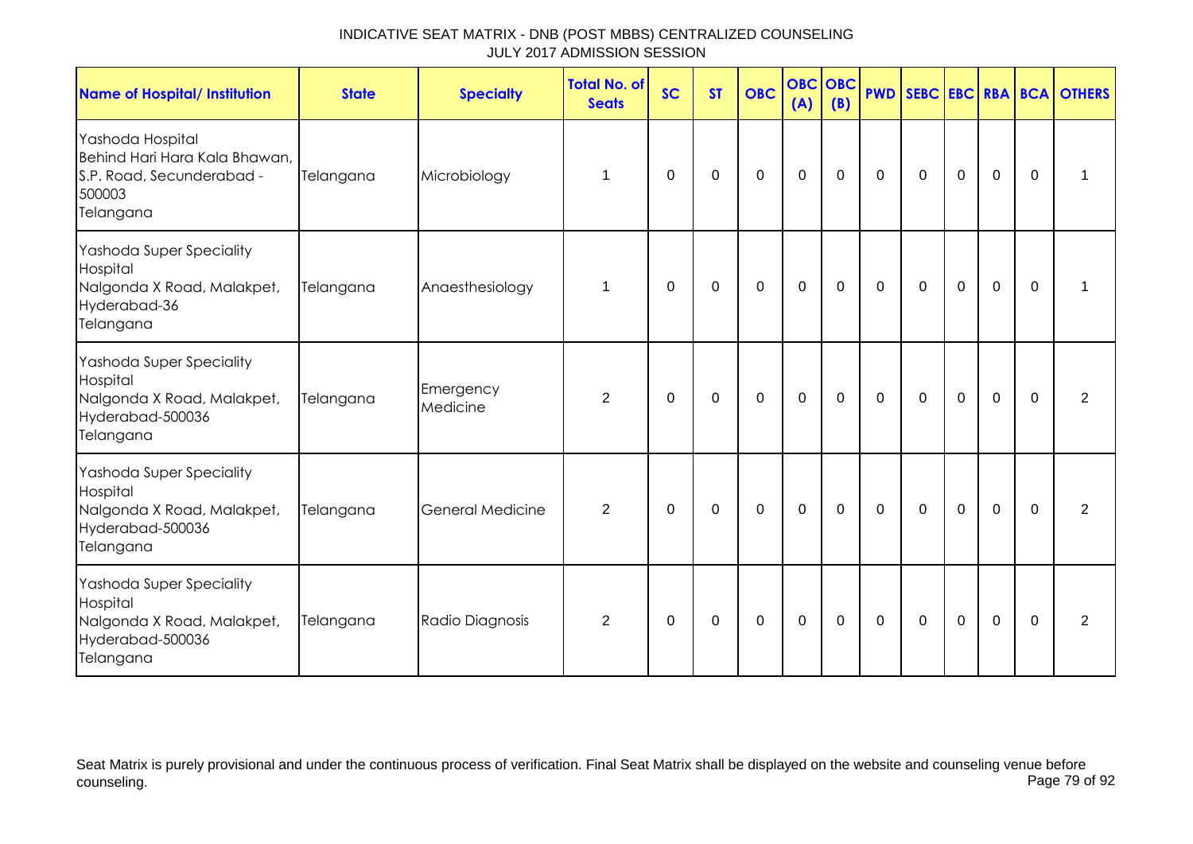| <b>Name of Hospital/ Institution</b>                                                                  | <b>State</b> | <b>Specialty</b>        | <b>Total No. of</b><br><b>Seats</b> | <b>SC</b> | <b>ST</b> | <b>OBC</b>  | <b>OBC OBC</b><br>(A) | (B)         | <b>PWD</b>  |              |             |                |             | SEBC EBC RBA BCA OTHERS |
|-------------------------------------------------------------------------------------------------------|--------------|-------------------------|-------------------------------------|-----------|-----------|-------------|-----------------------|-------------|-------------|--------------|-------------|----------------|-------------|-------------------------|
| Yashoda Hospital<br>Behind Hari Hara Kala Bhawan,<br>S.P. Road, Secunderabad -<br>500003<br>Telangana | Telangana    | Microbiology            | 1                                   | 0         | 0         | $\mathbf 0$ | $\mathbf 0$           | $\mathbf 0$ | $\mathbf 0$ | $\mathbf 0$  | $\pmb{0}$   | $\mathbf 0$    | $\Omega$    | 1                       |
| Yashoda Super Speciality<br>Hospital<br>Nalgonda X Road, Malakpet,<br>Hyderabad-36<br>Telangana       | Telangana    | Anaesthesiology         | 1                                   | $\Omega$  | 0         | $\mathbf 0$ | $\mathbf 0$           | $\mathbf 0$ | $\mathbf 0$ | $\mathbf 0$  | $\mathbf 0$ | $\overline{0}$ | $\mathbf 0$ | 1                       |
| Yashoda Super Speciality<br>Hospital<br>Nalgonda X Road, Malakpet,<br>Hyderabad-500036<br>Telangana   | Telangana    | Emergency<br>Medicine   | $\overline{2}$                      | $\Omega$  | 0         | 0           | $\mathbf 0$           | 0           | $\Omega$    | $\mathbf{0}$ | $\mathbf 0$ | 0              | $\Omega$    | 2                       |
| Yashoda Super Speciality<br>Hospital<br>Nalgonda X Road, Malakpet,<br>Hyderabad-500036<br>Telangana   | Telangana    | <b>General Medicine</b> | 2                                   | $\Omega$  | 0         | 0           | 0                     | $\Omega$    | $\Omega$    | $\Omega$     | 0           | 0              | $\Omega$    | 2                       |
| Yashoda Super Speciality<br>Hospital<br>Nalgonda X Road, Malakpet,<br>Hyderabad-500036<br>Telangana   | Telangana    | Radio Diagnosis         | $\overline{2}$                      | $\Omega$  | 0         | $\mathbf 0$ | $\mathbf 0$           | $\mathbf 0$ | $\Omega$    | $\mathbf 0$  | $\mathbf 0$ | $\mathbf 0$    | $\Omega$    | $\overline{2}$          |

Seat Matrix is purely provisional and under the continuous process of verification. Final Seat Matrix shall be displayed on the website and counseling venue before<br>Page 79 of 92 counseling. Page 79 of 92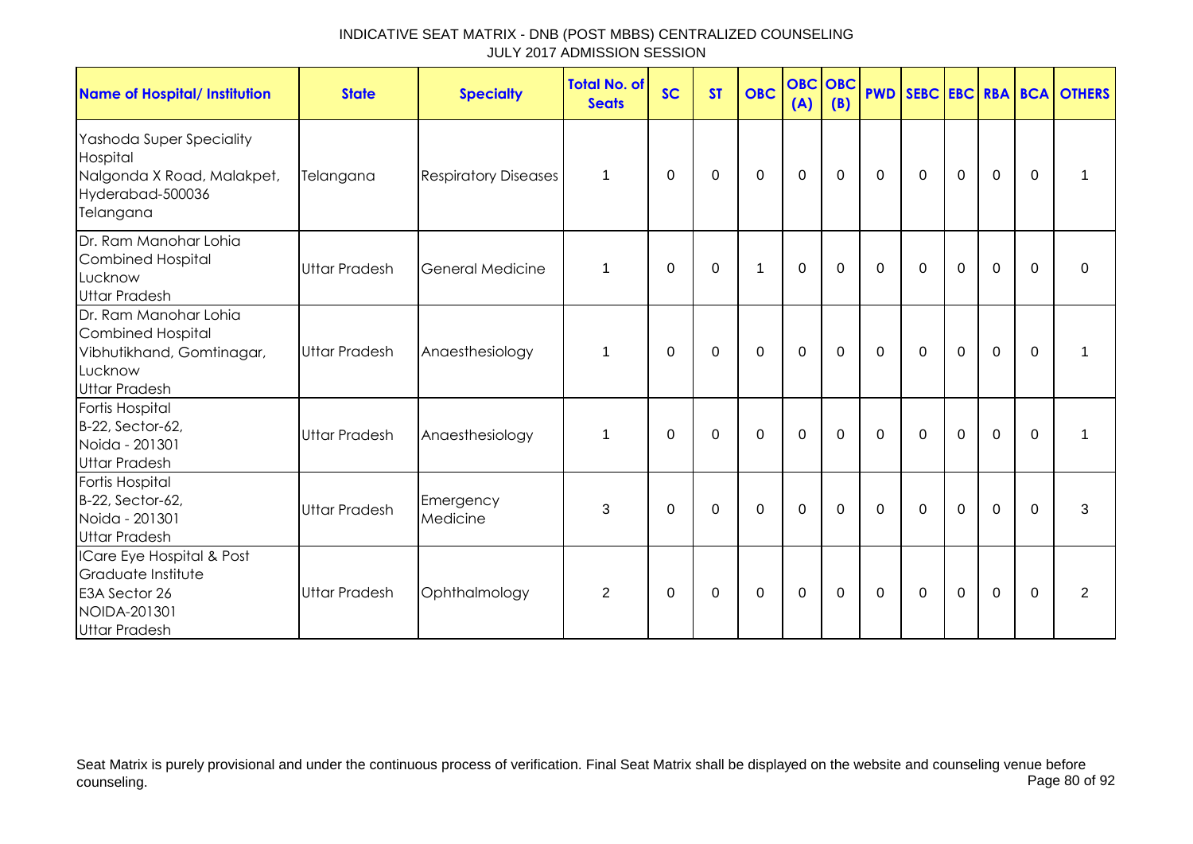| <b>Name of Hospital/ Institution</b>                                                                              | <b>State</b>         | <b>Specialty</b>            | <b>Total No. of</b><br><b>Seats</b> | <b>SC</b>   | <b>ST</b>   | <b>OBC</b>  | <b>OBC</b> OBC<br>(A) | (B)         |             |              |                |                |             | <b>PWD SEBC EBC RBA BCA OTHERS</b> |
|-------------------------------------------------------------------------------------------------------------------|----------------------|-----------------------------|-------------------------------------|-------------|-------------|-------------|-----------------------|-------------|-------------|--------------|----------------|----------------|-------------|------------------------------------|
| Yashoda Super Speciality<br>Hospital<br>Nalgonda X Road, Malakpet,<br>Hyderabad-500036<br>Telangana               | Telangana            | <b>Respiratory Diseases</b> | 1                                   | 0           | 0           | $\pmb{0}$   | $\mathbf 0$           | 0           | $\mathbf 0$ | $\mathbf 0$  | $\mathbf 0$    | $\mathbf 0$    | $\Omega$    |                                    |
| Dr. Ram Manohar Lohia<br><b>Combined Hospital</b><br>Lucknow<br><b>Uttar Pradesh</b>                              | Uttar Pradesh        | <b>General Medicine</b>     | 1                                   | $\mathbf 0$ | 0           | $\mathbf 1$ | $\mathbf 0$           | 0           | 0           | 0            | $\mathbf 0$    | $\mathbf 0$    | $\Omega$    | 0                                  |
| Dr. Ram Manohar Lohia<br><b>Combined Hospital</b><br>Vibhutikhand, Gomtinagar,<br>Lucknow<br><b>Uttar Pradesh</b> | <b>Uttar Pradesh</b> | Anaesthesiology             | 1                                   | $\Omega$    | $\Omega$    | $\mathbf 0$ | $\mathbf 0$           | $\mathbf 0$ | $\mathbf 0$ | $\mathbf 0$  | $\overline{0}$ | 0              | $\Omega$    |                                    |
| Fortis Hospital<br>B-22, Sector-62,<br>Noida - 201301<br><b>Uttar Pradesh</b>                                     | <b>Uttar Pradesh</b> | Anaesthesiology             | $\mathbf 1$                         | $\Omega$    | $\mathbf 0$ | $\mathbf 0$ | $\mathbf 0$           | $\mathbf 0$ | $\mathbf 0$ | $\mathbf 0$  | $\mathbf 0$    | $\overline{0}$ | $\mathbf 0$ | 1                                  |
| <b>Fortis Hospital</b><br>B-22, Sector-62,<br>Noida - 201301<br><b>Uttar Pradesh</b>                              | <b>Uttar Pradesh</b> | Emergency<br>Medicine       | 3                                   | $\Omega$    | $\mathbf 0$ | $\mathbf 0$ | $\mathbf 0$           | $\mathbf 0$ | $\mathbf 0$ | $\mathbf 0$  | $\overline{0}$ | $\mathbf 0$    | $\mathbf 0$ | 3                                  |
| ICare Eye Hospital & Post<br>Graduate Institute<br>E3A Sector 26<br>NOIDA-201301<br><b>Uttar Pradesh</b>          | <b>Uttar Pradesh</b> | Ophthalmology               | $\overline{2}$                      | 0           | 0           | $\mathbf 0$ | $\mathbf 0$           | 0           | $\mathbf 0$ | $\mathbf{0}$ | $\mathbf 0$    | $\mathbf 0$    | $\Omega$    | 2                                  |

Seat Matrix is purely provisional and under the continuous process of verification. Final Seat Matrix shall be displayed on the website and counseling venue before<br>Page 80 of 92 counseling. Page 80 of 92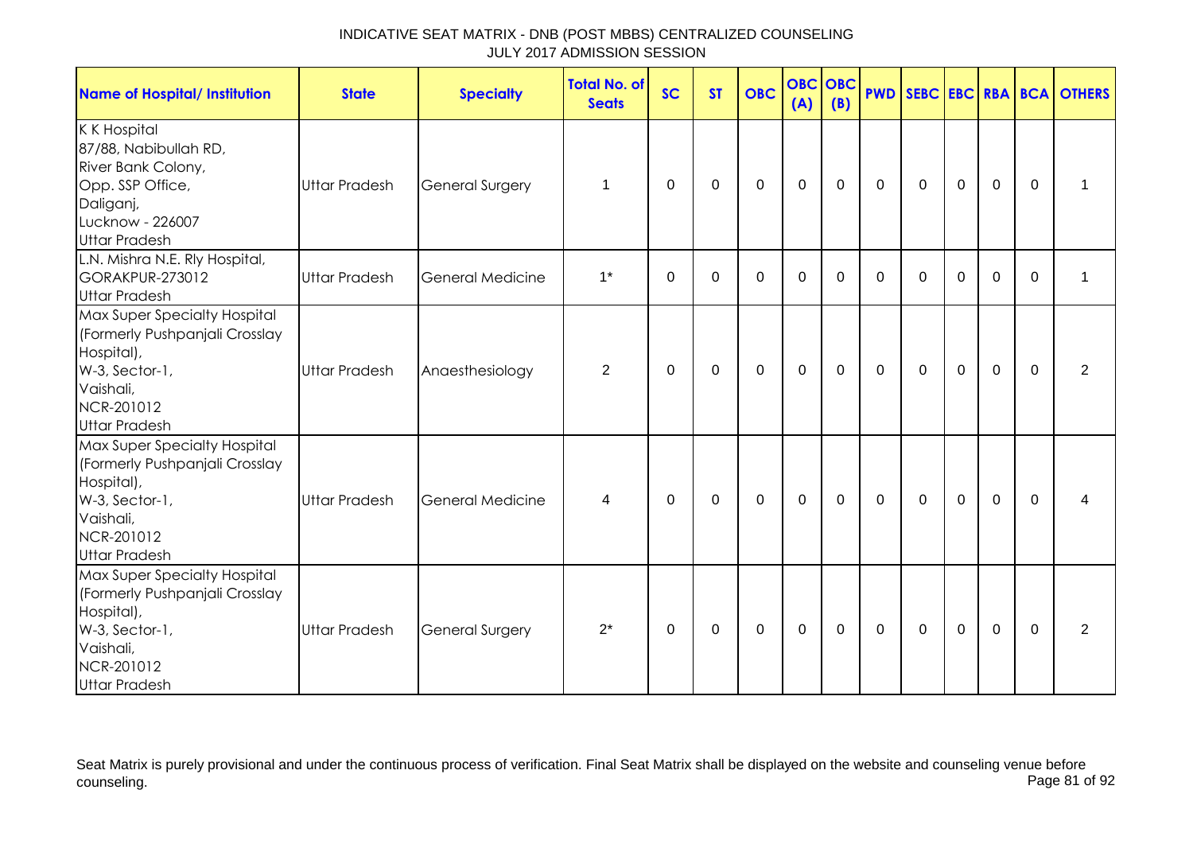| <b>Name of Hospital/ Institution</b>                                                                                                              | <b>State</b>         | <b>Specialty</b>        | <b>Total No. of</b><br><b>Seats</b> | <b>SC</b> | <b>ST</b> | <b>OBC</b>  | <b>OBC OBC</b><br>(A) | (B)         |             |              |             |             |              | <b>PWD SEBC EBC RBA BCA OTHERS</b> |
|---------------------------------------------------------------------------------------------------------------------------------------------------|----------------------|-------------------------|-------------------------------------|-----------|-----------|-------------|-----------------------|-------------|-------------|--------------|-------------|-------------|--------------|------------------------------------|
| K K Hospital<br>87/88, Nabibullah RD,<br>River Bank Colony,<br>Opp. SSP Office,<br>Daliganj,<br>Lucknow - 226007<br><b>Uttar Pradesh</b>          | <b>Uttar Pradesh</b> | <b>General Surgery</b>  | 1                                   | 0         | 0         | 0           | $\mathbf 0$           | $\mathbf 0$ | $\mathbf 0$ | $\mathbf 0$  | $\mathbf 0$ | $\mathbf 0$ | $\mathbf{0}$ | 1                                  |
| L.N. Mishra N.E. Rly Hospital,<br>GORAKPUR-273012<br><b>Uttar Pradesh</b>                                                                         | <b>Uttar Pradesh</b> | General Medicine        | $1^*$                               | $\Omega$  | $\Omega$  | $\Omega$    | $\mathbf 0$           | $\Omega$    | $\Omega$    | $\Omega$     | $\Omega$    | $\Omega$    | $\Omega$     | $\mathbf 1$                        |
| Max Super Specialty Hospital<br>(Formerly Pushpanjali Crosslay<br>Hospital),<br>W-3, Sector-1,<br>Vaishali,<br>NCR-201012<br><b>Uttar Pradesh</b> | <b>Uttar Pradesh</b> | Anaesthesiology         | 2                                   | $\Omega$  | $\Omega$  | 0           | $\mathbf 0$           | $\mathbf 0$ | $\mathbf 0$ | $\mathbf 0$  | $\mathbf 0$ | $\mathbf 0$ | $\mathbf{0}$ | $\overline{2}$                     |
| Max Super Specialty Hospital<br>(Formerly Pushpanjali Crosslay<br>Hospital),<br>W-3, Sector-1,<br>Vaishali,<br>NCR-201012<br><b>Uttar Pradesh</b> | <b>Uttar Pradesh</b> | <b>General Medicine</b> | 4                                   | 0         | 0         | $\mathbf 0$ | $\mathbf 0$           | $\mathbf 0$ | $\mathbf 0$ | $\mathbf 0$  | $\mathbf 0$ | $\mathbf 0$ | $\mathbf{0}$ | 4                                  |
| Max Super Specialty Hospital<br>(Formerly Pushpanjali Crosslay<br>Hospital),<br>W-3, Sector-1,<br>Vaishali,<br>NCR-201012<br><b>Uttar Pradesh</b> | <b>Uttar Pradesh</b> | <b>General Surgery</b>  | $2^*$                               | $\Omega$  | 0         | 0           | 0                     | $\Omega$    | $\Omega$    | $\mathbf{0}$ | 0           | $\mathbf 0$ | $\Omega$     | $\overline{2}$                     |

Seat Matrix is purely provisional and under the continuous process of verification. Final Seat Matrix shall be displayed on the website and counseling venue before<br>Page 81 of 92 counseling. Page 81 of 92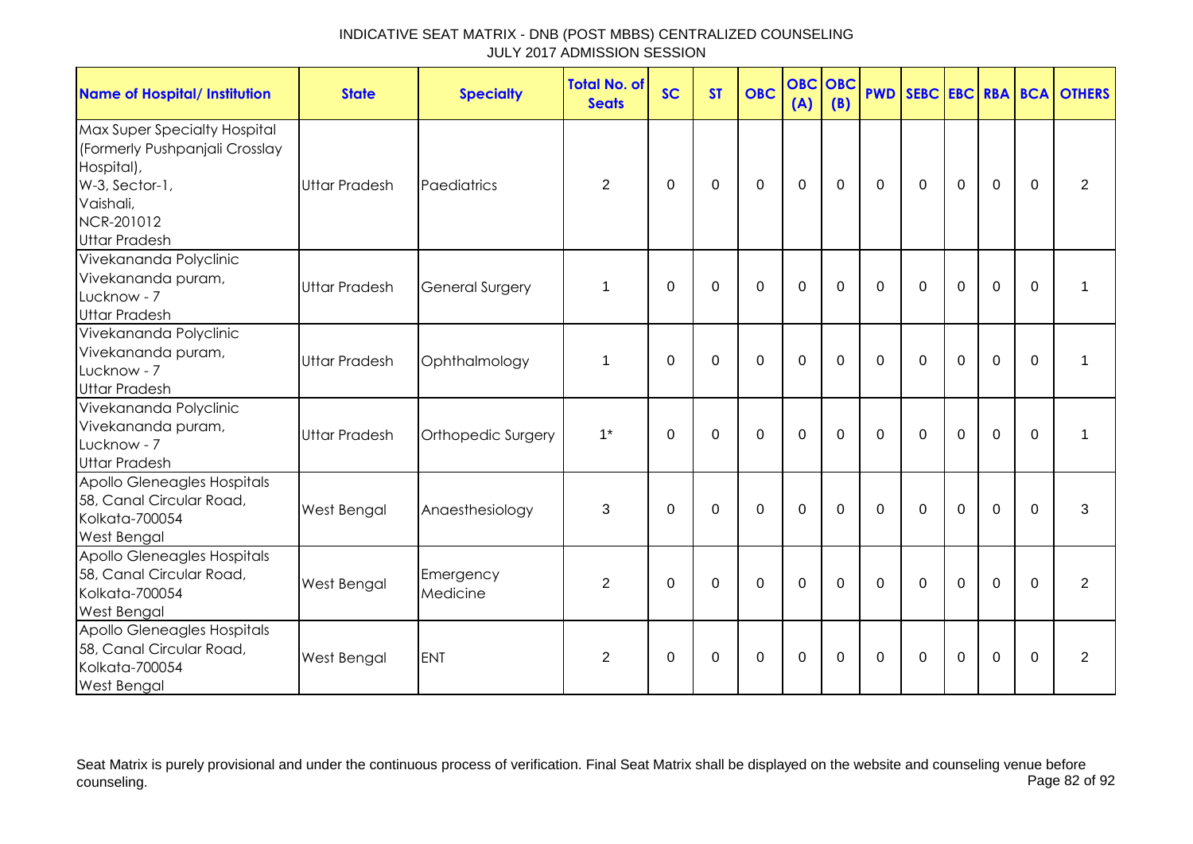| <b>Name of Hospital/ Institution</b>                                                                                                              | <b>State</b>         | <b>Specialty</b>       | <b>Total No. of</b><br><b>Seats</b> | <b>SC</b>   | <b>ST</b>   | <b>OBC</b>     | <b>OBC</b><br>(A) | <b>OBC</b><br>(B) |             |             |             |                |              | <b>PWD SEBC EBC RBA BCA OTHERS</b> |
|---------------------------------------------------------------------------------------------------------------------------------------------------|----------------------|------------------------|-------------------------------------|-------------|-------------|----------------|-------------------|-------------------|-------------|-------------|-------------|----------------|--------------|------------------------------------|
| Max Super Specialty Hospital<br>(Formerly Pushpanjali Crosslay<br>Hospital),<br>W-3, Sector-1,<br>Vaishali,<br>NCR-201012<br><b>Uttar Pradesh</b> | <b>Uttar Pradesh</b> | Paediatrics            | $\overline{2}$                      | $\Omega$    | $\Omega$    | $\mathbf 0$    | $\mathbf{0}$      | $\mathbf 0$       | $\mathbf 0$ | $\mathbf 0$ | $\mathbf 0$ | $\mathbf 0$    | $\mathbf{0}$ | $\overline{2}$                     |
| Vivekananda Polyclinic<br>Vivekananda puram,<br>Lucknow - 7<br><b>Uttar Pradesh</b>                                                               | <b>Uttar Pradesh</b> | <b>General Surgery</b> | 1                                   | $\Omega$    | $\Omega$    | $\mathbf 0$    | $\mathbf 0$       | $\mathbf 0$       | $\mathbf 0$ | $\mathbf 0$ | $\mathbf 0$ | $\mathbf 0$    | $\Omega$     | $\mathbf 1$                        |
| Vivekananda Polyclinic<br>Vivekananda puram,<br>Lucknow - 7<br><b>Uttar Pradesh</b>                                                               | <b>Uttar Pradesh</b> | Ophthalmology          | 1                                   | $\Omega$    | $\Omega$    | $\Omega$       | $\mathbf 0$       | $\Omega$          | $\Omega$    | $\Omega$    | $\Omega$    | $\mathbf 0$    | $\Omega$     | $\mathbf 1$                        |
| Vivekananda Polyclinic<br>Vivekananda puram,<br>Lucknow - 7<br><b>Uttar Pradesh</b>                                                               | <b>Uttar Pradesh</b> | Orthopedic Surgery     | $1^*$                               | $\Omega$    | $\mathbf 0$ | $\mathbf 0$    | $\mathbf 0$       | $\mathbf 0$       | $\mathbf 0$ | $\mathbf 0$ | $\mathbf 0$ | $\mathbf 0$    | $\Omega$     | $\mathbf{1}$                       |
| Apollo Gleneagles Hospitals<br>58, Canal Circular Road,<br>Kolkata-700054<br><b>West Bengal</b>                                                   | West Bengal          | Anaesthesiology        | 3                                   | $\mathbf 0$ | $\mathbf 0$ | $\overline{0}$ | $\overline{0}$    | $\mathbf 0$       | $\Omega$    | $\Omega$    | $\Omega$    | $\overline{0}$ | $\Omega$     | 3                                  |
| Apollo Gleneagles Hospitals<br>58, Canal Circular Road,<br>Kolkata-700054<br><b>West Bengal</b>                                                   | West Bengal          | Emergency<br>Medicine  | $\overline{2}$                      | 0           | 0           | $\mathbf 0$    | $\mathbf 0$       | 0                 | $\mathbf 0$ | 0           | $\mathbf 0$ | $\mathbf 0$    | $\Omega$     | $\overline{2}$                     |
| Apollo Gleneagles Hospitals<br>58, Canal Circular Road,<br>Kolkata-700054<br><b>West Bengal</b>                                                   | <b>West Bengal</b>   | <b>ENT</b>             | 2                                   | $\Omega$    | $\mathbf 0$ | $\mathbf 0$    | $\overline{0}$    | $\mathbf 0$       | $\mathbf 0$ | $\mathbf 0$ | $\mathbf 0$ | $\overline{0}$ | $\Omega$     | $\overline{2}$                     |

Seat Matrix is purely provisional and under the continuous process of verification. Final Seat Matrix shall be displayed on the website and counseling venue before<br>Page 82 of 92 counseling. Page 82 of 92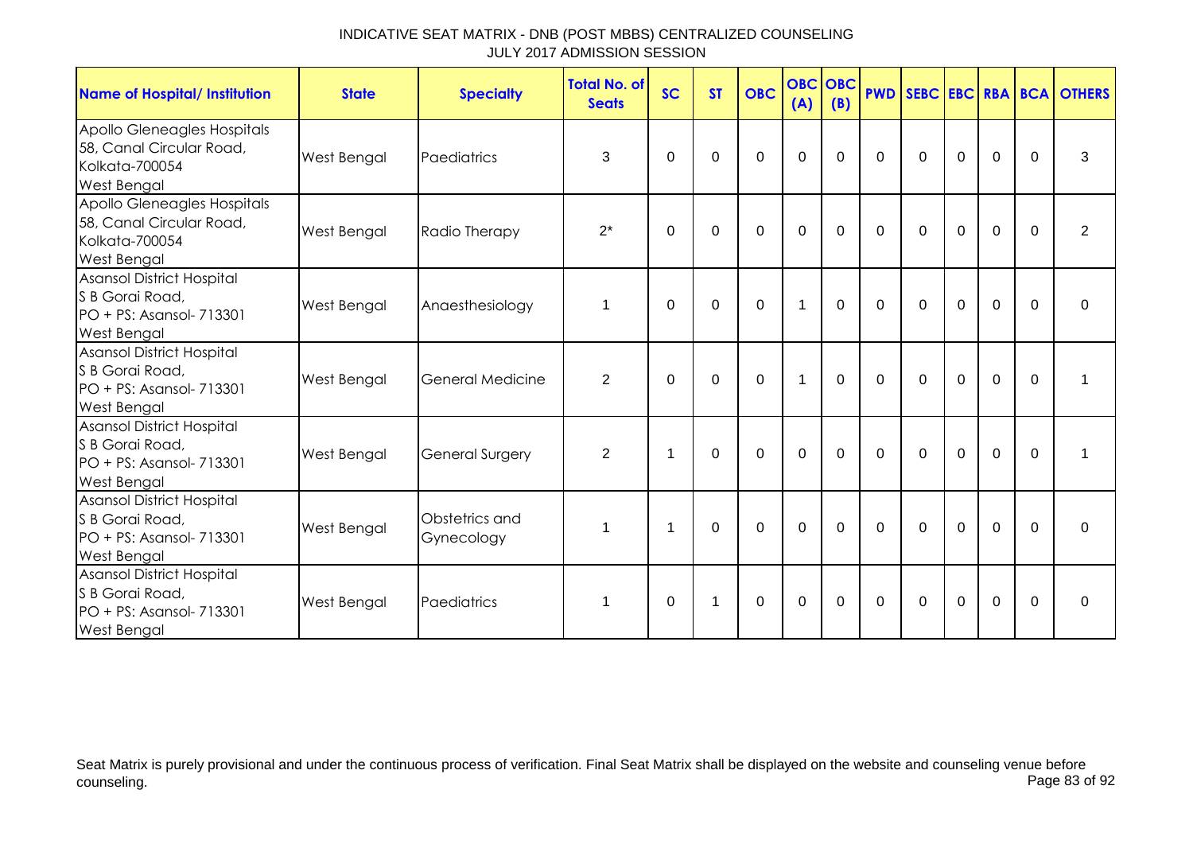| <b>Name of Hospital/ Institution</b>                                                                   | <b>State</b>       | <b>Specialty</b>             | <b>Total No. of</b><br><b>Seats</b> | <b>SC</b> | <b>ST</b> | <b>OBC</b>  | <b>OBC OBC</b><br>(A) | (B)      | <b>PWD</b>  |              |             |             |             | SEBC EBC RBA BCA OTHERS |
|--------------------------------------------------------------------------------------------------------|--------------------|------------------------------|-------------------------------------|-----------|-----------|-------------|-----------------------|----------|-------------|--------------|-------------|-------------|-------------|-------------------------|
| Apollo Gleneagles Hospitals<br>58, Canal Circular Road,<br><b>Kolkata-700054</b><br><b>West Bengal</b> | <b>West Bengal</b> | Paediatrics                  | 3                                   | $\Omega$  | 0         | $\mathbf 0$ | $\mathbf 0$           | $\Omega$ | $\mathbf 0$ | $\mathbf 0$  | $\mathbf 0$ | $\mathbf 0$ | $\Omega$    | 3                       |
| Apollo Gleneagles Hospitals<br>58, Canal Circular Road,<br><b>Kolkata-700054</b><br><b>West Bengal</b> | <b>West Bengal</b> | Radio Therapy                | $2^*$                               | $\Omega$  | $\Omega$  | $\mathbf 0$ | $\mathbf 0$           | $\Omega$ | $\Omega$    | $\mathbf 0$  | $\mathbf 0$ | $\mathbf 0$ | $\Omega$    | $\overline{2}$          |
| <b>Asansol District Hospital</b><br>S B Gorai Road,<br>PO + PS: Asansol- 713301<br>West Bengal         | West Bengal        | Anaesthesiology              | $\mathbf{1}$                        | $\Omega$  | 0         | $\mathbf 0$ | $\overline{1}$        | $\Omega$ | $\Omega$    | $\Omega$     | $\mathbf 0$ | $\mathbf 0$ | $\mathbf 0$ | 0                       |
| <b>Asansol District Hospital</b><br>S B Gorai Road,<br>PO + PS: Asansol- 713301<br>West Bengal         | West Bengal        | General Medicine             | 2                                   | $\Omega$  | $\Omega$  | $\mathbf 0$ | 1                     | $\Omega$ | $\Omega$    | $\mathbf 0$  | $\mathbf 0$ | $\mathbf 0$ | $\Omega$    | 1                       |
| <b>Asansol District Hospital</b><br>S B Gorai Road,<br>PO + PS: Asansol- 713301<br><b>West Bengal</b>  | West Bengal        | <b>General Surgery</b>       | 2                                   | -1        | $\Omega$  | $\Omega$    | $\Omega$              | $\Omega$ | $\Omega$    | $\mathbf{0}$ | $\Omega$    | $\mathbf 0$ | $\Omega$    | 1                       |
| Asansol District Hospital<br>S B Gorai Road,<br>PO + PS: Asansol- 713301<br><b>West Bengal</b>         | West Bengal        | Obstetrics and<br>Gynecology | $\mathbf{1}$                        | 1         | 0         | 0           | 0                     | $\Omega$ | $\Omega$    | $\mathbf{0}$ | $\mathbf 0$ | $\mathbf 0$ | $\Omega$    | 0                       |
| <b>Asansol District Hospital</b><br>S B Gorai Road,<br>PO + PS: Asansol- 713301<br><b>West Bengal</b>  | West Bengal        | Paediatrics                  | 1                                   | 0         |           | $\mathbf 0$ | 0                     | 0        | $\mathbf 0$ | 0            | 0           | $\mathbf 0$ | $\mathbf 0$ | 0                       |

Seat Matrix is purely provisional and under the continuous process of verification. Final Seat Matrix shall be displayed on the website and counseling venue before<br>Page 83 of 92 counseling. Page 83 of 92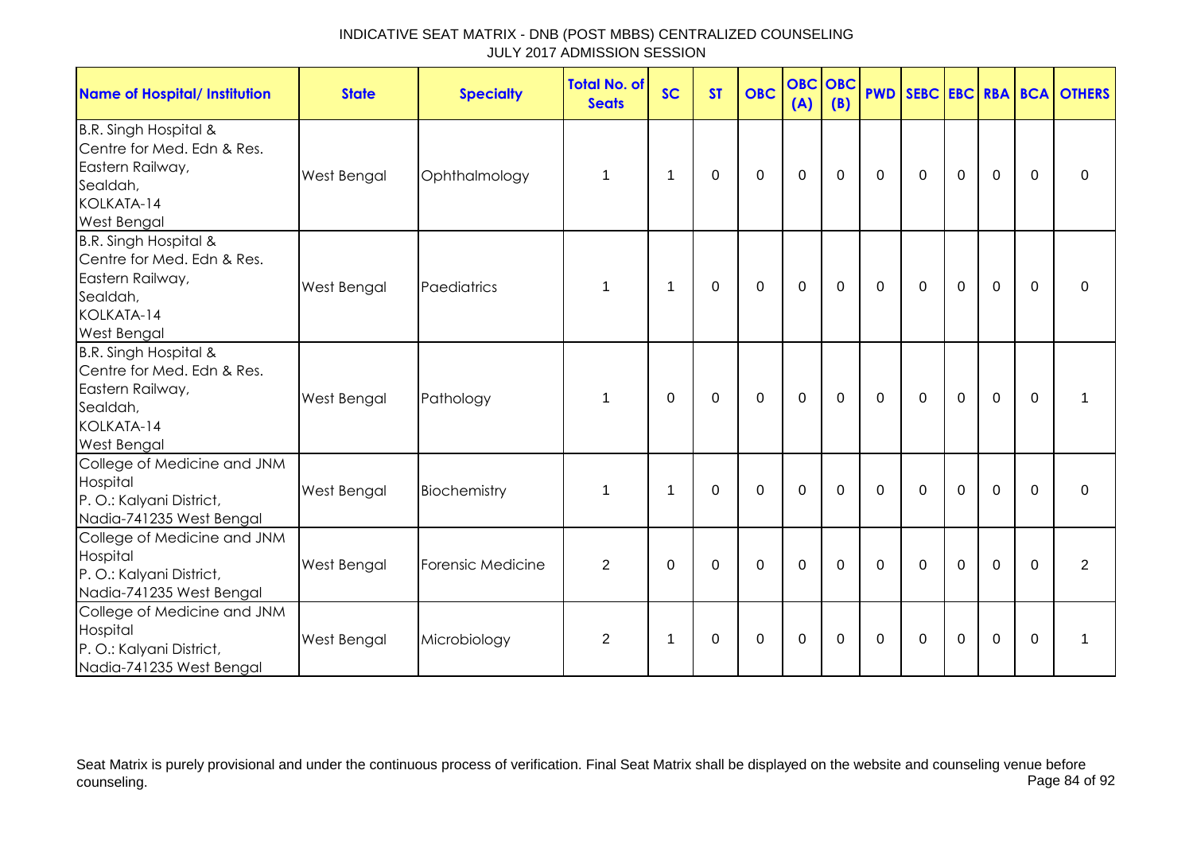| Name of Hospital/ Institution                                                                                           | <b>State</b>       | <b>Specialty</b>  | <b>Total No. of</b><br><b>Seats</b> | <b>SC</b>      | <b>ST</b>   | <b>OBC</b>     | <b>OBC OBC</b><br>(A) | (B)         |                |              |             |                |             | <b>PWD SEBC EBC RBA BCA OTHERS</b> |
|-------------------------------------------------------------------------------------------------------------------------|--------------------|-------------------|-------------------------------------|----------------|-------------|----------------|-----------------------|-------------|----------------|--------------|-------------|----------------|-------------|------------------------------------|
| B.R. Singh Hospital &<br>Centre for Med. Edn & Res.<br>Eastern Railway,<br>Sealdah,<br>KOLKATA-14<br><b>West Bengal</b> | West Bengal        | Ophthalmology     | $\mathbf 1$                         | $\overline{1}$ | 0           | $\mathbf 0$    | $\mathbf 0$           | $\mathbf 0$ | $\mathbf 0$    | $\mathbf{0}$ | $\mathbf 0$ | $\mathbf 0$    | $\mathbf 0$ | 0                                  |
| B.R. Singh Hospital &<br>Centre for Med. Edn & Res.<br>Eastern Railway,<br>Sealdah,<br>KOLKATA-14<br><b>West Bengal</b> | West Bengal        | Paediatrics       | 1                                   | $\overline{1}$ | 0           | 0              | 0                     | $\mathbf 0$ | $\mathbf{0}$   | $\mathbf 0$  | $\mathbf 0$ | $\mathbf 0$    | $\Omega$    | $\Omega$                           |
| B.R. Singh Hospital &<br>Centre for Med. Edn & Res.<br>Eastern Railway,<br>Sealdah,<br>KOLKATA-14<br>West Bengal        | West Bengal        | Pathology         | 1                                   | $\mathbf 0$    | $\mathbf 0$ | $\overline{0}$ | $\mathbf 0$           | $\mathbf 0$ | $\Omega$       | $\Omega$     | $\mathbf 0$ | $\overline{0}$ | $\mathbf 0$ | 1                                  |
| College of Medicine and JNM<br>Hospital<br>P. O.: Kalyani District,<br>Nadia-741235 West Bengal                         | <b>West Bengal</b> | Biochemistry      | $\mathbf 1$                         | $\overline{1}$ | 0           | $\mathbf 0$    | 0                     | $\mathbf 0$ | $\overline{0}$ | $\mathbf 0$  | $\mathbf 0$ | $\mathbf 0$    | $\mathbf 0$ | $\mathbf 0$                        |
| College of Medicine and JNM<br>Hospital<br>P. O.: Kalyani District,<br>Nadia-741235 West Bengal                         | <b>West Bengal</b> | Forensic Medicine | $\overline{2}$                      | $\Omega$       | $\mathbf 0$ | $\Omega$       | $\mathbf 0$           | $\Omega$    | $\Omega$       | $\Omega$     | $\Omega$    | $\mathbf 0$    | $\Omega$    | $\overline{2}$                     |
| College of Medicine and JNM<br>Hospital<br>P. O.: Kalyani District,<br>Nadia-741235 West Bengal                         | <b>West Bengal</b> | Microbiology      | $\overline{2}$                      | $\overline{1}$ | 0           | $\mathbf 0$    | 0                     | 0           | $\Omega$       | 0            | $\mathbf 0$ | $\mathbf 0$    | 0           | 1                                  |

Seat Matrix is purely provisional and under the continuous process of verification. Final Seat Matrix shall be displayed on the website and counseling venue before<br>Page 84 of 92 counseling. Page 84 of 92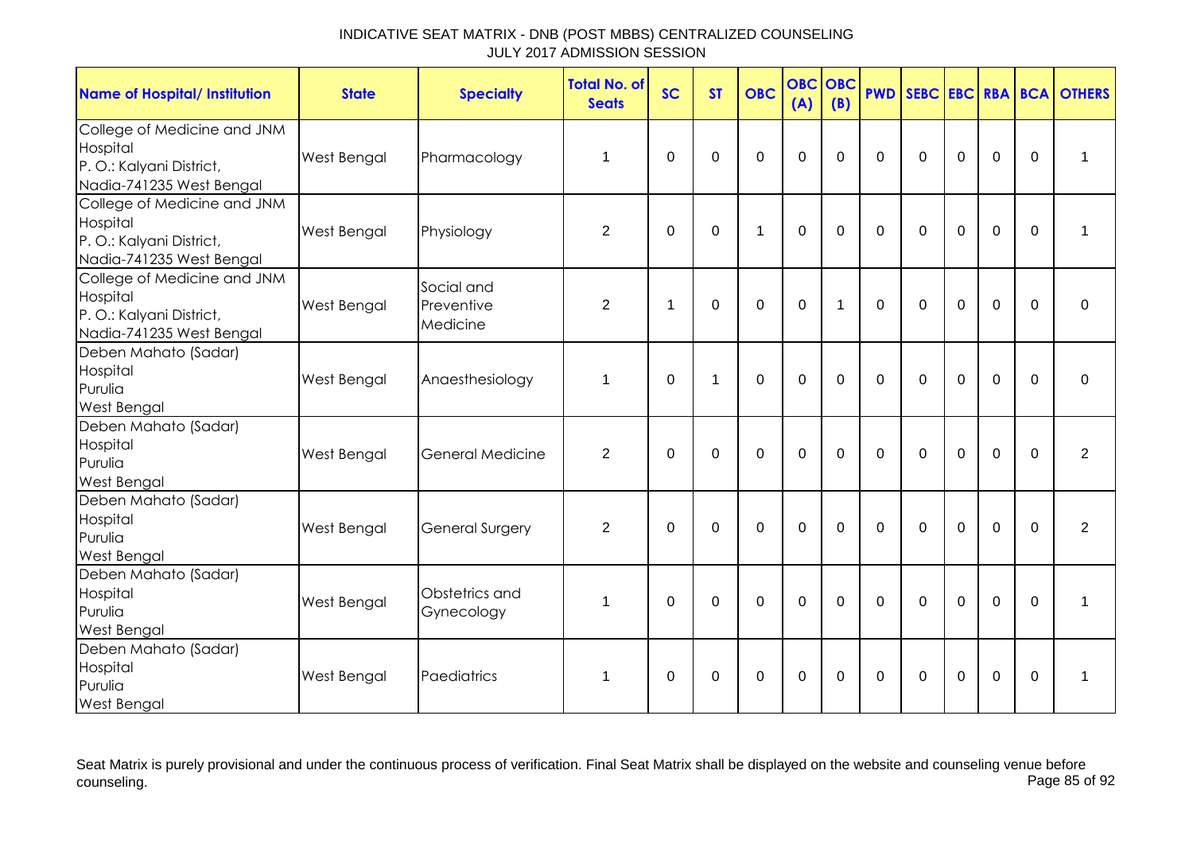| <b>Name of Hospital/ Institution</b>                                                            | <b>State</b>       | <b>Specialty</b>                     | <b>Total No. of</b><br><b>Seats</b> | <b>SC</b>        | <b>ST</b>   | <b>OBC</b>     | <b>OBC</b><br>(A) | OBC<br>(B)   | <b>PWD</b>     | SEBC EBC RBA BCA |             |             |                  | <b>OTHERS</b>  |
|-------------------------------------------------------------------------------------------------|--------------------|--------------------------------------|-------------------------------------|------------------|-------------|----------------|-------------------|--------------|----------------|------------------|-------------|-------------|------------------|----------------|
| College of Medicine and JNM<br>Hospital<br>P.O.: Kalyani District,<br>Nadia-741235 West Bengal  | <b>West Bengal</b> | Pharmacology                         | 1                                   | $\boldsymbol{0}$ | $\Omega$    | $\mathbf 0$    | $\mathbf 0$       | $\Omega$     | $\mathbf 0$    | $\mathbf 0$      | $\mathbf 0$ | $\mathbf 0$ | $\boldsymbol{0}$ | 1              |
| College of Medicine and JNM<br>Hospital<br>P.O.: Kalyani District,<br>Nadia-741235 West Bengal  | <b>West Bengal</b> | Physiology                           | $\overline{2}$                      | $\mathbf 0$      | $\mathbf 0$ | $\mathbf 1$    | $\overline{0}$    | $\Omega$     | $\overline{0}$ | $\Omega$         | $\mathbf 0$ | $\mathbf 0$ | $\mathbf 0$      | 1              |
| College of Medicine and JNM<br>Hospital<br>P. O.: Kalyani District,<br>Nadia-741235 West Bengal | <b>West Bengal</b> | Social and<br>Preventive<br>Medicine | $\overline{2}$                      | 1                | $\Omega$    | 0              | $\mathbf 0$       | $\mathbf{1}$ | $\Omega$       | $\mathbf 0$      | $\mathbf 0$ | $\mathbf 0$ | $\Omega$         | $\mathbf 0$    |
| Deben Mahato (Sadar)<br>Hospital<br>Purulia<br><b>West Bengal</b>                               | West Bengal        | Anaesthesiology                      | 1                                   | $\overline{0}$   | 1           | $\overline{0}$ | $\overline{0}$    | $\Omega$     | $\overline{0}$ | $\mathbf 0$      | $\mathbf 0$ | $\mathbf 0$ | $\Omega$         | $\mathbf 0$    |
| Deben Mahato (Sadar)<br>Hospital<br>Purulia<br><b>West Bengal</b>                               | West Bengal        | General Medicine                     | $\overline{2}$                      | $\mathbf 0$      | $\mathbf 0$ | 0              | $\overline{0}$    | $\mathbf 0$  | $\mathbf 0$    | $\Omega$         | $\mathbf 0$ | $\mathbf 0$ | $\mathbf 0$      | $\overline{2}$ |
| Deben Mahato (Sadar)<br>Hospital<br>Purulia<br><b>West Bengal</b>                               | <b>West Bengal</b> | <b>General Surgery</b>               | $\overline{2}$                      | $\mathbf 0$      | $\Omega$    | 0              | 0                 | $\Omega$     | $\Omega$       | $\Omega$         | $\Omega$    | $\mathbf 0$ | 0                | $\overline{2}$ |
| Deben Mahato (Sadar)<br>Hospital<br>Purulia<br><b>West Bengal</b>                               | West Bengal        | Obstetrics and<br>Gynecology         | $\mathbf 1$                         | $\mathbf 0$      | $\mathbf 0$ | 0              | $\mathbf{0}$      | $\Omega$     | $\mathbf 0$    | $\mathbf 0$      | $\Omega$    | $\mathbf 0$ | $\mathbf 0$      | 1              |
| Deben Mahato (Sadar)<br>Hospital<br>Purulia<br><b>West Bengal</b>                               | West Bengal        | Paediatrics                          | 1                                   | 0                | 0           | 0              | 0                 | $\mathbf{0}$ | $\mathbf 0$    | $\Omega$         | $\mathbf 0$ | 0           | 0                | 1              |

Seat Matrix is purely provisional and under the continuous process of verification. Final Seat Matrix shall be displayed on the website and counseling venue before<br>Page 85 of 92 counseling. Page 85 of 92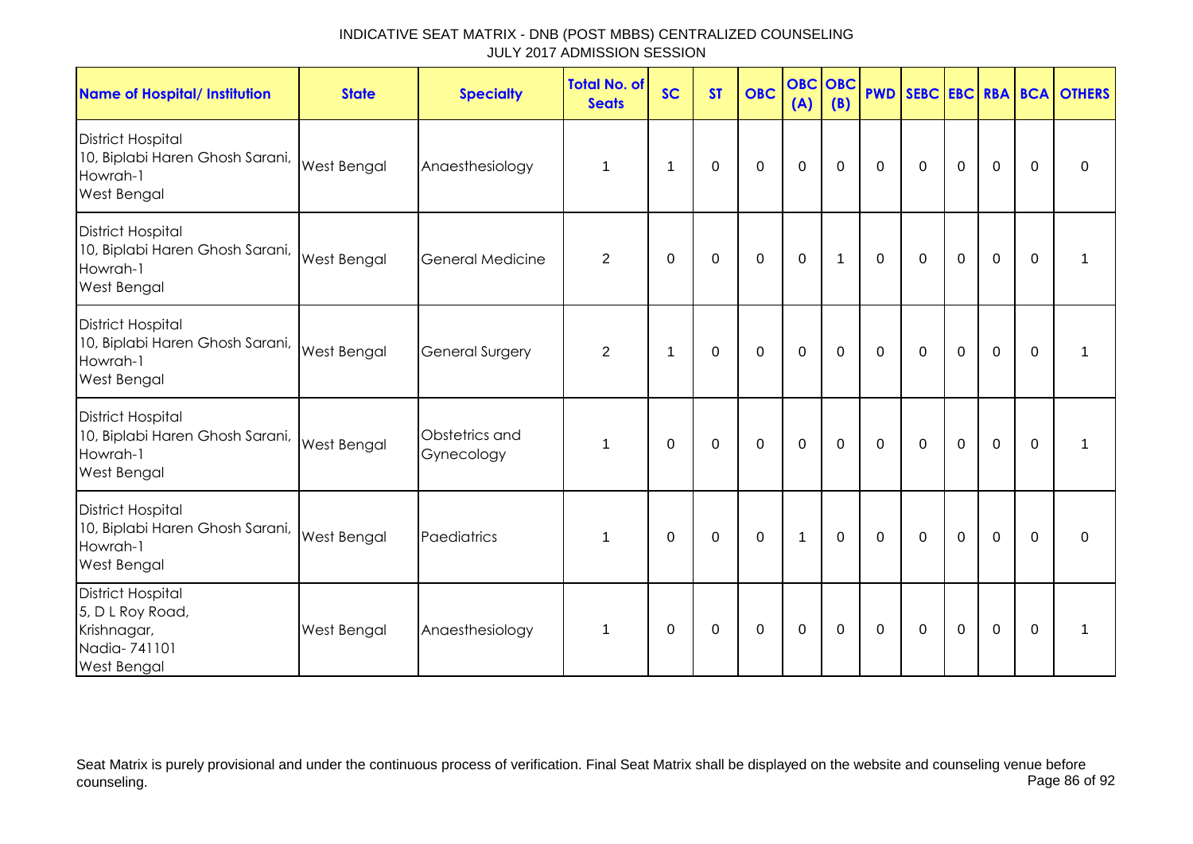| <b>Name of Hospital/ Institution</b>                                                          | <b>State</b>       | <b>Specialty</b>             | <b>Total No. of</b><br><b>Seats</b> | <b>SC</b>   | <b>ST</b>   | <b>OBC</b>   | <b>OBC</b><br>(A) | <b>OBC</b><br>(B) |             |             |                |                |             | <b>PWD SEBC EBC RBA BCA OTHERS</b> |
|-----------------------------------------------------------------------------------------------|--------------------|------------------------------|-------------------------------------|-------------|-------------|--------------|-------------------|-------------------|-------------|-------------|----------------|----------------|-------------|------------------------------------|
| <b>District Hospital</b><br>10, Biplabi Haren Ghosh Sarani,<br>Howrah-1<br><b>West Bengal</b> | <b>West Bengal</b> | Anaesthesiology              | 1                                   | 1           | 0           | $\mathbf 0$  | $\mathbf 0$       | $\mathbf 0$       | $\mathbf 0$ | $\mathbf 0$ | $\mathbf 0$    | $\mathbf 0$    | $\mathbf 0$ | $\mathbf 0$                        |
| <b>District Hospital</b><br>10, Biplabi Haren Ghosh Sarani,<br>Howrah-1<br><b>West Bengal</b> | <b>West Bengal</b> | <b>General Medicine</b>      | 2                                   | $\mathbf 0$ | $\mathbf 0$ | $\mathbf 0$  | $\mathbf 0$       | $\mathbf{1}$      | $\mathbf 0$ | $\mathbf 0$ | $\mathbf 0$    | $\mathbf 0$    | $\mathbf 0$ | 1                                  |
| <b>District Hospital</b><br>10, Biplabi Haren Ghosh Sarani,<br>Howrah-1<br>West Bengal        | <b>West Bengal</b> | <b>General Surgery</b>       | $\overline{2}$                      | 1           | 0           | 0            | $\mathbf 0$       | $\mathbf 0$       | $\mathbf 0$ | $\mathbf 0$ | $\mathbf 0$    | $\overline{0}$ | $\mathbf 0$ | 1                                  |
| <b>District Hospital</b><br>10, Biplabi Haren Ghosh Sarani,<br>Howrah-1<br>West Bengal        | <b>West Bengal</b> | Obstetrics and<br>Gynecology | 1                                   | $\Omega$    | $\Omega$    | $\mathbf{0}$ | $\mathbf 0$       | $\mathbf 0$       | $\mathbf 0$ | $\mathbf 0$ | $\overline{0}$ | $\mathbf 0$    | $\Omega$    | 1                                  |
| <b>District Hospital</b><br>10, Biplabi Haren Ghosh Sarani,<br>Howrah-1<br>West Bengal        | West Bengal        | Paediatrics                  | 1                                   | 0           | 0           | $\mathbf 0$  | $\mathbf{1}$      | $\mathbf 0$       | $\mathbf 0$ | $\mathbf 0$ | $\mathbf 0$    | $\mathbf 0$    | $\Omega$    | 0                                  |
| <b>District Hospital</b><br>5, D L Roy Road,<br>Krishnagar,<br>Nadia-741101<br>West Bengal    | West Bengal        | Anaesthesiology              | 1                                   | $\Omega$    | $\Omega$    | $\mathbf 0$  | $\mathbf 0$       | $\Omega$          | $\mathbf 0$ | $\mathbf 0$ | $\overline{0}$ | $\mathbf 0$    | $\Omega$    | 1                                  |

Seat Matrix is purely provisional and under the continuous process of verification. Final Seat Matrix shall be displayed on the website and counseling venue before<br>Page 86 of 92 counseling. Page 86 of 92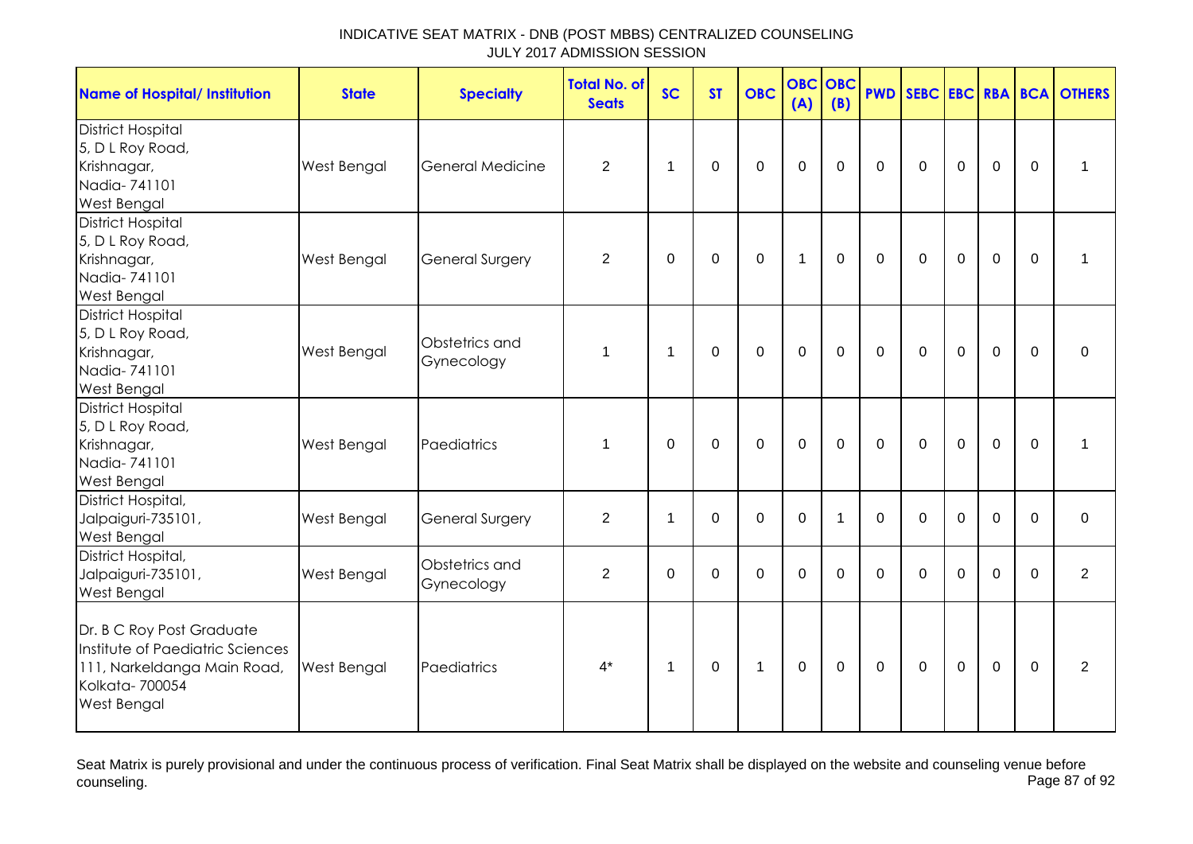| <b>Name of Hospital/ Institution</b>                                                                                                 | <b>State</b> | <b>Specialty</b>             | <b>Total No. of</b><br><b>Seats</b> | <b>SC</b>      | <b>ST</b>   | <b>OBC</b>     | <b>OBC</b><br>(A) | <b>OBC</b><br>(B) |             |             |             |                |             | <b>PWD SEBC EBC RBA BCA OTHERS</b> |
|--------------------------------------------------------------------------------------------------------------------------------------|--------------|------------------------------|-------------------------------------|----------------|-------------|----------------|-------------------|-------------------|-------------|-------------|-------------|----------------|-------------|------------------------------------|
| <b>District Hospital</b><br>5, D L Roy Road,<br>Krishnagar,<br>Nadia-741101<br><b>West Bengal</b>                                    | West Bengal  | General Medicine             | $\overline{2}$                      | $\overline{1}$ | $\mathbf 0$ | $\mathbf 0$    | $\mathbf 0$       | $\mathbf 0$       | $\mathbf 0$ | $\mathbf 0$ | $\mathbf 0$ | $\mathbf 0$    | $\mathbf 0$ | 1                                  |
| <b>District Hospital</b><br>5, D L Roy Road,<br>Krishnagar,<br>Nadia-741101<br><b>West Bengal</b>                                    | West Bengal  | <b>General Surgery</b>       | $\overline{2}$                      | 0              | $\mathbf 0$ | $\pmb{0}$      | $\mathbf{1}$      | $\mathbf 0$       | $\mathbf 0$ | $\mathbf 0$ | $\mathbf 0$ | $\mathbf 0$    | $\mathbf 0$ | 1                                  |
| <b>District Hospital</b><br>5, D L Roy Road,<br>Krishnagar,<br>Nadia-741101<br><b>West Bengal</b>                                    | West Bengal  | Obstetrics and<br>Gynecology | 1                                   | $\overline{1}$ | $\mathbf 0$ | $\mathbf 0$    | $\mathbf 0$       | $\mathbf 0$       | $\mathbf 0$ | $\mathbf 0$ | $\mathbf 0$ | $\overline{0}$ | $\mathbf 0$ | $\mathbf 0$                        |
| <b>District Hospital</b><br>5, D L Roy Road,<br>Krishnagar,<br>Nadia-741101<br>West Bengal                                           | West Bengal  | Paediatrics                  | $\mathbf 1$                         | 0              | 0           | $\mathbf 0$    | $\mathbf 0$       | 0                 | $\mathbf 0$ | $\mathbf 0$ | $\mathbf 0$ | $\mathbf 0$    | $\mathbf 0$ | 1                                  |
| District Hospital,<br>Jalpaiguri-735101,<br>West Bengal                                                                              | West Bengal  | <b>General Surgery</b>       | $\overline{2}$                      | $\mathbf 1$    | $\mathbf 0$ | $\overline{0}$ | $\mathbf{0}$      | $\mathbf 1$       | $\Omega$    | $\Omega$    | $\Omega$    | $\Omega$       | $\Omega$    | $\mathbf 0$                        |
| District Hospital,<br>Jalpaiguri-735101,<br>West Bengal                                                                              | West Bengal  | Obstetrics and<br>Gynecology | $\overline{2}$                      | $\Omega$       | 0           | $\mathbf 0$    | $\mathbf 0$       | 0                 | $\Omega$    | $\Omega$    | $\Omega$    | $\Omega$       | $\Omega$    | $\overline{2}$                     |
| Dr. B C Roy Post Graduate<br>Institute of Paediatric Sciences<br>111, Narkeldanga Main Road,<br>Kolkata-700054<br><b>West Bengal</b> | West Bengal  | Paediatrics                  | $4^*$                               | $\mathbf 1$    | $\mathbf 0$ | $\mathbf{1}$   | $\mathbf 0$       | $\mathbf 0$       | $\mathbf 0$ | $\mathbf 0$ | $\pmb{0}$   | $\mathbf 0$    | $\mathbf 0$ | 2                                  |

Seat Matrix is purely provisional and under the continuous process of verification. Final Seat Matrix shall be displayed on the website and counseling venue before<br>Page 87 of 92 counseling. Page 87 of 92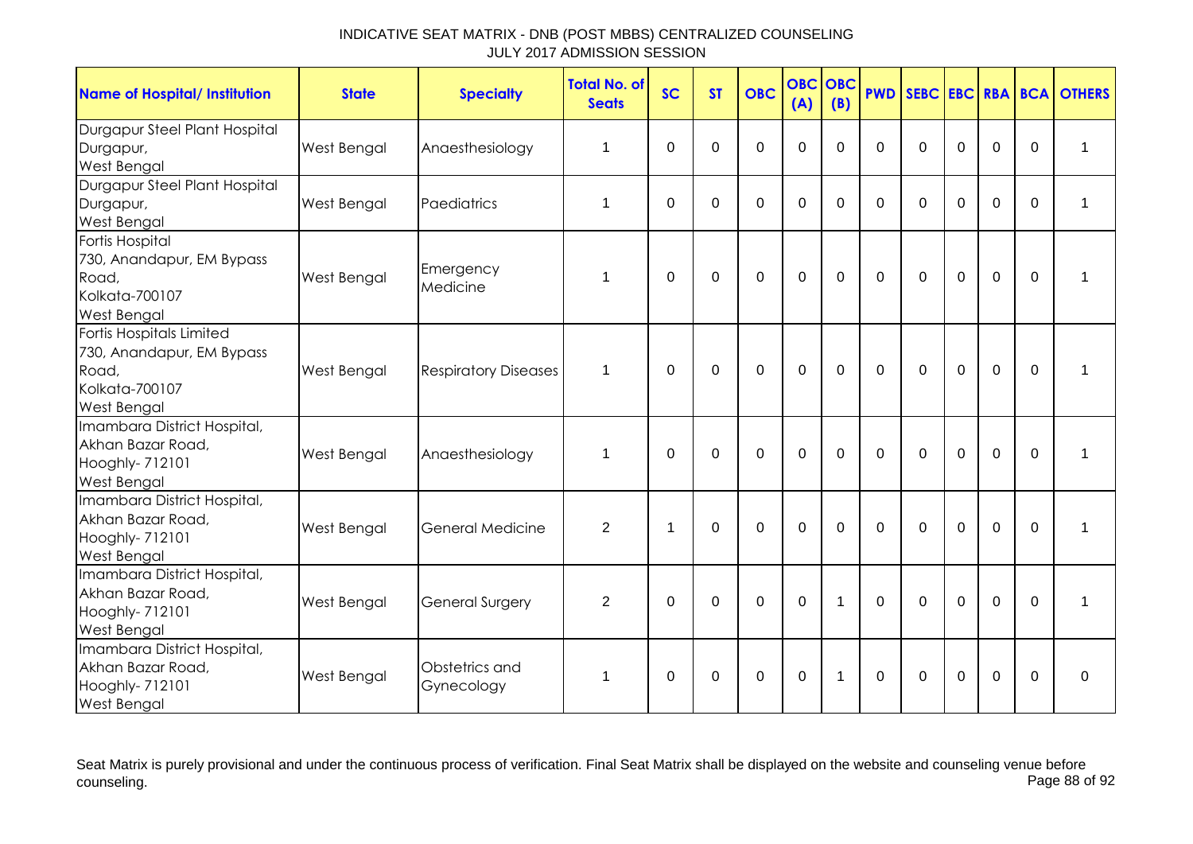| <b>Name of Hospital/ Institution</b>                                                                   | <b>State</b>       | <b>Specialty</b>             | <b>Total No. of</b><br><b>Seats</b> | <b>SC</b>      | <b>ST</b>   | <b>OBC</b>     | <b>OBC</b><br>(A) | <b>OBC</b><br>(B) | <b>PWD</b>   |              |                |                |          | <b>SEBC EBC RBA BCA OTHERS</b> |
|--------------------------------------------------------------------------------------------------------|--------------------|------------------------------|-------------------------------------|----------------|-------------|----------------|-------------------|-------------------|--------------|--------------|----------------|----------------|----------|--------------------------------|
| Durgapur Steel Plant Hospital<br>Durgapur,<br><b>West Bengal</b>                                       | West Bengal        | Anaesthesiology              | 1                                   | $\Omega$       | $\Omega$    | 0              | $\mathbf 0$       | $\Omega$          | $\Omega$     | $\Omega$     | $\Omega$       | $\overline{0}$ | $\Omega$ | 1                              |
| Durgapur Steel Plant Hospital<br>Durgapur,<br><b>West Bengal</b>                                       | West Bengal        | Paediatrics                  | 1                                   | $\mathbf 0$    | $\mathbf 0$ | 0              | $\mathbf 0$       | $\Omega$          | $\Omega$     | $\Omega$     | $\Omega$       | $\mathbf 0$    | $\Omega$ | 1                              |
| Fortis Hospital<br>730, Anandapur, EM Bypass<br>Road,<br>Kolkata-700107<br><b>West Bengal</b>          | West Bengal        | Emergency<br>Medicine        | 1                                   | $\Omega$       | 0           | $\mathbf 0$    | $\mathbf 0$       | 0                 | $\mathbf{0}$ | $\Omega$     | $\mathbf 0$    | $\mathbf 0$    | $\Omega$ | 1                              |
| Fortis Hospitals Limited<br>730, Anandapur, EM Bypass<br>Road,<br>Kolkata-700107<br><b>West Bengal</b> | <b>West Bengal</b> | <b>Respiratory Diseases</b>  | $\mathbf 1$                         | $\Omega$       | $\Omega$    | $\mathbf 0$    | $\mathbf 0$       | $\overline{0}$    | $\Omega$     | $\Omega$     | $\mathbf 0$    | $\overline{0}$ | $\Omega$ | 1                              |
| Imambara District Hospital,<br>Akhan Bazar Road,<br>Hooghly- 712101<br><b>West Bengal</b>              | West Bengal        | Anaesthesiology              | 1                                   | $\mathbf 0$    | $\mathbf 0$ | $\mathbf{0}$   | $\overline{0}$    | $\overline{0}$    | $\Omega$     | $\Omega$     | $\overline{0}$ | $\overline{0}$ | $\Omega$ | 1                              |
| Imambara District Hospital,<br>Akhan Bazar Road,<br>Hooghly- 712101<br><b>West Bengal</b>              | <b>West Bengal</b> | <b>General Medicine</b>      | 2                                   | $\overline{1}$ | $\Omega$    | $\overline{0}$ | $\mathbf 0$       | $\Omega$          | $\Omega$     | $\Omega$     | $\mathbf 0$    | $\overline{0}$ | $\Omega$ |                                |
| Imambara District Hospital,<br>Akhan Bazar Road,<br>Hooghly- 712101<br><b>West Bengal</b>              | West Bengal        | <b>General Surgery</b>       | 2                                   | $\Omega$       | $\mathbf 0$ | $\mathbf 0$    | $\mathbf 0$       | $\mathbf 1$       | $\Omega$     | $\mathbf{0}$ | $\mathbf 0$    | $\mathbf 0$    | $\Omega$ | $\mathbf{1}$                   |
| Imambara District Hospital,<br>Akhan Bazar Road,<br>Hooghly- 712101<br><b>West Bengal</b>              | West Bengal        | Obstetrics and<br>Gynecology | $\mathbf 1$                         | $\Omega$       | $\mathbf 0$ | $\mathbf 0$    | $\mathbf 0$       | 1                 | $\Omega$     | $\Omega$     | $\Omega$       | 0              | $\Omega$ | $\mathbf 0$                    |

Seat Matrix is purely provisional and under the continuous process of verification. Final Seat Matrix shall be displayed on the website and counseling venue before<br>Page 88 of 92 counseling. Page 88 of 92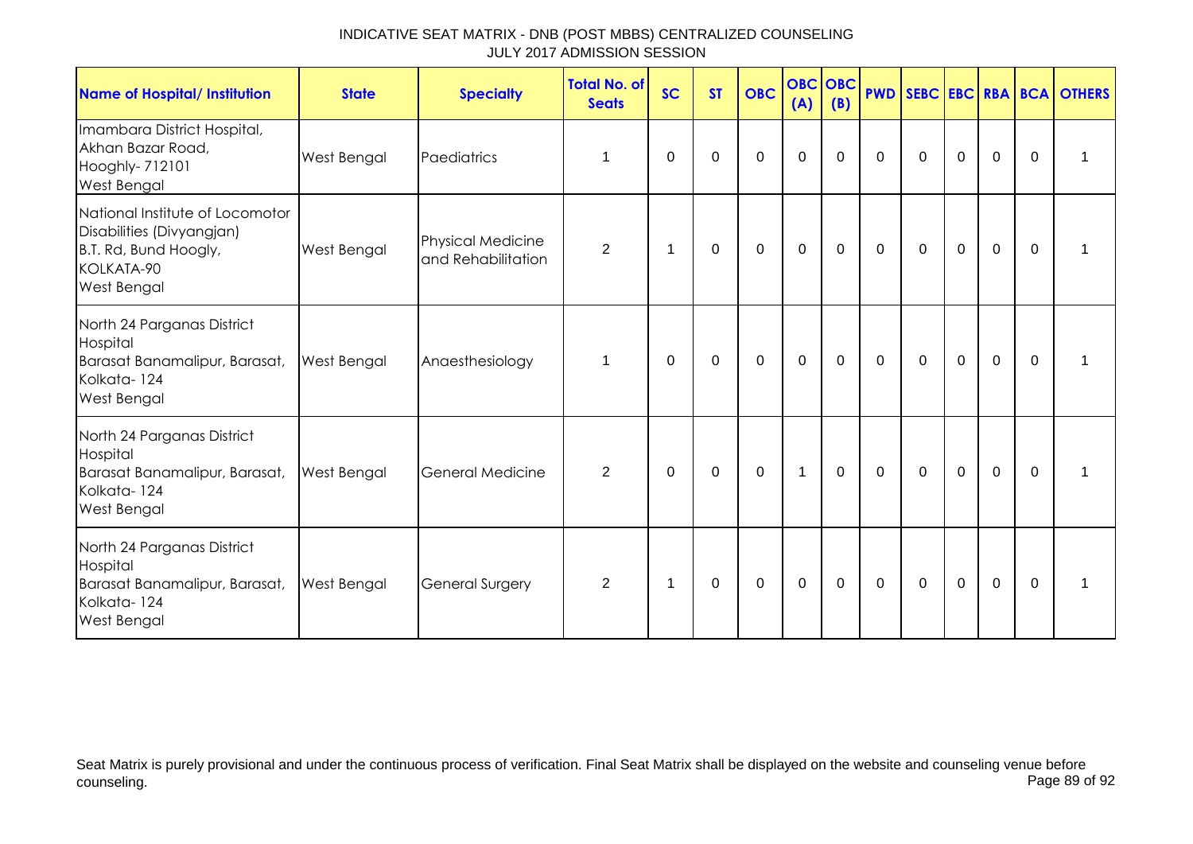| Name of Hospital/ Institution                                                                                             | <b>State</b> | <b>Specialty</b>                               | <b>Total No. of</b><br><b>Seats</b> | <b>SC</b>      | <b>ST</b>   | <b>OBC</b>       | <b>OBC</b> OBC<br>(A) | (B)         |             |             |                |             |                | <b>PWD SEBC EBC RBA BCA OTHERS</b> |
|---------------------------------------------------------------------------------------------------------------------------|--------------|------------------------------------------------|-------------------------------------|----------------|-------------|------------------|-----------------------|-------------|-------------|-------------|----------------|-------------|----------------|------------------------------------|
| Imambara District Hospital,<br>Akhan Bazar Road,<br>Hooghly- 712101<br><b>West Bengal</b>                                 | West Bengal  | Paediatrics                                    | $\mathbf 1$                         | 0              | $\mathbf 0$ | $\mathbf 0$      | $\mathbf 0$           | $\mathbf 0$ | $\mathbf 0$ | $\mathbf 0$ | $\mathbf 0$    | $\mathbf 0$ | $\overline{0}$ | $\mathbf 1$                        |
| National Institute of Locomotor<br>Disabilities (Divyangjan)<br>B.T. Rd, Bund Hoogly,<br>KOLKATA-90<br><b>West Bengal</b> | West Bengal  | <b>Physical Medicine</b><br>and Rehabilitation | $\overline{2}$                      | $\overline{1}$ | $\mathbf 0$ | $\mathbf 0$      | $\mathbf 0$           | $\mathbf 0$ | $\mathbf 0$ | $\mathbf 0$ | $\mathbf 0$    | $\mathbf 0$ | $\overline{0}$ | 1                                  |
| North 24 Parganas District<br>Hospital<br>Barasat Banamalipur, Barasat,<br>Kolkata-124<br><b>West Bengal</b>              | West Bengal  | Anaesthesiology                                | 1                                   | 0              | 0           | $\mathbf 0$      | $\mathbf 0$           | $\mathbf 0$ | $\mathbf 0$ | $\mathbf 0$ | $\mathbf 0$    | $\mathbf 0$ | $\mathbf{0}$   | 1                                  |
| North 24 Parganas District<br>Hospital<br>Barasat Banamalipur, Barasat,<br>Kolkata-124<br>West Bengal                     | West Bengal  | General Medicine                               | $\overline{2}$                      | $\Omega$       | $\mathbf 0$ | $\mathbf 0$      | $\mathbf{1}$          | $\mathbf 0$ | $\mathbf 0$ | $\mathbf 0$ | $\overline{0}$ | $\mathbf 0$ | $\Omega$       | 1                                  |
| North 24 Parganas District<br>Hospital<br>Barasat Banamalipur, Barasat,<br>Kolkata-124<br><b>West Bengal</b>              | West Bengal  | <b>General Surgery</b>                         | $\overline{2}$                      | 1              | 0           | $\boldsymbol{0}$ | $\mathbf 0$           | $\mathbf 0$ | $\mathbf 0$ | $\mathbf 0$ | $\mathbf 0$    | $\mathbf 0$ | 0              | 1                                  |

Seat Matrix is purely provisional and under the continuous process of verification. Final Seat Matrix shall be displayed on the website and counseling venue before<br>Page 89 of 92 counseling. Page 89 of 92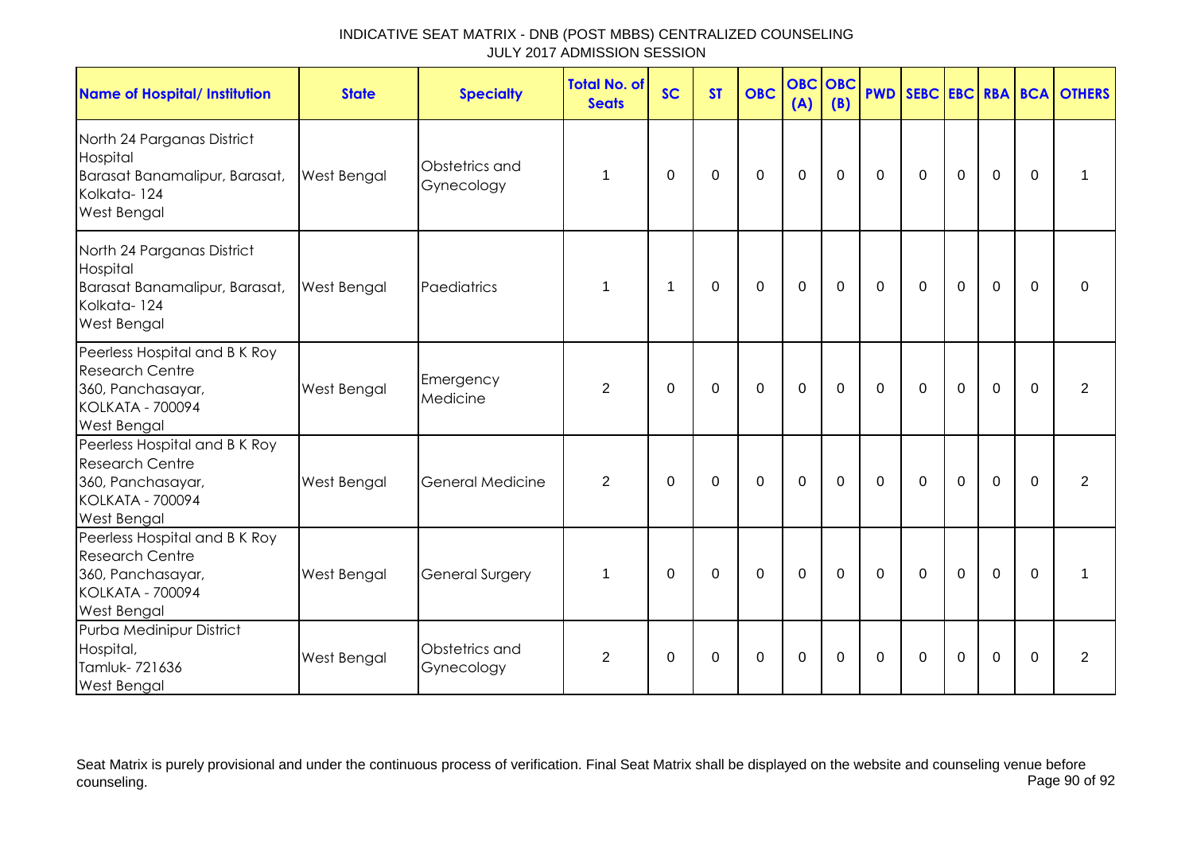| <b>Name of Hospital/ Institution</b>                                                                                          | <b>State</b> | <b>Specialty</b>             | <b>Total No. of</b><br><b>Seats</b> | <b>SC</b>   | <b>ST</b>   | <b>OBC</b>  | <b>OBC</b><br>(A) | <b>OBC</b><br>(B) |             |             |                |                |             | <b>PWD SEBC EBC RBA BCA OTHERS</b> |
|-------------------------------------------------------------------------------------------------------------------------------|--------------|------------------------------|-------------------------------------|-------------|-------------|-------------|-------------------|-------------------|-------------|-------------|----------------|----------------|-------------|------------------------------------|
| North 24 Parganas District<br>Hospital<br>Barasat Banamalipur, Barasat,<br>Kolkata-124<br><b>West Bengal</b>                  | West Bengal  | Obstetrics and<br>Gynecology | 1                                   | $\Omega$    | $\mathbf 0$ | $\mathbf 0$ | $\mathbf 0$       | $\mathbf 0$       | $\Omega$    | $\Omega$    | $\mathbf 0$    | $\mathbf 0$    | $\Omega$    | 1                                  |
| North 24 Parganas District<br>Hospital<br>Barasat Banamalipur, Barasat,<br>Kolkata-124<br>West Bengal                         | West Bengal  | Paediatrics                  | 1                                   | 1           | $\mathbf 0$ | $\mathbf 0$ | $\overline{0}$    | $\mathbf 0$       | $\Omega$    | $\Omega$    | $\overline{0}$ | $\overline{0}$ | $\Omega$    | $\mathbf 0$                        |
| Peerless Hospital and B K Roy<br><b>Research Centre</b><br>360, Panchasayar,<br><b>KOLKATA - 700094</b><br>West Bengal        | West Bengal  | Emergency<br>Medicine        | 2                                   | $\mathbf 0$ | $\mathbf 0$ | $\mathbf 0$ | $\overline{0}$    | $\mathbf 0$       | $\mathbf 0$ | $\Omega$    | $\overline{0}$ | $\overline{0}$ | $\Omega$    | $\overline{2}$                     |
| Peerless Hospital and B K Roy<br><b>Research Centre</b><br>360, Panchasayar,<br><b>KOLKATA - 700094</b><br><b>West Bengal</b> | West Bengal  | <b>General Medicine</b>      | 2                                   | $\Omega$    | $\Omega$    | $\mathbf 0$ | $\mathbf 0$       | $\Omega$          | $\Omega$    | $\Omega$    | $\mathbf 0$    | $\overline{0}$ | $\Omega$    | $\overline{2}$                     |
| Peerless Hospital and B K Roy<br><b>Research Centre</b><br>360, Panchasayar,<br><b>KOLKATA - 700094</b><br>West Bengal        | West Bengal  | <b>General Surgery</b>       | 1                                   | $\Omega$    | $\mathbf 0$ | $\mathbf 0$ | $\mathbf 0$       | $\mathbf 0$       | $\mathbf 0$ | $\mathbf 0$ | $\mathbf 0$    | $\overline{0}$ | $\mathbf 0$ | 1                                  |
| Purba Medinipur District<br>Hospital,<br>Tamluk-721636<br><b>West Bengal</b>                                                  | West Bengal  | Obstetrics and<br>Gynecology | 2                                   | $\Omega$    | $\mathbf 0$ | $\mathbf 0$ | $\overline{0}$    | $\Omega$          | $\Omega$    | $\Omega$    | $\mathbf 0$    | $\overline{0}$ | $\Omega$    | $\overline{2}$                     |

Seat Matrix is purely provisional and under the continuous process of verification. Final Seat Matrix shall be displayed on the website and counseling venue before<br>Page 90 of 92 counseling. Page 90 of 92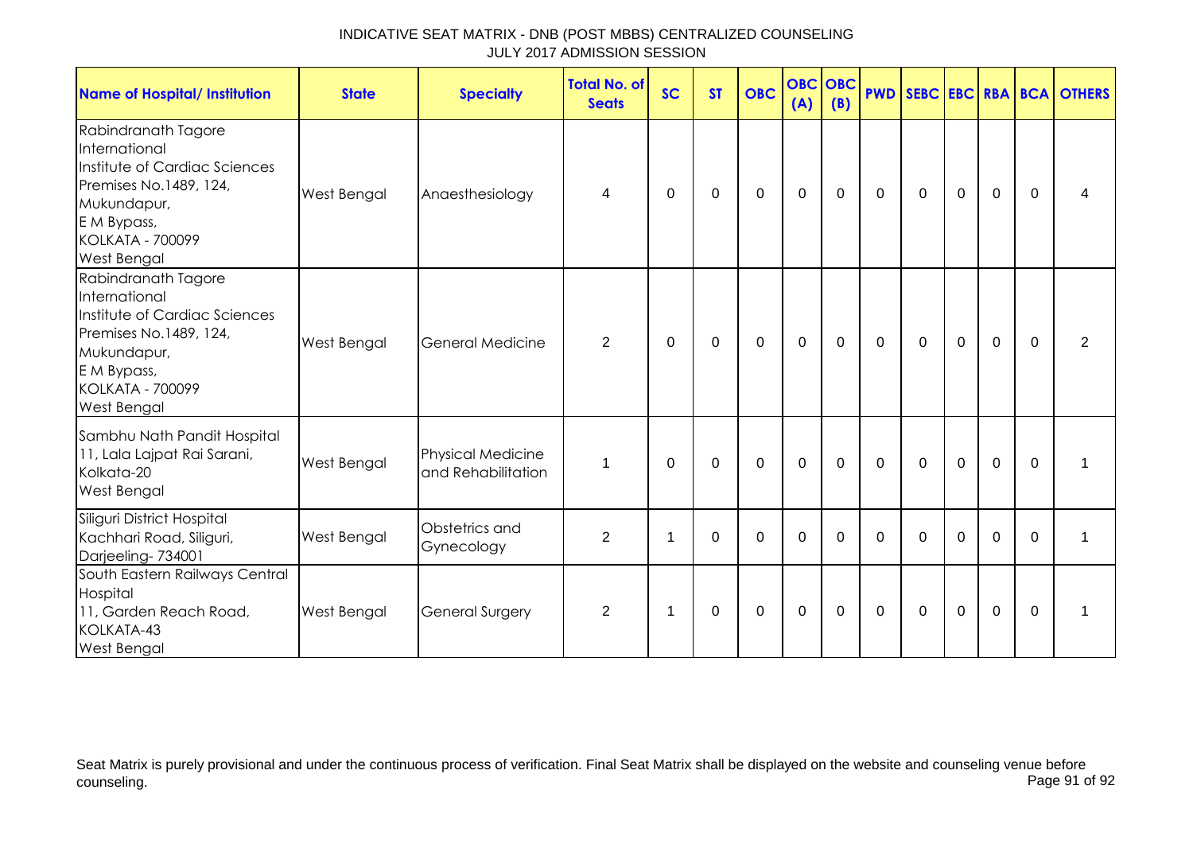| INDICATIVE SEAT MATRIX - DNB (POST MBBS) CENTRALIZED COUNSELING |  |
|-----------------------------------------------------------------|--|
| JULY 2017 ADMISSION SESSION                                     |  |

| <b>Name of Hospital/ Institution</b>                                                                                                                                           | <b>State</b> | <b>Specialty</b>                               | <b>Total No. of</b><br><b>Seats</b> | <b>SC</b> | <b>ST</b> | <b>OBC</b>  | <b>OBC OBC</b><br>(A) | (B)         |             |              |                |             |             | <b>PWD SEBC EBC RBA BCA OTHERS</b> |
|--------------------------------------------------------------------------------------------------------------------------------------------------------------------------------|--------------|------------------------------------------------|-------------------------------------|-----------|-----------|-------------|-----------------------|-------------|-------------|--------------|----------------|-------------|-------------|------------------------------------|
| Rabindranath Tagore<br>International<br>Institute of Cardiac Sciences<br>Premises No.1489, 124,<br>Mukundapur,<br>E M Bypass,<br><b>KOLKATA - 700099</b><br><b>West Bengal</b> | West Bengal  | Anaesthesiology                                | 4                                   | $\Omega$  | $\Omega$  | $\mathbf 0$ | $\mathbf 0$           | $\mathbf 0$ | $\mathbf 0$ | $\Omega$     | $\mathbf 0$    | $\mathbf 0$ | $\Omega$    | 4                                  |
| Rabindranath Tagore<br>International<br>Institute of Cardiac Sciences<br>Premises No.1489, 124,<br>Mukundapur,<br>E M Bypass,<br><b>KOLKATA - 700099</b><br>West Bengal        | West Bengal  | General Medicine                               | $\overline{2}$                      | $\Omega$  | 0         | $\mathbf 0$ | $\mathbf 0$           | $\Omega$    | $\mathbf 0$ | $\mathbf{0}$ | $\overline{0}$ | $\mathbf 0$ | $\Omega$    | 2                                  |
| Sambhu Nath Pandit Hospital<br>11, Lala Lajpat Rai Sarani,<br>Kolkata-20<br>West Bengal                                                                                        | West Bengal  | <b>Physical Medicine</b><br>and Rehabilitation | 1                                   | $\Omega$  | 0         | $\mathbf 0$ | $\mathbf 0$           | $\mathbf 0$ | $\mathbf 0$ | $\mathbf 0$  | $\mathbf 0$    | $\mathbf 0$ | $\mathbf 0$ |                                    |
| Siliguri District Hospital<br>Kachhari Road, Siliguri,<br>Darjeeling-734001                                                                                                    | West Bengal  | Obstetrics and<br>Gynecology                   | 2                                   | 1         | 0         | $\mathbf 0$ | $\mathbf 0$           | 0           | $\Omega$    | 0            | 0              | 0           | $\Omega$    | 1                                  |
| South Eastern Railways Central<br>Hospital<br>11, Garden Reach Road,<br>KOLKATA-43<br><b>West Bengal</b>                                                                       | West Bengal  | <b>General Surgery</b>                         | $\overline{2}$                      | -1        | 0         | 0           | $\mathbf 0$           | 0           | 0           | 0            | 0              | $\mathbf 0$ | $\Omega$    |                                    |

Seat Matrix is purely provisional and under the continuous process of verification. Final Seat Matrix shall be displayed on the website and counseling venue before counseling. Page 91 of 92